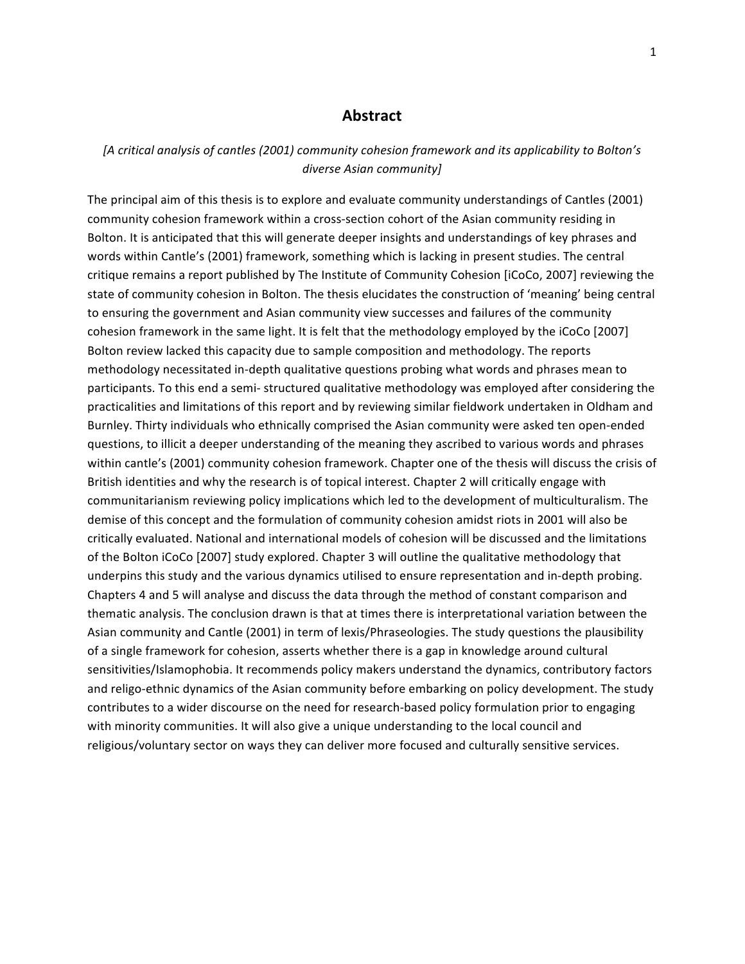#### **Abstract**

[A critical analysis of cantles (2001) community cohesion framework and its applicability to Bolton's *diverse Asian community]*

The principal aim of this thesis is to explore and evaluate community understandings of Cantles (2001) community cohesion framework within a cross-section cohort of the Asian community residing in Bolton. It is anticipated that this will generate deeper insights and understandings of key phrases and words within Cantle's (2001) framework, something which is lacking in present studies. The central critique remains a report published by The Institute of Community Cohesion [iCoCo, 2007] reviewing the state of community cohesion in Bolton. The thesis elucidates the construction of 'meaning' being central to ensuring the government and Asian community view successes and failures of the community cohesion framework in the same light. It is felt that the methodology employed by the iCoCo [2007] Bolton review lacked this capacity due to sample composition and methodology. The reports methodology necessitated in-depth qualitative questions probing what words and phrases mean to participants. To this end a semi- structured qualitative methodology was employed after considering the practicalities and limitations of this report and by reviewing similar fieldwork undertaken in Oldham and Burnley. Thirty individuals who ethnically comprised the Asian community were asked ten open-ended questions, to illicit a deeper understanding of the meaning they ascribed to various words and phrases within cantle's (2001) community cohesion framework. Chapter one of the thesis will discuss the crisis of British identities and why the research is of topical interest. Chapter 2 will critically engage with communitarianism reviewing policy implications which led to the development of multiculturalism. The demise of this concept and the formulation of community cohesion amidst riots in 2001 will also be critically evaluated. National and international models of cohesion will be discussed and the limitations of the Bolton iCoCo [2007] study explored. Chapter 3 will outline the qualitative methodology that underpins this study and the various dynamics utilised to ensure representation and in-depth probing. Chapters 4 and 5 will analyse and discuss the data through the method of constant comparison and thematic analysis. The conclusion drawn is that at times there is interpretational variation between the Asian community and Cantle (2001) in term of lexis/Phraseologies. The study questions the plausibility of a single framework for cohesion, asserts whether there is a gap in knowledge around cultural sensitivities/Islamophobia. It recommends policy makers understand the dynamics, contributory factors and religo-ethnic dynamics of the Asian community before embarking on policy development. The study contributes to a wider discourse on the need for research-based policy formulation prior to engaging with minority communities. It will also give a unique understanding to the local council and religious/voluntary sector on ways they can deliver more focused and culturally sensitive services.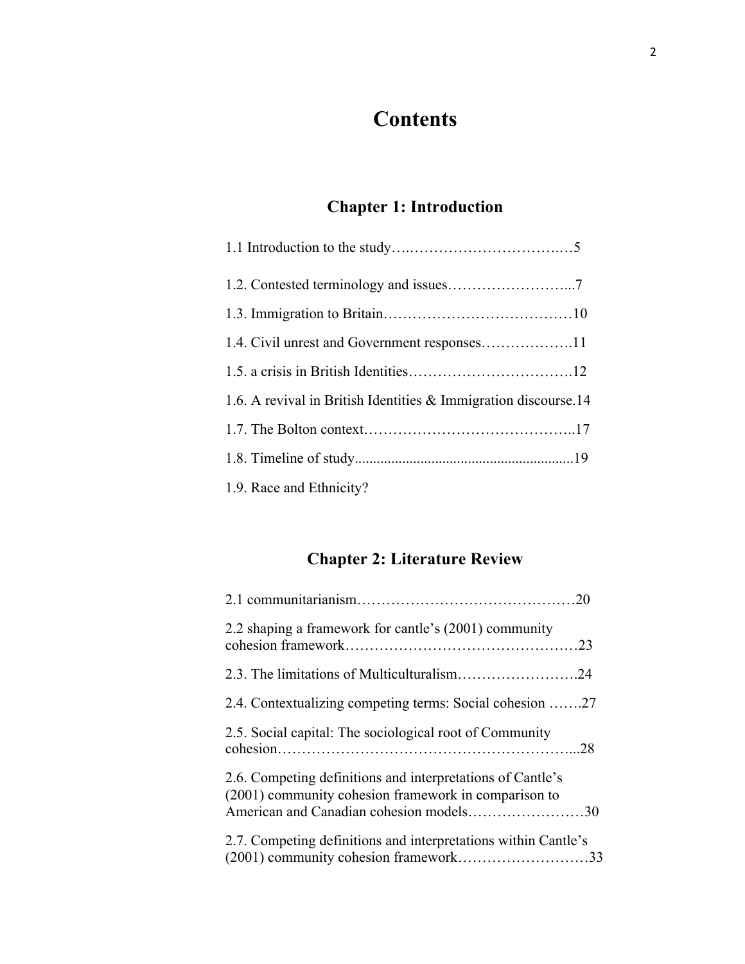# **Contents**

### **Chapter 1: Introduction**

| 1.6. A revival in British Identities & Immigration discourse.14 |
|-----------------------------------------------------------------|
|                                                                 |
|                                                                 |
| 1.9. Race and Ethnicity?                                        |

### **Chapter 2: Literature Review**

| 2.2 shaping a framework for cantle's (2001) community                                                                                                         |
|---------------------------------------------------------------------------------------------------------------------------------------------------------------|
|                                                                                                                                                               |
| 2.4. Contextualizing competing terms: Social cohesion 27                                                                                                      |
| 2.5. Social capital: The sociological root of Community                                                                                                       |
| 2.6. Competing definitions and interpretations of Cantle's<br>(2001) community cohesion framework in comparison to<br>American and Canadian cohesion models30 |
| 2.7. Competing definitions and interpretations within Cantle's<br>(2001) community cohesion framework33                                                       |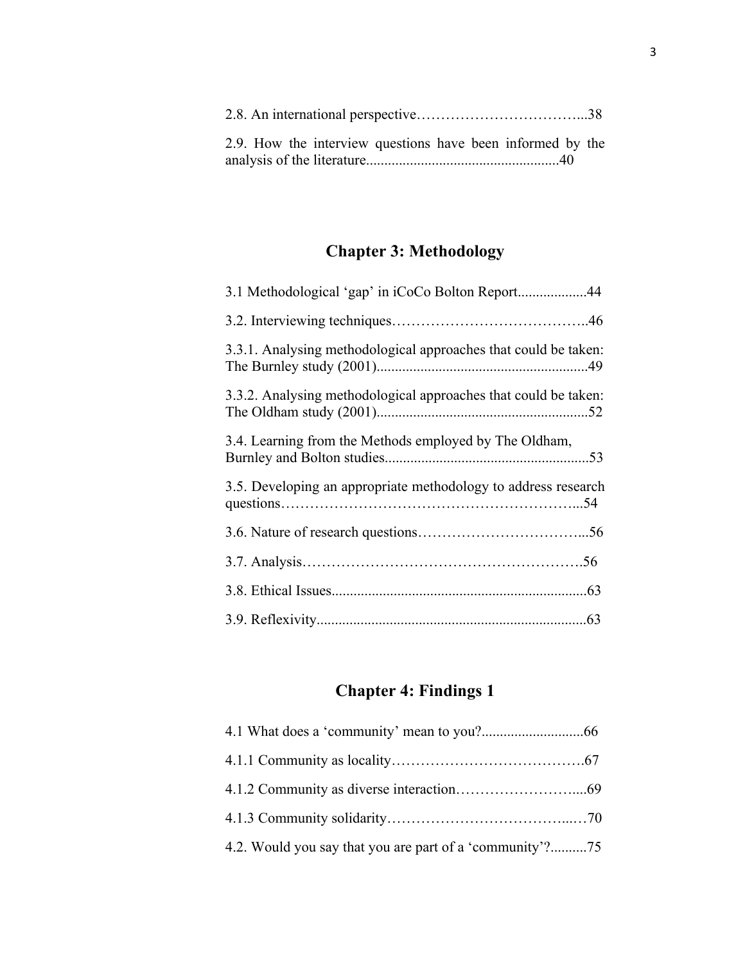| 2.9. How the interview questions have been informed by the |  |
|------------------------------------------------------------|--|
|                                                            |  |

### **Chapter 3: Methodology**

| 3.1 Methodological 'gap' in iCoCo Bolton Report44               |
|-----------------------------------------------------------------|
|                                                                 |
| 3.3.1. Analysing methodological approaches that could be taken: |
| 3.3.2. Analysing methodological approaches that could be taken: |
| 3.4. Learning from the Methods employed by The Oldham,          |
| 3.5. Developing an appropriate methodology to address research  |
|                                                                 |
|                                                                 |
|                                                                 |
|                                                                 |

## **Chapter 4: Findings 1**

| 4.2. Would you say that you are part of a 'community'?75 |  |
|----------------------------------------------------------|--|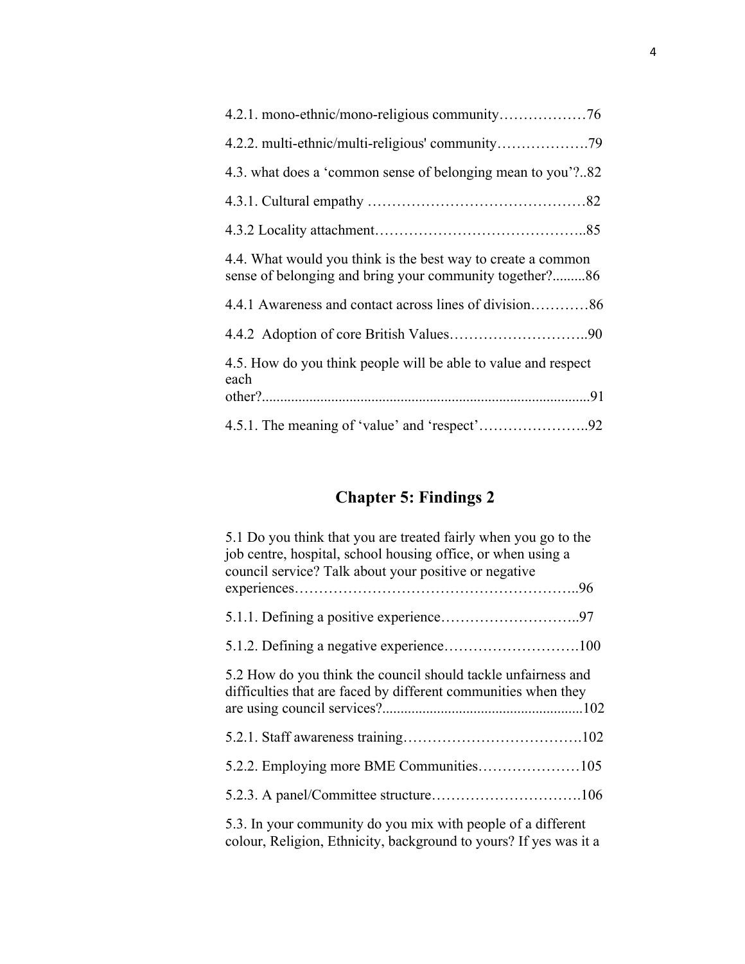| 4.3. what does a 'common sense of belonging mean to you'?82                                                             |
|-------------------------------------------------------------------------------------------------------------------------|
|                                                                                                                         |
|                                                                                                                         |
| 4.4. What would you think is the best way to create a common<br>sense of belonging and bring your community together?86 |
|                                                                                                                         |
|                                                                                                                         |
| 4.5. How do you think people will be able to value and respect                                                          |
| each                                                                                                                    |
|                                                                                                                         |

## **Chapter 5: Findings 2**

| 5.1 Do you think that you are treated fairly when you go to the<br>job centre, hospital, school housing office, or when using a<br>council service? Talk about your positive or negative |  |
|------------------------------------------------------------------------------------------------------------------------------------------------------------------------------------------|--|
|                                                                                                                                                                                          |  |
|                                                                                                                                                                                          |  |
|                                                                                                                                                                                          |  |
| 5.2 How do you think the council should tackle unfairness and<br>difficulties that are faced by different communities when they                                                          |  |
|                                                                                                                                                                                          |  |
| 5.2.2. Employing more BME Communities105                                                                                                                                                 |  |
|                                                                                                                                                                                          |  |
| 5.3. In your community do you mix with people of a different<br>colour, Religion, Ethnicity, background to yours? If yes was it a                                                        |  |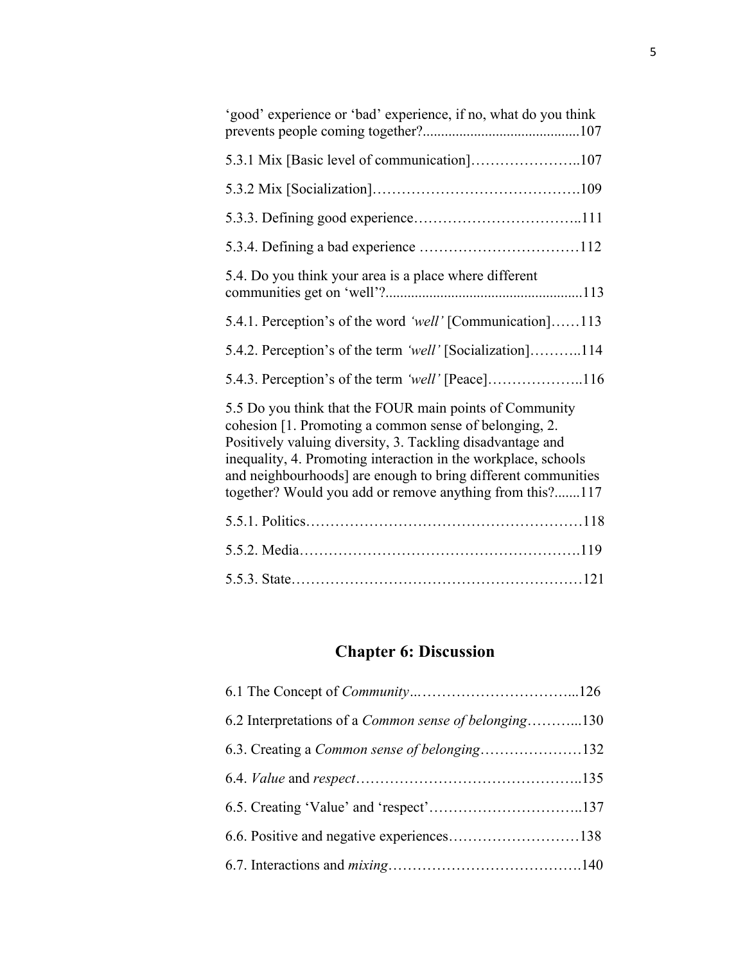| 'good' experience or 'bad' experience, if no, what do you think                                                                                                                                                                                                                                                                                                                |
|--------------------------------------------------------------------------------------------------------------------------------------------------------------------------------------------------------------------------------------------------------------------------------------------------------------------------------------------------------------------------------|
|                                                                                                                                                                                                                                                                                                                                                                                |
|                                                                                                                                                                                                                                                                                                                                                                                |
|                                                                                                                                                                                                                                                                                                                                                                                |
|                                                                                                                                                                                                                                                                                                                                                                                |
| 5.4. Do you think your area is a place where different                                                                                                                                                                                                                                                                                                                         |
| 5.4.1. Perception's of the word 'well' [Communication]113                                                                                                                                                                                                                                                                                                                      |
| 5.4.2. Perception's of the term 'well' [Socialization]114                                                                                                                                                                                                                                                                                                                      |
|                                                                                                                                                                                                                                                                                                                                                                                |
| 5.5 Do you think that the FOUR main points of Community<br>cohesion [1. Promoting a common sense of belonging, 2.<br>Positively valuing diversity, 3. Tackling disadvantage and<br>inequality, 4. Promoting interaction in the workplace, schools<br>and neighbourhoods] are enough to bring different communities<br>together? Would you add or remove anything from this?117 |
|                                                                                                                                                                                                                                                                                                                                                                                |
|                                                                                                                                                                                                                                                                                                                                                                                |
|                                                                                                                                                                                                                                                                                                                                                                                |

## **Chapter 6: Discussion**

| 6.2 Interpretations of a Common sense of belonging130 |  |
|-------------------------------------------------------|--|
| 6.3. Creating a Common sense of belonging132          |  |
|                                                       |  |
|                                                       |  |
|                                                       |  |
|                                                       |  |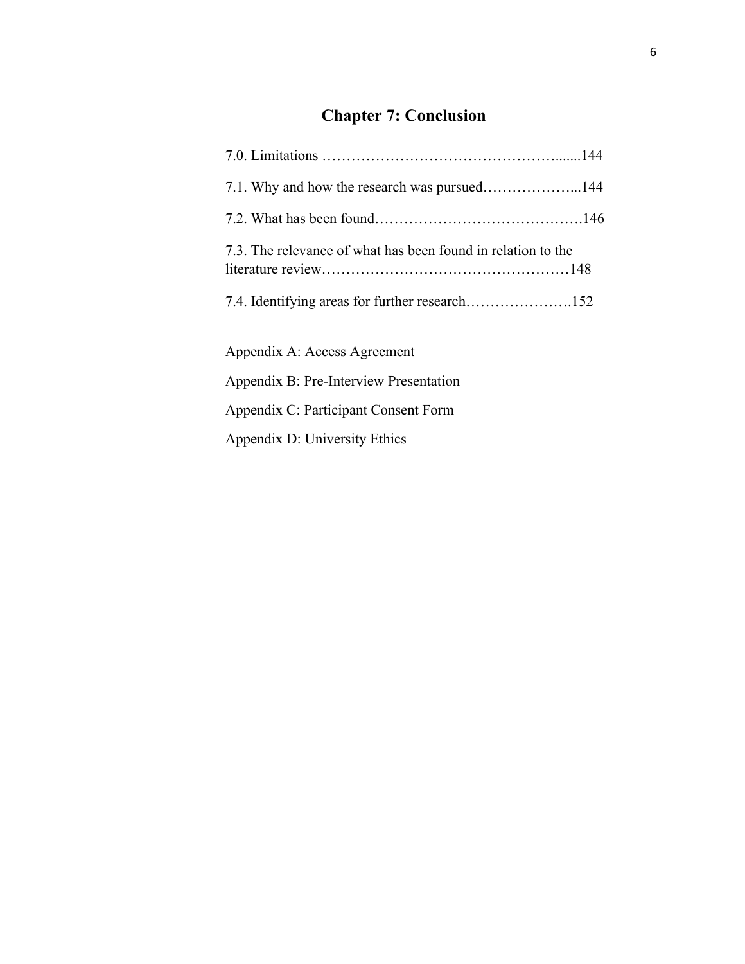# **Chapter 7: Conclusion**

| 7.3. The relevance of what has been found in relation to the |  |
|--------------------------------------------------------------|--|
|                                                              |  |
| Appendix A: Access Agreement                                 |  |
| Appendix B: Pre-Interview Presentation                       |  |
| Appendix C: Participant Consent Form                         |  |
| Appendix D: University Ethics                                |  |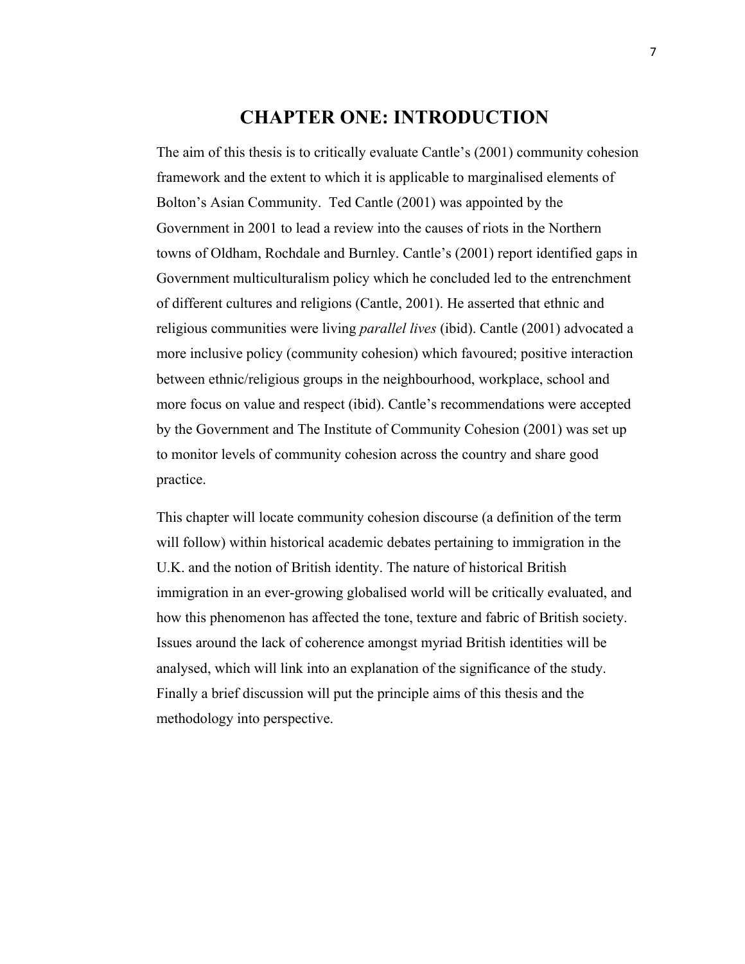### **CHAPTER ONE: INTRODUCTION**

The aim of this thesis is to critically evaluate Cantle's (2001) community cohesion framework and the extent to which it is applicable to marginalised elements of Bolton's Asian Community. Ted Cantle (2001) was appointed by the Government in 2001 to lead a review into the causes of riots in the Northern towns of Oldham, Rochdale and Burnley. Cantle's (2001) report identified gaps in Government multiculturalism policy which he concluded led to the entrenchment of different cultures and religions (Cantle, 2001). He asserted that ethnic and religious communities were living *parallel lives* (ibid). Cantle (2001) advocated a more inclusive policy (community cohesion) which favoured; positive interaction between ethnic/religious groups in the neighbourhood, workplace, school and more focus on value and respect (ibid). Cantle's recommendations were accepted by the Government and The Institute of Community Cohesion (2001) was set up to monitor levels of community cohesion across the country and share good practice.

This chapter will locate community cohesion discourse (a definition of the term will follow) within historical academic debates pertaining to immigration in the U.K. and the notion of British identity. The nature of historical British immigration in an ever-growing globalised world will be critically evaluated, and how this phenomenon has affected the tone, texture and fabric of British society. Issues around the lack of coherence amongst myriad British identities will be analysed, which will link into an explanation of the significance of the study. Finally a brief discussion will put the principle aims of this thesis and the methodology into perspective.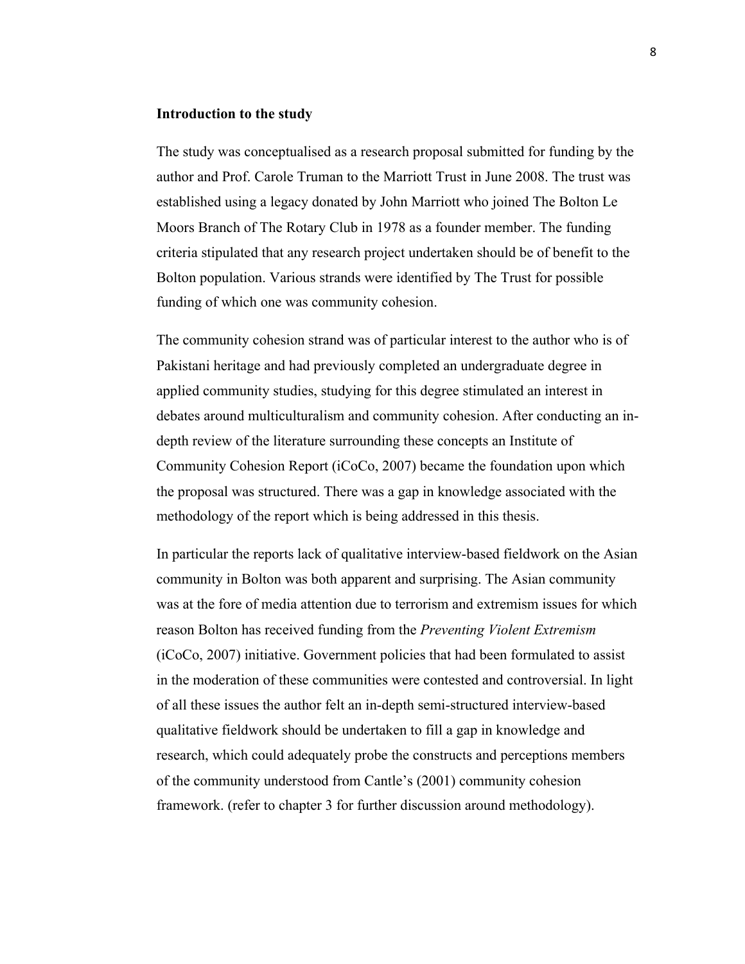#### **Introduction to the study**

The study was conceptualised as a research proposal submitted for funding by the author and Prof. Carole Truman to the Marriott Trust in June 2008. The trust was established using a legacy donated by John Marriott who joined The Bolton Le Moors Branch of The Rotary Club in 1978 as a founder member. The funding criteria stipulated that any research project undertaken should be of benefit to the Bolton population. Various strands were identified by The Trust for possible funding of which one was community cohesion.

The community cohesion strand was of particular interest to the author who is of Pakistani heritage and had previously completed an undergraduate degree in applied community studies, studying for this degree stimulated an interest in debates around multiculturalism and community cohesion. After conducting an indepth review of the literature surrounding these concepts an Institute of Community Cohesion Report (iCoCo, 2007) became the foundation upon which the proposal was structured. There was a gap in knowledge associated with the methodology of the report which is being addressed in this thesis.

In particular the reports lack of qualitative interview-based fieldwork on the Asian community in Bolton was both apparent and surprising. The Asian community was at the fore of media attention due to terrorism and extremism issues for which reason Bolton has received funding from the *Preventing Violent Extremism* (iCoCo, 2007) initiative. Government policies that had been formulated to assist in the moderation of these communities were contested and controversial. In light of all these issues the author felt an in-depth semi-structured interview-based qualitative fieldwork should be undertaken to fill a gap in knowledge and research, which could adequately probe the constructs and perceptions members of the community understood from Cantle's (2001) community cohesion framework. (refer to chapter 3 for further discussion around methodology).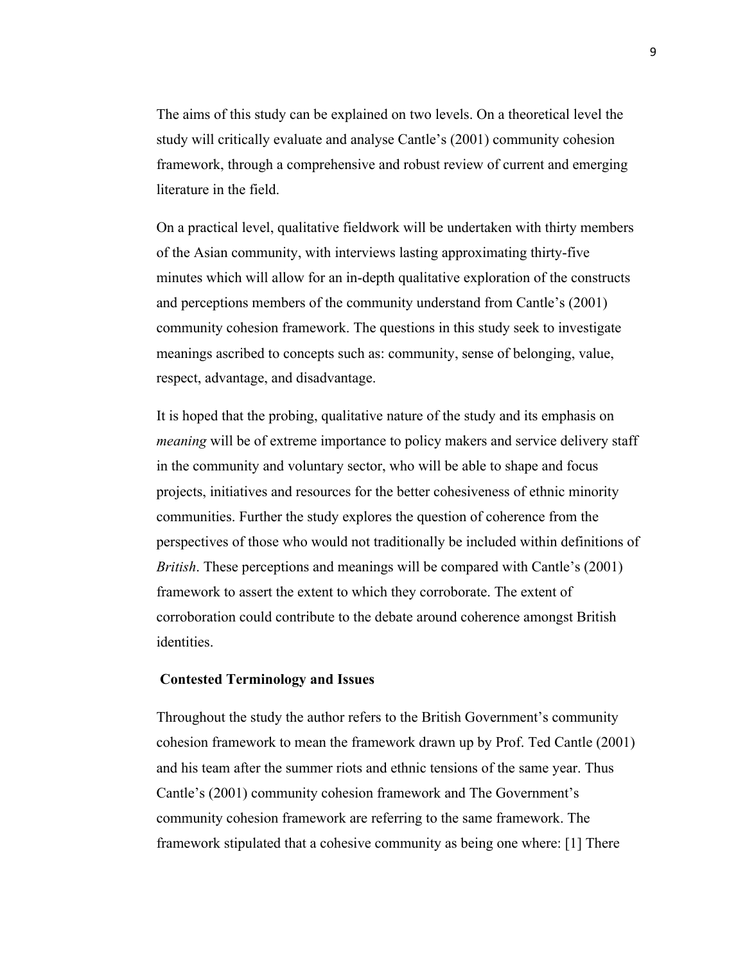The aims of this study can be explained on two levels. On a theoretical level the study will critically evaluate and analyse Cantle's (2001) community cohesion framework, through a comprehensive and robust review of current and emerging literature in the field.

On a practical level, qualitative fieldwork will be undertaken with thirty members of the Asian community, with interviews lasting approximating thirty-five minutes which will allow for an in-depth qualitative exploration of the constructs and perceptions members of the community understand from Cantle's (2001) community cohesion framework. The questions in this study seek to investigate meanings ascribed to concepts such as: community, sense of belonging, value, respect, advantage, and disadvantage.

It is hoped that the probing, qualitative nature of the study and its emphasis on *meaning* will be of extreme importance to policy makers and service delivery staff in the community and voluntary sector, who will be able to shape and focus projects, initiatives and resources for the better cohesiveness of ethnic minority communities. Further the study explores the question of coherence from the perspectives of those who would not traditionally be included within definitions of *British*. These perceptions and meanings will be compared with Cantle's (2001) framework to assert the extent to which they corroborate. The extent of corroboration could contribute to the debate around coherence amongst British identities.

#### **Contested Terminology and Issues**

Throughout the study the author refers to the British Government's community cohesion framework to mean the framework drawn up by Prof. Ted Cantle (2001) and his team after the summer riots and ethnic tensions of the same year. Thus Cantle's (2001) community cohesion framework and The Government's community cohesion framework are referring to the same framework. The framework stipulated that a cohesive community as being one where: [1] There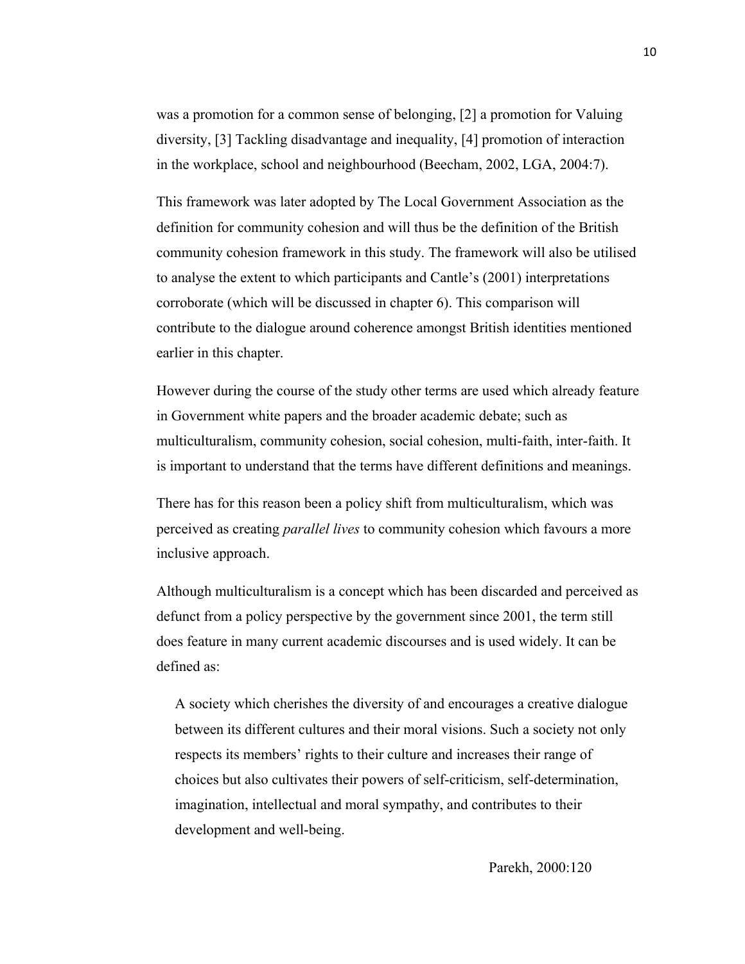was a promotion for a common sense of belonging, [2] a promotion for Valuing diversity, [3] Tackling disadvantage and inequality, [4] promotion of interaction in the workplace, school and neighbourhood (Beecham, 2002, LGA, 2004:7).

This framework was later adopted by The Local Government Association as the definition for community cohesion and will thus be the definition of the British community cohesion framework in this study. The framework will also be utilised to analyse the extent to which participants and Cantle's (2001) interpretations corroborate (which will be discussed in chapter 6). This comparison will contribute to the dialogue around coherence amongst British identities mentioned earlier in this chapter.

However during the course of the study other terms are used which already feature in Government white papers and the broader academic debate; such as multiculturalism, community cohesion, social cohesion, multi-faith, inter-faith. It is important to understand that the terms have different definitions and meanings.

There has for this reason been a policy shift from multiculturalism, which was perceived as creating *parallel lives* to community cohesion which favours a more inclusive approach.

Although multiculturalism is a concept which has been discarded and perceived as defunct from a policy perspective by the government since 2001, the term still does feature in many current academic discourses and is used widely. It can be defined as:

A society which cherishes the diversity of and encourages a creative dialogue between its different cultures and their moral visions. Such a society not only respects its members' rights to their culture and increases their range of choices but also cultivates their powers of self-criticism, self-determination, imagination, intellectual and moral sympathy, and contributes to their development and well-being.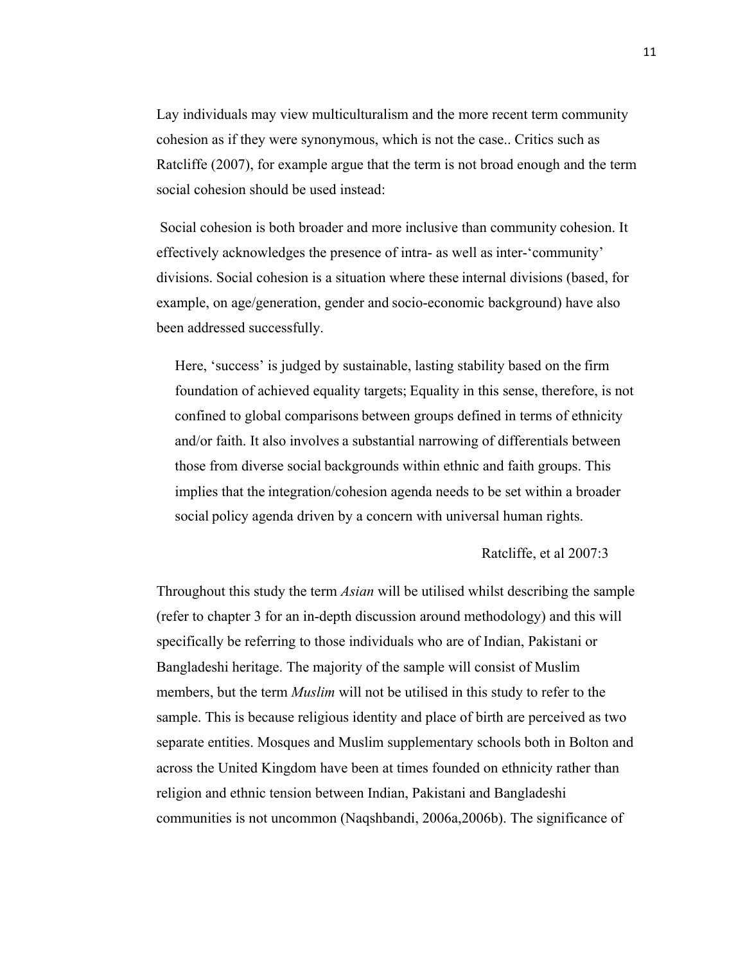Lay individuals may view multiculturalism and the more recent term community cohesion as if they were synonymous, which is not the case.. Critics such as Ratcliffe (2007), for example argue that the term is not broad enough and the term social cohesion should be used instead:

Social cohesion is both broader and more inclusive than community cohesion. It effectively acknowledges the presence of intra- as well as inter-'community' divisions. Social cohesion is a situation where these internal divisions (based, for example, on age/generation, gender and socio-economic background) have also been addressed successfully.

Here, 'success' is judged by sustainable, lasting stability based on the firm foundation of achieved equality targets; Equality in this sense, therefore, is not confined to global comparisons between groups defined in terms of ethnicity and/or faith. It also involves a substantial narrowing of differentials between those from diverse social backgrounds within ethnic and faith groups. This implies that the integration/cohesion agenda needs to be set within a broader social policy agenda driven by a concern with universal human rights.

#### Ratcliffe, et al 2007:3

Throughout this study the term *Asian* will be utilised whilst describing the sample (refer to chapter 3 for an in-depth discussion around methodology) and this will specifically be referring to those individuals who are of Indian, Pakistani or Bangladeshi heritage. The majority of the sample will consist of Muslim members, but the term *Muslim* will not be utilised in this study to refer to the sample. This is because religious identity and place of birth are perceived as two separate entities. Mosques and Muslim supplementary schools both in Bolton and across the United Kingdom have been at times founded on ethnicity rather than religion and ethnic tension between Indian, Pakistani and Bangladeshi communities is not uncommon (Naqshbandi, 2006a,2006b). The significance of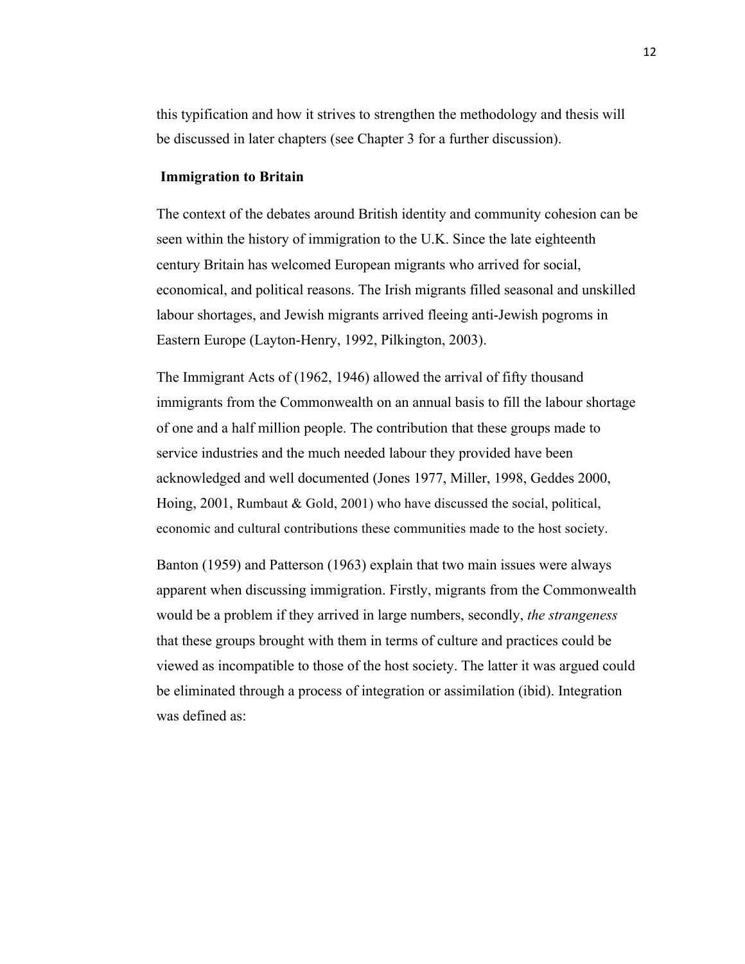this typification and how it strives to strengthen the methodology and thesis will be discussed in later chapters (see Chapter 3 for a further discussion).

#### **Immigration to Britain**

The context of the debates around British identity and community cohesion can be seen within the history of immigration to the U.K. Since the late eighteenth century Britain has welcomed European migrants who arrived for social, economical, and political reasons. The Irish migrants filled seasonal and unskilled labour shortages, and Jewish migrants arrived fleeing anti-Jewish pogroms in Eastern Europe (Layton-Henry, 1992, Pilkington, 2003).

The Immigrant Acts of (1962, 1946) allowed the arrival of fifty thousand immigrants from the Commonwealth on an annual basis to fill the labour shortage of one and a half million people. The contribution that these groups made to service industries and the much needed labour they provided have been acknowledged and well documented (Jones 1977, Miller, 1998, Geddes 2000, Hoing, 2001, Rumbaut & Gold, 2001) who have discussed the social, political, economic and cultural contributions these communities made to the host society.

Banton (1959) and Patterson (1963) explain that two main issues were always apparent when discussing immigration. Firstly, migrants from the Commonwealth would be a problem if they arrived in large numbers, secondly, *the strangeness* that these groups brought with them in terms of culture and practices could be viewed as incompatible to those of the host society. The latter it was argued could be eliminated through a process of integration or assimilation (ibid). Integration was defined as: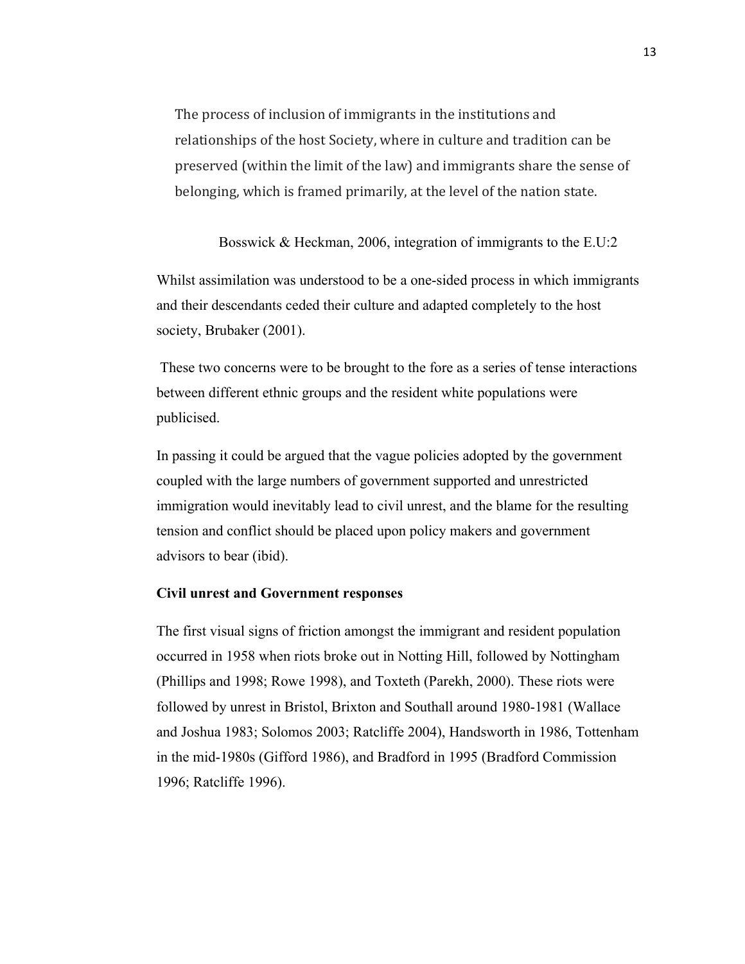The process of inclusion of immigrants in the institutions and relationships of the host Society, where in culture and tradition can be preserved (within the limit of the law) and immigrants share the sense of belonging, which is framed primarily, at the level of the nation state.

Bosswick & Heckman, 2006, integration of immigrants to the E.U:2

Whilst assimilation was understood to be a one-sided process in which immigrants and their descendants ceded their culture and adapted completely to the host society, Brubaker (2001).

These two concerns were to be brought to the fore as a series of tense interactions between different ethnic groups and the resident white populations were publicised.

In passing it could be argued that the vague policies adopted by the government coupled with the large numbers of government supported and unrestricted immigration would inevitably lead to civil unrest, and the blame for the resulting tension and conflict should be placed upon policy makers and government advisors to bear (ibid).

#### **Civil unrest and Government responses**

The first visual signs of friction amongst the immigrant and resident population occurred in 1958 when riots broke out in Notting Hill, followed by Nottingham (Phillips and 1998; Rowe 1998), and Toxteth (Parekh, 2000). These riots were followed by unrest in Bristol, Brixton and Southall around 1980-1981 (Wallace and Joshua 1983; Solomos 2003; Ratcliffe 2004), Handsworth in 1986, Tottenham in the mid-1980s (Gifford 1986), and Bradford in 1995 (Bradford Commission 1996; Ratcliffe 1996).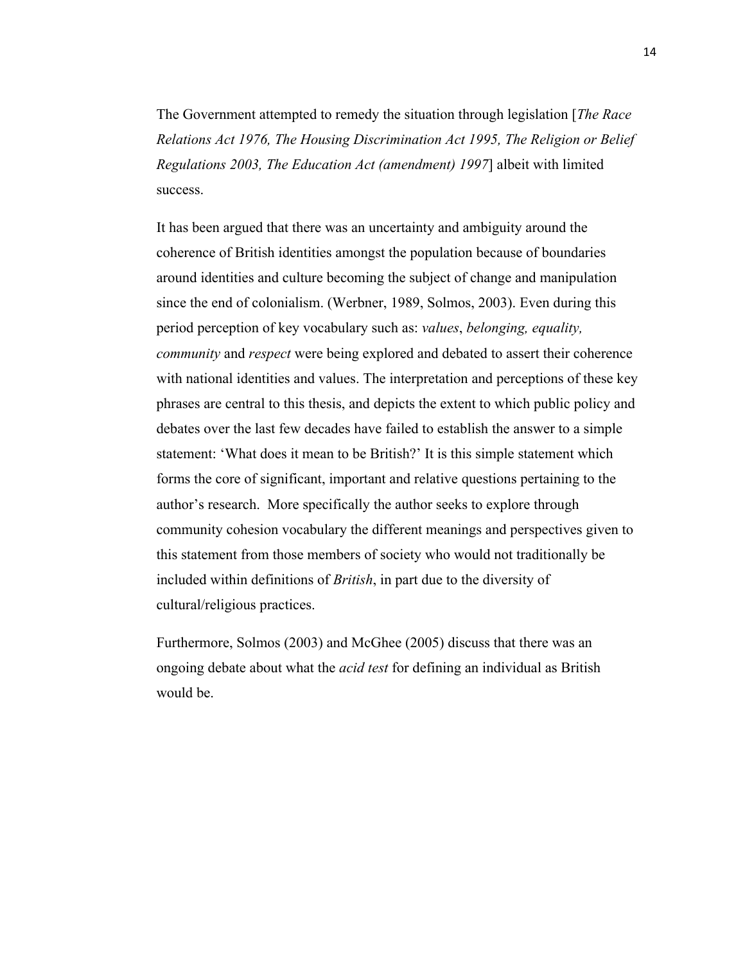The Government attempted to remedy the situation through legislation [*The Race Relations Act 1976, The Housing Discrimination Act 1995, The Religion or Belief Regulations 2003, The Education Act (amendment) 1997*] albeit with limited success.

It has been argued that there was an uncertainty and ambiguity around the coherence of British identities amongst the population because of boundaries around identities and culture becoming the subject of change and manipulation since the end of colonialism. (Werbner, 1989, Solmos, 2003). Even during this period perception of key vocabulary such as: *values*, *belonging, equality, community* and *respect* were being explored and debated to assert their coherence with national identities and values. The interpretation and perceptions of these key phrases are central to this thesis, and depicts the extent to which public policy and debates over the last few decades have failed to establish the answer to a simple statement: 'What does it mean to be British?' It is this simple statement which forms the core of significant, important and relative questions pertaining to the author's research. More specifically the author seeks to explore through community cohesion vocabulary the different meanings and perspectives given to this statement from those members of society who would not traditionally be included within definitions of *British*, in part due to the diversity of cultural/religious practices.

Furthermore, Solmos (2003) and McGhee (2005) discuss that there was an ongoing debate about what the *acid test* for defining an individual as British would be.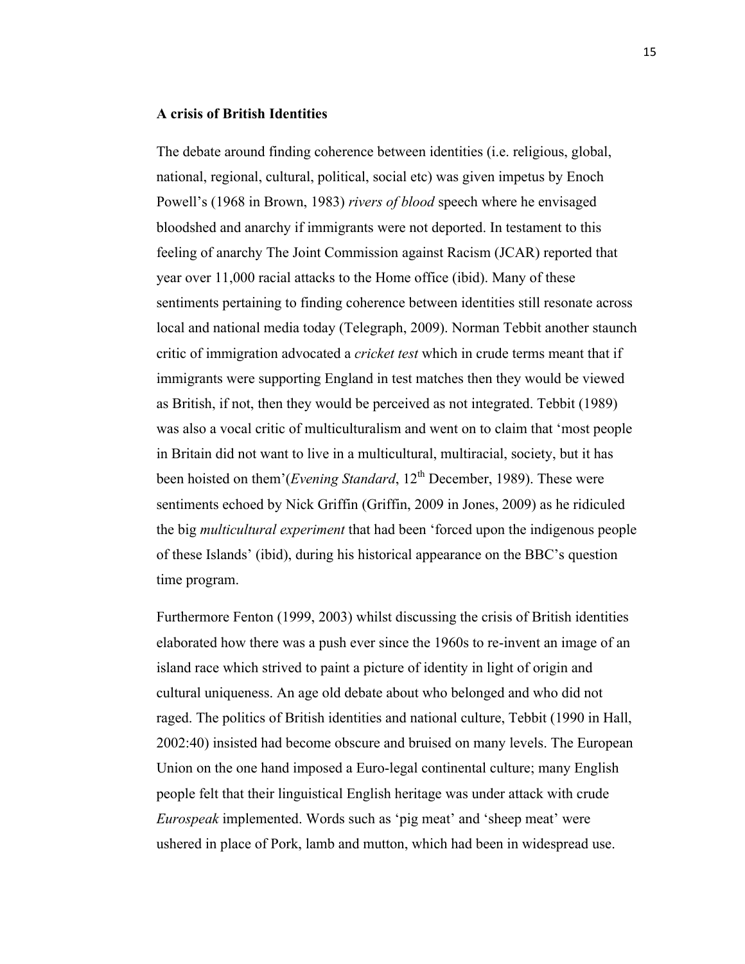#### **A crisis of British Identities**

The debate around finding coherence between identities (i.e. religious, global, national, regional, cultural, political, social etc) was given impetus by Enoch Powell's (1968 in Brown, 1983) *rivers of blood* speech where he envisaged bloodshed and anarchy if immigrants were not deported. In testament to this feeling of anarchy The Joint Commission against Racism (JCAR) reported that year over 11,000 racial attacks to the Home office (ibid). Many of these sentiments pertaining to finding coherence between identities still resonate across local and national media today (Telegraph, 2009). Norman Tebbit another staunch critic of immigration advocated a *cricket test* which in crude terms meant that if immigrants were supporting England in test matches then they would be viewed as British, if not, then they would be perceived as not integrated. Tebbit (1989) was also a vocal critic of multiculturalism and went on to claim that 'most people in Britain did not want to live in a multicultural, multiracial, society, but it has been hoisted on them'(*Evening Standard*, 12<sup>th</sup> December, 1989). These were sentiments echoed by Nick Griffin (Griffin, 2009 in Jones, 2009) as he ridiculed the big *multicultural experiment* that had been 'forced upon the indigenous people of these Islands' (ibid), during his historical appearance on the BBC's question time program.

Furthermore Fenton (1999, 2003) whilst discussing the crisis of British identities elaborated how there was a push ever since the 1960s to re-invent an image of an island race which strived to paint a picture of identity in light of origin and cultural uniqueness. An age old debate about who belonged and who did not raged. The politics of British identities and national culture, Tebbit (1990 in Hall, 2002:40) insisted had become obscure and bruised on many levels. The European Union on the one hand imposed a Euro-legal continental culture; many English people felt that their linguistical English heritage was under attack with crude *Eurospeak* implemented. Words such as 'pig meat' and 'sheep meat' were ushered in place of Pork, lamb and mutton, which had been in widespread use.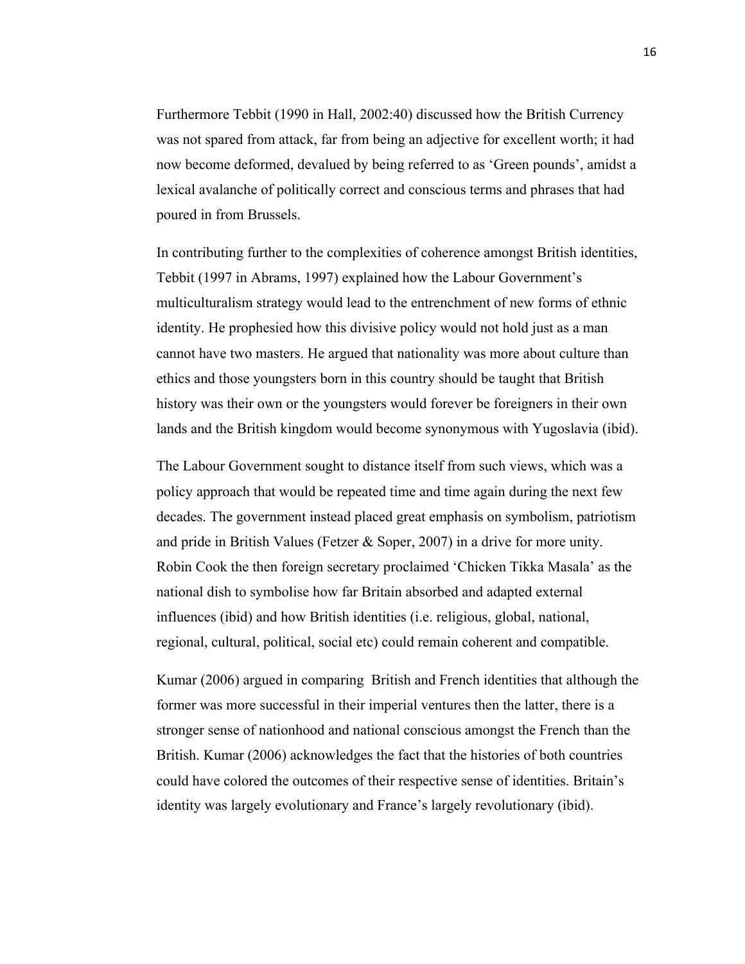Furthermore Tebbit (1990 in Hall, 2002:40) discussed how the British Currency was not spared from attack, far from being an adjective for excellent worth; it had now become deformed, devalued by being referred to as 'Green pounds', amidst a lexical avalanche of politically correct and conscious terms and phrases that had poured in from Brussels.

In contributing further to the complexities of coherence amongst British identities, Tebbit (1997 in Abrams, 1997) explained how the Labour Government's multiculturalism strategy would lead to the entrenchment of new forms of ethnic identity. He prophesied how this divisive policy would not hold just as a man cannot have two masters. He argued that nationality was more about culture than ethics and those youngsters born in this country should be taught that British history was their own or the youngsters would forever be foreigners in their own lands and the British kingdom would become synonymous with Yugoslavia (ibid).

The Labour Government sought to distance itself from such views, which was a policy approach that would be repeated time and time again during the next few decades. The government instead placed great emphasis on symbolism, patriotism and pride in British Values (Fetzer & Soper, 2007) in a drive for more unity. Robin Cook the then foreign secretary proclaimed 'Chicken Tikka Masala' as the national dish to symbolise how far Britain absorbed and adapted external influences (ibid) and how British identities (i.e. religious, global, national, regional, cultural, political, social etc) could remain coherent and compatible.

Kumar (2006) argued in comparing British and French identities that although the former was more successful in their imperial ventures then the latter, there is a stronger sense of nationhood and national conscious amongst the French than the British. Kumar (2006) acknowledges the fact that the histories of both countries could have colored the outcomes of their respective sense of identities. Britain's identity was largely evolutionary and France's largely revolutionary (ibid).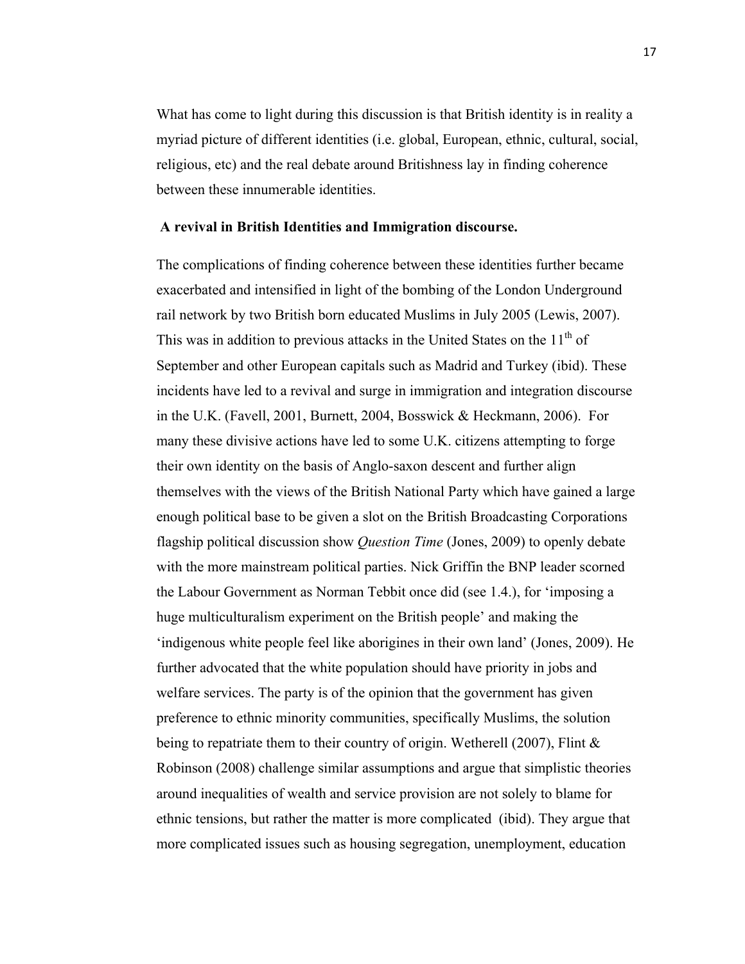What has come to light during this discussion is that British identity is in reality a myriad picture of different identities (i.e. global, European, ethnic, cultural, social, religious, etc) and the real debate around Britishness lay in finding coherence between these innumerable identities.

#### **A revival in British Identities and Immigration discourse.**

The complications of finding coherence between these identities further became exacerbated and intensified in light of the bombing of the London Underground rail network by two British born educated Muslims in July 2005 (Lewis, 2007). This was in addition to previous attacks in the United States on the  $11<sup>th</sup>$  of September and other European capitals such as Madrid and Turkey (ibid). These incidents have led to a revival and surge in immigration and integration discourse in the U.K. (Favell, 2001, Burnett, 2004, Bosswick & Heckmann, 2006). For many these divisive actions have led to some U.K. citizens attempting to forge their own identity on the basis of Anglo-saxon descent and further align themselves with the views of the British National Party which have gained a large enough political base to be given a slot on the British Broadcasting Corporations flagship political discussion show *Question Time* (Jones, 2009) to openly debate with the more mainstream political parties. Nick Griffin the BNP leader scorned the Labour Government as Norman Tebbit once did (see 1.4.), for 'imposing a huge multiculturalism experiment on the British people' and making the 'indigenous white people feel like aborigines in their own land' (Jones, 2009). He further advocated that the white population should have priority in jobs and welfare services. The party is of the opinion that the government has given preference to ethnic minority communities, specifically Muslims, the solution being to repatriate them to their country of origin. Wetherell (2007), Flint & Robinson (2008) challenge similar assumptions and argue that simplistic theories around inequalities of wealth and service provision are not solely to blame for ethnic tensions, but rather the matter is more complicated (ibid). They argue that more complicated issues such as housing segregation, unemployment, education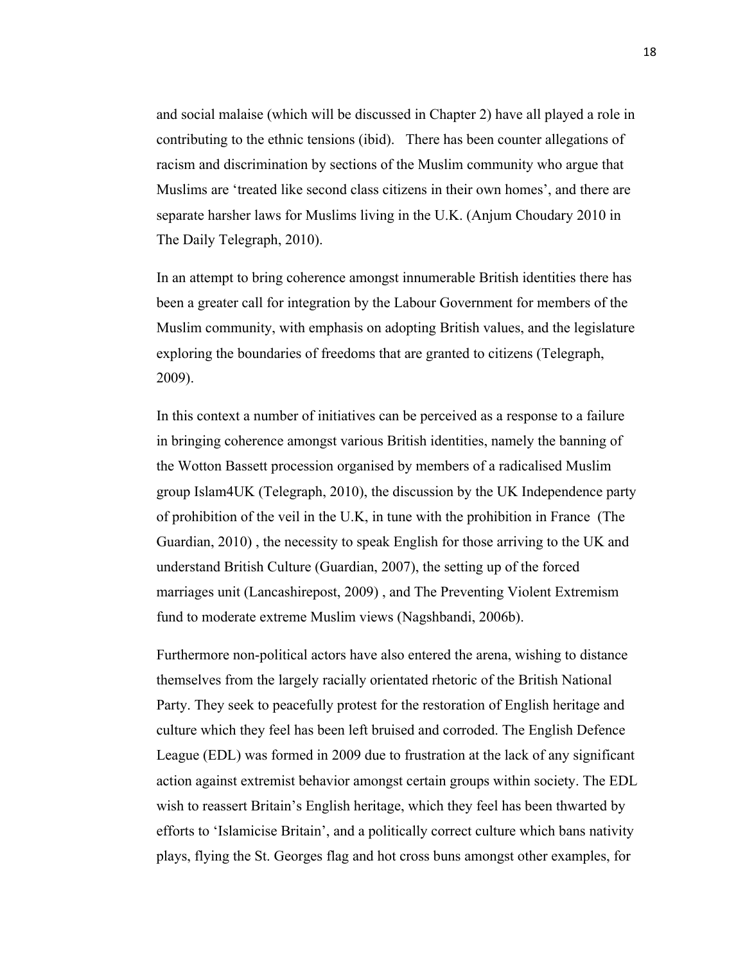and social malaise (which will be discussed in Chapter 2) have all played a role in contributing to the ethnic tensions (ibid). There has been counter allegations of racism and discrimination by sections of the Muslim community who argue that Muslims are 'treated like second class citizens in their own homes', and there are separate harsher laws for Muslims living in the U.K. (Anjum Choudary 2010 in The Daily Telegraph, 2010).

In an attempt to bring coherence amongst innumerable British identities there has been a greater call for integration by the Labour Government for members of the Muslim community, with emphasis on adopting British values, and the legislature exploring the boundaries of freedoms that are granted to citizens (Telegraph, 2009).

In this context a number of initiatives can be perceived as a response to a failure in bringing coherence amongst various British identities, namely the banning of the Wotton Bassett procession organised by members of a radicalised Muslim group Islam4UK (Telegraph, 2010), the discussion by the UK Independence party of prohibition of the veil in the U.K, in tune with the prohibition in France (The Guardian, 2010) , the necessity to speak English for those arriving to the UK and understand British Culture (Guardian, 2007), the setting up of the forced marriages unit (Lancashirepost, 2009) , and The Preventing Violent Extremism fund to moderate extreme Muslim views (Nagshbandi, 2006b).

Furthermore non-political actors have also entered the arena, wishing to distance themselves from the largely racially orientated rhetoric of the British National Party. They seek to peacefully protest for the restoration of English heritage and culture which they feel has been left bruised and corroded. The English Defence League (EDL) was formed in 2009 due to frustration at the lack of any significant action against extremist behavior amongst certain groups within society. The EDL wish to reassert Britain's English heritage, which they feel has been thwarted by efforts to 'Islamicise Britain', and a politically correct culture which bans nativity plays, flying the St. Georges flag and hot cross buns amongst other examples, for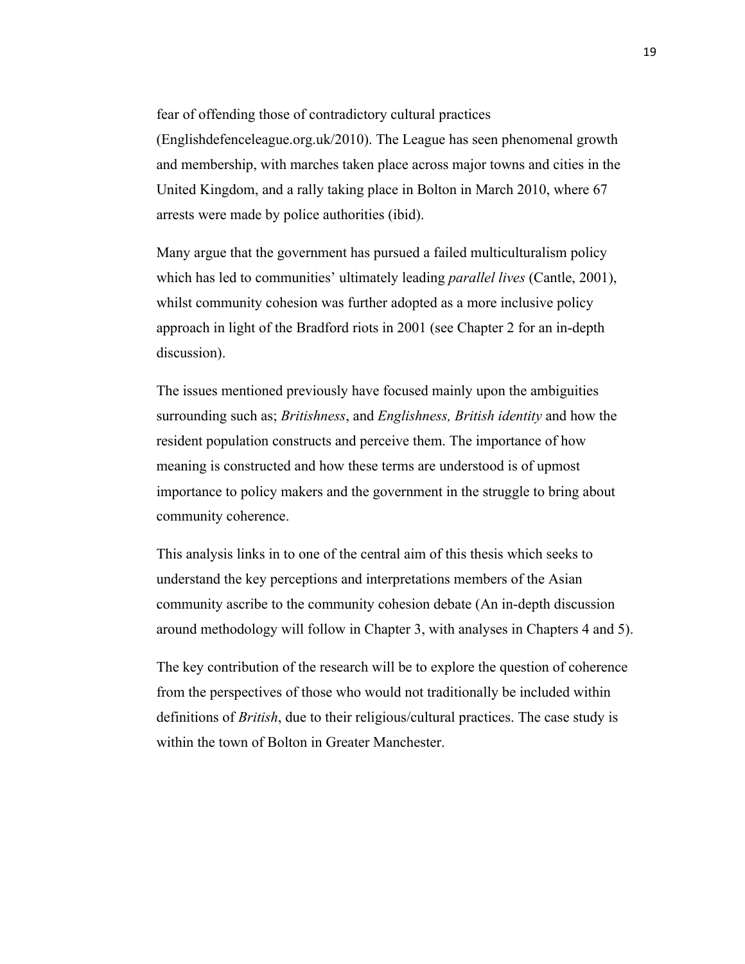fear of offending those of contradictory cultural practices

(Englishdefenceleague.org.uk/2010). The League has seen phenomenal growth and membership, with marches taken place across major towns and cities in the United Kingdom, and a rally taking place in Bolton in March 2010, where 67 arrests were made by police authorities (ibid).

Many argue that the government has pursued a failed multiculturalism policy which has led to communities' ultimately leading *parallel lives* (Cantle, 2001), whilst community cohesion was further adopted as a more inclusive policy approach in light of the Bradford riots in 2001 (see Chapter 2 for an in-depth discussion).

The issues mentioned previously have focused mainly upon the ambiguities surrounding such as; *Britishness*, and *Englishness, British identity* and how the resident population constructs and perceive them. The importance of how meaning is constructed and how these terms are understood is of upmost importance to policy makers and the government in the struggle to bring about community coherence.

This analysis links in to one of the central aim of this thesis which seeks to understand the key perceptions and interpretations members of the Asian community ascribe to the community cohesion debate (An in-depth discussion around methodology will follow in Chapter 3, with analyses in Chapters 4 and 5).

The key contribution of the research will be to explore the question of coherence from the perspectives of those who would not traditionally be included within definitions of *British*, due to their religious/cultural practices. The case study is within the town of Bolton in Greater Manchester.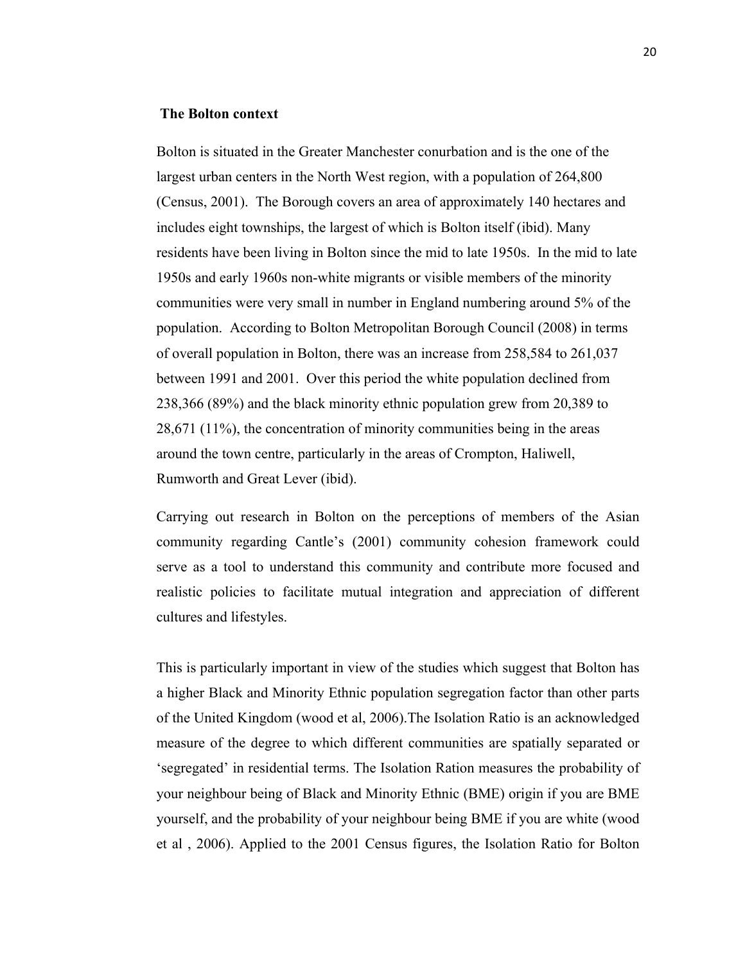#### **The Bolton context**

Bolton is situated in the Greater Manchester conurbation and is the one of the largest urban centers in the North West region, with a population of 264,800 (Census, 2001). The Borough covers an area of approximately 140 hectares and includes eight townships, the largest of which is Bolton itself (ibid). Many residents have been living in Bolton since the mid to late 1950s. In the mid to late 1950s and early 1960s non-white migrants or visible members of the minority communities were very small in number in England numbering around 5% of the population. According to Bolton Metropolitan Borough Council (2008) in terms of overall population in Bolton, there was an increase from 258,584 to 261,037 between 1991 and 2001. Over this period the white population declined from 238,366 (89%) and the black minority ethnic population grew from 20,389 to 28,671 (11%), the concentration of minority communities being in the areas around the town centre, particularly in the areas of Crompton, Haliwell, Rumworth and Great Lever (ibid).

Carrying out research in Bolton on the perceptions of members of the Asian community regarding Cantle's (2001) community cohesion framework could serve as a tool to understand this community and contribute more focused and realistic policies to facilitate mutual integration and appreciation of different cultures and lifestyles.

This is particularly important in view of the studies which suggest that Bolton has a higher Black and Minority Ethnic population segregation factor than other parts of the United Kingdom (wood et al, 2006).The Isolation Ratio is an acknowledged measure of the degree to which different communities are spatially separated or 'segregated' in residential terms. The Isolation Ration measures the probability of your neighbour being of Black and Minority Ethnic (BME) origin if you are BME yourself, and the probability of your neighbour being BME if you are white (wood et al , 2006). Applied to the 2001 Census figures, the Isolation Ratio for Bolton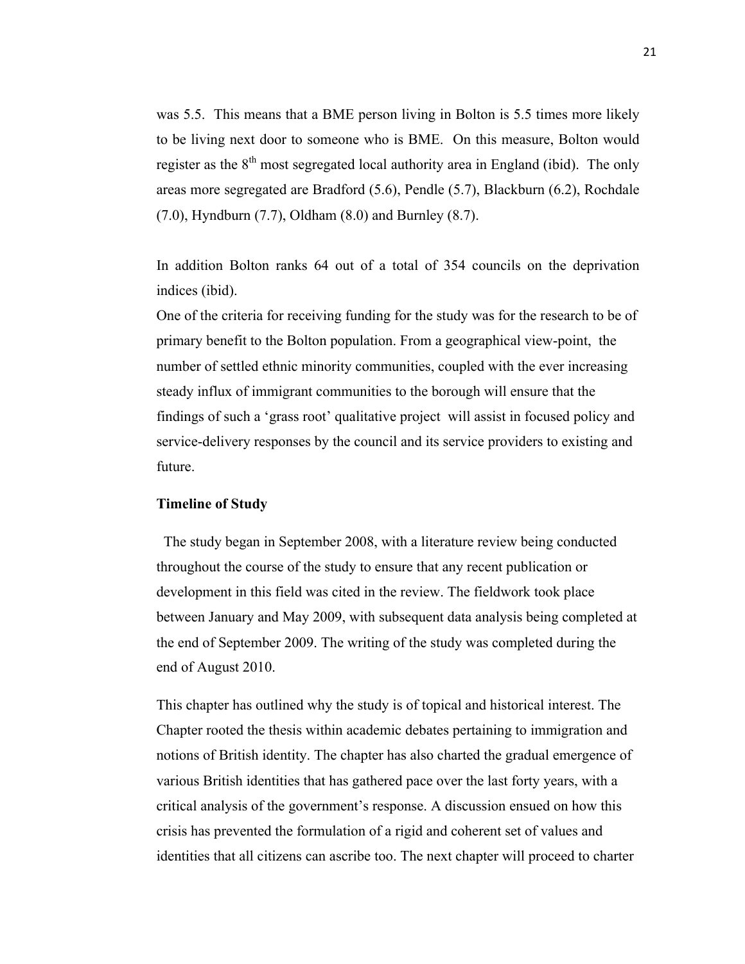was 5.5. This means that a BME person living in Bolton is 5.5 times more likely to be living next door to someone who is BME. On this measure, Bolton would register as the  $8<sup>th</sup>$  most segregated local authority area in England (ibid). The only areas more segregated are Bradford (5.6), Pendle (5.7), Blackburn (6.2), Rochdale (7.0), Hyndburn (7.7), Oldham (8.0) and Burnley (8.7).

In addition Bolton ranks 64 out of a total of 354 councils on the deprivation indices (ibid).

One of the criteria for receiving funding for the study was for the research to be of primary benefit to the Bolton population. From a geographical view-point, the number of settled ethnic minority communities, coupled with the ever increasing steady influx of immigrant communities to the borough will ensure that the findings of such a 'grass root' qualitative project will assist in focused policy and service-delivery responses by the council and its service providers to existing and future.

#### **Timeline of Study**

 The study began in September 2008, with a literature review being conducted throughout the course of the study to ensure that any recent publication or development in this field was cited in the review. The fieldwork took place between January and May 2009, with subsequent data analysis being completed at the end of September 2009. The writing of the study was completed during the end of August 2010.

This chapter has outlined why the study is of topical and historical interest. The Chapter rooted the thesis within academic debates pertaining to immigration and notions of British identity. The chapter has also charted the gradual emergence of various British identities that has gathered pace over the last forty years, with a critical analysis of the government's response. A discussion ensued on how this crisis has prevented the formulation of a rigid and coherent set of values and identities that all citizens can ascribe too. The next chapter will proceed to charter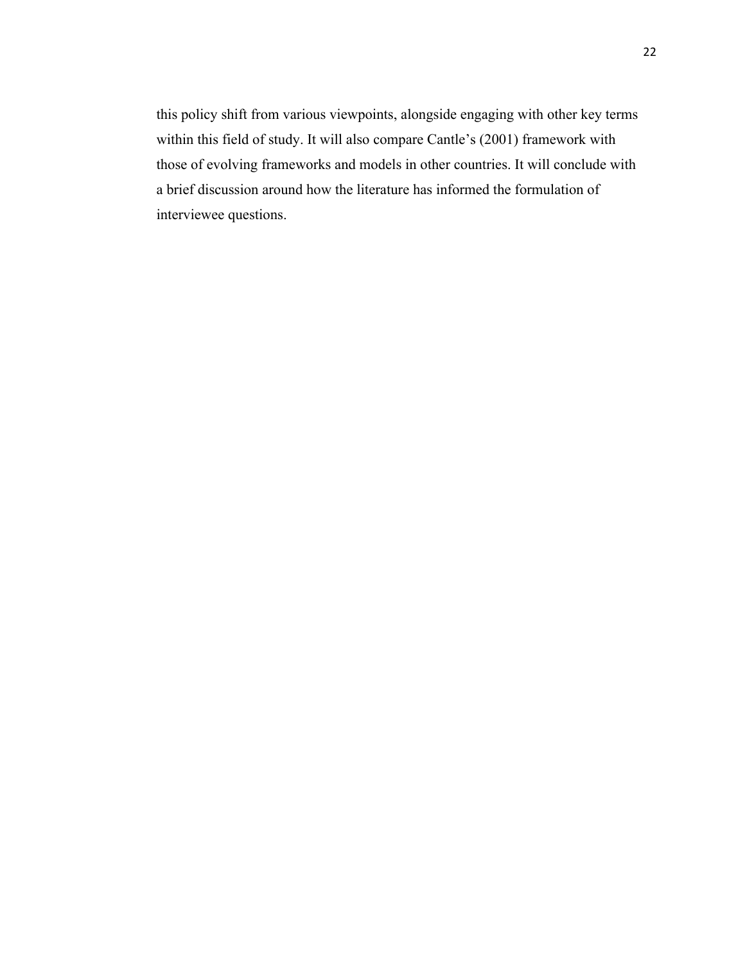this policy shift from various viewpoints, alongside engaging with other key terms within this field of study. It will also compare Cantle's (2001) framework with those of evolving frameworks and models in other countries. It will conclude with a brief discussion around how the literature has informed the formulation of interviewee questions.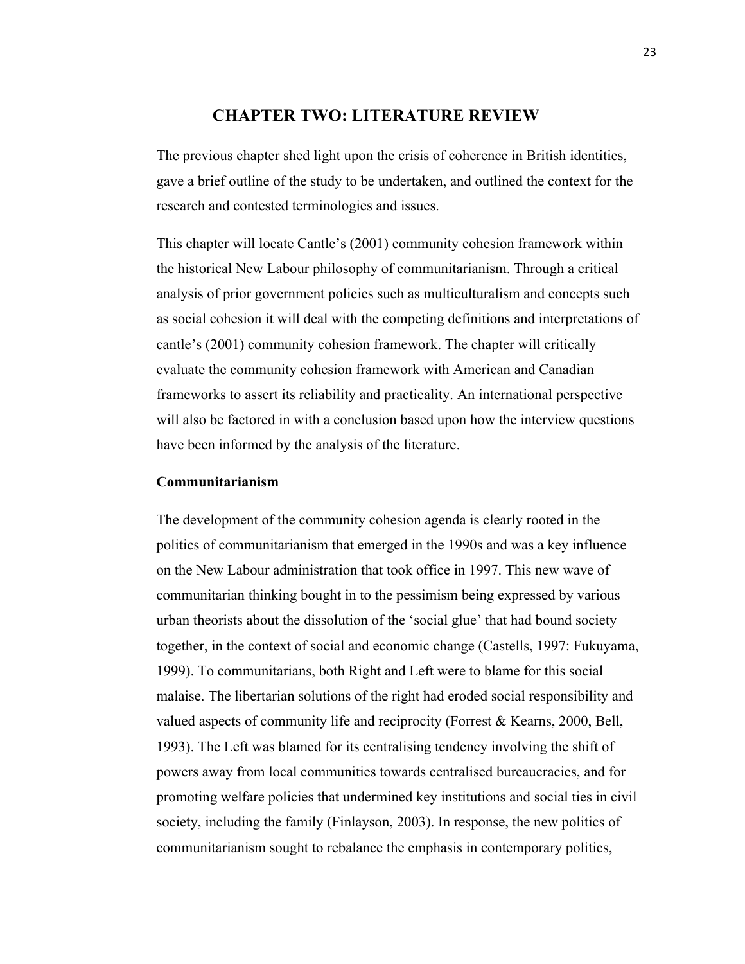### **CHAPTER TWO: LITERATURE REVIEW**

The previous chapter shed light upon the crisis of coherence in British identities, gave a brief outline of the study to be undertaken, and outlined the context for the research and contested terminologies and issues.

This chapter will locate Cantle's (2001) community cohesion framework within the historical New Labour philosophy of communitarianism. Through a critical analysis of prior government policies such as multiculturalism and concepts such as social cohesion it will deal with the competing definitions and interpretations of cantle's (2001) community cohesion framework. The chapter will critically evaluate the community cohesion framework with American and Canadian frameworks to assert its reliability and practicality. An international perspective will also be factored in with a conclusion based upon how the interview questions have been informed by the analysis of the literature.

#### **Communitarianism**

The development of the community cohesion agenda is clearly rooted in the politics of communitarianism that emerged in the 1990s and was a key influence on the New Labour administration that took office in 1997. This new wave of communitarian thinking bought in to the pessimism being expressed by various urban theorists about the dissolution of the 'social glue' that had bound society together, in the context of social and economic change (Castells, 1997: Fukuyama, 1999). To communitarians, both Right and Left were to blame for this social malaise. The libertarian solutions of the right had eroded social responsibility and valued aspects of community life and reciprocity (Forrest & Kearns, 2000, Bell, 1993). The Left was blamed for its centralising tendency involving the shift of powers away from local communities towards centralised bureaucracies, and for promoting welfare policies that undermined key institutions and social ties in civil society, including the family (Finlayson, 2003). In response, the new politics of communitarianism sought to rebalance the emphasis in contemporary politics,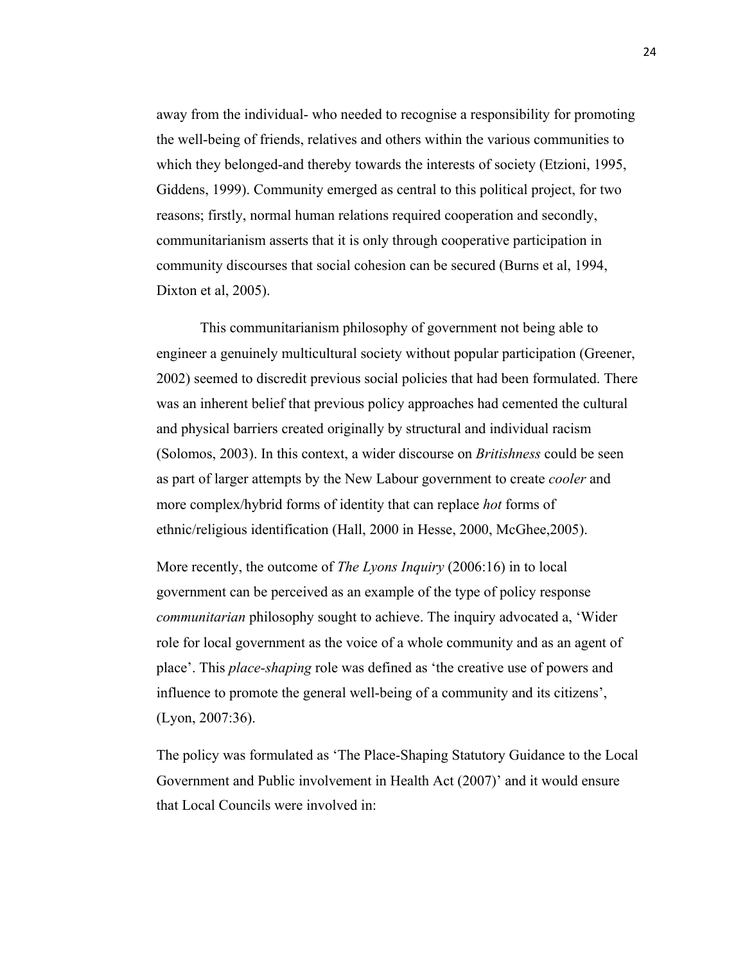away from the individual- who needed to recognise a responsibility for promoting the well-being of friends, relatives and others within the various communities to which they belonged-and thereby towards the interests of society (Etzioni, 1995, Giddens, 1999). Community emerged as central to this political project, for two reasons; firstly, normal human relations required cooperation and secondly, communitarianism asserts that it is only through cooperative participation in community discourses that social cohesion can be secured (Burns et al, 1994, Dixton et al, 2005).

This communitarianism philosophy of government not being able to engineer a genuinely multicultural society without popular participation (Greener, 2002) seemed to discredit previous social policies that had been formulated. There was an inherent belief that previous policy approaches had cemented the cultural and physical barriers created originally by structural and individual racism (Solomos, 2003). In this context, a wider discourse on *Britishness* could be seen as part of larger attempts by the New Labour government to create *cooler* and more complex/hybrid forms of identity that can replace *hot* forms of ethnic/religious identification (Hall, 2000 in Hesse, 2000, McGhee,2005).

More recently, the outcome of *The Lyons Inquiry* (2006:16) in to local government can be perceived as an example of the type of policy response *communitarian* philosophy sought to achieve. The inquiry advocated a, 'Wider role for local government as the voice of a whole community and as an agent of place'. This *place-shaping* role was defined as 'the creative use of powers and influence to promote the general well-being of a community and its citizens', (Lyon, 2007:36).

The policy was formulated as 'The Place-Shaping Statutory Guidance to the Local Government and Public involvement in Health Act (2007)' and it would ensure that Local Councils were involved in: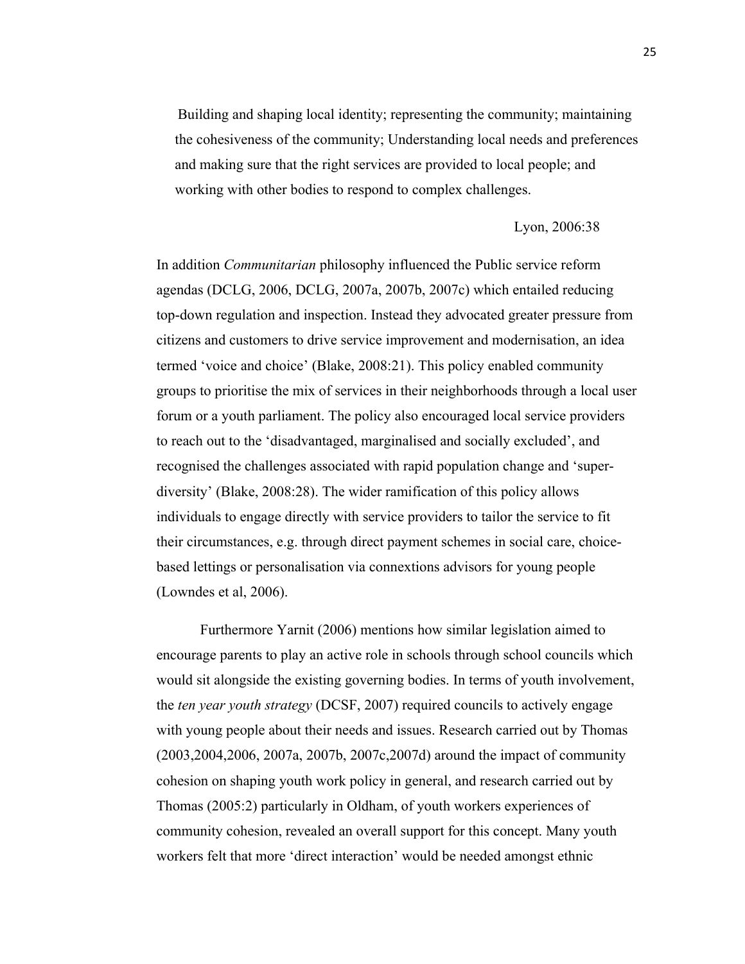Building and shaping local identity; representing the community; maintaining the cohesiveness of the community; Understanding local needs and preferences and making sure that the right services are provided to local people; and working with other bodies to respond to complex challenges.

#### Lyon, 2006:38

In addition *Communitarian* philosophy influenced the Public service reform agendas (DCLG, 2006, DCLG, 2007a, 2007b, 2007c) which entailed reducing top-down regulation and inspection. Instead they advocated greater pressure from citizens and customers to drive service improvement and modernisation, an idea termed 'voice and choice' (Blake, 2008:21). This policy enabled community groups to prioritise the mix of services in their neighborhoods through a local user forum or a youth parliament. The policy also encouraged local service providers to reach out to the 'disadvantaged, marginalised and socially excluded', and recognised the challenges associated with rapid population change and 'superdiversity' (Blake, 2008:28). The wider ramification of this policy allows individuals to engage directly with service providers to tailor the service to fit their circumstances, e.g. through direct payment schemes in social care, choicebased lettings or personalisation via connextions advisors for young people (Lowndes et al, 2006).

Furthermore Yarnit (2006) mentions how similar legislation aimed to encourage parents to play an active role in schools through school councils which would sit alongside the existing governing bodies. In terms of youth involvement, the *ten year youth strategy* (DCSF, 2007) required councils to actively engage with young people about their needs and issues. Research carried out by Thomas (2003,2004,2006, 2007a, 2007b, 2007c,2007d) around the impact of community cohesion on shaping youth work policy in general, and research carried out by Thomas (2005:2) particularly in Oldham, of youth workers experiences of community cohesion, revealed an overall support for this concept. Many youth workers felt that more 'direct interaction' would be needed amongst ethnic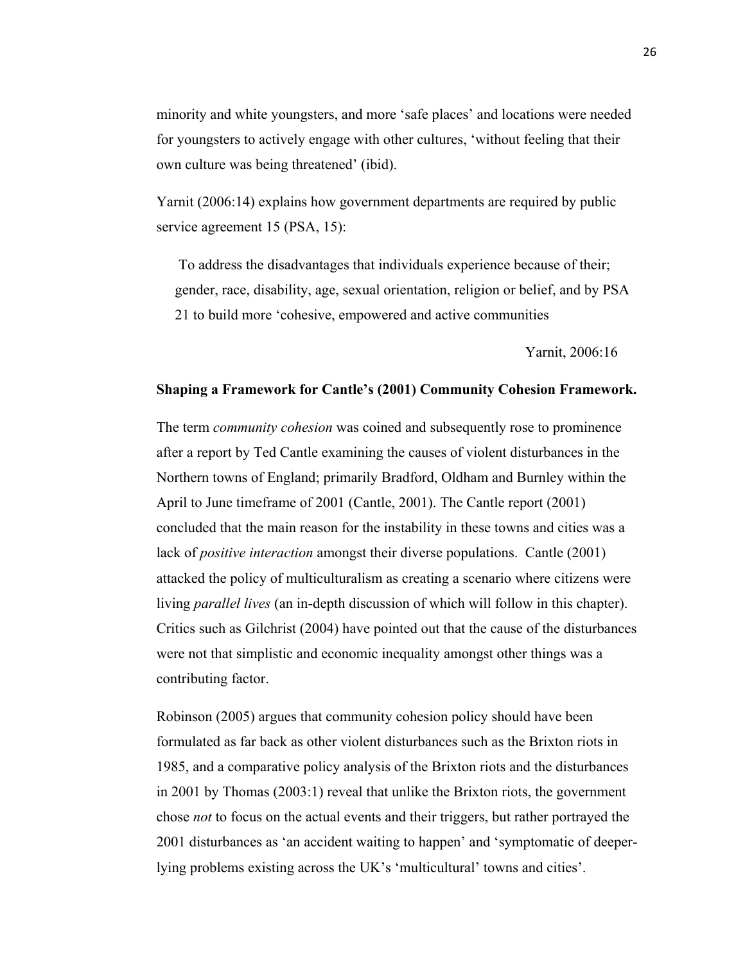minority and white youngsters, and more 'safe places' and locations were needed for youngsters to actively engage with other cultures, 'without feeling that their own culture was being threatened' (ibid).

Yarnit (2006:14) explains how government departments are required by public service agreement 15 (PSA, 15):

To address the disadvantages that individuals experience because of their; gender, race, disability, age, sexual orientation, religion or belief, and by PSA 21 to build more 'cohesive, empowered and active communities

Yarnit, 2006:16

#### **Shaping a Framework for Cantle's (2001) Community Cohesion Framework.**

The term *community cohesion* was coined and subsequently rose to prominence after a report by Ted Cantle examining the causes of violent disturbances in the Northern towns of England; primarily Bradford, Oldham and Burnley within the April to June timeframe of 2001 (Cantle, 2001). The Cantle report (2001) concluded that the main reason for the instability in these towns and cities was a lack of *positive interaction* amongst their diverse populations. Cantle (2001) attacked the policy of multiculturalism as creating a scenario where citizens were living *parallel lives* (an in-depth discussion of which will follow in this chapter). Critics such as Gilchrist (2004) have pointed out that the cause of the disturbances were not that simplistic and economic inequality amongst other things was a contributing factor.

Robinson (2005) argues that community cohesion policy should have been formulated as far back as other violent disturbances such as the Brixton riots in 1985, and a comparative policy analysis of the Brixton riots and the disturbances in 2001 by Thomas (2003:1) reveal that unlike the Brixton riots, the government chose *not* to focus on the actual events and their triggers, but rather portrayed the 2001 disturbances as 'an accident waiting to happen' and 'symptomatic of deeperlying problems existing across the UK's 'multicultural' towns and cities'.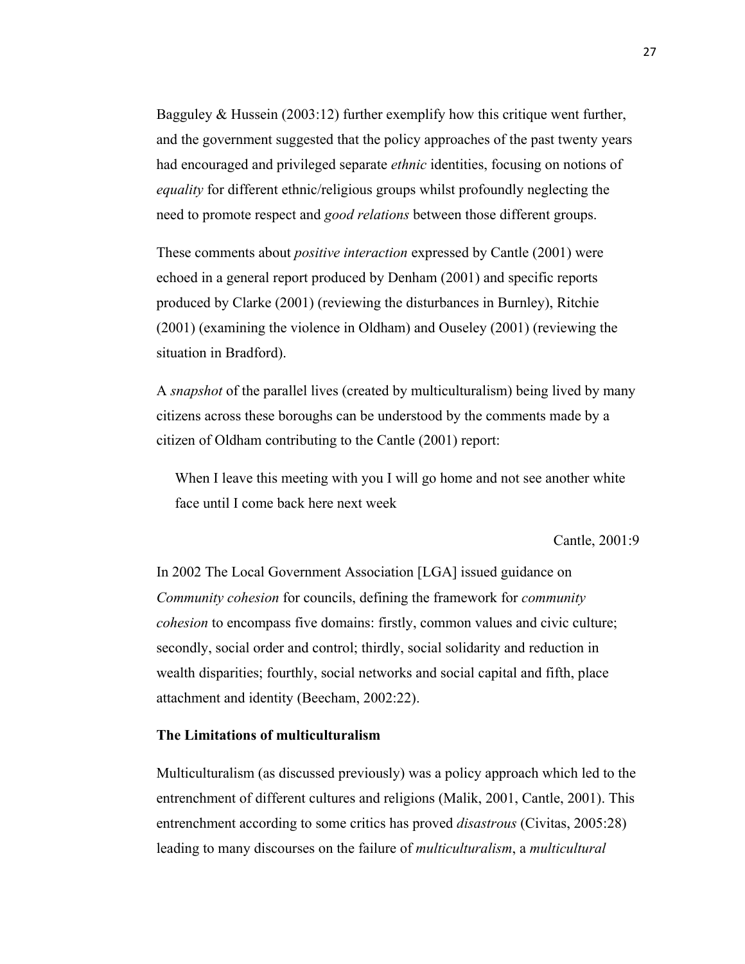Bagguley & Hussein (2003:12) further exemplify how this critique went further, and the government suggested that the policy approaches of the past twenty years had encouraged and privileged separate *ethnic* identities, focusing on notions of *equality* for different ethnic/religious groups whilst profoundly neglecting the need to promote respect and *good relations* between those different groups.

These comments about *positive interaction* expressed by Cantle (2001) were echoed in a general report produced by Denham (2001) and specific reports produced by Clarke (2001) (reviewing the disturbances in Burnley), Ritchie (2001) (examining the violence in Oldham) and Ouseley (2001) (reviewing the situation in Bradford).

A *snapshot* of the parallel lives (created by multiculturalism) being lived by many citizens across these boroughs can be understood by the comments made by a citizen of Oldham contributing to the Cantle (2001) report:

When I leave this meeting with you I will go home and not see another white face until I come back here next week

Cantle, 2001:9

In 2002 The Local Government Association [LGA] issued guidance on *Community cohesion* for councils, defining the framework for *community cohesion* to encompass five domains: firstly, common values and civic culture; secondly, social order and control; thirdly, social solidarity and reduction in wealth disparities; fourthly, social networks and social capital and fifth, place attachment and identity (Beecham, 2002:22).

#### **The Limitations of multiculturalism**

Multiculturalism (as discussed previously) was a policy approach which led to the entrenchment of different cultures and religions (Malik, 2001, Cantle, 2001). This entrenchment according to some critics has proved *disastrous* (Civitas, 2005:28) leading to many discourses on the failure of *multiculturalism*, a *multicultural*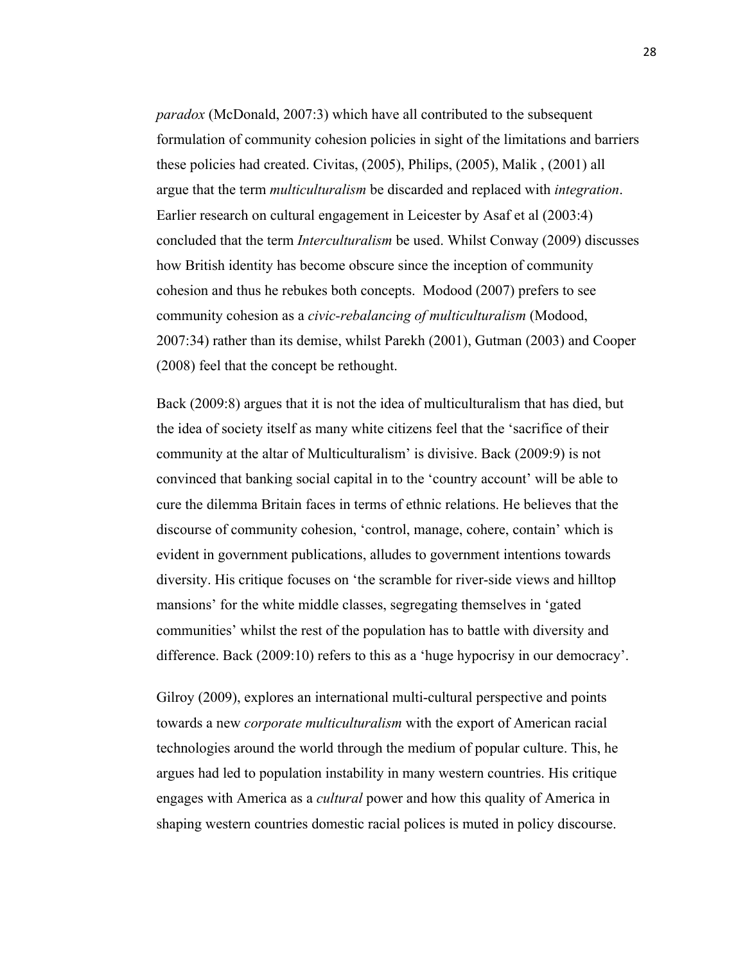*paradox* (McDonald, 2007:3) which have all contributed to the subsequent formulation of community cohesion policies in sight of the limitations and barriers these policies had created. Civitas, (2005), Philips, (2005), Malik , (2001) all argue that the term *multiculturalism* be discarded and replaced with *integration*. Earlier research on cultural engagement in Leicester by Asaf et al (2003:4) concluded that the term *Interculturalism* be used. Whilst Conway (2009) discusses how British identity has become obscure since the inception of community cohesion and thus he rebukes both concepts. Modood (2007) prefers to see community cohesion as a *civic-rebalancing of multiculturalism* (Modood, 2007:34) rather than its demise, whilst Parekh (2001), Gutman (2003) and Cooper (2008) feel that the concept be rethought.

Back (2009:8) argues that it is not the idea of multiculturalism that has died, but the idea of society itself as many white citizens feel that the 'sacrifice of their community at the altar of Multiculturalism' is divisive. Back (2009:9) is not convinced that banking social capital in to the 'country account' will be able to cure the dilemma Britain faces in terms of ethnic relations. He believes that the discourse of community cohesion, 'control, manage, cohere, contain' which is evident in government publications, alludes to government intentions towards diversity. His critique focuses on 'the scramble for river-side views and hilltop mansions' for the white middle classes, segregating themselves in 'gated communities' whilst the rest of the population has to battle with diversity and difference. Back (2009:10) refers to this as a 'huge hypocrisy in our democracy'.

Gilroy (2009), explores an international multi-cultural perspective and points towards a new *corporate multiculturalism* with the export of American racial technologies around the world through the medium of popular culture. This, he argues had led to population instability in many western countries. His critique engages with America as a *cultural* power and how this quality of America in shaping western countries domestic racial polices is muted in policy discourse.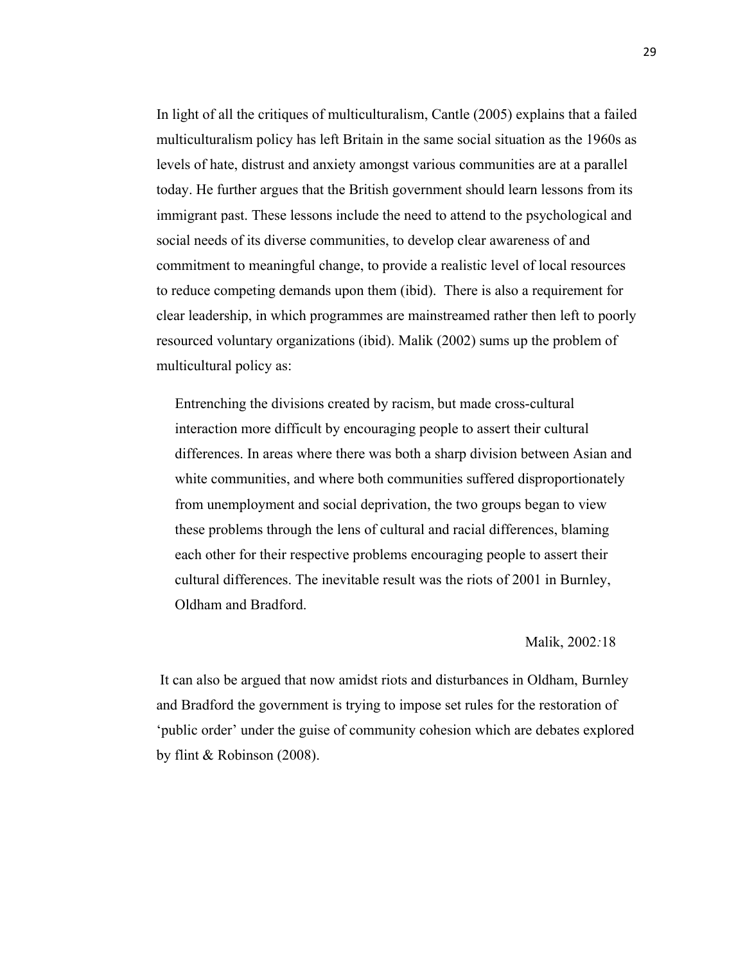In light of all the critiques of multiculturalism, Cantle (2005) explains that a failed multiculturalism policy has left Britain in the same social situation as the 1960s as levels of hate, distrust and anxiety amongst various communities are at a parallel today. He further argues that the British government should learn lessons from its immigrant past. These lessons include the need to attend to the psychological and social needs of its diverse communities, to develop clear awareness of and commitment to meaningful change, to provide a realistic level of local resources to reduce competing demands upon them (ibid). There is also a requirement for clear leadership, in which programmes are mainstreamed rather then left to poorly resourced voluntary organizations (ibid). Malik (2002) sums up the problem of multicultural policy as:

Entrenching the divisions created by racism, but made cross-cultural interaction more difficult by encouraging people to assert their cultural differences. In areas where there was both a sharp division between Asian and white communities, and where both communities suffered disproportionately from unemployment and social deprivation, the two groups began to view these problems through the lens of cultural and racial differences, blaming each other for their respective problems encouraging people to assert their cultural differences. The inevitable result was the riots of 2001 in Burnley, Oldham and Bradford.

#### Malik, 2002*:*18

It can also be argued that now amidst riots and disturbances in Oldham, Burnley and Bradford the government is trying to impose set rules for the restoration of 'public order' under the guise of community cohesion which are debates explored by flint & Robinson (2008).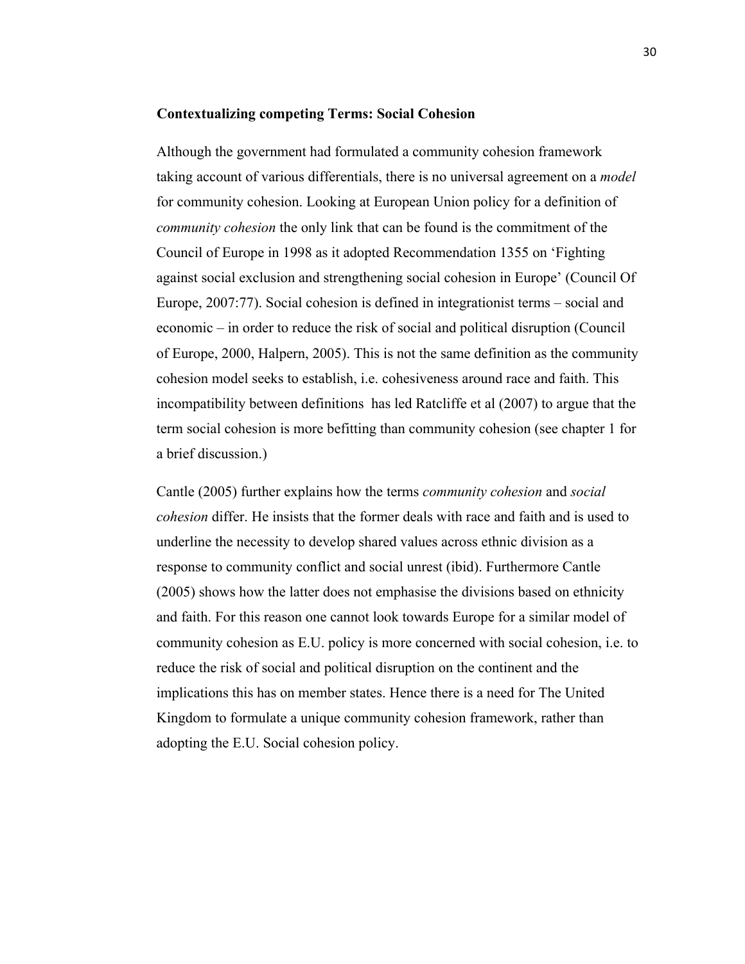#### **Contextualizing competing Terms: Social Cohesion**

Although the government had formulated a community cohesion framework taking account of various differentials, there is no universal agreement on a *model* for community cohesion. Looking at European Union policy for a definition of *community cohesion* the only link that can be found is the commitment of the Council of Europe in 1998 as it adopted Recommendation 1355 on 'Fighting against social exclusion and strengthening social cohesion in Europe' (Council Of Europe, 2007:77). Social cohesion is defined in integrationist terms – social and economic – in order to reduce the risk of social and political disruption (Council of Europe, 2000, Halpern, 2005). This is not the same definition as the community cohesion model seeks to establish, i.e. cohesiveness around race and faith. This incompatibility between definitions has led Ratcliffe et al (2007) to argue that the term social cohesion is more befitting than community cohesion (see chapter 1 for a brief discussion.)

Cantle (2005) further explains how the terms *community cohesion* and *social cohesion* differ. He insists that the former deals with race and faith and is used to underline the necessity to develop shared values across ethnic division as a response to community conflict and social unrest (ibid). Furthermore Cantle (2005) shows how the latter does not emphasise the divisions based on ethnicity and faith. For this reason one cannot look towards Europe for a similar model of community cohesion as E.U. policy is more concerned with social cohesion, i.e. to reduce the risk of social and political disruption on the continent and the implications this has on member states. Hence there is a need for The United Kingdom to formulate a unique community cohesion framework, rather than adopting the E.U. Social cohesion policy.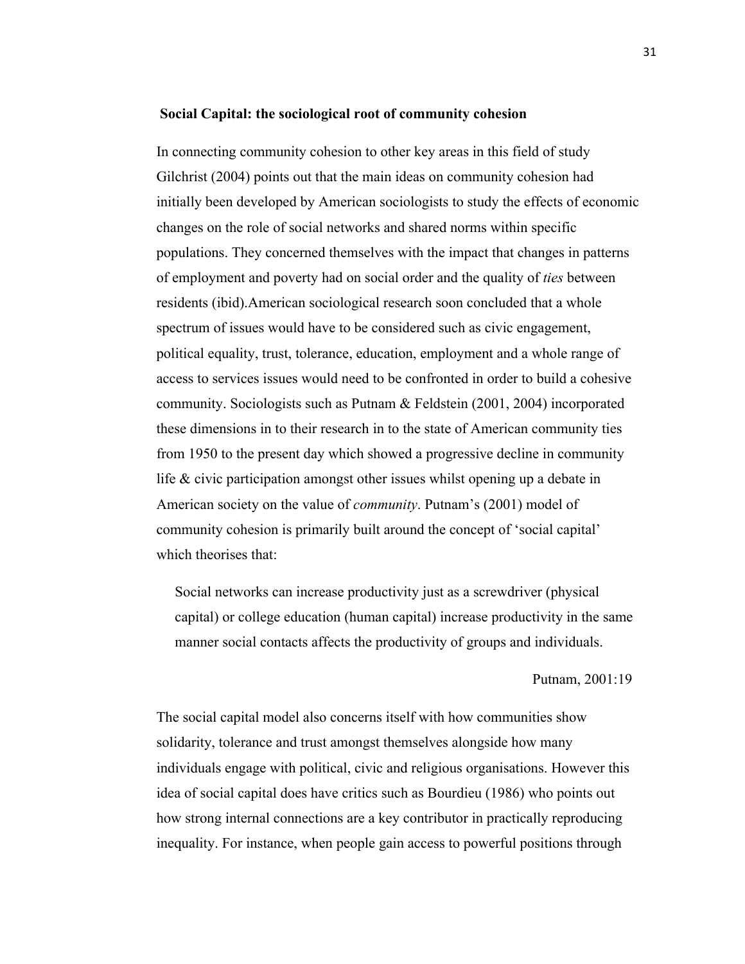#### **Social Capital: the sociological root of community cohesion**

In connecting community cohesion to other key areas in this field of study Gilchrist (2004) points out that the main ideas on community cohesion had initially been developed by American sociologists to study the effects of economic changes on the role of social networks and shared norms within specific populations. They concerned themselves with the impact that changes in patterns of employment and poverty had on social order and the quality of *ties* between residents (ibid).American sociological research soon concluded that a whole spectrum of issues would have to be considered such as civic engagement, political equality, trust, tolerance, education, employment and a whole range of access to services issues would need to be confronted in order to build a cohesive community. Sociologists such as Putnam & Feldstein (2001, 2004) incorporated these dimensions in to their research in to the state of American community ties from 1950 to the present day which showed a progressive decline in community life & civic participation amongst other issues whilst opening up a debate in American society on the value of *community*. Putnam's (2001) model of community cohesion is primarily built around the concept of 'social capital' which theorises that:

Social networks can increase productivity just as a screwdriver (physical capital) or college education (human capital) increase productivity in the same manner social contacts affects the productivity of groups and individuals.

#### Putnam, 2001:19

The social capital model also concerns itself with how communities show solidarity, tolerance and trust amongst themselves alongside how many individuals engage with political, civic and religious organisations. However this idea of social capital does have critics such as Bourdieu (1986) who points out how strong internal connections are a key contributor in practically reproducing inequality. For instance, when people gain access to powerful positions through

31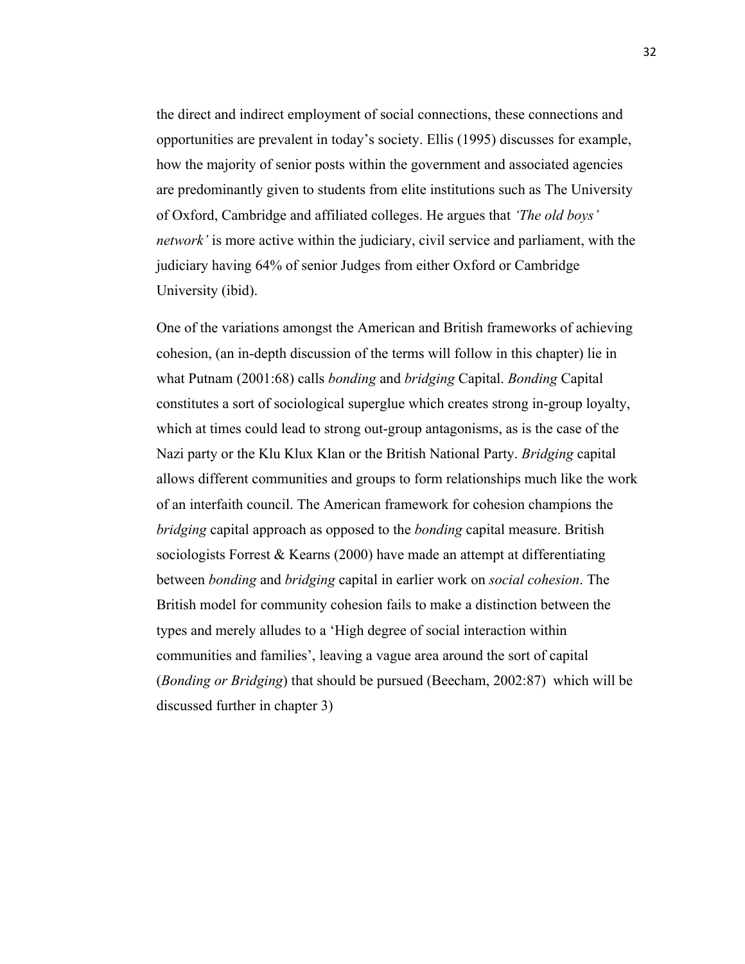the direct and indirect employment of social connections, these connections and opportunities are prevalent in today's society. Ellis (1995) discusses for example, how the majority of senior posts within the government and associated agencies are predominantly given to students from elite institutions such as The University of Oxford, Cambridge and affiliated colleges. He argues that *'The old boys' network'* is more active within the judiciary, civil service and parliament, with the judiciary having 64% of senior Judges from either Oxford or Cambridge University (ibid).

One of the variations amongst the American and British frameworks of achieving cohesion, (an in-depth discussion of the terms will follow in this chapter) lie in what Putnam (2001:68) calls *bonding* and *bridging* Capital. *Bonding* Capital constitutes a sort of sociological superglue which creates strong in-group loyalty, which at times could lead to strong out-group antagonisms, as is the case of the Nazi party or the Klu Klux Klan or the British National Party. *Bridging* capital allows different communities and groups to form relationships much like the work of an interfaith council. The American framework for cohesion champions the *bridging* capital approach as opposed to the *bonding* capital measure. British sociologists Forrest & Kearns (2000) have made an attempt at differentiating between *bonding* and *bridging* capital in earlier work on *social cohesion*. The British model for community cohesion fails to make a distinction between the types and merely alludes to a 'High degree of social interaction within communities and families', leaving a vague area around the sort of capital (*Bonding or Bridging*) that should be pursued (Beecham, 2002:87) which will be discussed further in chapter 3)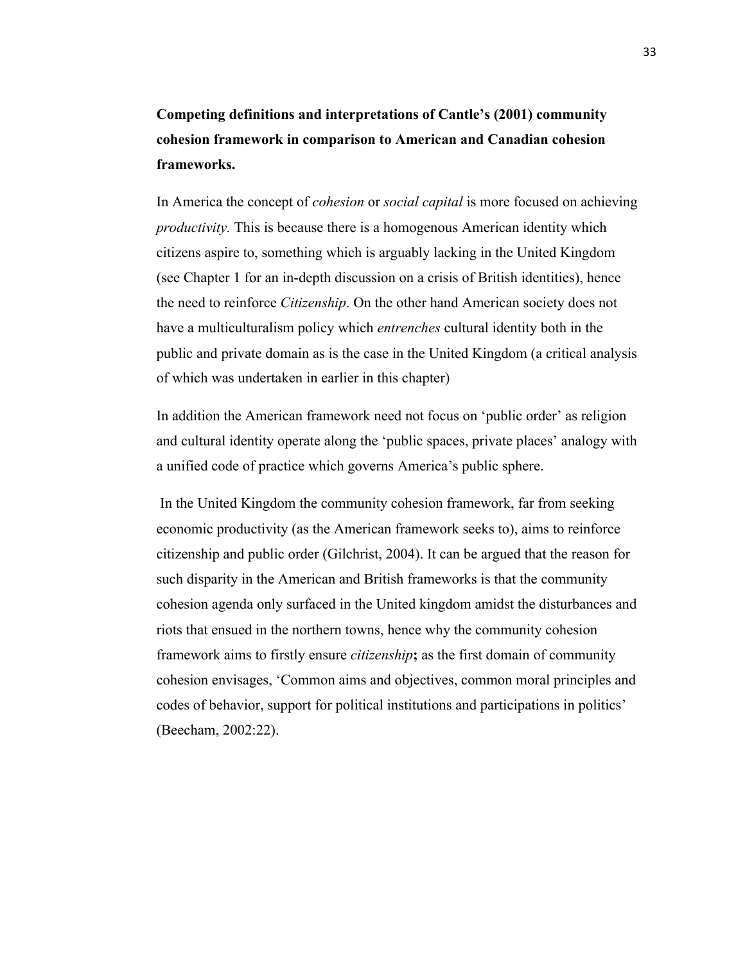### **Competing definitions and interpretations of Cantle's (2001) community cohesion framework in comparison to American and Canadian cohesion frameworks.**

In America the concept of *cohesion* or *social capital* is more focused on achieving *productivity.* This is because there is a homogenous American identity which citizens aspire to, something which is arguably lacking in the United Kingdom (see Chapter 1 for an in-depth discussion on a crisis of British identities), hence the need to reinforce *Citizenship*. On the other hand American society does not have a multiculturalism policy which *entrenches* cultural identity both in the public and private domain as is the case in the United Kingdom (a critical analysis of which was undertaken in earlier in this chapter)

In addition the American framework need not focus on 'public order' as religion and cultural identity operate along the 'public spaces, private places' analogy with a unified code of practice which governs America's public sphere.

In the United Kingdom the community cohesion framework, far from seeking economic productivity (as the American framework seeks to), aims to reinforce citizenship and public order (Gilchrist, 2004). It can be argued that the reason for such disparity in the American and British frameworks is that the community cohesion agenda only surfaced in the United kingdom amidst the disturbances and riots that ensued in the northern towns, hence why the community cohesion framework aims to firstly ensure *citizenship***;** as the first domain of community cohesion envisages, 'Common aims and objectives, common moral principles and codes of behavior, support for political institutions and participations in politics' (Beecham, 2002:22).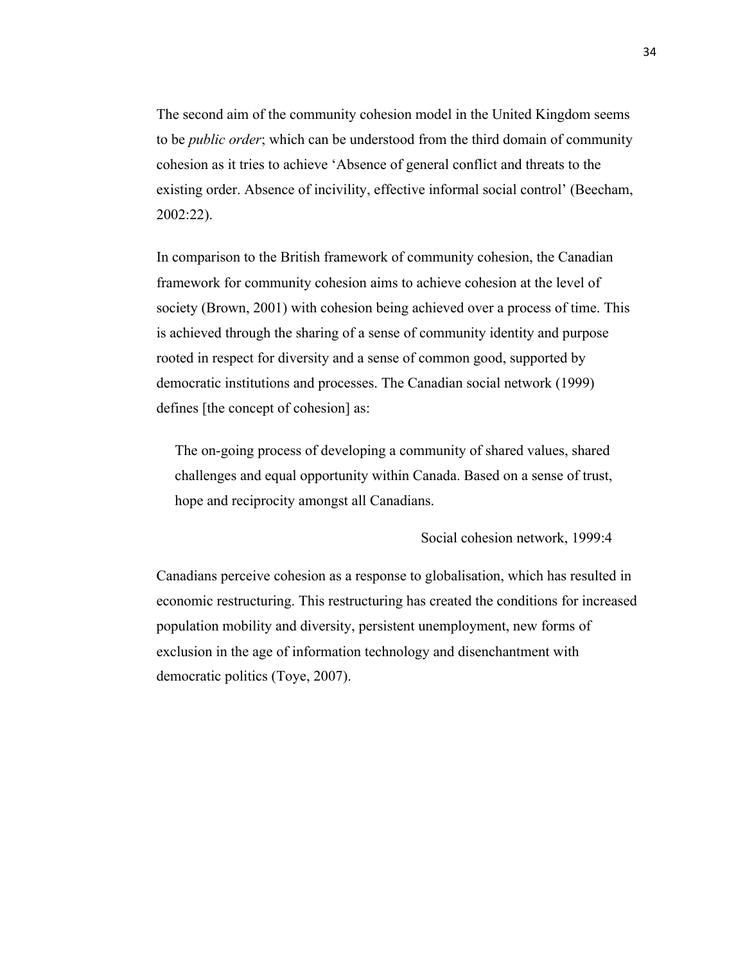The second aim of the community cohesion model in the United Kingdom seems to be *public order*; which can be understood from the third domain of community cohesion as it tries to achieve 'Absence of general conflict and threats to the existing order. Absence of incivility, effective informal social control' (Beecham, 2002:22).

In comparison to the British framework of community cohesion, the Canadian framework for community cohesion aims to achieve cohesion at the level of society (Brown, 2001) with cohesion being achieved over a process of time. This is achieved through the sharing of a sense of community identity and purpose rooted in respect for diversity and a sense of common good, supported by democratic institutions and processes. The Canadian social network (1999) defines [the concept of cohesion] as:

The on-going process of developing a community of shared values, shared challenges and equal opportunity within Canada. Based on a sense of trust, hope and reciprocity amongst all Canadians.

Social cohesion network, 1999:4

Canadians perceive cohesion as a response to globalisation, which has resulted in economic restructuring. This restructuring has created the conditions for increased population mobility and diversity, persistent unemployment, new forms of exclusion in the age of information technology and disenchantment with democratic politics (Toye, 2007).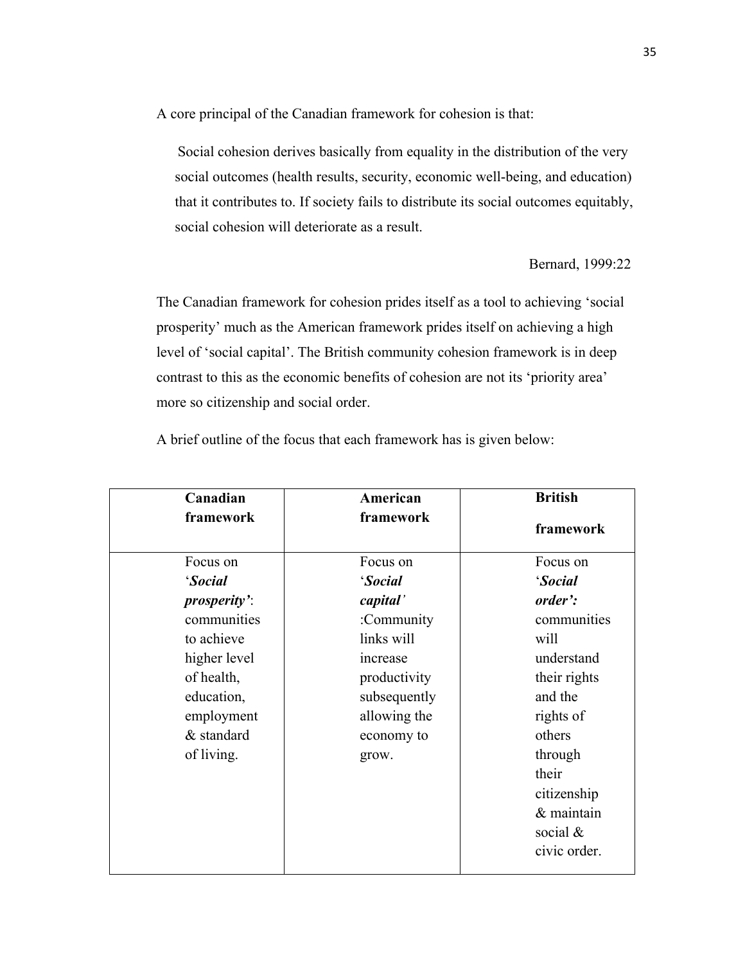A core principal of the Canadian framework for cohesion is that:

Social cohesion derives basically from equality in the distribution of the very social outcomes (health results, security, economic well-being, and education) that it contributes to. If society fails to distribute its social outcomes equitably, social cohesion will deteriorate as a result.

Bernard, 1999:22

The Canadian framework for cohesion prides itself as a tool to achieving 'social prosperity' much as the American framework prides itself on achieving a high level of 'social capital'. The British community cohesion framework is in deep contrast to this as the economic benefits of cohesion are not its 'priority area' more so citizenship and social order.

| Canadian             | American     | <b>British</b> |
|----------------------|--------------|----------------|
| framework            | framework    | framework      |
| Focus on             | Focus on     | Focus on       |
| 'Social              | 'Social      | 'Social        |
| <i>prosperity</i> ': | capital'     | order':        |
| communities          | :Community   | communities    |
| to achieve           | links will   | will           |
| higher level         | increase     | understand     |
| of health,           | productivity | their rights   |
| education,           | subsequently | and the        |
| employment           | allowing the | rights of      |
| & standard           | economy to   | others         |
| of living.           | grow.        | through        |
|                      |              | their          |
|                      |              | citizenship    |
|                      |              | & maintain     |
|                      |              | social $\&$    |
|                      |              | civic order.   |

A brief outline of the focus that each framework has is given below: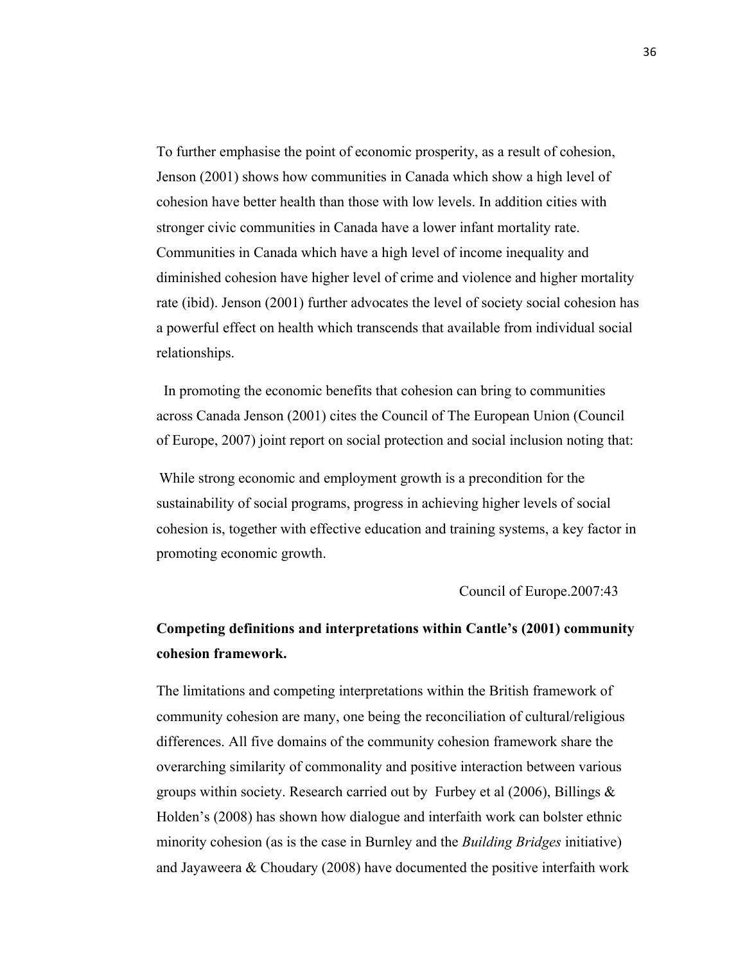To further emphasise the point of economic prosperity, as a result of cohesion, Jenson (2001) shows how communities in Canada which show a high level of cohesion have better health than those with low levels. In addition cities with stronger civic communities in Canada have a lower infant mortality rate. Communities in Canada which have a high level of income inequality and diminished cohesion have higher level of crime and violence and higher mortality rate (ibid). Jenson (2001) further advocates the level of society social cohesion has a powerful effect on health which transcends that available from individual social relationships.

 In promoting the economic benefits that cohesion can bring to communities across Canada Jenson (2001) cites the Council of The European Union (Council of Europe, 2007) joint report on social protection and social inclusion noting that:

While strong economic and employment growth is a precondition for the sustainability of social programs, progress in achieving higher levels of social cohesion is, together with effective education and training systems, a key factor in promoting economic growth.

Council of Europe.2007:43

### **Competing definitions and interpretations within Cantle's (2001) community cohesion framework.**

The limitations and competing interpretations within the British framework of community cohesion are many, one being the reconciliation of cultural/religious differences. All five domains of the community cohesion framework share the overarching similarity of commonality and positive interaction between various groups within society. Research carried out by Furbey et al  $(2006)$ , Billings  $\&$ Holden's (2008) has shown how dialogue and interfaith work can bolster ethnic minority cohesion (as is the case in Burnley and the *Building Bridges* initiative) and Jayaweera & Choudary (2008) have documented the positive interfaith work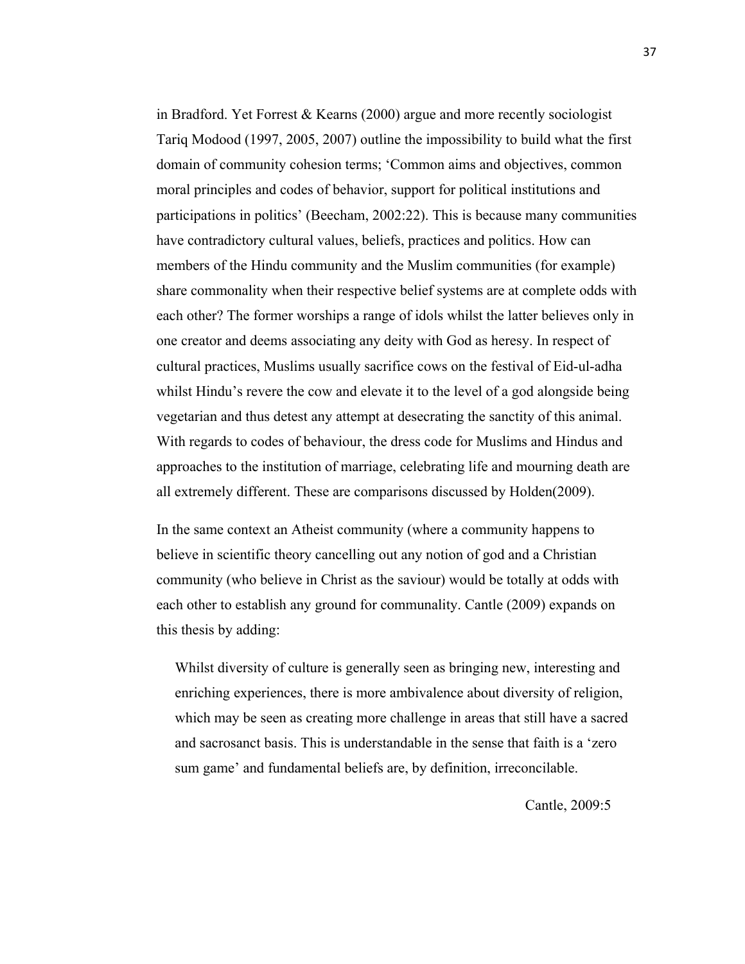in Bradford. Yet Forrest & Kearns (2000) argue and more recently sociologist Tariq Modood (1997, 2005, 2007) outline the impossibility to build what the first domain of community cohesion terms; 'Common aims and objectives, common moral principles and codes of behavior, support for political institutions and participations in politics' (Beecham, 2002:22). This is because many communities have contradictory cultural values, beliefs, practices and politics. How can members of the Hindu community and the Muslim communities (for example) share commonality when their respective belief systems are at complete odds with each other? The former worships a range of idols whilst the latter believes only in one creator and deems associating any deity with God as heresy. In respect of cultural practices, Muslims usually sacrifice cows on the festival of Eid-ul-adha whilst Hindu's revere the cow and elevate it to the level of a god alongside being vegetarian and thus detest any attempt at desecrating the sanctity of this animal. With regards to codes of behaviour, the dress code for Muslims and Hindus and approaches to the institution of marriage, celebrating life and mourning death are all extremely different. These are comparisons discussed by Holden(2009).

In the same context an Atheist community (where a community happens to believe in scientific theory cancelling out any notion of god and a Christian community (who believe in Christ as the saviour) would be totally at odds with each other to establish any ground for communality. Cantle (2009) expands on this thesis by adding:

Whilst diversity of culture is generally seen as bringing new, interesting and enriching experiences, there is more ambivalence about diversity of religion, which may be seen as creating more challenge in areas that still have a sacred and sacrosanct basis. This is understandable in the sense that faith is a 'zero sum game' and fundamental beliefs are, by definition, irreconcilable.

Cantle, 2009:5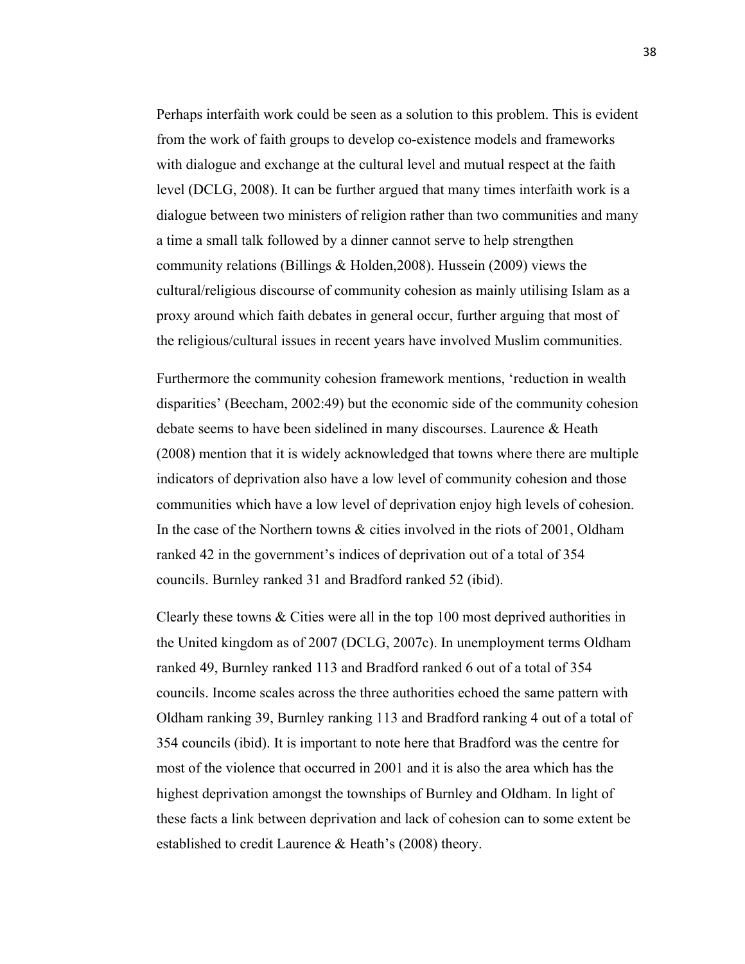Perhaps interfaith work could be seen as a solution to this problem. This is evident from the work of faith groups to develop co-existence models and frameworks with dialogue and exchange at the cultural level and mutual respect at the faith level (DCLG, 2008). It can be further argued that many times interfaith work is a dialogue between two ministers of religion rather than two communities and many a time a small talk followed by a dinner cannot serve to help strengthen community relations (Billings & Holden,2008). Hussein (2009) views the cultural/religious discourse of community cohesion as mainly utilising Islam as a proxy around which faith debates in general occur, further arguing that most of the religious/cultural issues in recent years have involved Muslim communities.

Furthermore the community cohesion framework mentions, 'reduction in wealth disparities' (Beecham, 2002:49) but the economic side of the community cohesion debate seems to have been sidelined in many discourses. Laurence & Heath (2008) mention that it is widely acknowledged that towns where there are multiple indicators of deprivation also have a low level of community cohesion and those communities which have a low level of deprivation enjoy high levels of cohesion. In the case of the Northern towns & cities involved in the riots of 2001, Oldham ranked 42 in the government's indices of deprivation out of a total of 354 councils. Burnley ranked 31 and Bradford ranked 52 (ibid).

Clearly these towns & Cities were all in the top 100 most deprived authorities in the United kingdom as of 2007 (DCLG, 2007c). In unemployment terms Oldham ranked 49, Burnley ranked 113 and Bradford ranked 6 out of a total of 354 councils. Income scales across the three authorities echoed the same pattern with Oldham ranking 39, Burnley ranking 113 and Bradford ranking 4 out of a total of 354 councils (ibid). It is important to note here that Bradford was the centre for most of the violence that occurred in 2001 and it is also the area which has the highest deprivation amongst the townships of Burnley and Oldham. In light of these facts a link between deprivation and lack of cohesion can to some extent be established to credit Laurence & Heath's (2008) theory.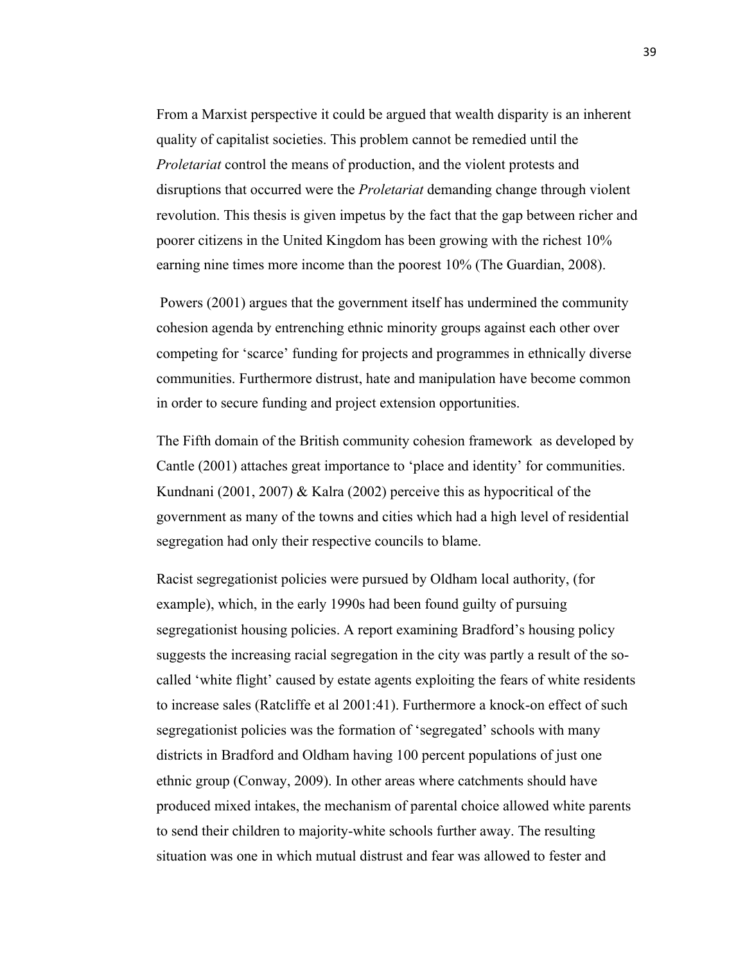From a Marxist perspective it could be argued that wealth disparity is an inherent quality of capitalist societies. This problem cannot be remedied until the *Proletariat* control the means of production, and the violent protests and disruptions that occurred were the *Proletariat* demanding change through violent revolution. This thesis is given impetus by the fact that the gap between richer and poorer citizens in the United Kingdom has been growing with the richest 10% earning nine times more income than the poorest 10% (The Guardian, 2008).

Powers (2001) argues that the government itself has undermined the community cohesion agenda by entrenching ethnic minority groups against each other over competing for 'scarce' funding for projects and programmes in ethnically diverse communities. Furthermore distrust, hate and manipulation have become common in order to secure funding and project extension opportunities.

The Fifth domain of the British community cohesion framework as developed by Cantle (2001) attaches great importance to 'place and identity' for communities. Kundnani (2001, 2007) & Kalra (2002) perceive this as hypocritical of the government as many of the towns and cities which had a high level of residential segregation had only their respective councils to blame.

Racist segregationist policies were pursued by Oldham local authority, (for example), which, in the early 1990s had been found guilty of pursuing segregationist housing policies. A report examining Bradford's housing policy suggests the increasing racial segregation in the city was partly a result of the socalled 'white flight' caused by estate agents exploiting the fears of white residents to increase sales (Ratcliffe et al 2001:41). Furthermore a knock-on effect of such segregationist policies was the formation of 'segregated' schools with many districts in Bradford and Oldham having 100 percent populations of just one ethnic group (Conway, 2009). In other areas where catchments should have produced mixed intakes, the mechanism of parental choice allowed white parents to send their children to majority-white schools further away. The resulting situation was one in which mutual distrust and fear was allowed to fester and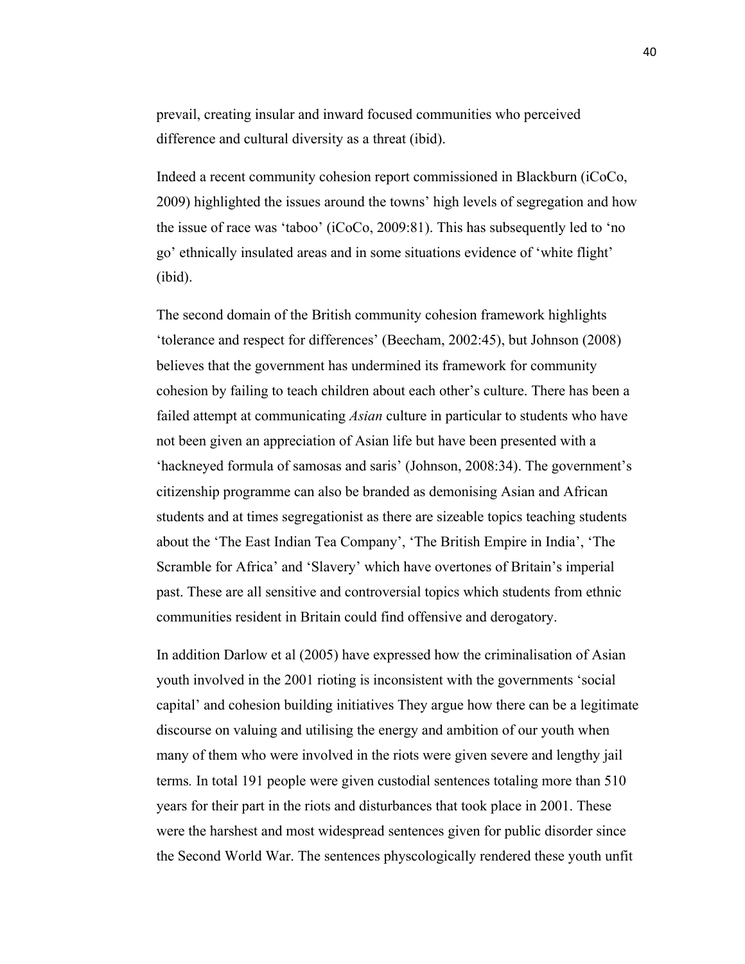prevail, creating insular and inward focused communities who perceived difference and cultural diversity as a threat (ibid).

Indeed a recent community cohesion report commissioned in Blackburn (iCoCo, 2009) highlighted the issues around the towns' high levels of segregation and how the issue of race was 'taboo' (iCoCo, 2009:81). This has subsequently led to 'no go' ethnically insulated areas and in some situations evidence of 'white flight' (ibid).

The second domain of the British community cohesion framework highlights 'tolerance and respect for differences' (Beecham, 2002:45), but Johnson (2008) believes that the government has undermined its framework for community cohesion by failing to teach children about each other's culture. There has been a failed attempt at communicating *Asian* culture in particular to students who have not been given an appreciation of Asian life but have been presented with a 'hackneyed formula of samosas and saris' (Johnson, 2008:34). The government's citizenship programme can also be branded as demonising Asian and African students and at times segregationist as there are sizeable topics teaching students about the 'The East Indian Tea Company', 'The British Empire in India', 'The Scramble for Africa' and 'Slavery' which have overtones of Britain's imperial past. These are all sensitive and controversial topics which students from ethnic communities resident in Britain could find offensive and derogatory.

In addition Darlow et al (2005) have expressed how the criminalisation of Asian youth involved in the 2001 rioting is inconsistent with the governments 'social capital' and cohesion building initiatives They argue how there can be a legitimate discourse on valuing and utilising the energy and ambition of our youth when many of them who were involved in the riots were given severe and lengthy jail terms*.* In total 191 people were given custodial sentences totaling more than 510 years for their part in the riots and disturbances that took place in 2001. These were the harshest and most widespread sentences given for public disorder since the Second World War. The sentences physcologically rendered these youth unfit

40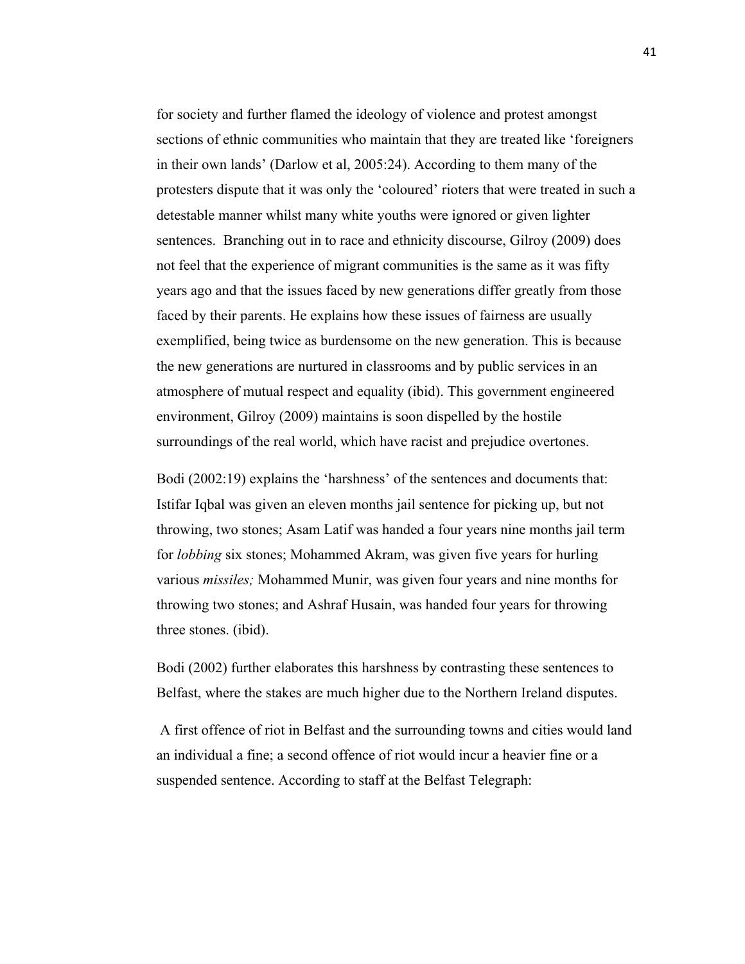for society and further flamed the ideology of violence and protest amongst sections of ethnic communities who maintain that they are treated like 'foreigners in their own lands' (Darlow et al, 2005:24). According to them many of the protesters dispute that it was only the 'coloured' rioters that were treated in such a detestable manner whilst many white youths were ignored or given lighter sentences. Branching out in to race and ethnicity discourse, Gilroy (2009) does not feel that the experience of migrant communities is the same as it was fifty years ago and that the issues faced by new generations differ greatly from those faced by their parents. He explains how these issues of fairness are usually exemplified, being twice as burdensome on the new generation. This is because the new generations are nurtured in classrooms and by public services in an atmosphere of mutual respect and equality (ibid). This government engineered environment, Gilroy (2009) maintains is soon dispelled by the hostile surroundings of the real world, which have racist and prejudice overtones.

Bodi (2002:19) explains the 'harshness' of the sentences and documents that: Istifar Iqbal was given an eleven months jail sentence for picking up, but not throwing, two stones; Asam Latif was handed a four years nine months jail term for *lobbing* six stones; Mohammed Akram, was given five years for hurling various *missiles;* Mohammed Munir, was given four years and nine months for throwing two stones; and Ashraf Husain, was handed four years for throwing three stones. (ibid).

Bodi (2002) further elaborates this harshness by contrasting these sentences to Belfast, where the stakes are much higher due to the Northern Ireland disputes.

A first offence of riot in Belfast and the surrounding towns and cities would land an individual a fine; a second offence of riot would incur a heavier fine or a suspended sentence. According to staff at the Belfast Telegraph: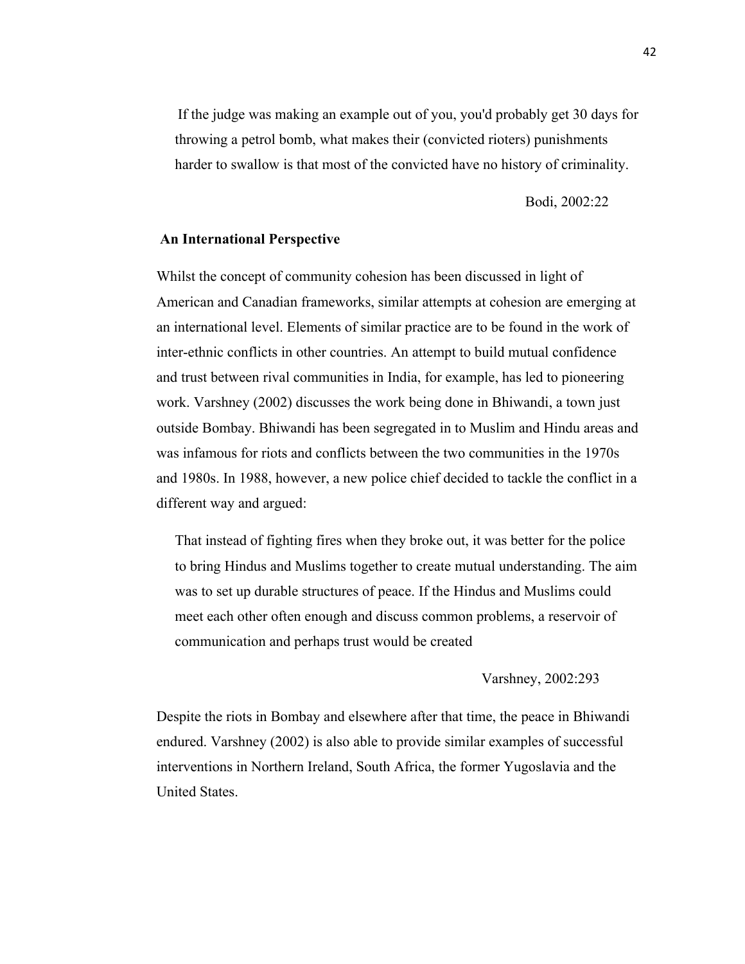If the judge was making an example out of you, you'd probably get 30 days for throwing a petrol bomb, what makes their (convicted rioters) punishments harder to swallow is that most of the convicted have no history of criminality.

Bodi, 2002:22

# **An International Perspective**

Whilst the concept of community cohesion has been discussed in light of American and Canadian frameworks, similar attempts at cohesion are emerging at an international level. Elements of similar practice are to be found in the work of inter-ethnic conflicts in other countries. An attempt to build mutual confidence and trust between rival communities in India, for example, has led to pioneering work. Varshney (2002) discusses the work being done in Bhiwandi, a town just outside Bombay. Bhiwandi has been segregated in to Muslim and Hindu areas and was infamous for riots and conflicts between the two communities in the 1970s and 1980s. In 1988, however, a new police chief decided to tackle the conflict in a different way and argued:

That instead of fighting fires when they broke out, it was better for the police to bring Hindus and Muslims together to create mutual understanding. The aim was to set up durable structures of peace. If the Hindus and Muslims could meet each other often enough and discuss common problems, a reservoir of communication and perhaps trust would be created

Varshney, 2002:293

Despite the riots in Bombay and elsewhere after that time, the peace in Bhiwandi endured. Varshney (2002) is also able to provide similar examples of successful interventions in Northern Ireland, South Africa, the former Yugoslavia and the United States.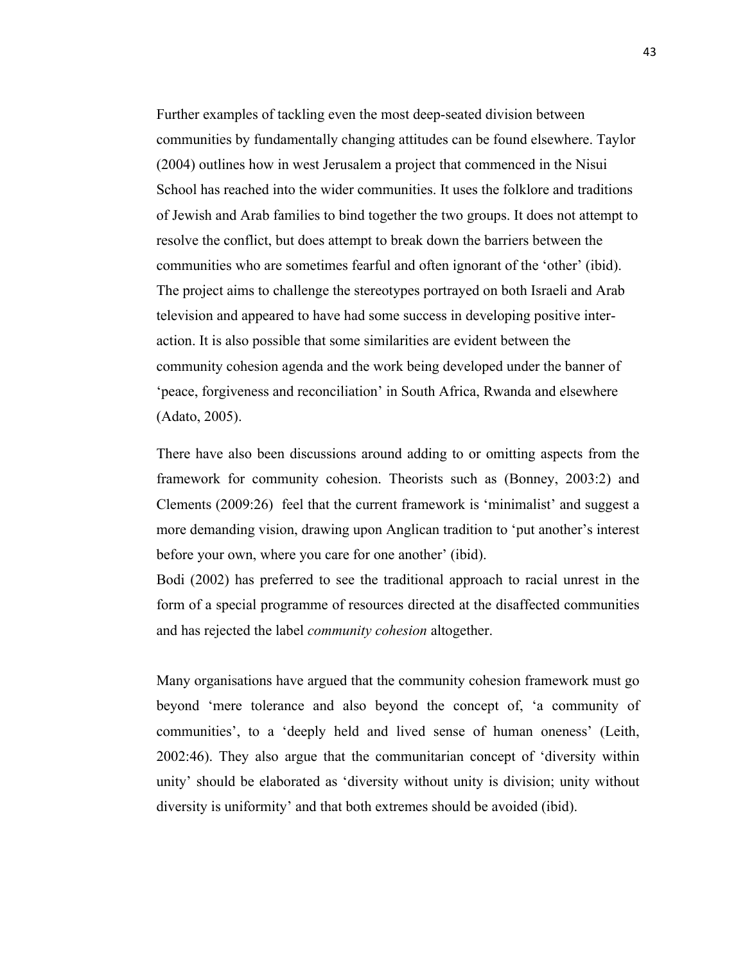Further examples of tackling even the most deep-seated division between communities by fundamentally changing attitudes can be found elsewhere. Taylor (2004) outlines how in west Jerusalem a project that commenced in the Nisui School has reached into the wider communities. It uses the folklore and traditions of Jewish and Arab families to bind together the two groups. It does not attempt to resolve the conflict, but does attempt to break down the barriers between the communities who are sometimes fearful and often ignorant of the 'other' (ibid). The project aims to challenge the stereotypes portrayed on both Israeli and Arab television and appeared to have had some success in developing positive interaction. It is also possible that some similarities are evident between the community cohesion agenda and the work being developed under the banner of 'peace, forgiveness and reconciliation' in South Africa, Rwanda and elsewhere (Adato, 2005).

There have also been discussions around adding to or omitting aspects from the framework for community cohesion. Theorists such as (Bonney, 2003:2) and Clements (2009:26) feel that the current framework is 'minimalist' and suggest a more demanding vision, drawing upon Anglican tradition to 'put another's interest before your own, where you care for one another' (ibid).

Bodi (2002) has preferred to see the traditional approach to racial unrest in the form of a special programme of resources directed at the disaffected communities and has rejected the label *community cohesion* altogether.

Many organisations have argued that the community cohesion framework must go beyond 'mere tolerance and also beyond the concept of, 'a community of communities', to a 'deeply held and lived sense of human oneness' (Leith, 2002:46). They also argue that the communitarian concept of 'diversity within unity' should be elaborated as 'diversity without unity is division; unity without diversity is uniformity' and that both extremes should be avoided (ibid).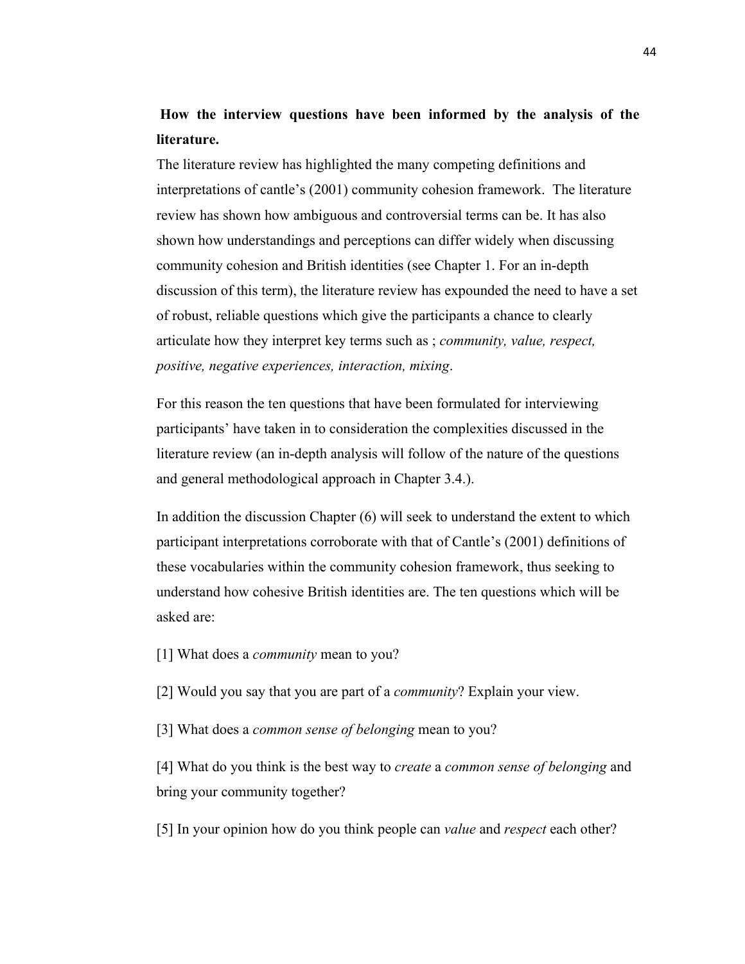# **How the interview questions have been informed by the analysis of the literature.**

The literature review has highlighted the many competing definitions and interpretations of cantle's (2001) community cohesion framework. The literature review has shown how ambiguous and controversial terms can be. It has also shown how understandings and perceptions can differ widely when discussing community cohesion and British identities (see Chapter 1. For an in-depth discussion of this term), the literature review has expounded the need to have a set of robust, reliable questions which give the participants a chance to clearly articulate how they interpret key terms such as ; *community, value, respect, positive, negative experiences, interaction, mixing*.

For this reason the ten questions that have been formulated for interviewing participants' have taken in to consideration the complexities discussed in the literature review (an in-depth analysis will follow of the nature of the questions and general methodological approach in Chapter 3.4.).

In addition the discussion Chapter (6) will seek to understand the extent to which participant interpretations corroborate with that of Cantle's (2001) definitions of these vocabularies within the community cohesion framework, thus seeking to understand how cohesive British identities are. The ten questions which will be asked are:

[1] What does a *community* mean to you?

[2] Would you say that you are part of a *community*? Explain your view.

[3] What does a *common sense of belonging* mean to you?

[4] What do you think is the best way to *create* a *common sense of belonging* and bring your community together?

[5] In your opinion how do you think people can *value* and *respect* each other?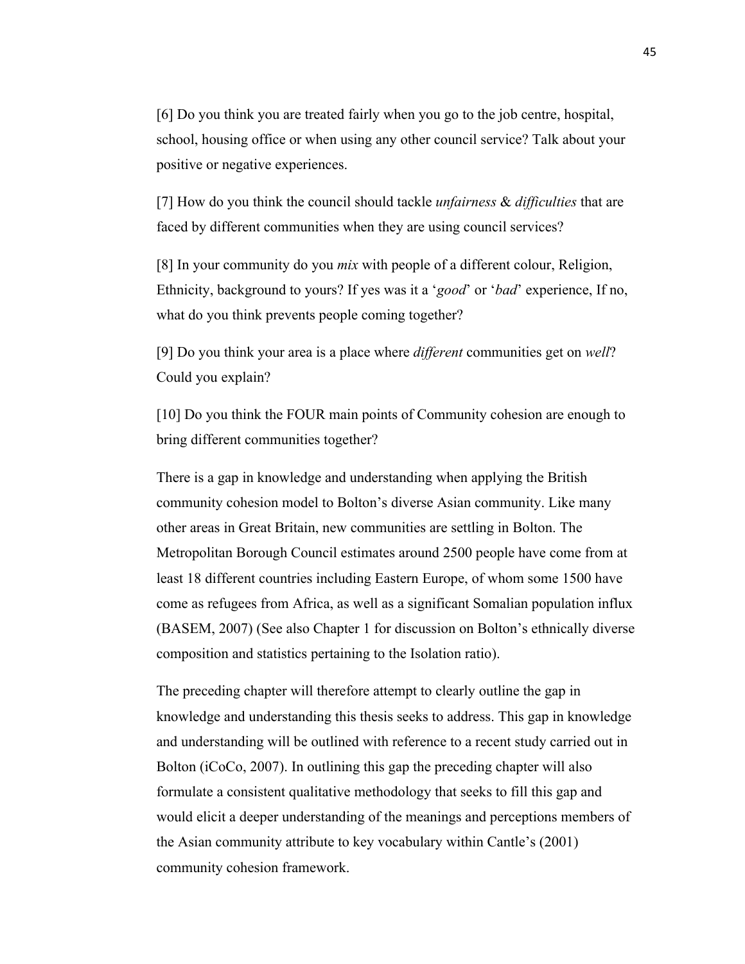[6] Do you think you are treated fairly when you go to the job centre, hospital, school, housing office or when using any other council service? Talk about your positive or negative experiences.

[7] How do you think the council should tackle *unfairness* & *difficulties* that are faced by different communities when they are using council services?

[8] In your community do you *mix* with people of a different colour, Religion, Ethnicity, background to yours? If yes was it a '*good*' or '*bad*' experience, If no, what do you think prevents people coming together?

[9] Do you think your area is a place where *different* communities get on *well*? Could you explain?

[10] Do you think the FOUR main points of Community cohesion are enough to bring different communities together?

There is a gap in knowledge and understanding when applying the British community cohesion model to Bolton's diverse Asian community. Like many other areas in Great Britain, new communities are settling in Bolton. The Metropolitan Borough Council estimates around 2500 people have come from at least 18 different countries including Eastern Europe, of whom some 1500 have come as refugees from Africa, as well as a significant Somalian population influx (BASEM, 2007) (See also Chapter 1 for discussion on Bolton's ethnically diverse composition and statistics pertaining to the Isolation ratio).

The preceding chapter will therefore attempt to clearly outline the gap in knowledge and understanding this thesis seeks to address. This gap in knowledge and understanding will be outlined with reference to a recent study carried out in Bolton (iCoCo, 2007). In outlining this gap the preceding chapter will also formulate a consistent qualitative methodology that seeks to fill this gap and would elicit a deeper understanding of the meanings and perceptions members of the Asian community attribute to key vocabulary within Cantle's (2001) community cohesion framework.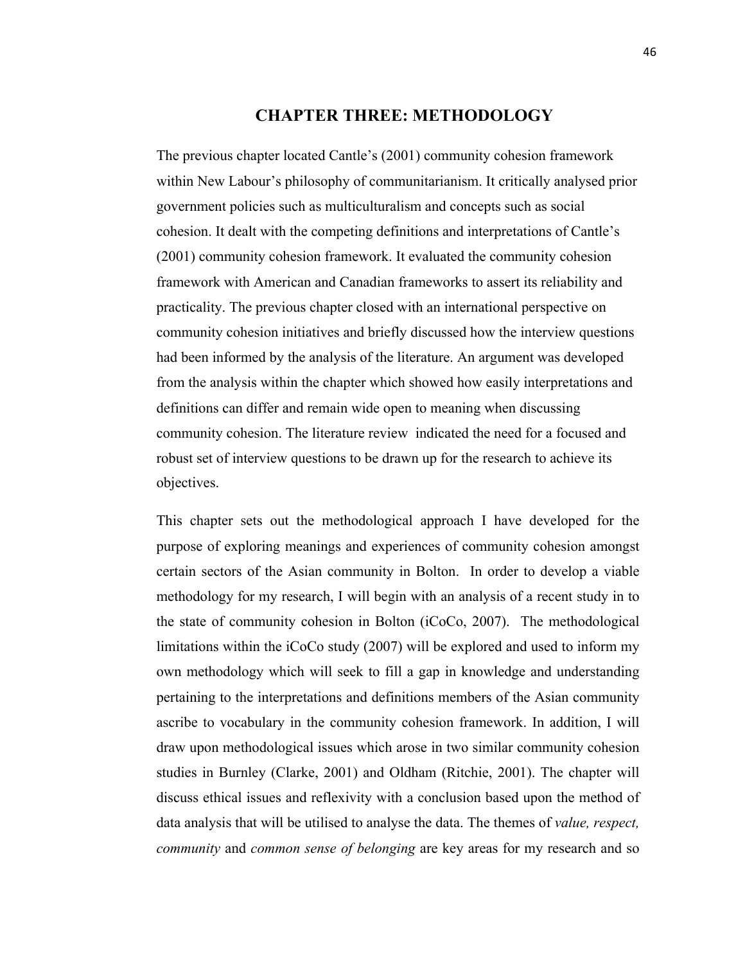# **CHAPTER THREE: METHODOLOGY**

The previous chapter located Cantle's (2001) community cohesion framework within New Labour's philosophy of communitarianism. It critically analysed prior government policies such as multiculturalism and concepts such as social cohesion. It dealt with the competing definitions and interpretations of Cantle's (2001) community cohesion framework. It evaluated the community cohesion framework with American and Canadian frameworks to assert its reliability and practicality. The previous chapter closed with an international perspective on community cohesion initiatives and briefly discussed how the interview questions had been informed by the analysis of the literature. An argument was developed from the analysis within the chapter which showed how easily interpretations and definitions can differ and remain wide open to meaning when discussing community cohesion. The literature review indicated the need for a focused and robust set of interview questions to be drawn up for the research to achieve its objectives.

This chapter sets out the methodological approach I have developed for the purpose of exploring meanings and experiences of community cohesion amongst certain sectors of the Asian community in Bolton. In order to develop a viable methodology for my research, I will begin with an analysis of a recent study in to the state of community cohesion in Bolton (iCoCo, 2007). The methodological limitations within the iCoCo study (2007) will be explored and used to inform my own methodology which will seek to fill a gap in knowledge and understanding pertaining to the interpretations and definitions members of the Asian community ascribe to vocabulary in the community cohesion framework. In addition, I will draw upon methodological issues which arose in two similar community cohesion studies in Burnley (Clarke, 2001) and Oldham (Ritchie, 2001). The chapter will discuss ethical issues and reflexivity with a conclusion based upon the method of data analysis that will be utilised to analyse the data. The themes of *value, respect, community* and *common sense of belonging* are key areas for my research and so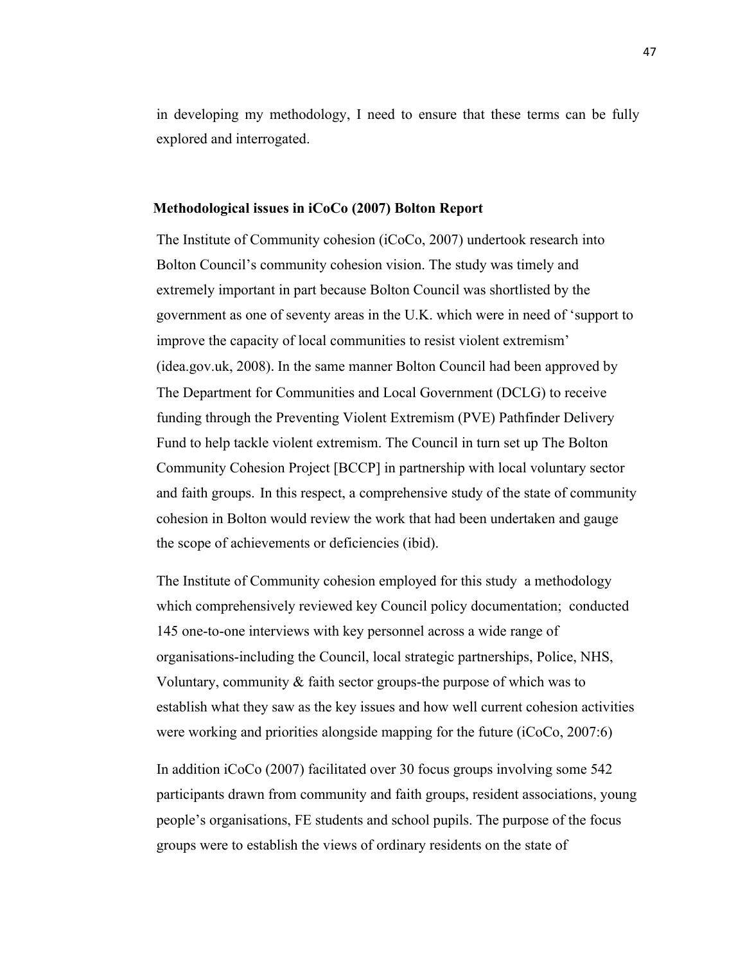in developing my methodology, I need to ensure that these terms can be fully explored and interrogated.

## **Methodological issues in iCoCo (2007) Bolton Report**

The Institute of Community cohesion (iCoCo, 2007) undertook research into Bolton Council's community cohesion vision. The study was timely and extremely important in part because Bolton Council was shortlisted by the government as one of seventy areas in the U.K. which were in need of 'support to improve the capacity of local communities to resist violent extremism' (idea.gov.uk, 2008). In the same manner Bolton Council had been approved by The Department for Communities and Local Government (DCLG) to receive funding through the Preventing Violent Extremism (PVE) Pathfinder Delivery Fund to help tackle violent extremism. The Council in turn set up The Bolton Community Cohesion Project [BCCP] in partnership with local voluntary sector and faith groups. In this respect, a comprehensive study of the state of community cohesion in Bolton would review the work that had been undertaken and gauge the scope of achievements or deficiencies (ibid).

The Institute of Community cohesion employed for this study a methodology which comprehensively reviewed key Council policy documentation; conducted 145 one-to-one interviews with key personnel across a wide range of organisations-including the Council, local strategic partnerships, Police, NHS, Voluntary, community & faith sector groups-the purpose of which was to establish what they saw as the key issues and how well current cohesion activities were working and priorities alongside mapping for the future (iCoCo, 2007:6)

In addition iCoCo (2007) facilitated over 30 focus groups involving some 542 participants drawn from community and faith groups, resident associations, young people's organisations, FE students and school pupils. The purpose of the focus groups were to establish the views of ordinary residents on the state of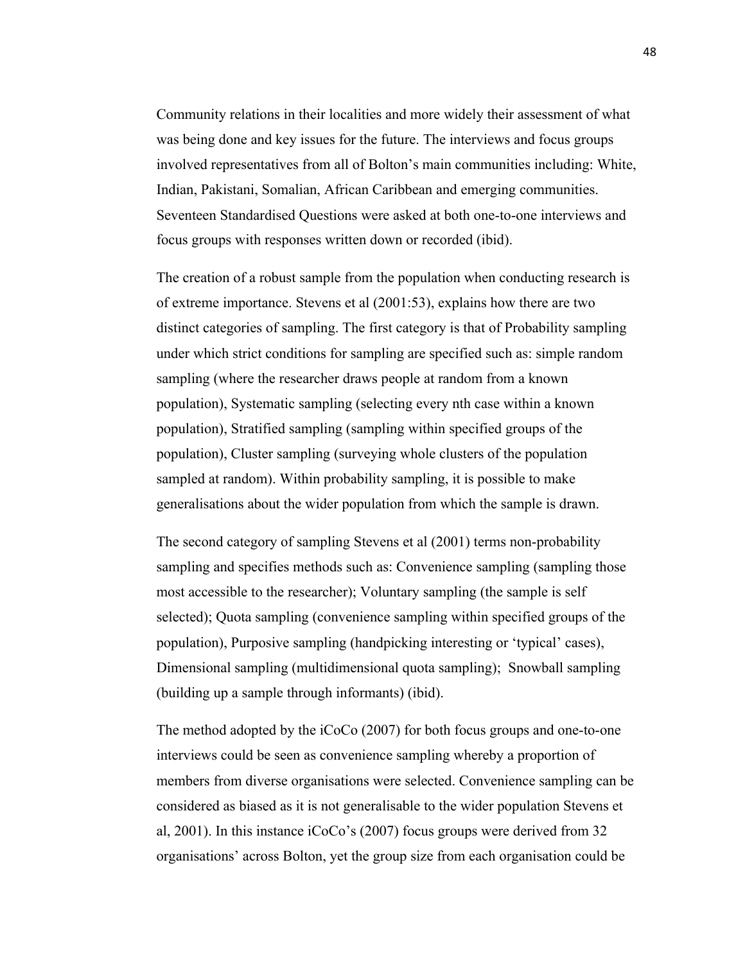Community relations in their localities and more widely their assessment of what was being done and key issues for the future. The interviews and focus groups involved representatives from all of Bolton's main communities including: White, Indian, Pakistani, Somalian, African Caribbean and emerging communities. Seventeen Standardised Questions were asked at both one-to-one interviews and focus groups with responses written down or recorded (ibid).

The creation of a robust sample from the population when conducting research is of extreme importance. Stevens et al (2001:53), explains how there are two distinct categories of sampling. The first category is that of Probability sampling under which strict conditions for sampling are specified such as: simple random sampling (where the researcher draws people at random from a known population), Systematic sampling (selecting every nth case within a known population), Stratified sampling (sampling within specified groups of the population), Cluster sampling (surveying whole clusters of the population sampled at random). Within probability sampling, it is possible to make generalisations about the wider population from which the sample is drawn.

The second category of sampling Stevens et al (2001) terms non-probability sampling and specifies methods such as: Convenience sampling (sampling those most accessible to the researcher); Voluntary sampling (the sample is self selected); Quota sampling (convenience sampling within specified groups of the population), Purposive sampling (handpicking interesting or 'typical' cases), Dimensional sampling (multidimensional quota sampling); Snowball sampling (building up a sample through informants) (ibid).

The method adopted by the iCoCo (2007) for both focus groups and one-to-one interviews could be seen as convenience sampling whereby a proportion of members from diverse organisations were selected. Convenience sampling can be considered as biased as it is not generalisable to the wider population Stevens et al, 2001). In this instance iCoCo's (2007) focus groups were derived from 32 organisations' across Bolton, yet the group size from each organisation could be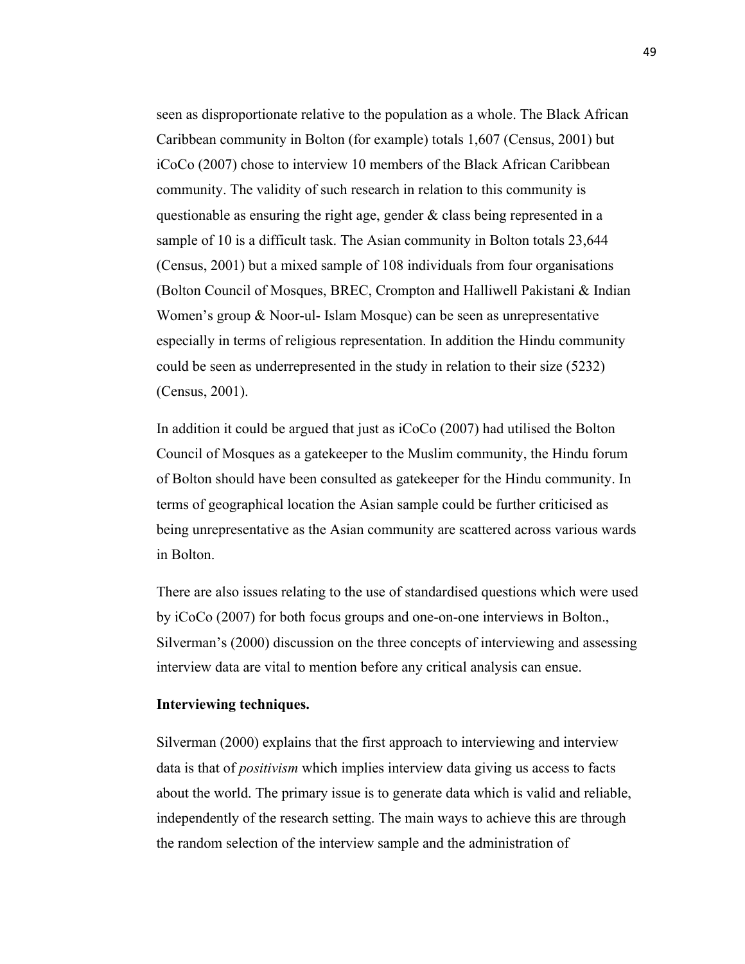seen as disproportionate relative to the population as a whole. The Black African Caribbean community in Bolton (for example) totals 1,607 (Census, 2001) but iCoCo (2007) chose to interview 10 members of the Black African Caribbean community. The validity of such research in relation to this community is questionable as ensuring the right age, gender & class being represented in a sample of 10 is a difficult task. The Asian community in Bolton totals 23,644 (Census, 2001) but a mixed sample of 108 individuals from four organisations (Bolton Council of Mosques, BREC, Crompton and Halliwell Pakistani & Indian Women's group & Noor-ul- Islam Mosque) can be seen as unrepresentative especially in terms of religious representation. In addition the Hindu community could be seen as underrepresented in the study in relation to their size (5232) (Census, 2001).

In addition it could be argued that just as iCoCo (2007) had utilised the Bolton Council of Mosques as a gatekeeper to the Muslim community, the Hindu forum of Bolton should have been consulted as gatekeeper for the Hindu community. In terms of geographical location the Asian sample could be further criticised as being unrepresentative as the Asian community are scattered across various wards in Bolton.

There are also issues relating to the use of standardised questions which were used by iCoCo (2007) for both focus groups and one-on-one interviews in Bolton., Silverman's (2000) discussion on the three concepts of interviewing and assessing interview data are vital to mention before any critical analysis can ensue.

#### **Interviewing techniques.**

Silverman (2000) explains that the first approach to interviewing and interview data is that of *positivism* which implies interview data giving us access to facts about the world. The primary issue is to generate data which is valid and reliable, independently of the research setting. The main ways to achieve this are through the random selection of the interview sample and the administration of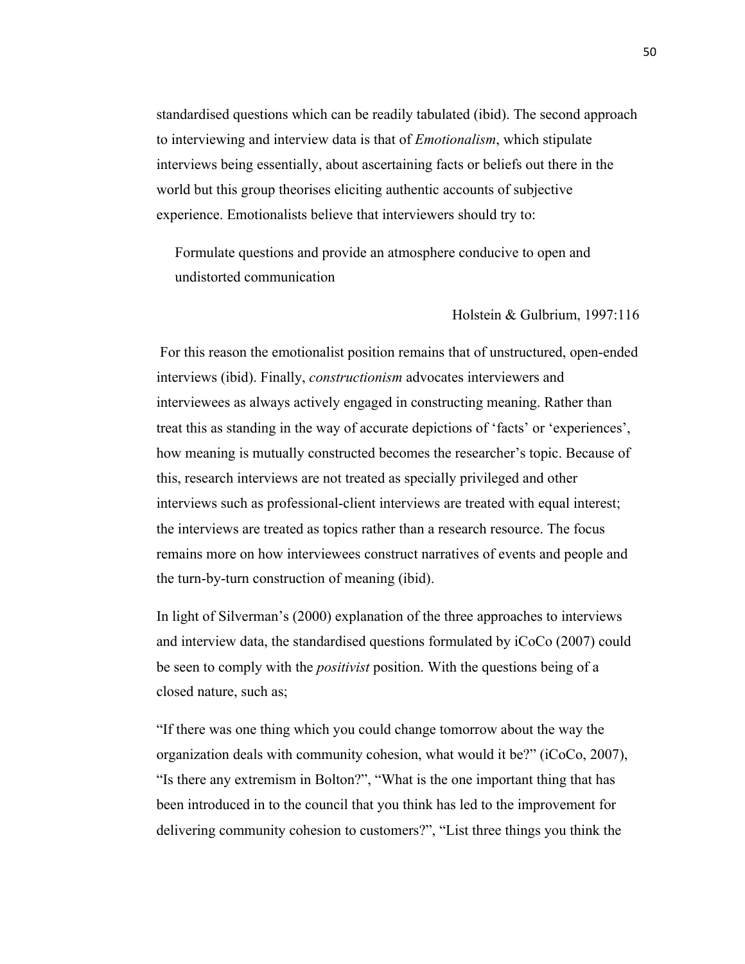standardised questions which can be readily tabulated (ibid). The second approach to interviewing and interview data is that of *Emotionalism*, which stipulate interviews being essentially, about ascertaining facts or beliefs out there in the world but this group theorises eliciting authentic accounts of subjective experience. Emotionalists believe that interviewers should try to:

Formulate questions and provide an atmosphere conducive to open and undistorted communication

#### Holstein & Gulbrium, 1997:116

For this reason the emotionalist position remains that of unstructured, open-ended interviews (ibid). Finally, *constructionism* advocates interviewers and interviewees as always actively engaged in constructing meaning. Rather than treat this as standing in the way of accurate depictions of 'facts' or 'experiences', how meaning is mutually constructed becomes the researcher's topic. Because of this, research interviews are not treated as specially privileged and other interviews such as professional-client interviews are treated with equal interest; the interviews are treated as topics rather than a research resource. The focus remains more on how interviewees construct narratives of events and people and the turn-by-turn construction of meaning (ibid).

In light of Silverman's (2000) explanation of the three approaches to interviews and interview data, the standardised questions formulated by iCoCo (2007) could be seen to comply with the *positivist* position. With the questions being of a closed nature, such as;

"If there was one thing which you could change tomorrow about the way the organization deals with community cohesion, what would it be?" (iCoCo, 2007), "Is there any extremism in Bolton?", "What is the one important thing that has been introduced in to the council that you think has led to the improvement for delivering community cohesion to customers?", "List three things you think the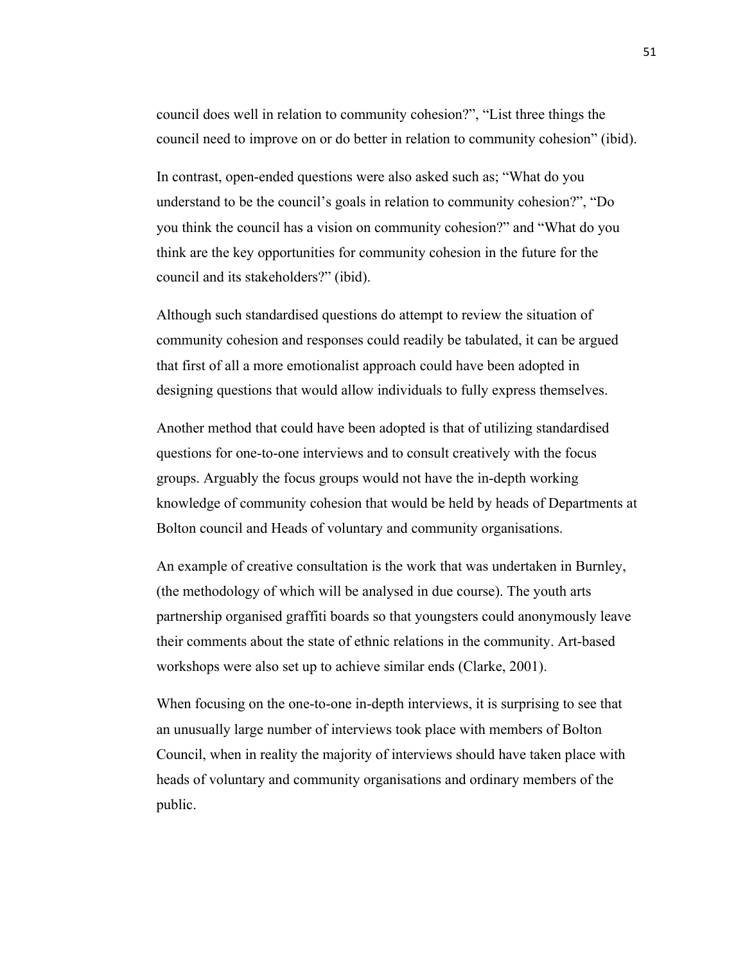council does well in relation to community cohesion?", "List three things the council need to improve on or do better in relation to community cohesion" (ibid).

In contrast, open-ended questions were also asked such as; "What do you understand to be the council's goals in relation to community cohesion?", "Do you think the council has a vision on community cohesion?" and "What do you think are the key opportunities for community cohesion in the future for the council and its stakeholders?" (ibid).

Although such standardised questions do attempt to review the situation of community cohesion and responses could readily be tabulated, it can be argued that first of all a more emotionalist approach could have been adopted in designing questions that would allow individuals to fully express themselves.

Another method that could have been adopted is that of utilizing standardised questions for one-to-one interviews and to consult creatively with the focus groups. Arguably the focus groups would not have the in-depth working knowledge of community cohesion that would be held by heads of Departments at Bolton council and Heads of voluntary and community organisations.

An example of creative consultation is the work that was undertaken in Burnley, (the methodology of which will be analysed in due course). The youth arts partnership organised graffiti boards so that youngsters could anonymously leave their comments about the state of ethnic relations in the community. Art-based workshops were also set up to achieve similar ends (Clarke, 2001).

When focusing on the one-to-one in-depth interviews, it is surprising to see that an unusually large number of interviews took place with members of Bolton Council, when in reality the majority of interviews should have taken place with heads of voluntary and community organisations and ordinary members of the public.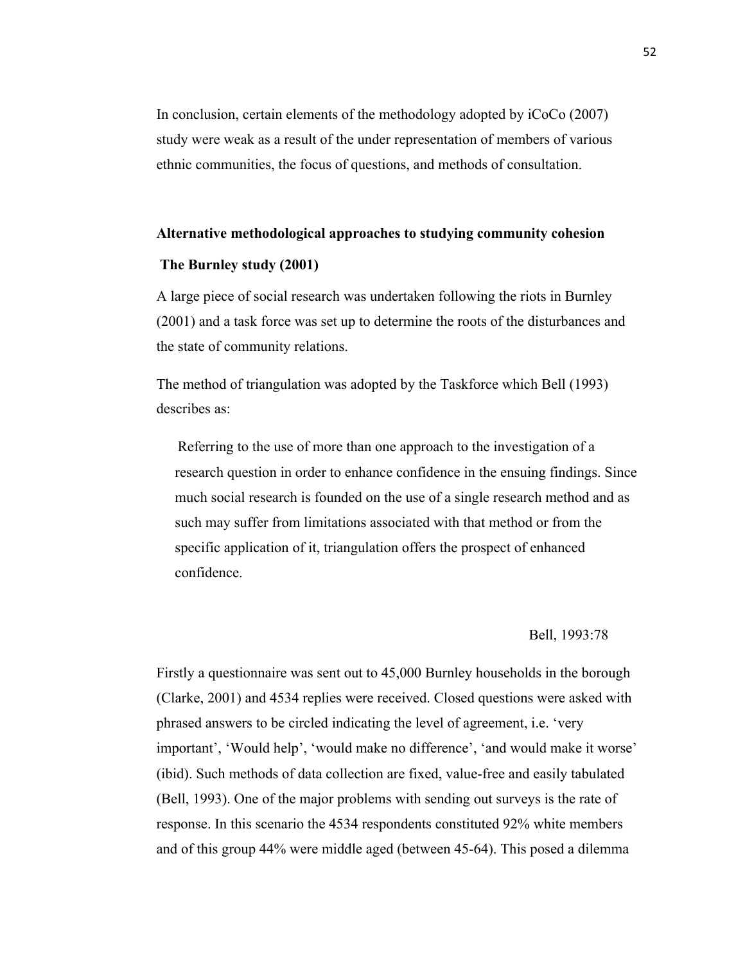In conclusion, certain elements of the methodology adopted by iCoCo (2007) study were weak as a result of the under representation of members of various ethnic communities, the focus of questions, and methods of consultation.

# **Alternative methodological approaches to studying community cohesion**

# **The Burnley study (2001)**

A large piece of social research was undertaken following the riots in Burnley (2001) and a task force was set up to determine the roots of the disturbances and the state of community relations.

The method of triangulation was adopted by the Taskforce which Bell (1993) describes as:

Referring to the use of more than one approach to the investigation of a research question in order to enhance confidence in the ensuing findings. Since much social research is founded on the use of a single research method and as such may suffer from limitations associated with that method or from the specific application of it, triangulation offers the prospect of enhanced confidence.

# Bell, 1993:78

Firstly a questionnaire was sent out to 45,000 Burnley households in the borough (Clarke, 2001) and 4534 replies were received. Closed questions were asked with phrased answers to be circled indicating the level of agreement, i.e. 'very important', 'Would help', 'would make no difference', 'and would make it worse' (ibid). Such methods of data collection are fixed, value-free and easily tabulated (Bell, 1993). One of the major problems with sending out surveys is the rate of response. In this scenario the 4534 respondents constituted 92% white members and of this group 44% were middle aged (between 45-64). This posed a dilemma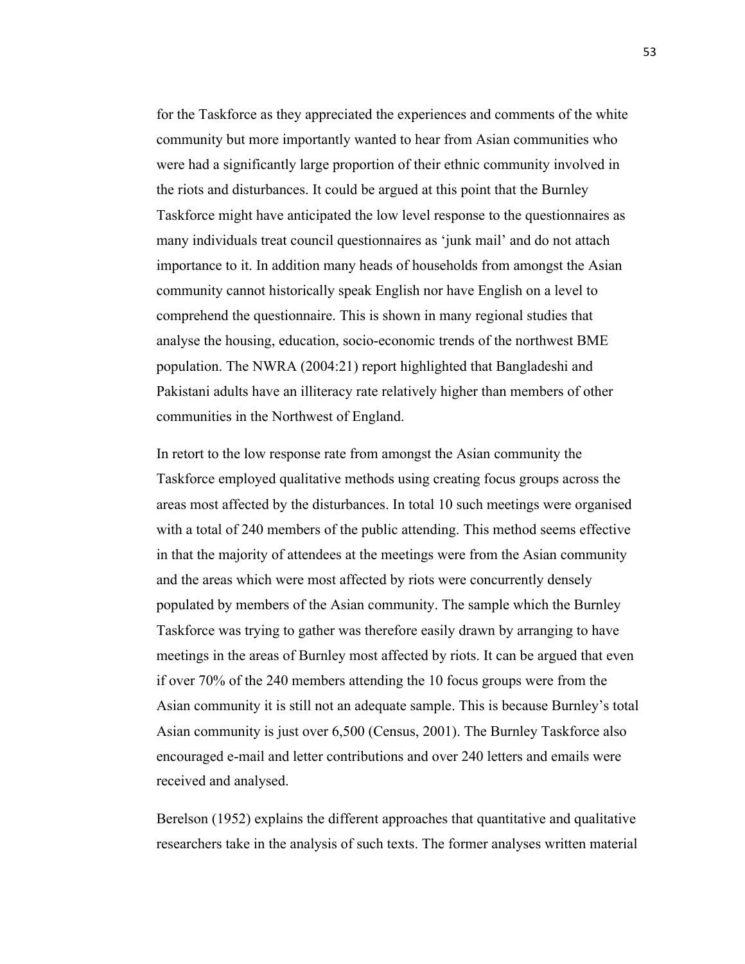for the Taskforce as they appreciated the experiences and comments of the white community but more importantly wanted to hear from Asian communities who were had a significantly large proportion of their ethnic community involved in the riots and disturbances. It could be argued at this point that the Burnley Taskforce might have anticipated the low level response to the questionnaires as many individuals treat council questionnaires as 'junk mail' and do not attach importance to it. In addition many heads of households from amongst the Asian community cannot historically speak English nor have English on a level to comprehend the questionnaire. This is shown in many regional studies that analyse the housing, education, socio-economic trends of the northwest BME population. The NWRA (2004:21) report highlighted that Bangladeshi and Pakistani adults have an illiteracy rate relatively higher than members of other communities in the Northwest of England.

In retort to the low response rate from amongst the Asian community the Taskforce employed qualitative methods using creating focus groups across the areas most affected by the disturbances. In total 10 such meetings were organised with a total of 240 members of the public attending. This method seems effective in that the majority of attendees at the meetings were from the Asian community and the areas which were most affected by riots were concurrently densely populated by members of the Asian community. The sample which the Burnley Taskforce was trying to gather was therefore easily drawn by arranging to have meetings in the areas of Burnley most affected by riots. It can be argued that even if over 70% of the 240 members attending the 10 focus groups were from the Asian community it is still not an adequate sample. This is because Burnley's total Asian community is just over 6,500 (Census, 2001). The Burnley Taskforce also encouraged e-mail and letter contributions and over 240 letters and emails were received and analysed.

Berelson (1952) explains the different approaches that quantitative and qualitative researchers take in the analysis of such texts. The former analyses written material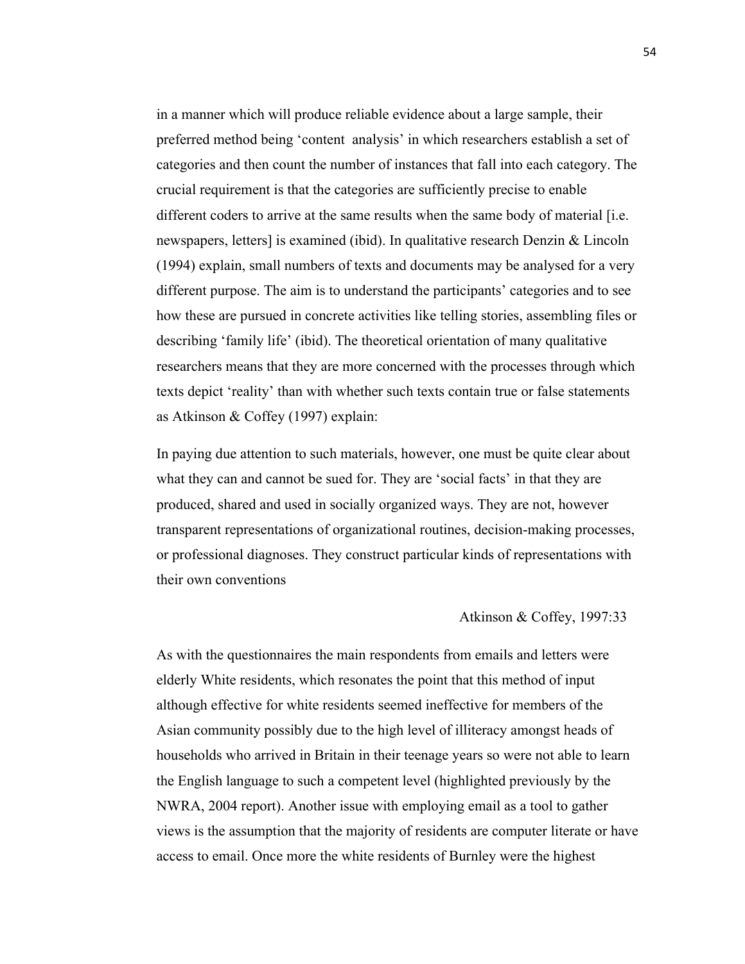in a manner which will produce reliable evidence about a large sample, their preferred method being 'content analysis' in which researchers establish a set of categories and then count the number of instances that fall into each category. The crucial requirement is that the categories are sufficiently precise to enable different coders to arrive at the same results when the same body of material [i.e. newspapers, letters] is examined (ibid). In qualitative research Denzin & Lincoln (1994) explain, small numbers of texts and documents may be analysed for a very different purpose. The aim is to understand the participants' categories and to see how these are pursued in concrete activities like telling stories, assembling files or describing 'family life' (ibid). The theoretical orientation of many qualitative researchers means that they are more concerned with the processes through which texts depict 'reality' than with whether such texts contain true or false statements as Atkinson & Coffey (1997) explain:

In paying due attention to such materials, however, one must be quite clear about what they can and cannot be sued for. They are 'social facts' in that they are produced, shared and used in socially organized ways. They are not, however transparent representations of organizational routines, decision-making processes, or professional diagnoses. They construct particular kinds of representations with their own conventions

# Atkinson & Coffey, 1997:33

As with the questionnaires the main respondents from emails and letters were elderly White residents, which resonates the point that this method of input although effective for white residents seemed ineffective for members of the Asian community possibly due to the high level of illiteracy amongst heads of households who arrived in Britain in their teenage years so were not able to learn the English language to such a competent level (highlighted previously by the NWRA, 2004 report). Another issue with employing email as a tool to gather views is the assumption that the majority of residents are computer literate or have access to email. Once more the white residents of Burnley were the highest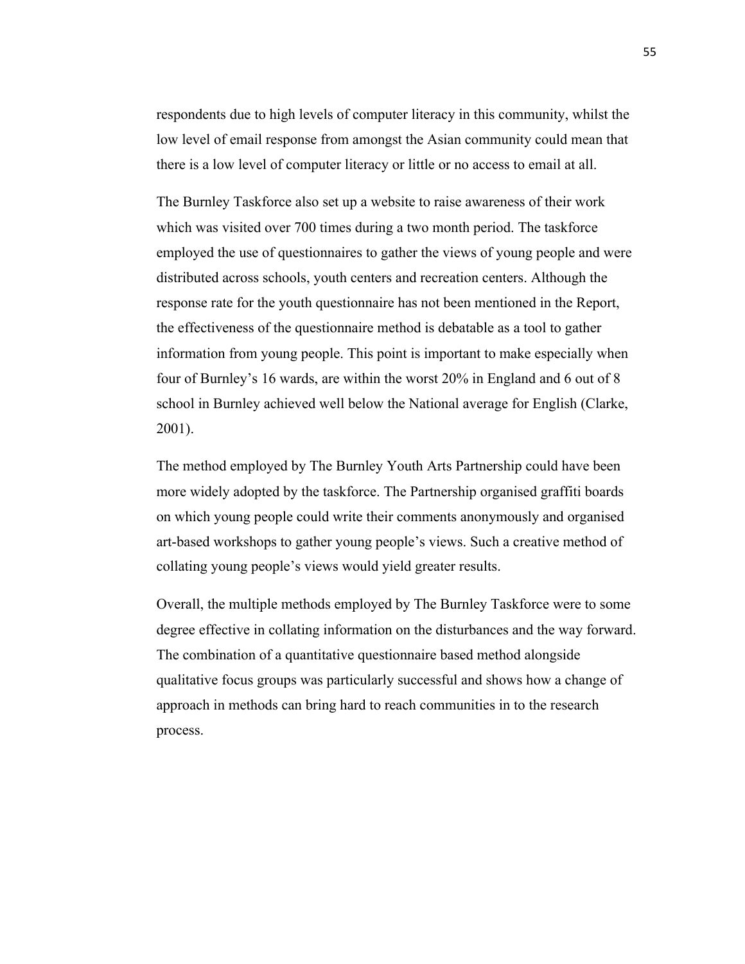respondents due to high levels of computer literacy in this community, whilst the low level of email response from amongst the Asian community could mean that there is a low level of computer literacy or little or no access to email at all.

The Burnley Taskforce also set up a website to raise awareness of their work which was visited over 700 times during a two month period. The taskforce employed the use of questionnaires to gather the views of young people and were distributed across schools, youth centers and recreation centers. Although the response rate for the youth questionnaire has not been mentioned in the Report, the effectiveness of the questionnaire method is debatable as a tool to gather information from young people. This point is important to make especially when four of Burnley's 16 wards, are within the worst 20% in England and 6 out of 8 school in Burnley achieved well below the National average for English (Clarke, 2001).

The method employed by The Burnley Youth Arts Partnership could have been more widely adopted by the taskforce. The Partnership organised graffiti boards on which young people could write their comments anonymously and organised art-based workshops to gather young people's views. Such a creative method of collating young people's views would yield greater results.

Overall, the multiple methods employed by The Burnley Taskforce were to some degree effective in collating information on the disturbances and the way forward. The combination of a quantitative questionnaire based method alongside qualitative focus groups was particularly successful and shows how a change of approach in methods can bring hard to reach communities in to the research process.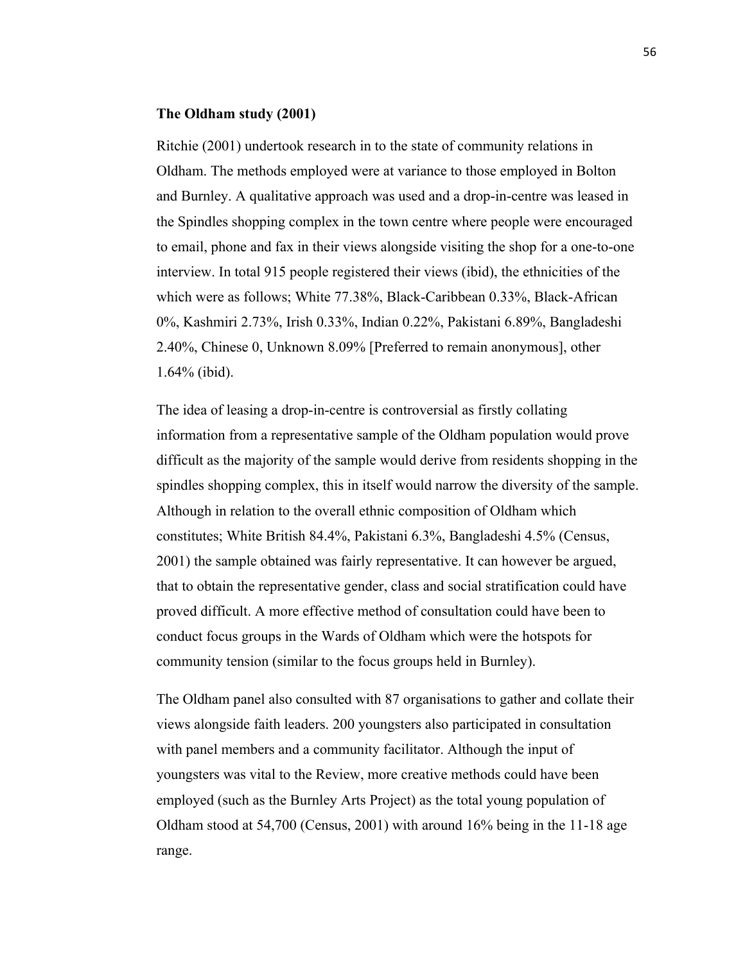## **The Oldham study (2001)**

Ritchie (2001) undertook research in to the state of community relations in Oldham. The methods employed were at variance to those employed in Bolton and Burnley. A qualitative approach was used and a drop-in-centre was leased in the Spindles shopping complex in the town centre where people were encouraged to email, phone and fax in their views alongside visiting the shop for a one-to-one interview. In total 915 people registered their views (ibid), the ethnicities of the which were as follows; White 77.38%, Black-Caribbean 0.33%, Black-African 0%, Kashmiri 2.73%, Irish 0.33%, Indian 0.22%, Pakistani 6.89%, Bangladeshi 2.40%, Chinese 0, Unknown 8.09% [Preferred to remain anonymous], other 1.64% (ibid).

The idea of leasing a drop-in-centre is controversial as firstly collating information from a representative sample of the Oldham population would prove difficult as the majority of the sample would derive from residents shopping in the spindles shopping complex, this in itself would narrow the diversity of the sample. Although in relation to the overall ethnic composition of Oldham which constitutes; White British 84.4%, Pakistani 6.3%, Bangladeshi 4.5% (Census, 2001) the sample obtained was fairly representative. It can however be argued, that to obtain the representative gender, class and social stratification could have proved difficult. A more effective method of consultation could have been to conduct focus groups in the Wards of Oldham which were the hotspots for community tension (similar to the focus groups held in Burnley).

The Oldham panel also consulted with 87 organisations to gather and collate their views alongside faith leaders. 200 youngsters also participated in consultation with panel members and a community facilitator. Although the input of youngsters was vital to the Review, more creative methods could have been employed (such as the Burnley Arts Project) as the total young population of Oldham stood at 54,700 (Census, 2001) with around 16% being in the 11-18 age range.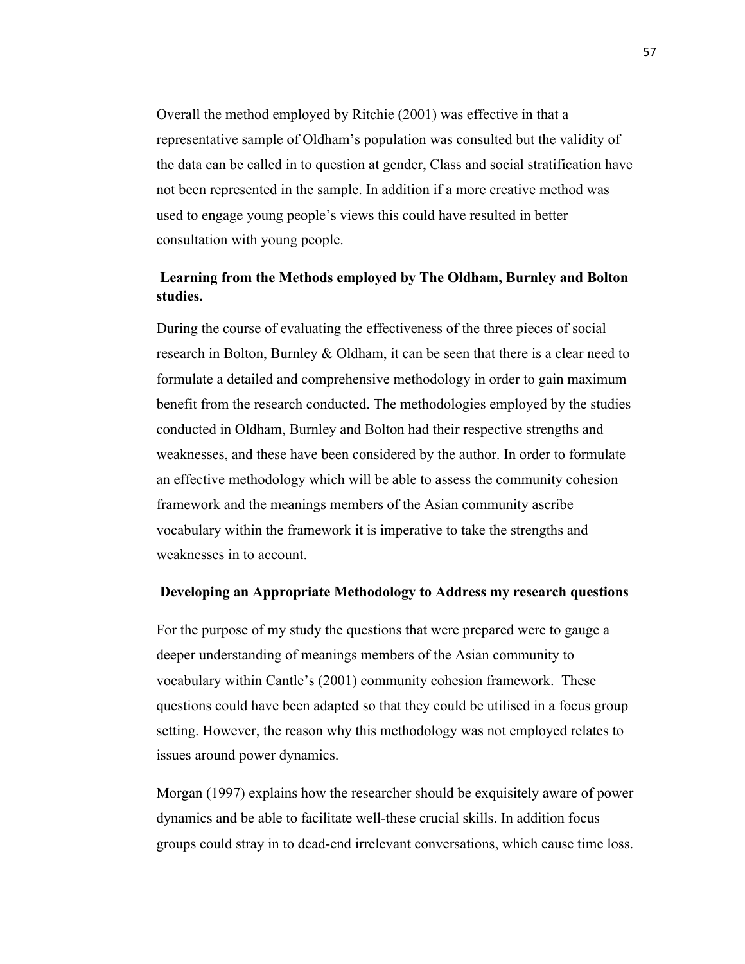Overall the method employed by Ritchie (2001) was effective in that a representative sample of Oldham's population was consulted but the validity of the data can be called in to question at gender, Class and social stratification have not been represented in the sample. In addition if a more creative method was used to engage young people's views this could have resulted in better consultation with young people.

# **Learning from the Methods employed by The Oldham, Burnley and Bolton studies.**

During the course of evaluating the effectiveness of the three pieces of social research in Bolton, Burnley & Oldham, it can be seen that there is a clear need to formulate a detailed and comprehensive methodology in order to gain maximum benefit from the research conducted. The methodologies employed by the studies conducted in Oldham, Burnley and Bolton had their respective strengths and weaknesses, and these have been considered by the author. In order to formulate an effective methodology which will be able to assess the community cohesion framework and the meanings members of the Asian community ascribe vocabulary within the framework it is imperative to take the strengths and weaknesses in to account.

# **Developing an Appropriate Methodology to Address my research questions**

For the purpose of my study the questions that were prepared were to gauge a deeper understanding of meanings members of the Asian community to vocabulary within Cantle's (2001) community cohesion framework. These questions could have been adapted so that they could be utilised in a focus group setting. However, the reason why this methodology was not employed relates to issues around power dynamics.

Morgan (1997) explains how the researcher should be exquisitely aware of power dynamics and be able to facilitate well-these crucial skills. In addition focus groups could stray in to dead-end irrelevant conversations, which cause time loss.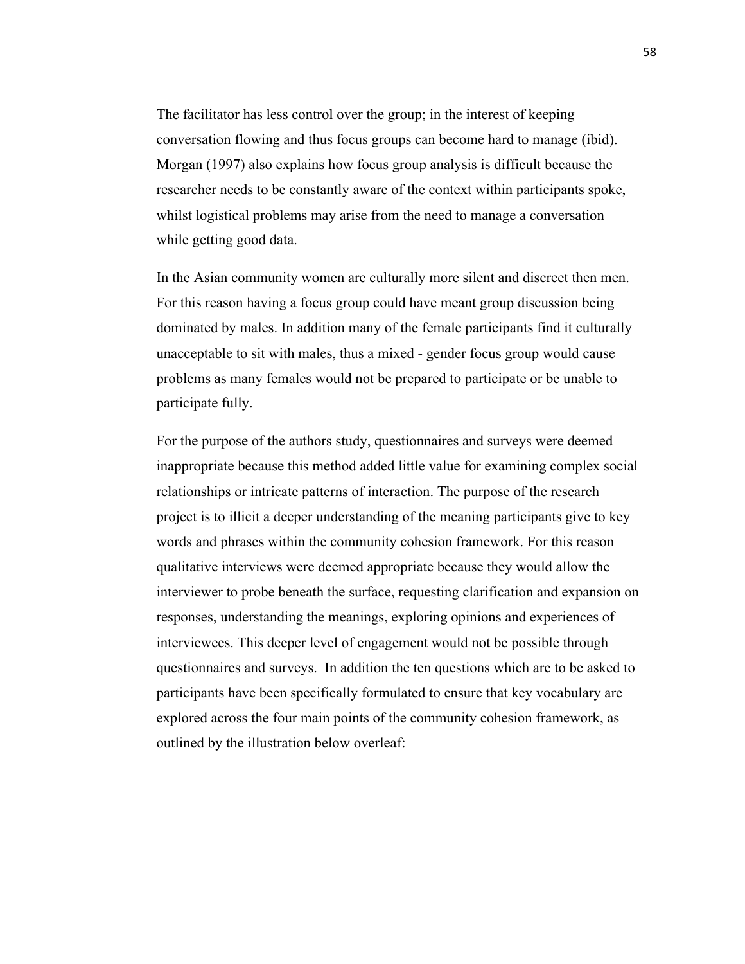The facilitator has less control over the group; in the interest of keeping conversation flowing and thus focus groups can become hard to manage (ibid). Morgan (1997) also explains how focus group analysis is difficult because the researcher needs to be constantly aware of the context within participants spoke, whilst logistical problems may arise from the need to manage a conversation while getting good data.

In the Asian community women are culturally more silent and discreet then men. For this reason having a focus group could have meant group discussion being dominated by males. In addition many of the female participants find it culturally unacceptable to sit with males, thus a mixed - gender focus group would cause problems as many females would not be prepared to participate or be unable to participate fully.

For the purpose of the authors study, questionnaires and surveys were deemed inappropriate because this method added little value for examining complex social relationships or intricate patterns of interaction. The purpose of the research project is to illicit a deeper understanding of the meaning participants give to key words and phrases within the community cohesion framework. For this reason qualitative interviews were deemed appropriate because they would allow the interviewer to probe beneath the surface, requesting clarification and expansion on responses, understanding the meanings, exploring opinions and experiences of interviewees. This deeper level of engagement would not be possible through questionnaires and surveys. In addition the ten questions which are to be asked to participants have been specifically formulated to ensure that key vocabulary are explored across the four main points of the community cohesion framework, as outlined by the illustration below overleaf: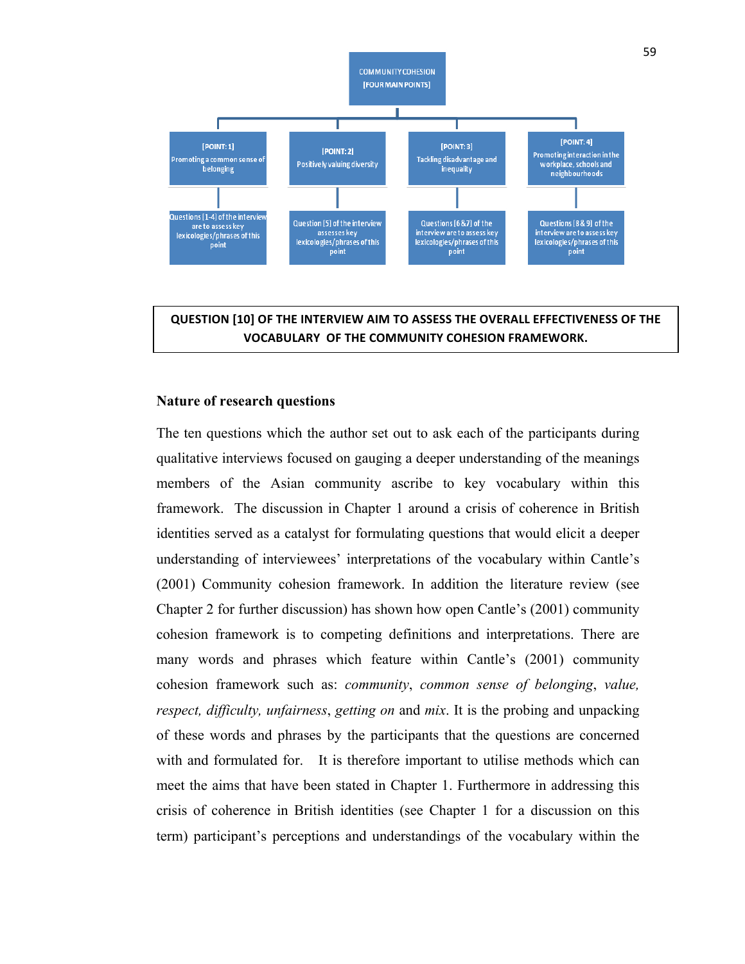

**QUESTION [10] OF THE INTERVIEW AIM TO ASSESS THE OVERALL EFFECTIVENESS OF THE VOCABULARY OF THE COMMUNITY COHESION FRAMEWORK.**

# **Nature of research questions**

The ten questions which the author set out to ask each of the participants during qualitative interviews focused on gauging a deeper understanding of the meanings members of the Asian community ascribe to key vocabulary within this framework. The discussion in Chapter 1 around a crisis of coherence in British identities served as a catalyst for formulating questions that would elicit a deeper understanding of interviewees' interpretations of the vocabulary within Cantle's (2001) Community cohesion framework. In addition the literature review (see Chapter 2 for further discussion) has shown how open Cantle's (2001) community cohesion framework is to competing definitions and interpretations. There are many words and phrases which feature within Cantle's (2001) community cohesion framework such as: *community*, *common sense of belonging*, *value, respect, difficulty, unfairness*, *getting on* and *mix*. It is the probing and unpacking of these words and phrases by the participants that the questions are concerned with and formulated for. It is therefore important to utilise methods which can meet the aims that have been stated in Chapter 1. Furthermore in addressing this crisis of coherence in British identities (see Chapter 1 for a discussion on this term) participant's perceptions and understandings of the vocabulary within the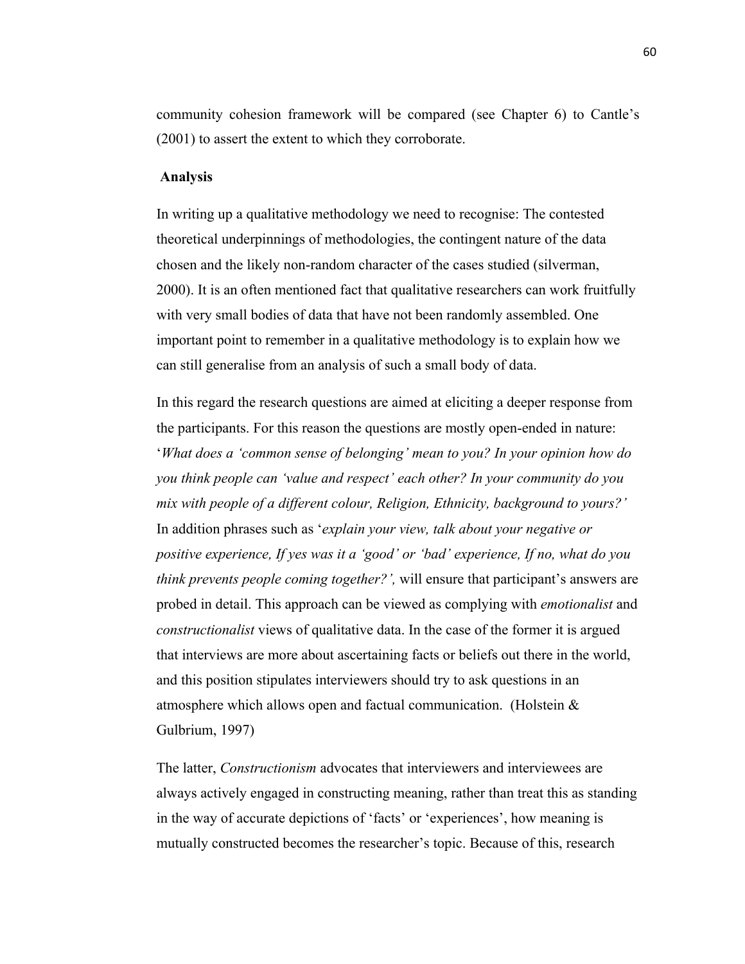community cohesion framework will be compared (see Chapter 6) to Cantle's (2001) to assert the extent to which they corroborate.

#### **Analysis**

In writing up a qualitative methodology we need to recognise: The contested theoretical underpinnings of methodologies, the contingent nature of the data chosen and the likely non-random character of the cases studied (silverman, 2000). It is an often mentioned fact that qualitative researchers can work fruitfully with very small bodies of data that have not been randomly assembled. One important point to remember in a qualitative methodology is to explain how we can still generalise from an analysis of such a small body of data.

In this regard the research questions are aimed at eliciting a deeper response from the participants. For this reason the questions are mostly open-ended in nature: '*What does a 'common sense of belonging' mean to you? In your opinion how do you think people can 'value and respect' each other? In your community do you mix with people of a different colour, Religion, Ethnicity, background to yours?'* In addition phrases such as '*explain your view, talk about your negative or positive experience, If yes was it a 'good' or 'bad' experience, If no, what do you think prevents people coming together?',* will ensure that participant's answers are probed in detail. This approach can be viewed as complying with *emotionalist* and *constructionalist* views of qualitative data. In the case of the former it is argued that interviews are more about ascertaining facts or beliefs out there in the world, and this position stipulates interviewers should try to ask questions in an atmosphere which allows open and factual communication. (Holstein & Gulbrium, 1997)

The latter, *Constructionism* advocates that interviewers and interviewees are always actively engaged in constructing meaning, rather than treat this as standing in the way of accurate depictions of 'facts' or 'experiences', how meaning is mutually constructed becomes the researcher's topic. Because of this, research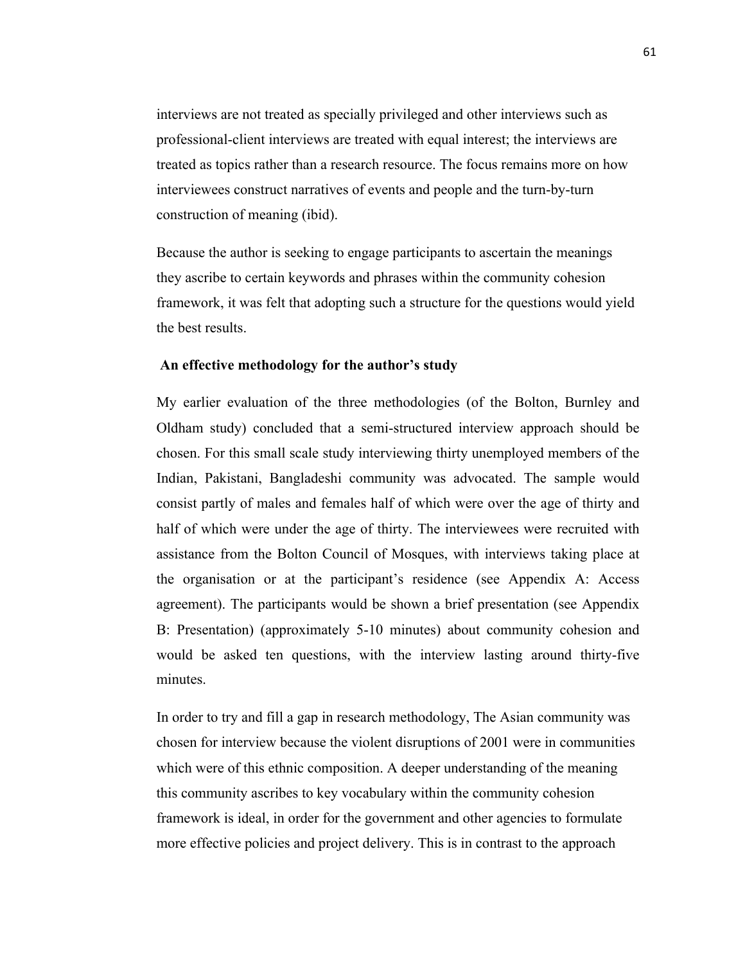interviews are not treated as specially privileged and other interviews such as professional-client interviews are treated with equal interest; the interviews are treated as topics rather than a research resource. The focus remains more on how interviewees construct narratives of events and people and the turn-by-turn construction of meaning (ibid).

Because the author is seeking to engage participants to ascertain the meanings they ascribe to certain keywords and phrases within the community cohesion framework, it was felt that adopting such a structure for the questions would yield the best results.

# **An effective methodology for the author's study**

My earlier evaluation of the three methodologies (of the Bolton, Burnley and Oldham study) concluded that a semi-structured interview approach should be chosen. For this small scale study interviewing thirty unemployed members of the Indian, Pakistani, Bangladeshi community was advocated. The sample would consist partly of males and females half of which were over the age of thirty and half of which were under the age of thirty. The interviewees were recruited with assistance from the Bolton Council of Mosques, with interviews taking place at the organisation or at the participant's residence (see Appendix A: Access agreement). The participants would be shown a brief presentation (see Appendix B: Presentation) (approximately 5-10 minutes) about community cohesion and would be asked ten questions, with the interview lasting around thirty-five minutes.

In order to try and fill a gap in research methodology, The Asian community was chosen for interview because the violent disruptions of 2001 were in communities which were of this ethnic composition. A deeper understanding of the meaning this community ascribes to key vocabulary within the community cohesion framework is ideal, in order for the government and other agencies to formulate more effective policies and project delivery. This is in contrast to the approach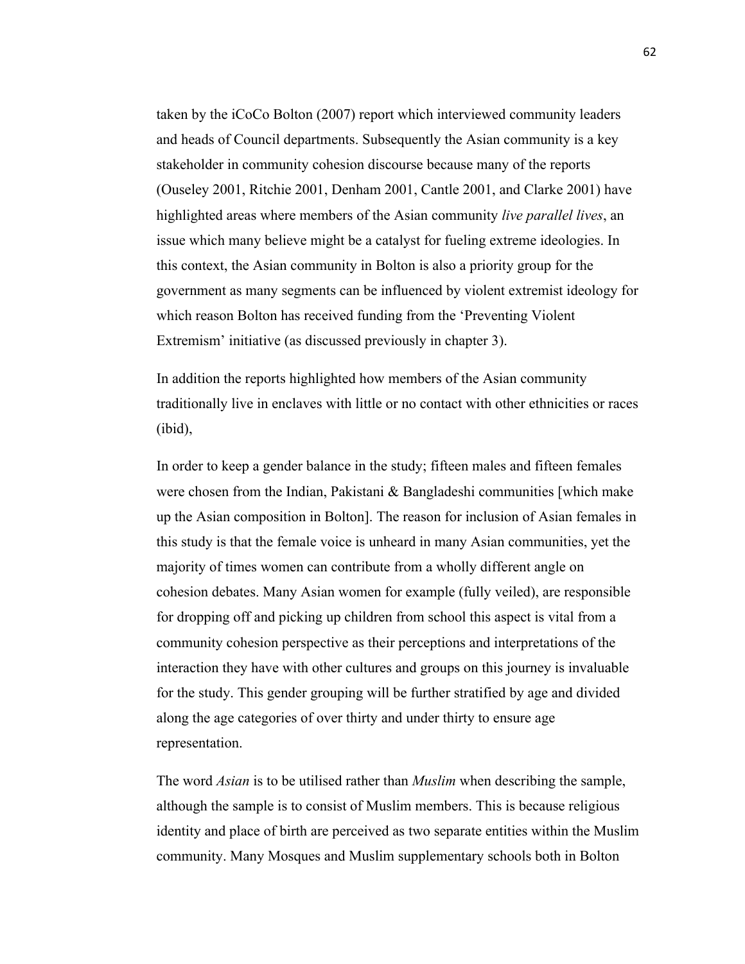taken by the iCoCo Bolton (2007) report which interviewed community leaders and heads of Council departments. Subsequently the Asian community is a key stakeholder in community cohesion discourse because many of the reports (Ouseley 2001, Ritchie 2001, Denham 2001, Cantle 2001, and Clarke 2001) have highlighted areas where members of the Asian community *live parallel lives*, an issue which many believe might be a catalyst for fueling extreme ideologies. In this context, the Asian community in Bolton is also a priority group for the government as many segments can be influenced by violent extremist ideology for which reason Bolton has received funding from the 'Preventing Violent Extremism' initiative (as discussed previously in chapter 3).

In addition the reports highlighted how members of the Asian community traditionally live in enclaves with little or no contact with other ethnicities or races (ibid),

In order to keep a gender balance in the study; fifteen males and fifteen females were chosen from the Indian, Pakistani & Bangladeshi communities [which make up the Asian composition in Bolton]. The reason for inclusion of Asian females in this study is that the female voice is unheard in many Asian communities, yet the majority of times women can contribute from a wholly different angle on cohesion debates. Many Asian women for example (fully veiled), are responsible for dropping off and picking up children from school this aspect is vital from a community cohesion perspective as their perceptions and interpretations of the interaction they have with other cultures and groups on this journey is invaluable for the study. This gender grouping will be further stratified by age and divided along the age categories of over thirty and under thirty to ensure age representation.

The word *Asian* is to be utilised rather than *Muslim* when describing the sample, although the sample is to consist of Muslim members. This is because religious identity and place of birth are perceived as two separate entities within the Muslim community. Many Mosques and Muslim supplementary schools both in Bolton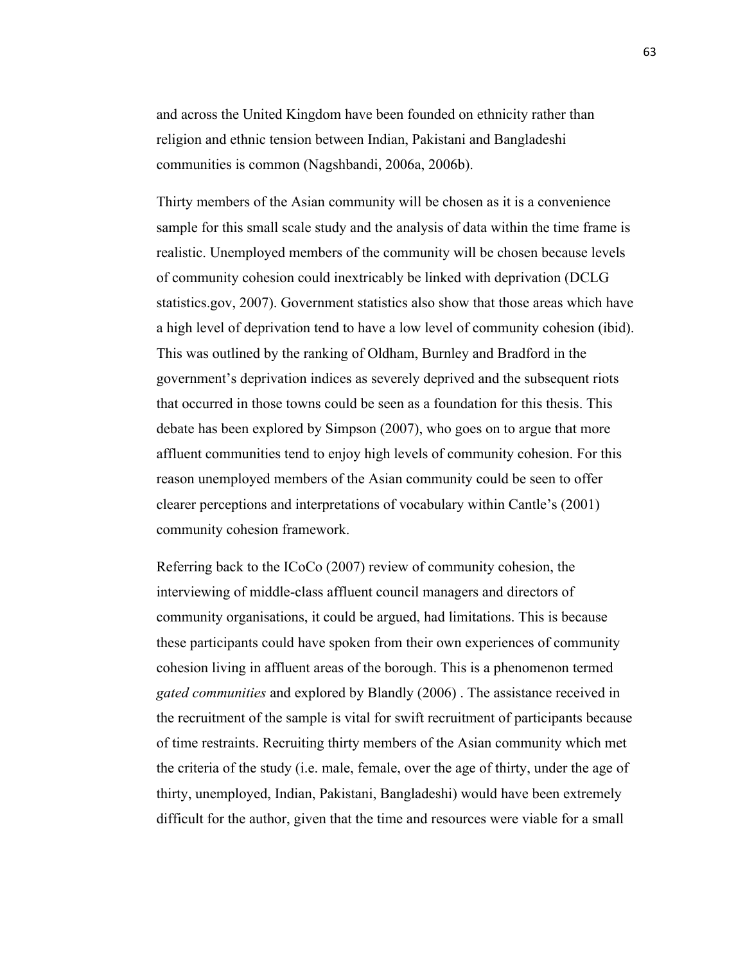and across the United Kingdom have been founded on ethnicity rather than religion and ethnic tension between Indian, Pakistani and Bangladeshi communities is common (Nagshbandi, 2006a, 2006b).

Thirty members of the Asian community will be chosen as it is a convenience sample for this small scale study and the analysis of data within the time frame is realistic. Unemployed members of the community will be chosen because levels of community cohesion could inextricably be linked with deprivation (DCLG statistics.gov, 2007). Government statistics also show that those areas which have a high level of deprivation tend to have a low level of community cohesion (ibid). This was outlined by the ranking of Oldham, Burnley and Bradford in the government's deprivation indices as severely deprived and the subsequent riots that occurred in those towns could be seen as a foundation for this thesis. This debate has been explored by Simpson (2007), who goes on to argue that more affluent communities tend to enjoy high levels of community cohesion. For this reason unemployed members of the Asian community could be seen to offer clearer perceptions and interpretations of vocabulary within Cantle's (2001) community cohesion framework.

Referring back to the ICoCo (2007) review of community cohesion, the interviewing of middle-class affluent council managers and directors of community organisations, it could be argued, had limitations. This is because these participants could have spoken from their own experiences of community cohesion living in affluent areas of the borough. This is a phenomenon termed *gated communities* and explored by Blandly (2006) . The assistance received in the recruitment of the sample is vital for swift recruitment of participants because of time restraints. Recruiting thirty members of the Asian community which met the criteria of the study (i.e. male, female, over the age of thirty, under the age of thirty, unemployed, Indian, Pakistani, Bangladeshi) would have been extremely difficult for the author, given that the time and resources were viable for a small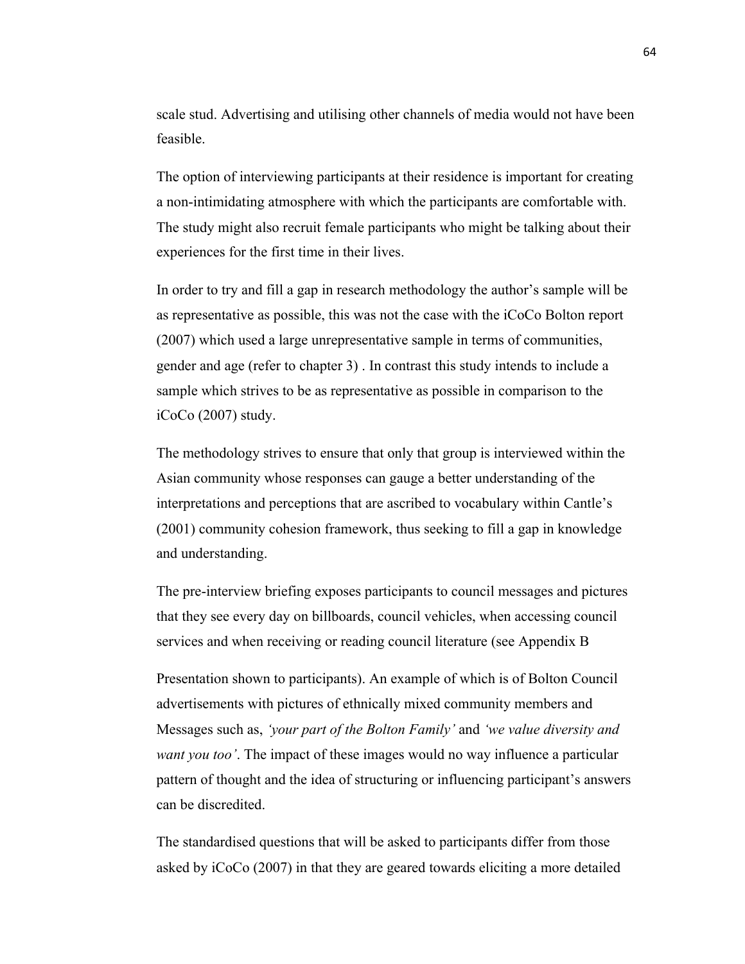scale stud. Advertising and utilising other channels of media would not have been feasible.

The option of interviewing participants at their residence is important for creating a non-intimidating atmosphere with which the participants are comfortable with. The study might also recruit female participants who might be talking about their experiences for the first time in their lives.

In order to try and fill a gap in research methodology the author's sample will be as representative as possible, this was not the case with the iCoCo Bolton report (2007) which used a large unrepresentative sample in terms of communities, gender and age (refer to chapter 3) . In contrast this study intends to include a sample which strives to be as representative as possible in comparison to the iCoCo (2007) study.

The methodology strives to ensure that only that group is interviewed within the Asian community whose responses can gauge a better understanding of the interpretations and perceptions that are ascribed to vocabulary within Cantle's (2001) community cohesion framework, thus seeking to fill a gap in knowledge and understanding.

The pre-interview briefing exposes participants to council messages and pictures that they see every day on billboards, council vehicles, when accessing council services and when receiving or reading council literature (see Appendix B

Presentation shown to participants). An example of which is of Bolton Council advertisements with pictures of ethnically mixed community members and Messages such as, *'your part of the Bolton Family'* and *'we value diversity and want you too'*. The impact of these images would no way influence a particular pattern of thought and the idea of structuring or influencing participant's answers can be discredited.

The standardised questions that will be asked to participants differ from those asked by iCoCo (2007) in that they are geared towards eliciting a more detailed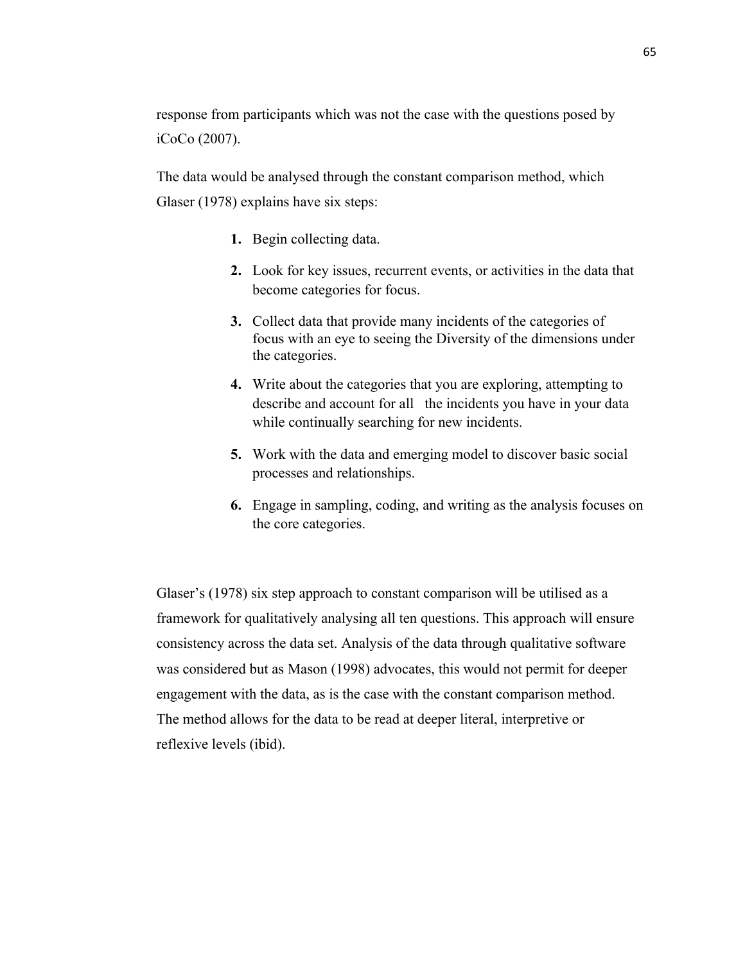response from participants which was not the case with the questions posed by iCoCo (2007).

The data would be analysed through the constant comparison method, which Glaser (1978) explains have six steps:

- **1.** Begin collecting data.
- **2.** Look for key issues, recurrent events, or activities in the data that become categories for focus.
- **3.** Collect data that provide many incidents of the categories of focus with an eye to seeing the Diversity of the dimensions under the categories.
- **4.** Write about the categories that you are exploring, attempting to describe and account for all the incidents you have in your data while continually searching for new incidents.
- **5.** Work with the data and emerging model to discover basic social processes and relationships.
- **6.** Engage in sampling, coding, and writing as the analysis focuses on the core categories.

Glaser's (1978) six step approach to constant comparison will be utilised as a framework for qualitatively analysing all ten questions. This approach will ensure consistency across the data set. Analysis of the data through qualitative software was considered but as Mason (1998) advocates, this would not permit for deeper engagement with the data, as is the case with the constant comparison method. The method allows for the data to be read at deeper literal, interpretive or reflexive levels (ibid).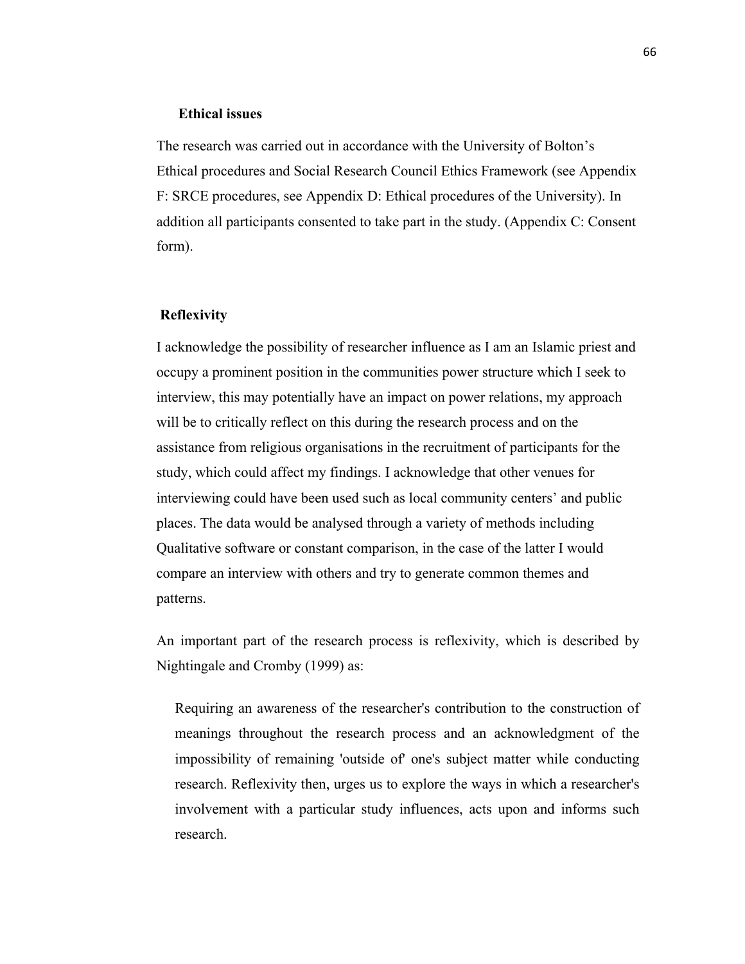#### **Ethical issues**

The research was carried out in accordance with the University of Bolton's Ethical procedures and Social Research Council Ethics Framework (see Appendix F: SRCE procedures, see Appendix D: Ethical procedures of the University). In addition all participants consented to take part in the study. (Appendix C: Consent form).

## **Reflexivity**

I acknowledge the possibility of researcher influence as I am an Islamic priest and occupy a prominent position in the communities power structure which I seek to interview, this may potentially have an impact on power relations, my approach will be to critically reflect on this during the research process and on the assistance from religious organisations in the recruitment of participants for the study, which could affect my findings. I acknowledge that other venues for interviewing could have been used such as local community centers' and public places. The data would be analysed through a variety of methods including Qualitative software or constant comparison, in the case of the latter I would compare an interview with others and try to generate common themes and patterns.

An important part of the research process is reflexivity, which is described by Nightingale and Cromby (1999) as:

Requiring an awareness of the researcher's contribution to the construction of meanings throughout the research process and an acknowledgment of the impossibility of remaining 'outside of' one's subject matter while conducting research. Reflexivity then, urges us to explore the ways in which a researcher's involvement with a particular study influences, acts upon and informs such research.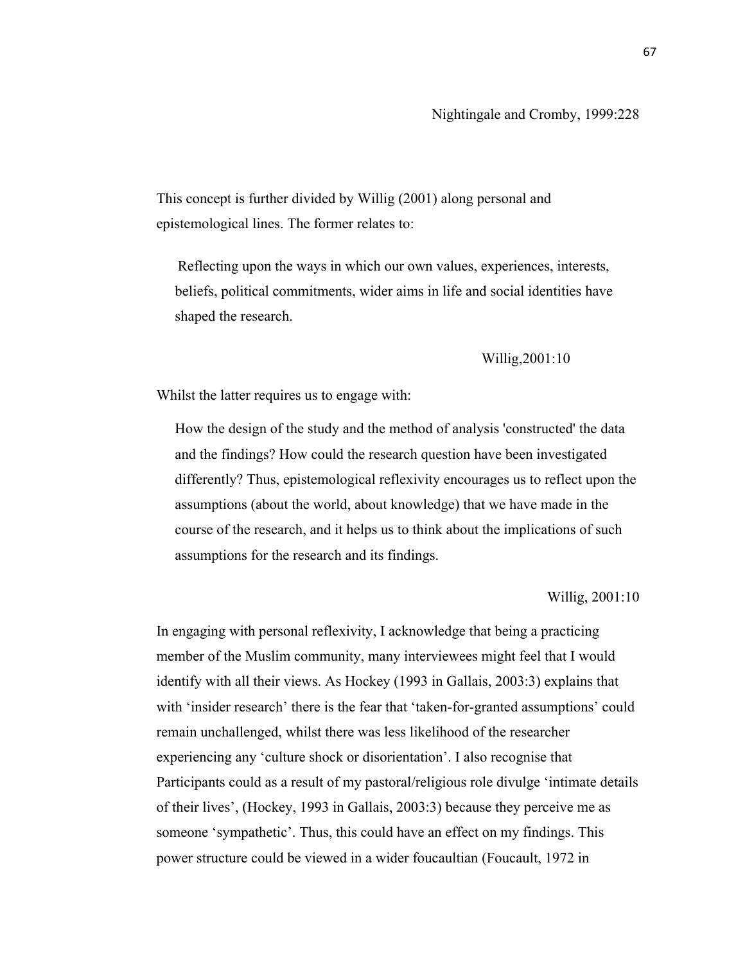This concept is further divided by Willig (2001) along personal and epistemological lines. The former relates to:

Reflecting upon the ways in which our own values, experiences, interests, beliefs, political commitments, wider aims in life and social identities have shaped the research.

# Willig,2001:10

Whilst the latter requires us to engage with:

How the design of the study and the method of analysis 'constructed' the data and the findings? How could the research question have been investigated differently? Thus, epistemological reflexivity encourages us to reflect upon the assumptions (about the world, about knowledge) that we have made in the course of the research, and it helps us to think about the implications of such assumptions for the research and its findings.

Willig, 2001:10

In engaging with personal reflexivity, I acknowledge that being a practicing member of the Muslim community, many interviewees might feel that I would identify with all their views. As Hockey (1993 in Gallais, 2003:3) explains that with 'insider research' there is the fear that 'taken-for-granted assumptions' could remain unchallenged, whilst there was less likelihood of the researcher experiencing any 'culture shock or disorientation'. I also recognise that Participants could as a result of my pastoral/religious role divulge 'intimate details of their lives', (Hockey, 1993 in Gallais, 2003:3) because they perceive me as someone 'sympathetic'. Thus, this could have an effect on my findings. This power structure could be viewed in a wider foucaultian (Foucault, 1972 in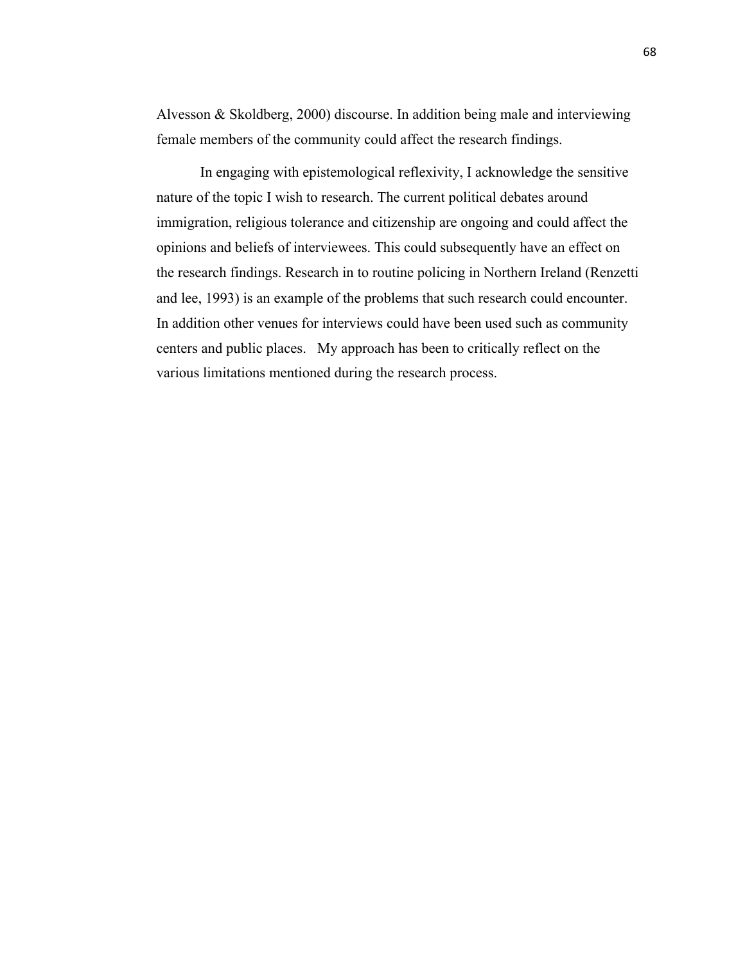Alvesson & Skoldberg, 2000) discourse. In addition being male and interviewing female members of the community could affect the research findings.

In engaging with epistemological reflexivity, I acknowledge the sensitive nature of the topic I wish to research. The current political debates around immigration, religious tolerance and citizenship are ongoing and could affect the opinions and beliefs of interviewees. This could subsequently have an effect on the research findings. Research in to routine policing in Northern Ireland (Renzetti and lee, 1993) is an example of the problems that such research could encounter. In addition other venues for interviews could have been used such as community centers and public places. My approach has been to critically reflect on the various limitations mentioned during the research process.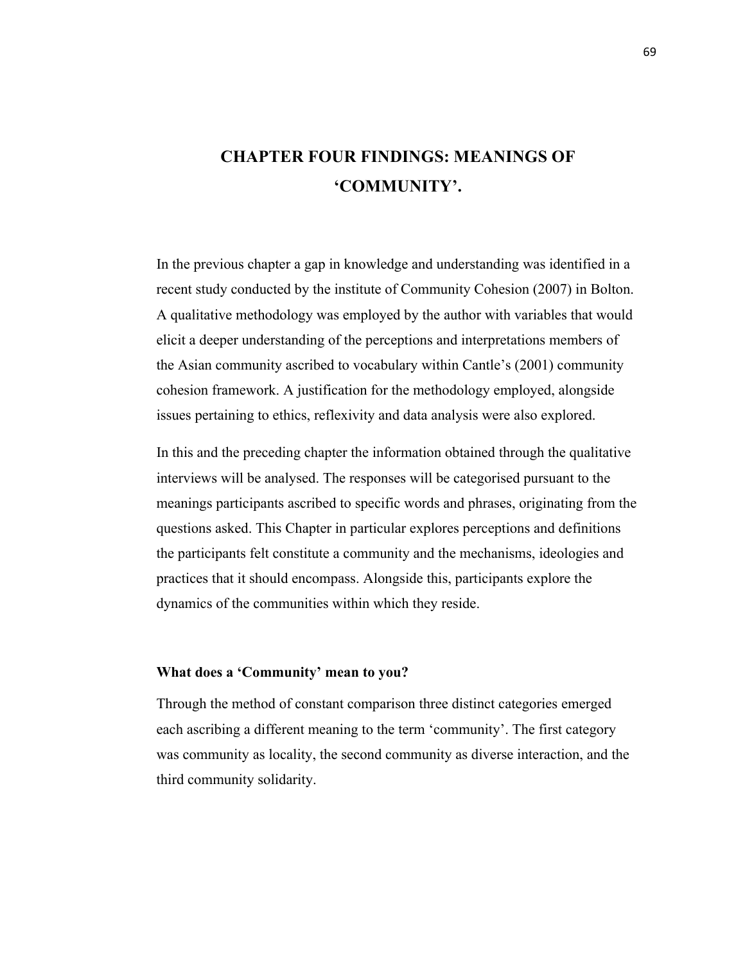# **CHAPTER FOUR FINDINGS: MEANINGS OF 'COMMUNITY'.**

In the previous chapter a gap in knowledge and understanding was identified in a recent study conducted by the institute of Community Cohesion (2007) in Bolton. A qualitative methodology was employed by the author with variables that would elicit a deeper understanding of the perceptions and interpretations members of the Asian community ascribed to vocabulary within Cantle's (2001) community cohesion framework. A justification for the methodology employed, alongside issues pertaining to ethics, reflexivity and data analysis were also explored.

In this and the preceding chapter the information obtained through the qualitative interviews will be analysed. The responses will be categorised pursuant to the meanings participants ascribed to specific words and phrases, originating from the questions asked. This Chapter in particular explores perceptions and definitions the participants felt constitute a community and the mechanisms, ideologies and practices that it should encompass. Alongside this, participants explore the dynamics of the communities within which they reside.

# **What does a 'Community' mean to you?**

Through the method of constant comparison three distinct categories emerged each ascribing a different meaning to the term 'community'. The first category was community as locality, the second community as diverse interaction, and the third community solidarity.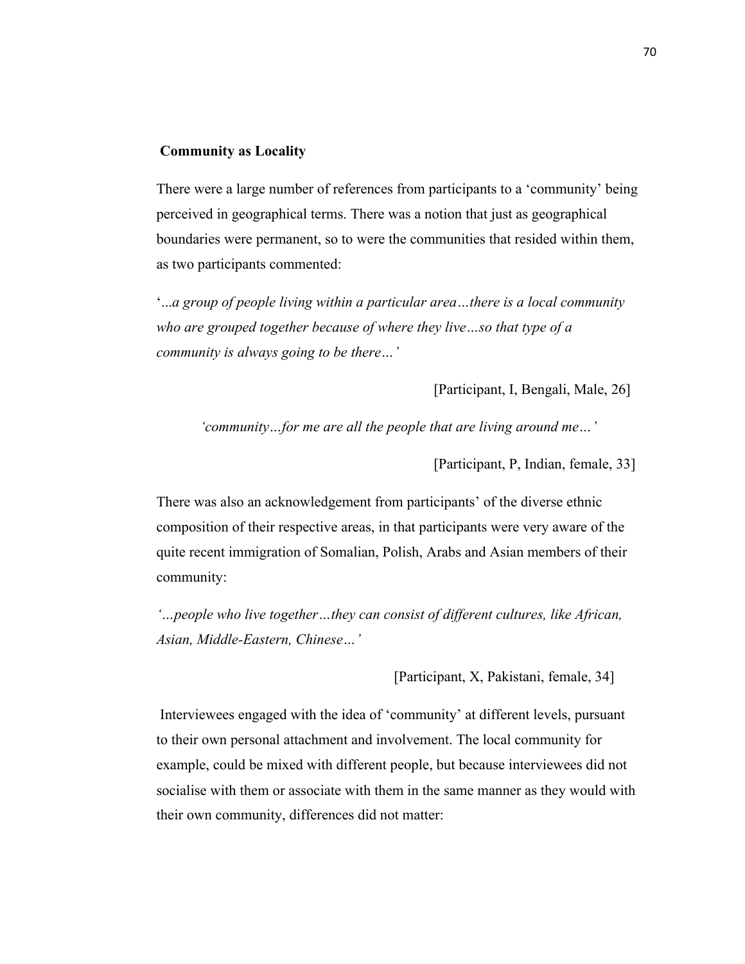#### **Community as Locality**

There were a large number of references from participants to a 'community' being perceived in geographical terms. There was a notion that just as geographical boundaries were permanent, so to were the communities that resided within them, as two participants commented:

'...*a group of people living within a particular area…there is a local community who are grouped together because of where they live…so that type of a community is always going to be there…'*

[Participant, I, Bengali, Male, 26]

*'community…for me are all the people that are living around me…'*

[Participant, P, Indian, female, 33]

There was also an acknowledgement from participants' of the diverse ethnic composition of their respective areas, in that participants were very aware of the quite recent immigration of Somalian, Polish, Arabs and Asian members of their community:

*'…people who live together…they can consist of different cultures, like African, Asian, Middle-Eastern, Chinese…'*

[Participant, X, Pakistani, female, 34]

Interviewees engaged with the idea of 'community' at different levels, pursuant to their own personal attachment and involvement. The local community for example, could be mixed with different people, but because interviewees did not socialise with them or associate with them in the same manner as they would with their own community, differences did not matter: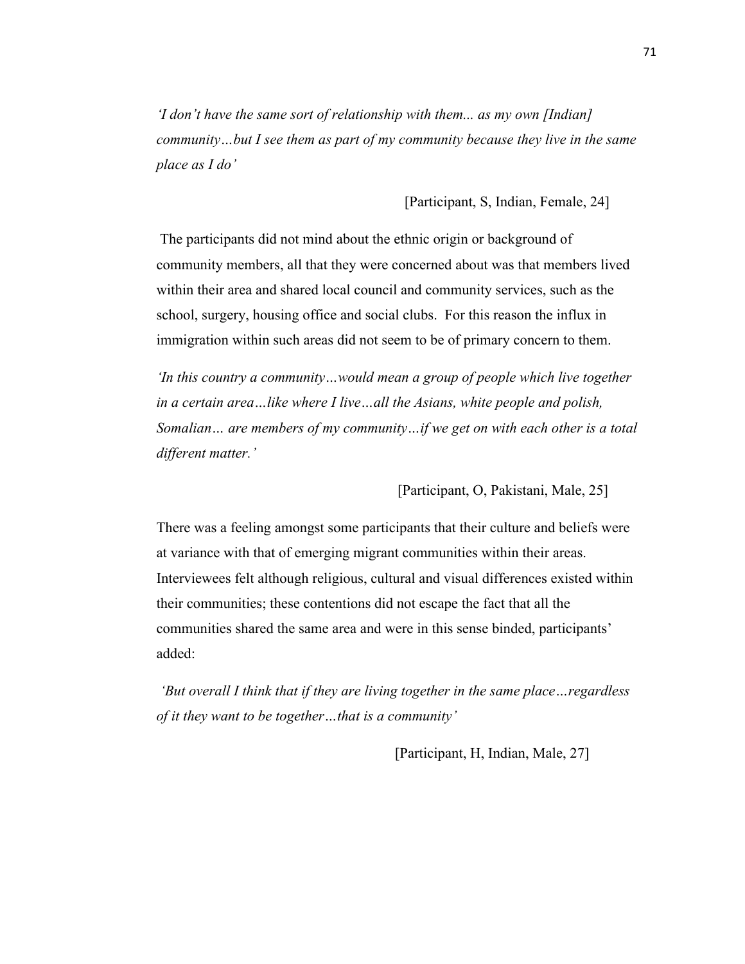*'I don't have the same sort of relationship with them... as my own [Indian] community…but I see them as part of my community because they live in the same place as I do'*

[Participant, S, Indian, Female, 24]

The participants did not mind about the ethnic origin or background of community members, all that they were concerned about was that members lived within their area and shared local council and community services, such as the school, surgery, housing office and social clubs. For this reason the influx in immigration within such areas did not seem to be of primary concern to them.

*'In this country a community...would mean a group of people which live together in a certain area…like where I live…all the Asians, white people and polish, Somalian… are members of my community…if we get on with each other is a total different matter.'*

[Participant, O, Pakistani, Male, 25]

There was a feeling amongst some participants that their culture and beliefs were at variance with that of emerging migrant communities within their areas. Interviewees felt although religious, cultural and visual differences existed within their communities; these contentions did not escape the fact that all the communities shared the same area and were in this sense binded, participants' added:

*'But overall I think that if they are living together in the same place…regardless of it they want to be together…that is a community'*

[Participant, H, Indian, Male, 27]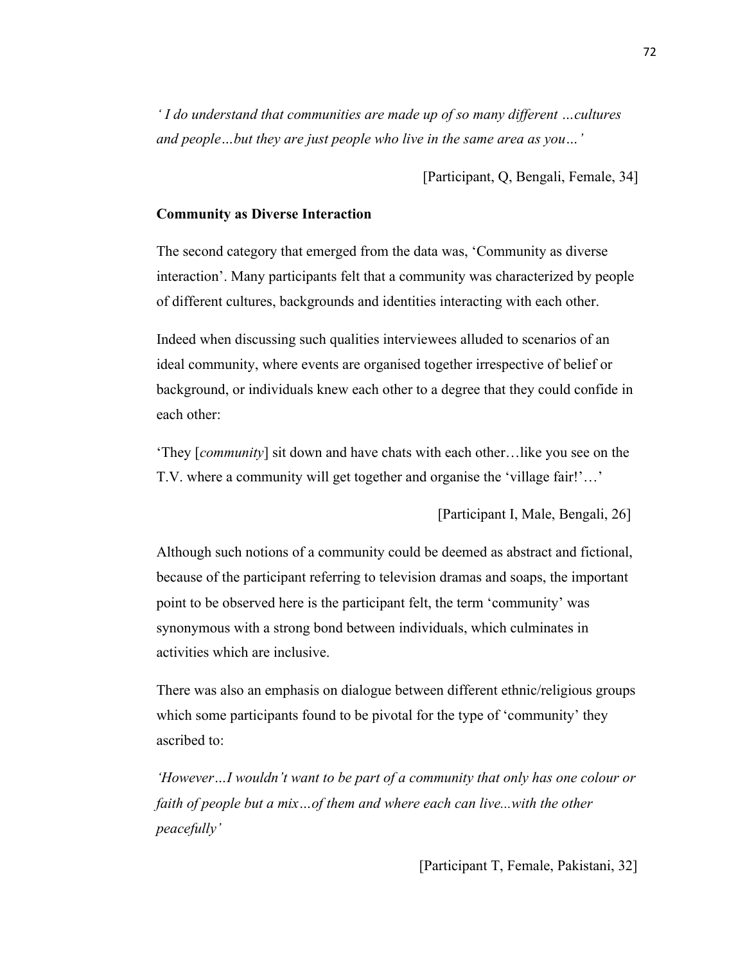*' I do understand that communities are made up of so many different …cultures and people…but they are just people who live in the same area as you…'*

[Participant, Q, Bengali, Female, 34]

# **Community as Diverse Interaction**

The second category that emerged from the data was, 'Community as diverse interaction'. Many participants felt that a community was characterized by people of different cultures, backgrounds and identities interacting with each other.

Indeed when discussing such qualities interviewees alluded to scenarios of an ideal community, where events are organised together irrespective of belief or background, or individuals knew each other to a degree that they could confide in each other:

'They [*community*] sit down and have chats with each other…like you see on the T.V. where a community will get together and organise the 'village fair!'…'

[Participant I, Male, Bengali, 26]

Although such notions of a community could be deemed as abstract and fictional, because of the participant referring to television dramas and soaps, the important point to be observed here is the participant felt, the term 'community' was synonymous with a strong bond between individuals, which culminates in activities which are inclusive.

There was also an emphasis on dialogue between different ethnic/religious groups which some participants found to be pivotal for the type of 'community' they ascribed to:

*'However…I wouldn't want to be part of a community that only has one colour or faith of people but a mix…of them and where each can live...with the other peacefully'*

[Participant T, Female, Pakistani, 32]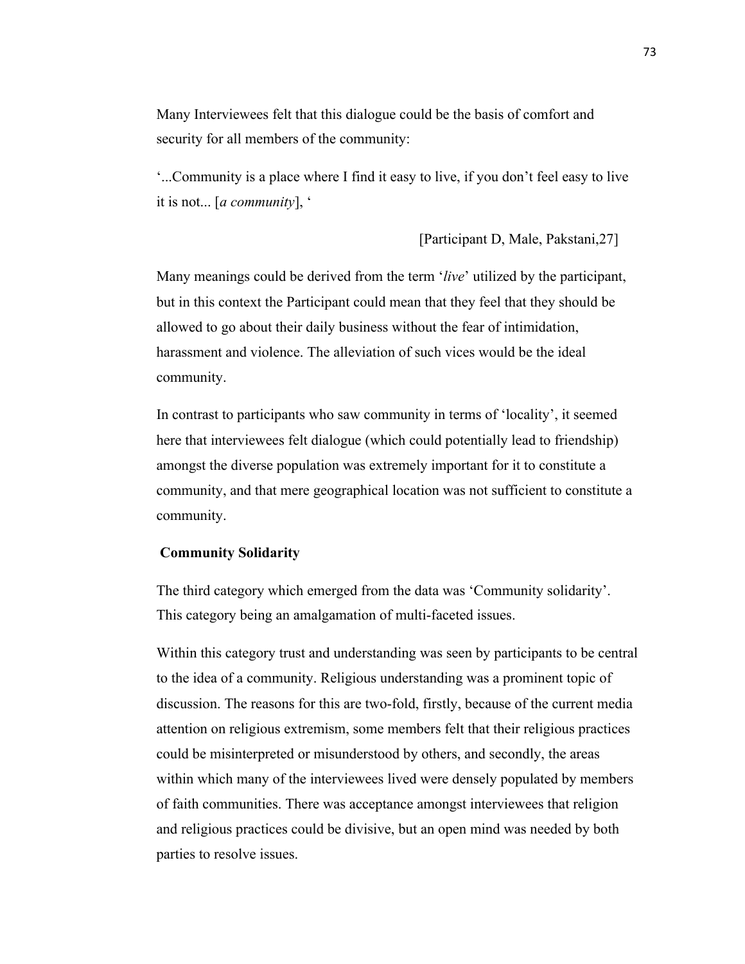Many Interviewees felt that this dialogue could be the basis of comfort and security for all members of the community:

'...Community is a place where I find it easy to live, if you don't feel easy to live it is not... [*a community*], '

[Participant D, Male, Pakstani,27]

Many meanings could be derived from the term '*live*' utilized by the participant, but in this context the Participant could mean that they feel that they should be allowed to go about their daily business without the fear of intimidation, harassment and violence. The alleviation of such vices would be the ideal community.

In contrast to participants who saw community in terms of 'locality', it seemed here that interviewees felt dialogue (which could potentially lead to friendship) amongst the diverse population was extremely important for it to constitute a community, and that mere geographical location was not sufficient to constitute a community.

#### **Community Solidarity**

The third category which emerged from the data was 'Community solidarity'. This category being an amalgamation of multi-faceted issues.

Within this category trust and understanding was seen by participants to be central to the idea of a community. Religious understanding was a prominent topic of discussion. The reasons for this are two-fold, firstly, because of the current media attention on religious extremism, some members felt that their religious practices could be misinterpreted or misunderstood by others, and secondly, the areas within which many of the interviewees lived were densely populated by members of faith communities. There was acceptance amongst interviewees that religion and religious practices could be divisive, but an open mind was needed by both parties to resolve issues.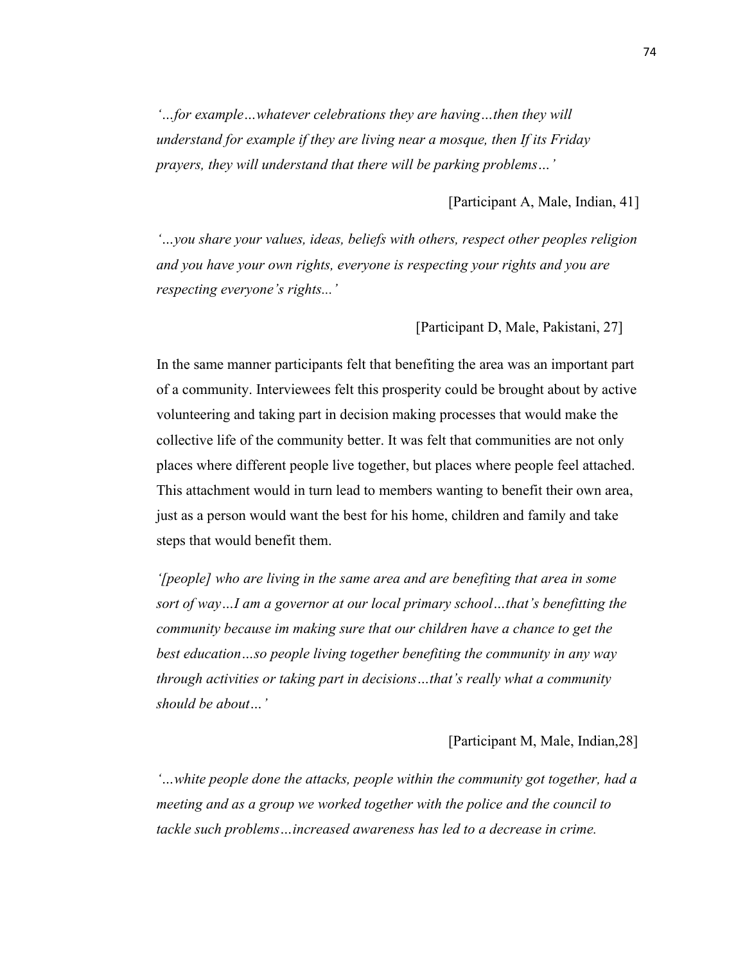*'…for example…whatever celebrations they are having…then they will understand for example if they are living near a mosque, then If its Friday prayers, they will understand that there will be parking problems…'*

[Participant A, Male, Indian, 41]

*'…you share your values, ideas, beliefs with others, respect other peoples religion and you have your own rights, everyone is respecting your rights and you are respecting everyone's rights...'*

[Participant D, Male, Pakistani, 27]

In the same manner participants felt that benefiting the area was an important part of a community. Interviewees felt this prosperity could be brought about by active volunteering and taking part in decision making processes that would make the collective life of the community better. It was felt that communities are not only places where different people live together, but places where people feel attached. This attachment would in turn lead to members wanting to benefit their own area, just as a person would want the best for his home, children and family and take steps that would benefit them.

*'[people] who are living in the same area and are benefiting that area in some sort of way…I am a governor at our local primary school…that's benefitting the community because im making sure that our children have a chance to get the best education…so people living together benefiting the community in any way through activities or taking part in decisions…that's really what a community should be about…'*

[Participant M, Male, Indian,28]

*'…white people done the attacks, people within the community got together, had a meeting and as a group we worked together with the police and the council to tackle such problems…increased awareness has led to a decrease in crime.*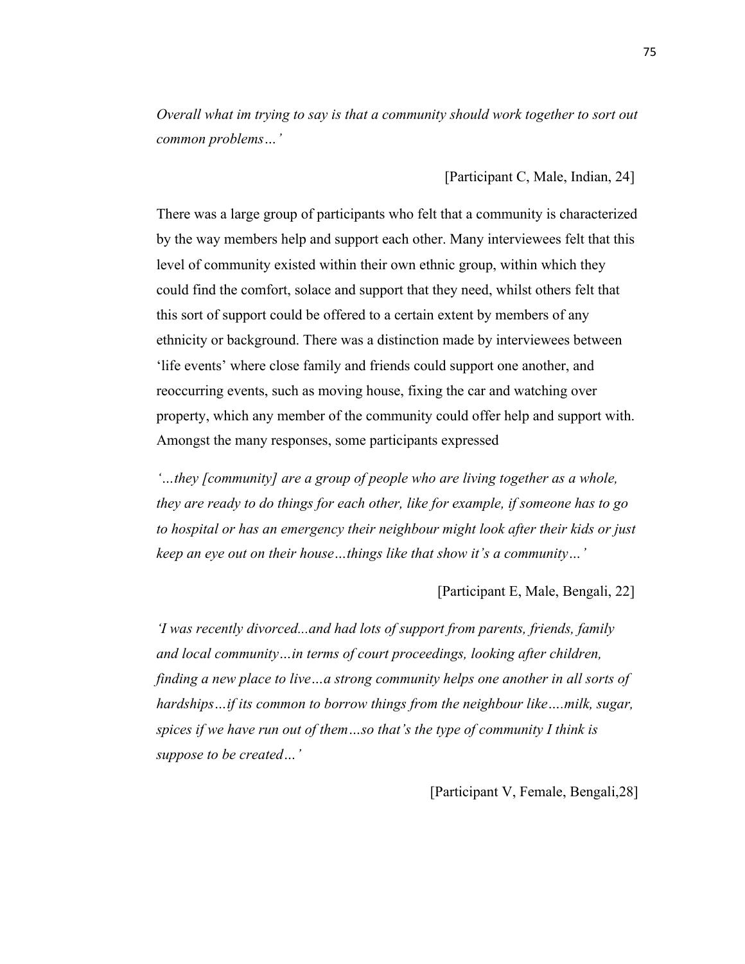*Overall what im trying to say is that a community should work together to sort out common problems…'*

[Participant C, Male, Indian, 24]

There was a large group of participants who felt that a community is characterized by the way members help and support each other. Many interviewees felt that this level of community existed within their own ethnic group, within which they could find the comfort, solace and support that they need, whilst others felt that this sort of support could be offered to a certain extent by members of any ethnicity or background. There was a distinction made by interviewees between 'life events' where close family and friends could support one another, and reoccurring events, such as moving house, fixing the car and watching over property, which any member of the community could offer help and support with. Amongst the many responses, some participants expressed

*'…they [community] are a group of people who are living together as a whole, they are ready to do things for each other, like for example, if someone has to go to hospital or has an emergency their neighbour might look after their kids or just keep an eye out on their house…things like that show it's a community…'*

# [Participant E, Male, Bengali, 22]

*'I was recently divorced...and had lots of support from parents, friends, family and local community…in terms of court proceedings, looking after children, finding a new place to live…a strong community helps one another in all sorts of hardships…if its common to borrow things from the neighbour like….milk, sugar, spices if we have run out of them…so that's the type of community I think is suppose to be created…'*

[Participant V, Female, Bengali,28]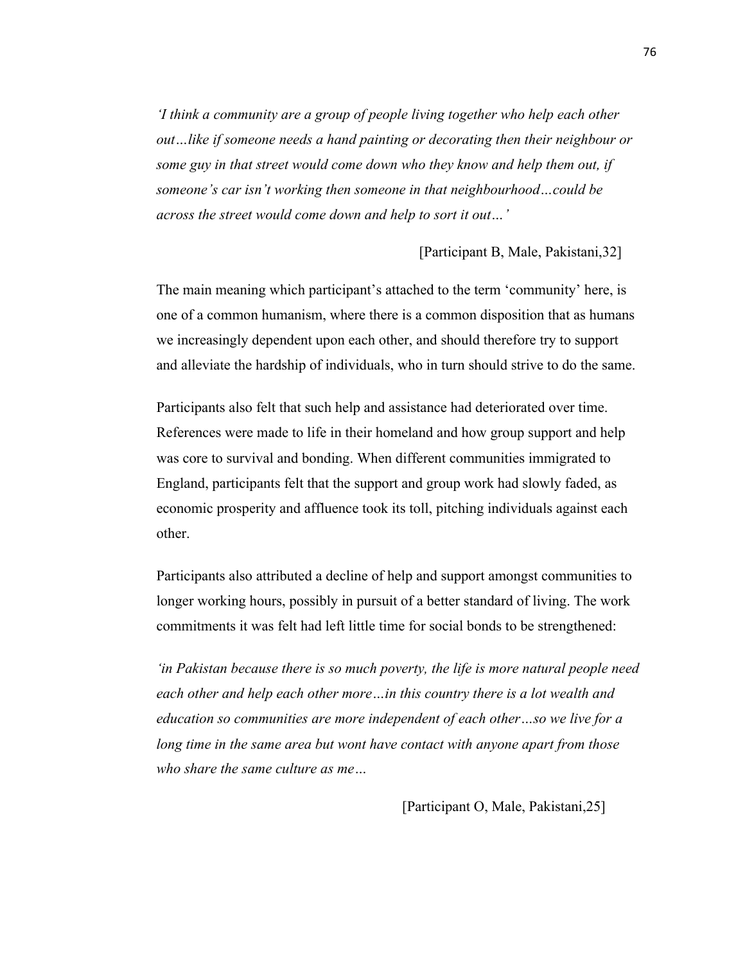*'I think a community are a group of people living together who help each other out…like if someone needs a hand painting or decorating then their neighbour or some guy in that street would come down who they know and help them out, if someone's car isn't working then someone in that neighbourhood…could be across the street would come down and help to sort it out…'*

[Participant B, Male, Pakistani,32]

The main meaning which participant's attached to the term 'community' here, is one of a common humanism, where there is a common disposition that as humans we increasingly dependent upon each other, and should therefore try to support and alleviate the hardship of individuals, who in turn should strive to do the same.

Participants also felt that such help and assistance had deteriorated over time. References were made to life in their homeland and how group support and help was core to survival and bonding. When different communities immigrated to England, participants felt that the support and group work had slowly faded, as economic prosperity and affluence took its toll, pitching individuals against each other.

Participants also attributed a decline of help and support amongst communities to longer working hours, possibly in pursuit of a better standard of living. The work commitments it was felt had left little time for social bonds to be strengthened:

*'in Pakistan because there is so much poverty, the life is more natural people need each other and help each other more…in this country there is a lot wealth and education so communities are more independent of each other…so we live for a long time in the same area but wont have contact with anyone apart from those who share the same culture as me…*

[Participant O, Male, Pakistani,25]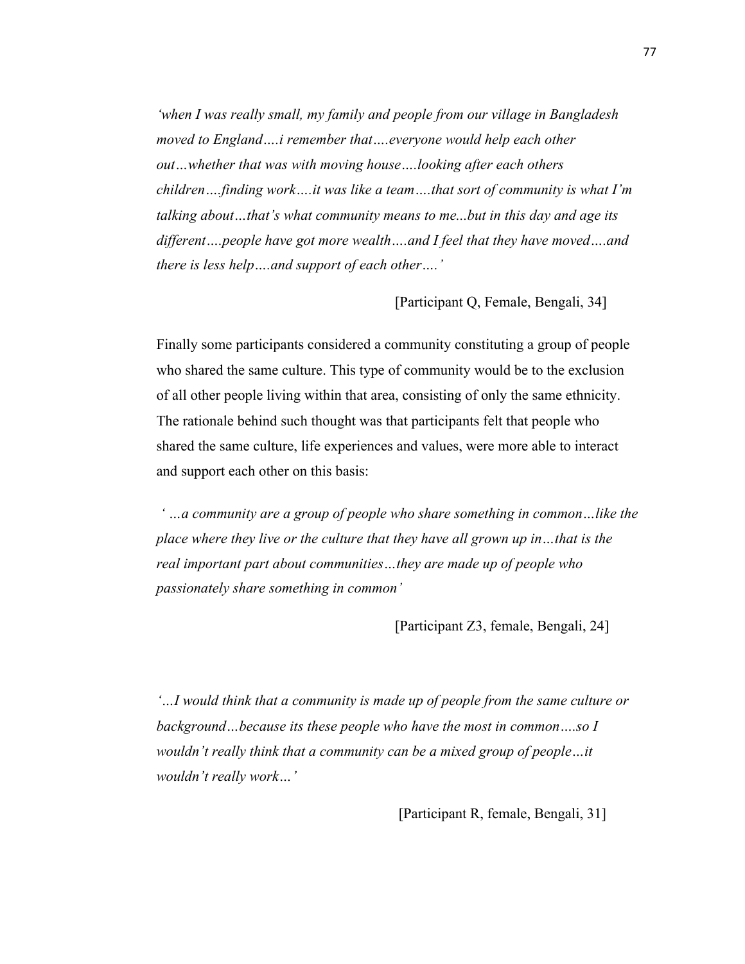*'when I was really small, my family and people from our village in Bangladesh moved to England….i remember that….everyone would help each other out…whether that was with moving house….looking after each others children….finding work….it was like a team….that sort of community is what I'm talking about…that's what community means to me...but in this day and age its different….people have got more wealth….and I feel that they have moved….and there is less help….and support of each other….'*

[Participant Q, Female, Bengali, 34]

Finally some participants considered a community constituting a group of people who shared the same culture. This type of community would be to the exclusion of all other people living within that area, consisting of only the same ethnicity. The rationale behind such thought was that participants felt that people who shared the same culture, life experiences and values, were more able to interact and support each other on this basis:

*' …a community are a group of people who share something in common…like the place where they live or the culture that they have all grown up in…that is the real important part about communities…they are made up of people who passionately share something in common'*

[Participant Z3, female, Bengali, 24]

*'…I would think that a community is made up of people from the same culture or background…because its these people who have the most in common….so I wouldn't really think that a community can be a mixed group of people…it wouldn't really work…'*

[Participant R, female, Bengali, 31]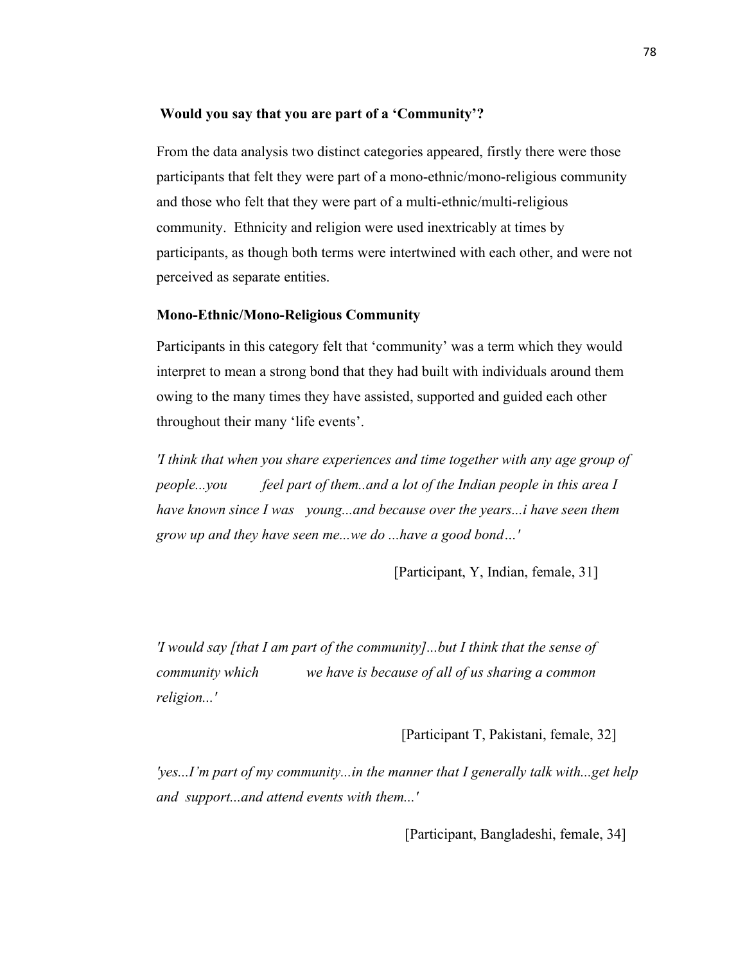#### **Would you say that you are part of a 'Community'?**

From the data analysis two distinct categories appeared, firstly there were those participants that felt they were part of a mono-ethnic/mono-religious community and those who felt that they were part of a multi-ethnic/multi-religious community. Ethnicity and religion were used inextricably at times by participants, as though both terms were intertwined with each other, and were not perceived as separate entities.

#### **Mono-Ethnic/Mono-Religious Community**

Participants in this category felt that 'community' was a term which they would interpret to mean a strong bond that they had built with individuals around them owing to the many times they have assisted, supported and guided each other throughout their many 'life events'.

*'I think that when you share experiences and time together with any age group of people...you feel part of them..and a lot of the Indian people in this area I have known since I was young...and because over the years...i have seen them grow up and they have seen me...we do ...have a good bond…'*

[Participant, Y, Indian, female, 31]

*'I would say [that I am part of the community]...but I think that the sense of community which we have is because of all of us sharing a common religion...'*

[Participant T, Pakistani, female, 32]

*'yes...I'm part of my community...in the manner that I generally talk with...get help and support...and attend events with them...'*

[Participant, Bangladeshi, female, 34]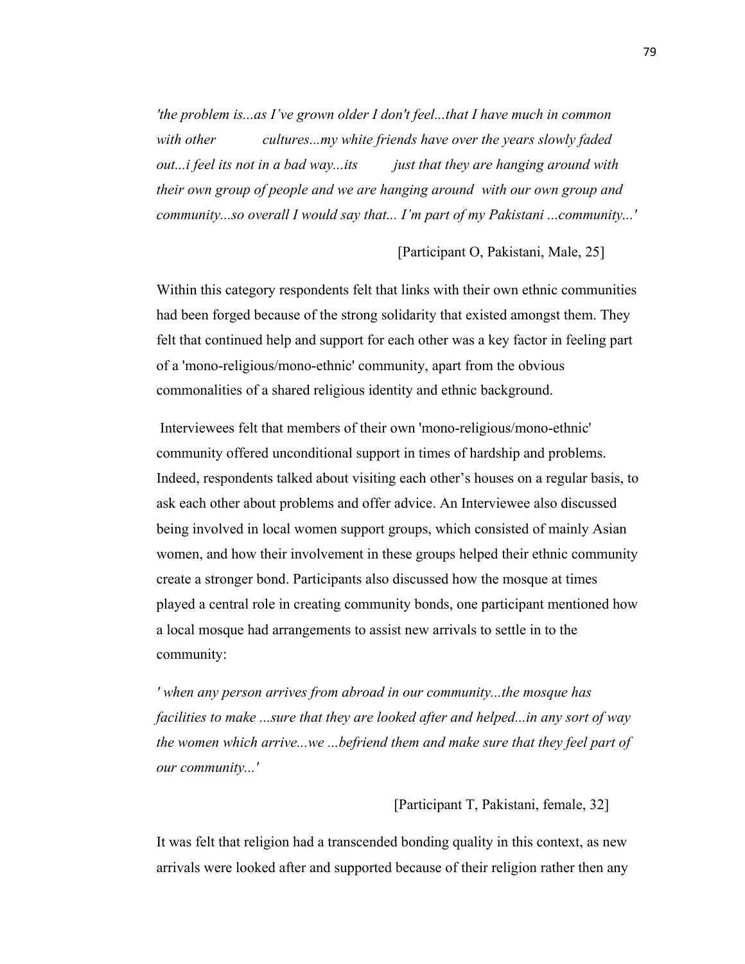*'the problem is...as I've grown older I don't feel...that I have much in common with other cultures...my white friends have over the years slowly faded out...i feel its not in a bad way...its just that they are hanging around with their own group of people and we are hanging around with our own group and community...so overall I would say that... I'm part of my Pakistani ...community...'*

[Participant O, Pakistani, Male, 25]

Within this category respondents felt that links with their own ethnic communities had been forged because of the strong solidarity that existed amongst them. They felt that continued help and support for each other was a key factor in feeling part of a 'mono-religious/mono-ethnic' community, apart from the obvious commonalities of a shared religious identity and ethnic background.

Interviewees felt that members of their own 'mono-religious/mono-ethnic' community offered unconditional support in times of hardship and problems. Indeed, respondents talked about visiting each other's houses on a regular basis, to ask each other about problems and offer advice. An Interviewee also discussed being involved in local women support groups, which consisted of mainly Asian women, and how their involvement in these groups helped their ethnic community create a stronger bond. Participants also discussed how the mosque at times played a central role in creating community bonds, one participant mentioned how a local mosque had arrangements to assist new arrivals to settle in to the community:

*' when any person arrives from abroad in our community...the mosque has facilities to make ...sure that they are looked after and helped...in any sort of way the women which arrive...we ...befriend them and make sure that they feel part of our community...'*

# [Participant T, Pakistani, female, 32]

It was felt that religion had a transcended bonding quality in this context, as new arrivals were looked after and supported because of their religion rather then any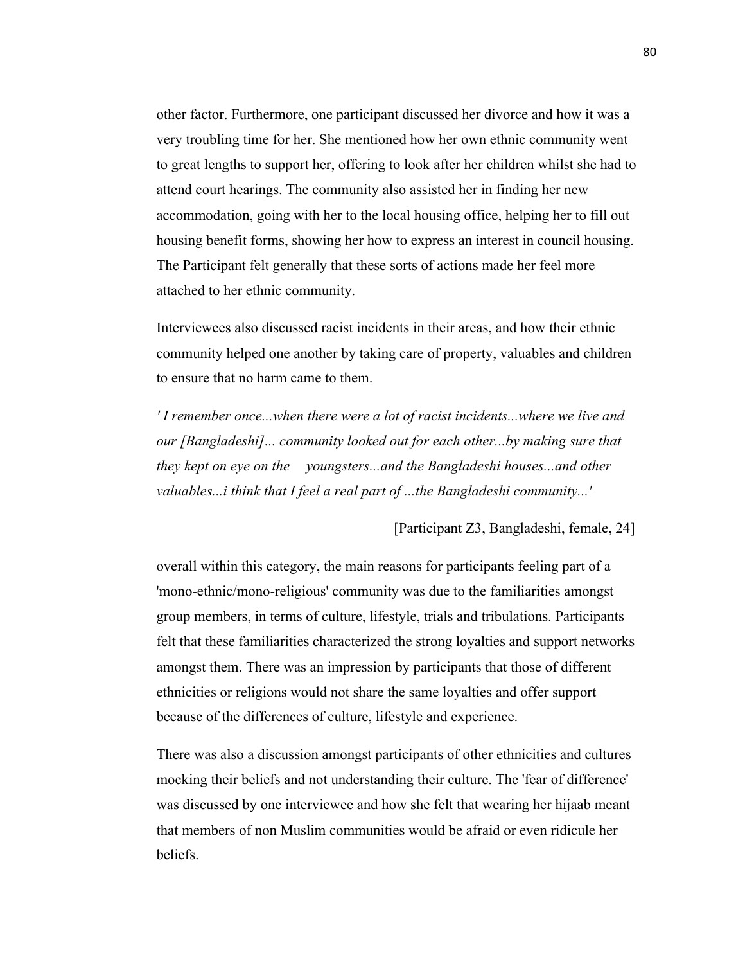other factor. Furthermore, one participant discussed her divorce and how it was a very troubling time for her. She mentioned how her own ethnic community went to great lengths to support her, offering to look after her children whilst she had to attend court hearings. The community also assisted her in finding her new accommodation, going with her to the local housing office, helping her to fill out housing benefit forms, showing her how to express an interest in council housing. The Participant felt generally that these sorts of actions made her feel more attached to her ethnic community.

Interviewees also discussed racist incidents in their areas, and how their ethnic community helped one another by taking care of property, valuables and children to ensure that no harm came to them.

*' I remember once...when there were a lot of racist incidents...where we live and our [Bangladeshi]... community looked out for each other...by making sure that they kept on eye on the youngsters...and the Bangladeshi houses...and other valuables...i think that I feel a real part of ...the Bangladeshi community...'*

[Participant Z3, Bangladeshi, female, 24]

overall within this category, the main reasons for participants feeling part of a 'mono-ethnic/mono-religious' community was due to the familiarities amongst group members, in terms of culture, lifestyle, trials and tribulations. Participants felt that these familiarities characterized the strong loyalties and support networks amongst them. There was an impression by participants that those of different ethnicities or religions would not share the same loyalties and offer support because of the differences of culture, lifestyle and experience.

There was also a discussion amongst participants of other ethnicities and cultures mocking their beliefs and not understanding their culture. The 'fear of difference' was discussed by one interviewee and how she felt that wearing her hijaab meant that members of non Muslim communities would be afraid or even ridicule her beliefs.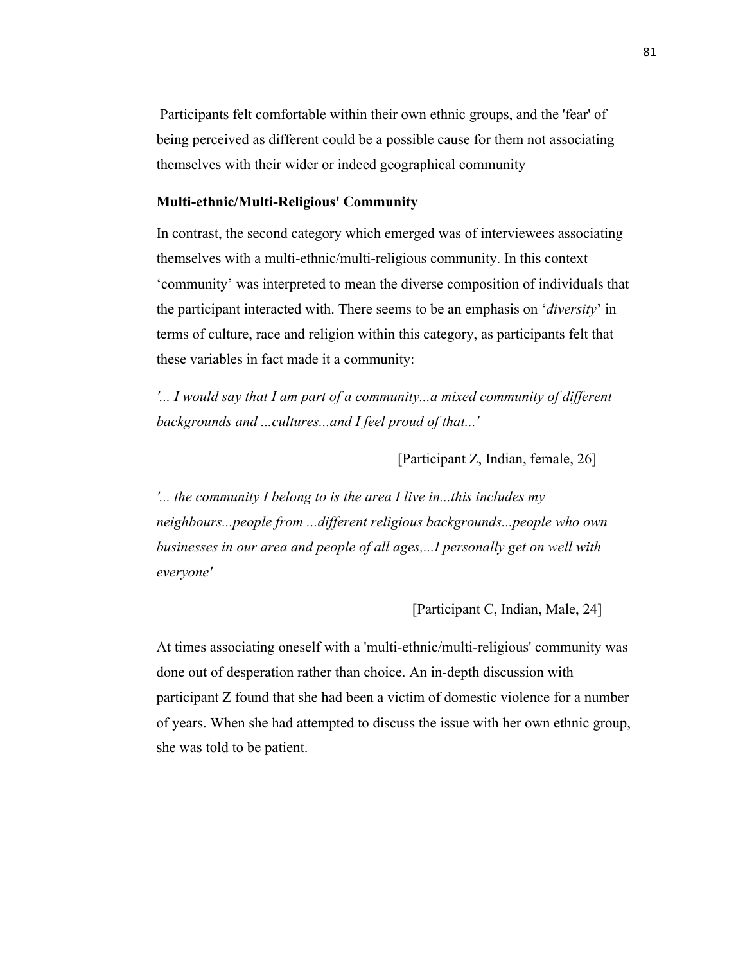Participants felt comfortable within their own ethnic groups, and the 'fear' of being perceived as different could be a possible cause for them not associating themselves with their wider or indeed geographical community

### **Multi-ethnic/Multi-Religious' Community**

In contrast, the second category which emerged was of interviewees associating themselves with a multi-ethnic/multi-religious community. In this context 'community' was interpreted to mean the diverse composition of individuals that the participant interacted with. There seems to be an emphasis on '*diversity*' in terms of culture, race and religion within this category, as participants felt that these variables in fact made it a community:

*'... I would say that I am part of a community...a mixed community of different backgrounds and ...cultures...and I feel proud of that...'*

[Participant Z, Indian, female, 26]

*'... the community I belong to is the area I live in...this includes my neighbours...people from ...different religious backgrounds...people who own businesses in our area and people of all ages,...I personally get on well with everyone'*

[Participant C, Indian, Male, 24]

At times associating oneself with a 'multi-ethnic/multi-religious' community was done out of desperation rather than choice. An in-depth discussion with participant Z found that she had been a victim of domestic violence for a number of years. When she had attempted to discuss the issue with her own ethnic group, she was told to be patient.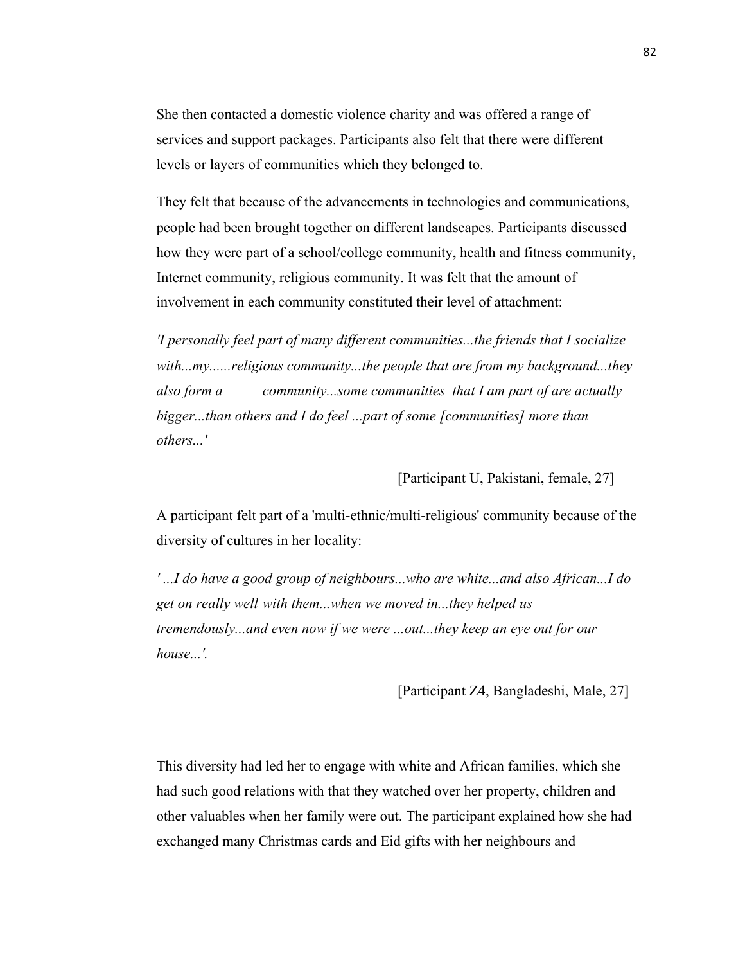She then contacted a domestic violence charity and was offered a range of services and support packages. Participants also felt that there were different levels or layers of communities which they belonged to.

They felt that because of the advancements in technologies and communications, people had been brought together on different landscapes. Participants discussed how they were part of a school/college community, health and fitness community, Internet community, religious community. It was felt that the amount of involvement in each community constituted their level of attachment:

*'I personally feel part of many different communities...the friends that I socialize with...my......religious community...the people that are from my background...they also form a community...some communities that I am part of are actually bigger...than others and I do feel ...part of some [communities] more than others...'*

# [Participant U, Pakistani, female, 27]

A participant felt part of a 'multi-ethnic/multi-religious' community because of the diversity of cultures in her locality:

*' ...I do have a good group of neighbours...who are white...and also African...I do get on really well with them...when we moved in...they helped us tremendously...and even now if we were ...out...they keep an eye out for our house...'.*

[Participant Z4, Bangladeshi, Male, 27]

This diversity had led her to engage with white and African families, which she had such good relations with that they watched over her property, children and other valuables when her family were out. The participant explained how she had exchanged many Christmas cards and Eid gifts with her neighbours and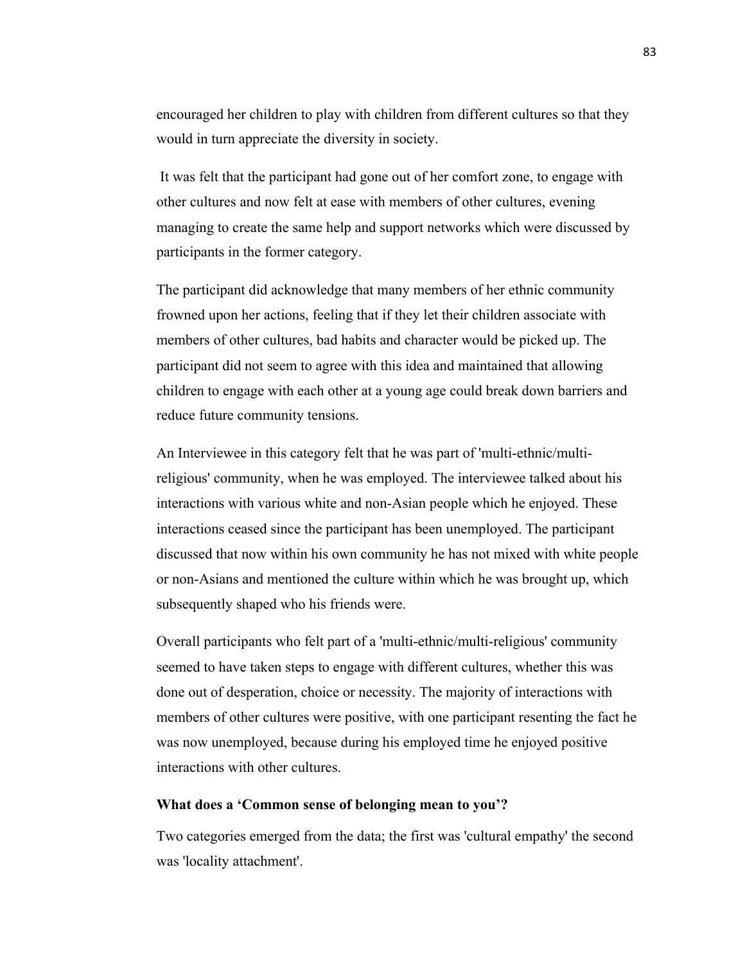encouraged her children to play with children from different cultures so that they would in turn appreciate the diversity in society.

It was felt that the participant had gone out of her comfort zone, to engage with other cultures and now felt at ease with members of other cultures, evening managing to create the same help and support networks which were discussed by participants in the former category.

The participant did acknowledge that many members of her ethnic community frowned upon her actions, feeling that if they let their children associate with members of other cultures, bad habits and character would be picked up. The participant did not seem to agree with this idea and maintained that allowing children to engage with each other at a young age could break down barriers and reduce future community tensions.

An Interviewee in this category felt that he was part of 'multi-ethnic/multireligious' community, when he was employed. The interviewee talked about his interactions with various white and non-Asian people which he enjoyed. These interactions ceased since the participant has been unemployed. The participant discussed that now within his own community he has not mixed with white people or non-Asians and mentioned the culture within which he was brought up, which subsequently shaped who his friends were.

Overall participants who felt part of a 'multi-ethnic/multi-religious' community seemed to have taken steps to engage with different cultures, whether this was done out of desperation, choice or necessity. The majority of interactions with members of other cultures were positive, with one participant resenting the fact he was now unemployed, because during his employed time he enjoyed positive interactions with other cultures.

#### **What does a 'Common sense of belonging mean to you'?**

Two categories emerged from the data; the first was 'cultural empathy' the second was 'locality attachment'.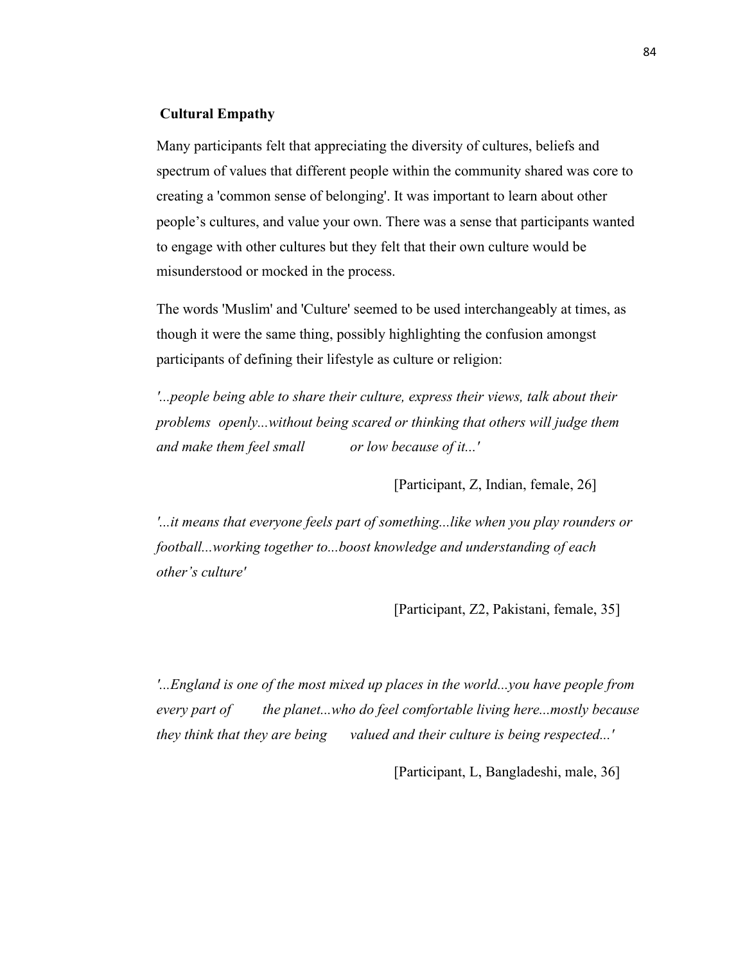# **Cultural Empathy**

Many participants felt that appreciating the diversity of cultures, beliefs and spectrum of values that different people within the community shared was core to creating a 'common sense of belonging'. It was important to learn about other people's cultures, and value your own. There was a sense that participants wanted to engage with other cultures but they felt that their own culture would be misunderstood or mocked in the process.

The words 'Muslim' and 'Culture' seemed to be used interchangeably at times, as though it were the same thing, possibly highlighting the confusion amongst participants of defining their lifestyle as culture or religion:

*'...people being able to share their culture, express their views, talk about their problems openly...without being scared or thinking that others will judge them and make them feel small or low because of it...'*

[Participant, Z, Indian, female, 26]

*'...it means that everyone feels part of something...like when you play rounders or football...working together to...boost knowledge and understanding of each other's culture'*

[Participant, Z2, Pakistani, female, 35]

*'...England is one of the most mixed up places in the world...you have people from every part of the planet...who do feel comfortable living here...mostly because they think that they are being valued and their culture is being respected...'*

[Participant, L, Bangladeshi, male, 36]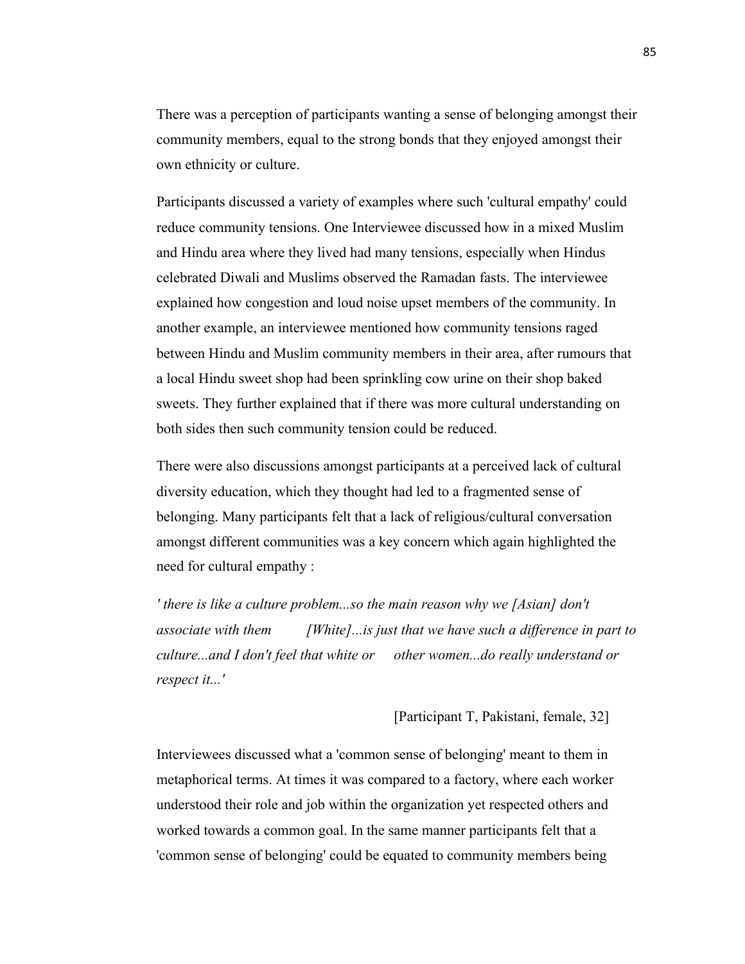There was a perception of participants wanting a sense of belonging amongst their community members, equal to the strong bonds that they enjoyed amongst their own ethnicity or culture.

Participants discussed a variety of examples where such 'cultural empathy' could reduce community tensions. One Interviewee discussed how in a mixed Muslim and Hindu area where they lived had many tensions, especially when Hindus celebrated Diwali and Muslims observed the Ramadan fasts. The interviewee explained how congestion and loud noise upset members of the community. In another example, an interviewee mentioned how community tensions raged between Hindu and Muslim community members in their area, after rumours that a local Hindu sweet shop had been sprinkling cow urine on their shop baked sweets. They further explained that if there was more cultural understanding on both sides then such community tension could be reduced.

There were also discussions amongst participants at a perceived lack of cultural diversity education, which they thought had led to a fragmented sense of belonging. Many participants felt that a lack of religious/cultural conversation amongst different communities was a key concern which again highlighted the need for cultural empathy :

*' there is like a culture problem...so the main reason why we [Asian] don't associate with them [White]...is just that we have such a difference in part to culture...and I don't feel that white or other women...do really understand or respect it...'*

# [Participant T, Pakistani, female, 32]

Interviewees discussed what a 'common sense of belonging' meant to them in metaphorical terms. At times it was compared to a factory, where each worker understood their role and job within the organization yet respected others and worked towards a common goal. In the same manner participants felt that a 'common sense of belonging' could be equated to community members being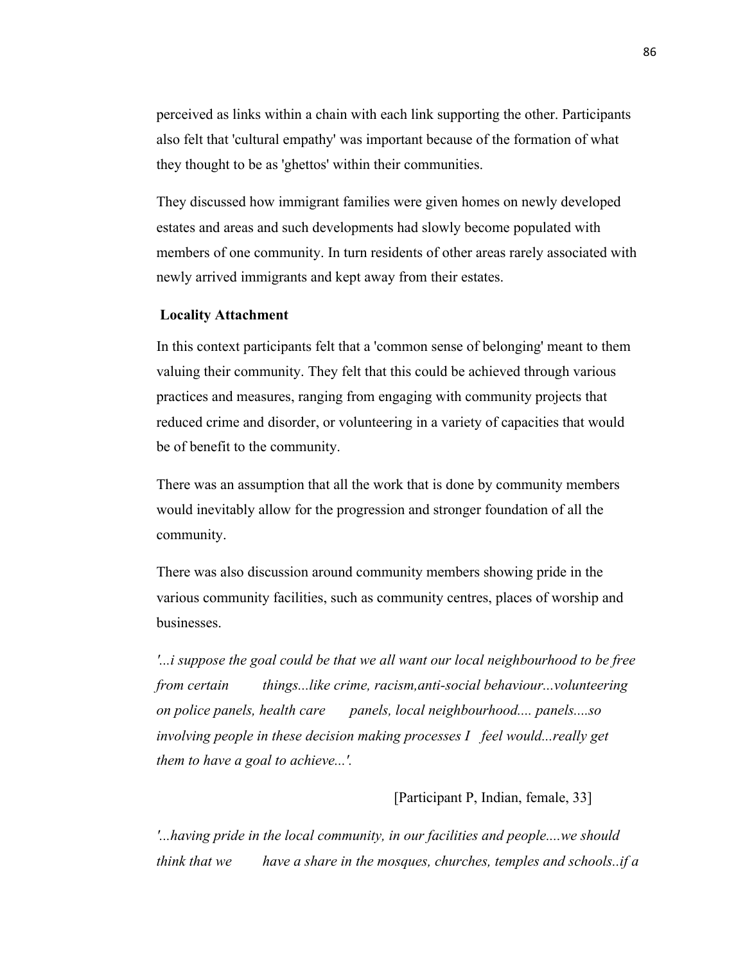perceived as links within a chain with each link supporting the other. Participants also felt that 'cultural empathy' was important because of the formation of what they thought to be as 'ghettos' within their communities.

They discussed how immigrant families were given homes on newly developed estates and areas and such developments had slowly become populated with members of one community. In turn residents of other areas rarely associated with newly arrived immigrants and kept away from their estates.

#### **Locality Attachment**

In this context participants felt that a 'common sense of belonging' meant to them valuing their community. They felt that this could be achieved through various practices and measures, ranging from engaging with community projects that reduced crime and disorder, or volunteering in a variety of capacities that would be of benefit to the community.

There was an assumption that all the work that is done by community members would inevitably allow for the progression and stronger foundation of all the community.

There was also discussion around community members showing pride in the various community facilities, such as community centres, places of worship and businesses.

*'...i suppose the goal could be that we all want our local neighbourhood to be free from certain things...like crime, racism,anti-social behaviour...volunteering on police panels, health care panels, local neighbourhood.... panels....so involving people in these decision making processes I feel would...really get them to have a goal to achieve...'.*

# [Participant P, Indian, female, 33]

*'...having pride in the local community, in our facilities and people....we should think that we have a share in the mosques, churches, temples and schools..if a*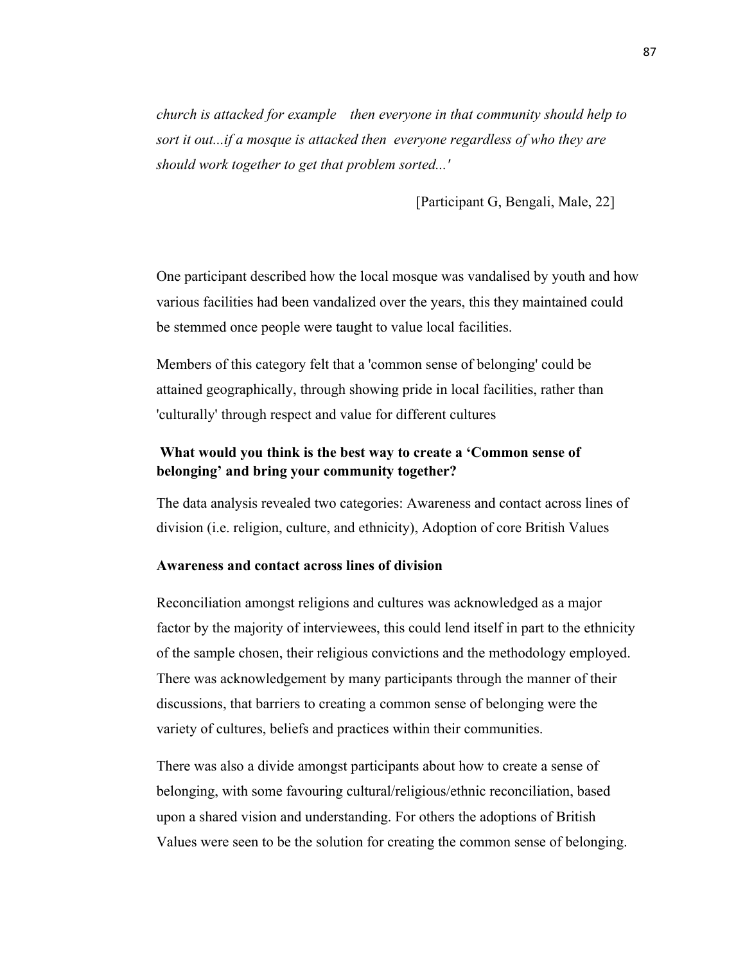*church is attacked for example then everyone in that community should help to sort it out...if a mosque is attacked then everyone regardless of who they are should work together to get that problem sorted...'*

[Participant G, Bengali, Male, 22]

One participant described how the local mosque was vandalised by youth and how various facilities had been vandalized over the years, this they maintained could be stemmed once people were taught to value local facilities.

Members of this category felt that a 'common sense of belonging' could be attained geographically, through showing pride in local facilities, rather than 'culturally' through respect and value for different cultures

# **What would you think is the best way to create a 'Common sense of belonging' and bring your community together?**

The data analysis revealed two categories: Awareness and contact across lines of division (i.e. religion, culture, and ethnicity), Adoption of core British Values

# **Awareness and contact across lines of division**

Reconciliation amongst religions and cultures was acknowledged as a major factor by the majority of interviewees, this could lend itself in part to the ethnicity of the sample chosen, their religious convictions and the methodology employed. There was acknowledgement by many participants through the manner of their discussions, that barriers to creating a common sense of belonging were the variety of cultures, beliefs and practices within their communities.

There was also a divide amongst participants about how to create a sense of belonging, with some favouring cultural/religious/ethnic reconciliation, based upon a shared vision and understanding. For others the adoptions of British Values were seen to be the solution for creating the common sense of belonging.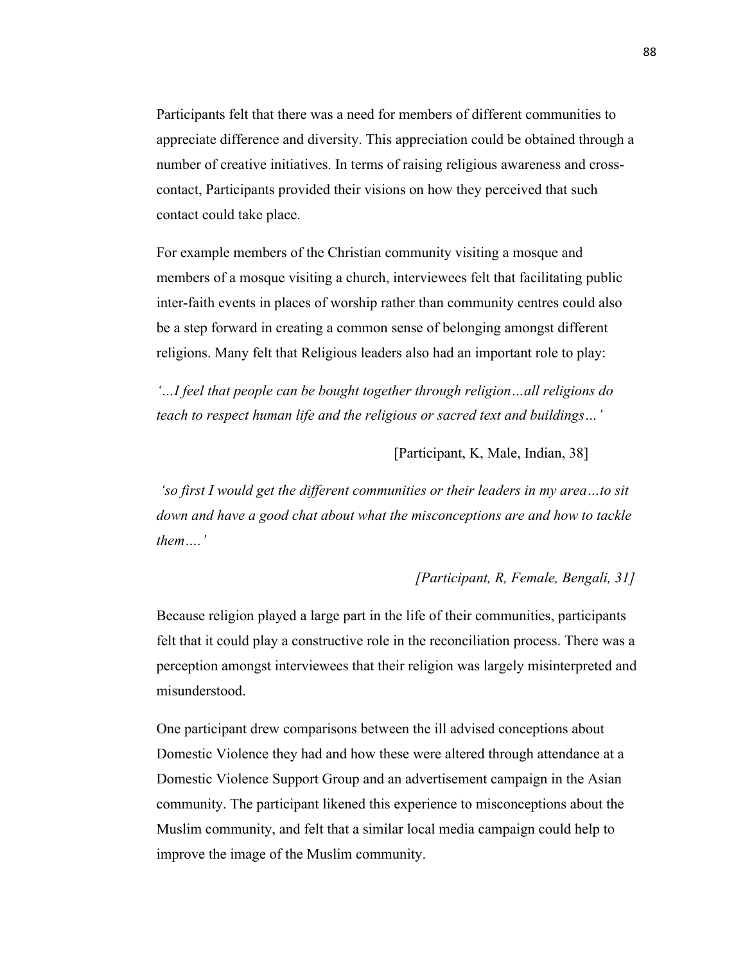Participants felt that there was a need for members of different communities to appreciate difference and diversity. This appreciation could be obtained through a number of creative initiatives. In terms of raising religious awareness and crosscontact, Participants provided their visions on how they perceived that such contact could take place.

For example members of the Christian community visiting a mosque and members of a mosque visiting a church, interviewees felt that facilitating public inter-faith events in places of worship rather than community centres could also be a step forward in creating a common sense of belonging amongst different religions. Many felt that Religious leaders also had an important role to play:

*'…I feel that people can be bought together through religion…all religions do teach to respect human life and the religious or sacred text and buildings…'* 

[Participant, K, Male, Indian, 38]

*'so first I would get the different communities or their leaders in my area…to sit down and have a good chat about what the misconceptions are and how to tackle them….'*

# *[Participant, R, Female, Bengali, 31]*

Because religion played a large part in the life of their communities, participants felt that it could play a constructive role in the reconciliation process. There was a perception amongst interviewees that their religion was largely misinterpreted and misunderstood.

One participant drew comparisons between the ill advised conceptions about Domestic Violence they had and how these were altered through attendance at a Domestic Violence Support Group and an advertisement campaign in the Asian community. The participant likened this experience to misconceptions about the Muslim community, and felt that a similar local media campaign could help to improve the image of the Muslim community.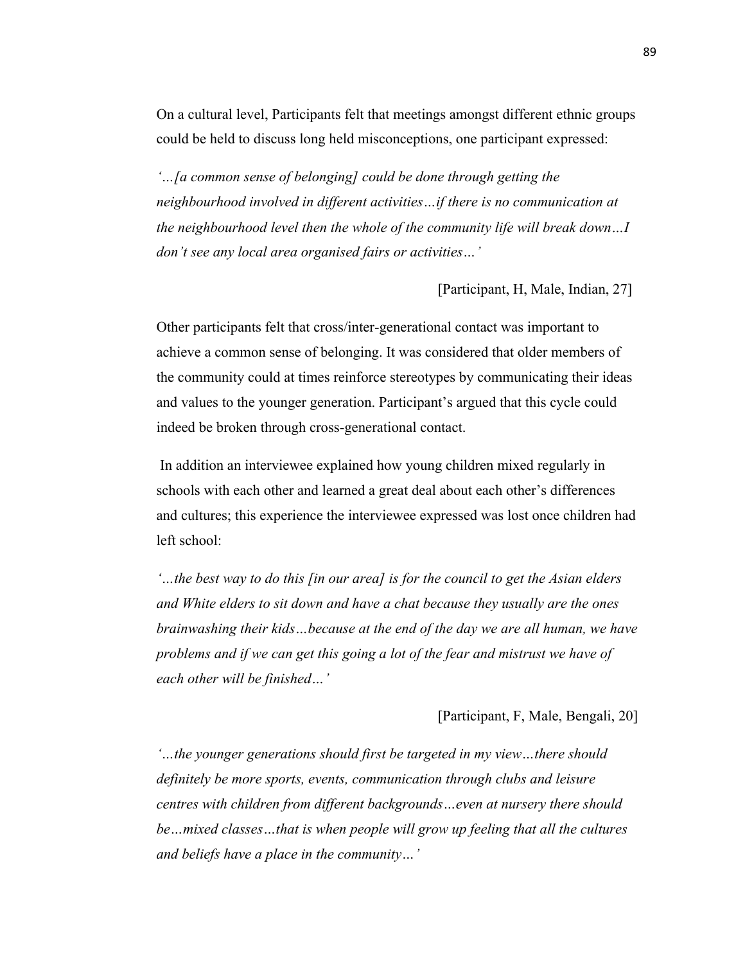On a cultural level, Participants felt that meetings amongst different ethnic groups could be held to discuss long held misconceptions, one participant expressed:

*'…[a common sense of belonging] could be done through getting the neighbourhood involved in different activities…if there is no communication at the neighbourhood level then the whole of the community life will break down…I don't see any local area organised fairs or activities…'*

[Participant, H, Male, Indian, 27]

Other participants felt that cross/inter-generational contact was important to achieve a common sense of belonging. It was considered that older members of the community could at times reinforce stereotypes by communicating their ideas and values to the younger generation. Participant's argued that this cycle could indeed be broken through cross-generational contact.

In addition an interviewee explained how young children mixed regularly in schools with each other and learned a great deal about each other's differences and cultures; this experience the interviewee expressed was lost once children had left school:

*'…the best way to do this [in our area] is for the council to get the Asian elders and White elders to sit down and have a chat because they usually are the ones brainwashing their kids…because at the end of the day we are all human, we have problems and if we can get this going a lot of the fear and mistrust we have of each other will be finished…'*

[Participant, F, Male, Bengali, 20]

*'…the younger generations should first be targeted in my view…there should definitely be more sports, events, communication through clubs and leisure centres with children from different backgrounds…even at nursery there should be…mixed classes…that is when people will grow up feeling that all the cultures and beliefs have a place in the community…'*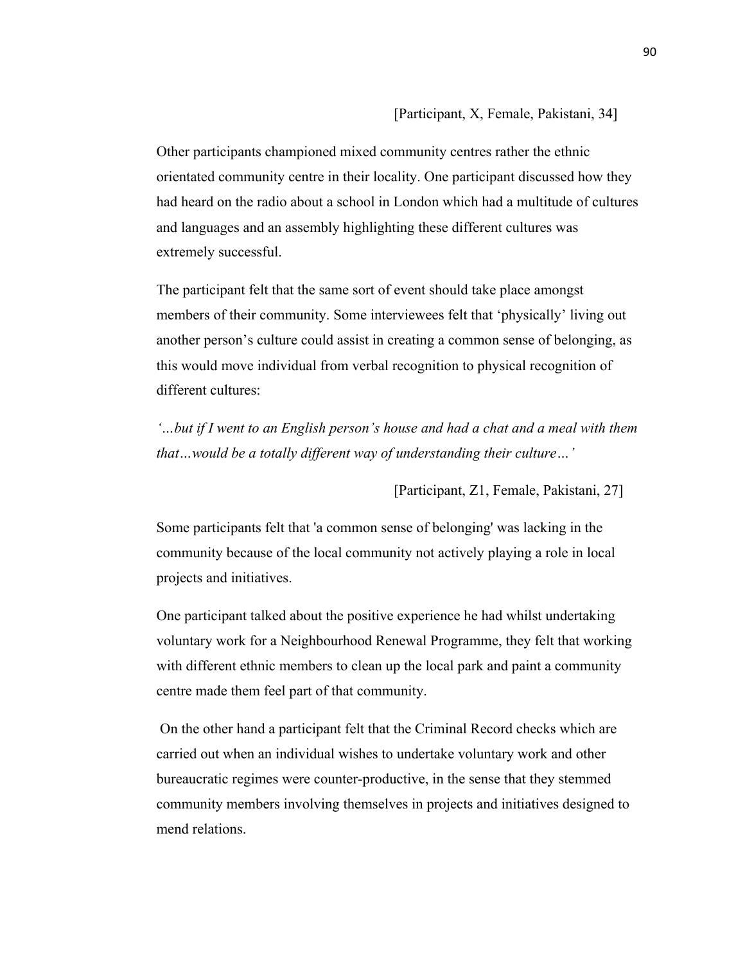[Participant, X, Female, Pakistani, 34]

Other participants championed mixed community centres rather the ethnic orientated community centre in their locality. One participant discussed how they had heard on the radio about a school in London which had a multitude of cultures and languages and an assembly highlighting these different cultures was extremely successful.

The participant felt that the same sort of event should take place amongst members of their community. Some interviewees felt that 'physically' living out another person's culture could assist in creating a common sense of belonging, as this would move individual from verbal recognition to physical recognition of different cultures:

*'…but if I went to an English person's house and had a chat and a meal with them that…would be a totally different way of understanding their culture…'*

[Participant, Z1, Female, Pakistani, 27]

Some participants felt that 'a common sense of belonging' was lacking in the community because of the local community not actively playing a role in local projects and initiatives.

One participant talked about the positive experience he had whilst undertaking voluntary work for a Neighbourhood Renewal Programme, they felt that working with different ethnic members to clean up the local park and paint a community centre made them feel part of that community.

On the other hand a participant felt that the Criminal Record checks which are carried out when an individual wishes to undertake voluntary work and other bureaucratic regimes were counter-productive, in the sense that they stemmed community members involving themselves in projects and initiatives designed to mend relations.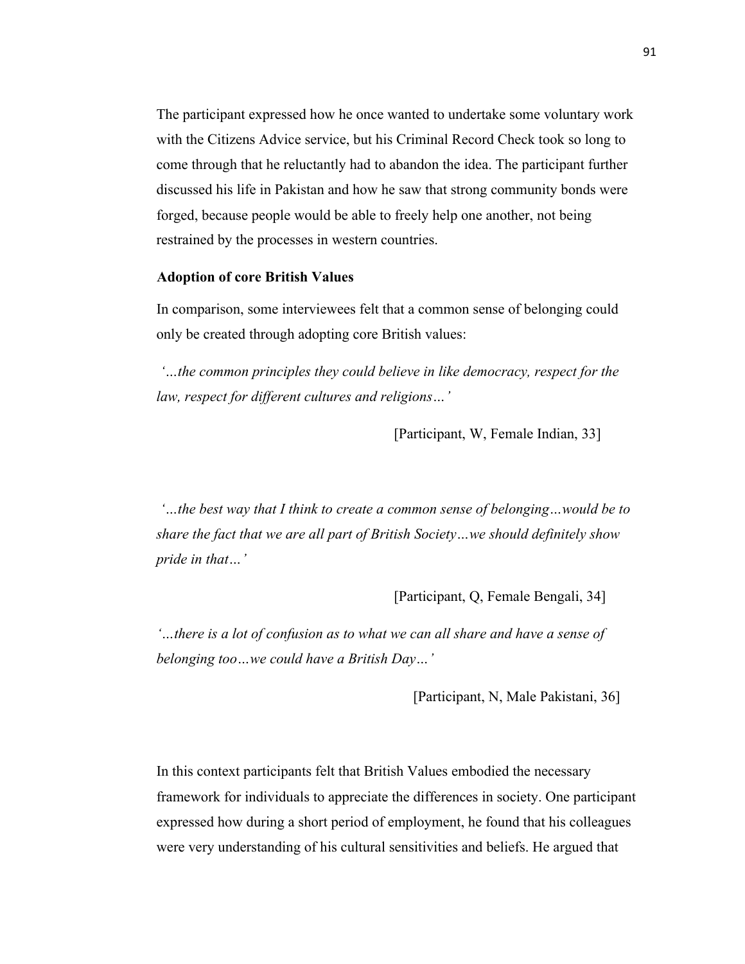The participant expressed how he once wanted to undertake some voluntary work with the Citizens Advice service, but his Criminal Record Check took so long to come through that he reluctantly had to abandon the idea. The participant further discussed his life in Pakistan and how he saw that strong community bonds were forged, because people would be able to freely help one another, not being restrained by the processes in western countries.

# **Adoption of core British Values**

In comparison, some interviewees felt that a common sense of belonging could only be created through adopting core British values:

*'…the common principles they could believe in like democracy, respect for the law, respect for different cultures and religions…'*

[Participant, W, Female Indian, 33]

*'…the best way that I think to create a common sense of belonging…would be to share the fact that we are all part of British Society…we should definitely show pride in that…'*

[Participant, Q, Female Bengali, 34]

*'…there is a lot of confusion as to what we can all share and have a sense of belonging too…we could have a British Day…'*

[Participant, N, Male Pakistani, 36]

In this context participants felt that British Values embodied the necessary framework for individuals to appreciate the differences in society. One participant expressed how during a short period of employment, he found that his colleagues were very understanding of his cultural sensitivities and beliefs. He argued that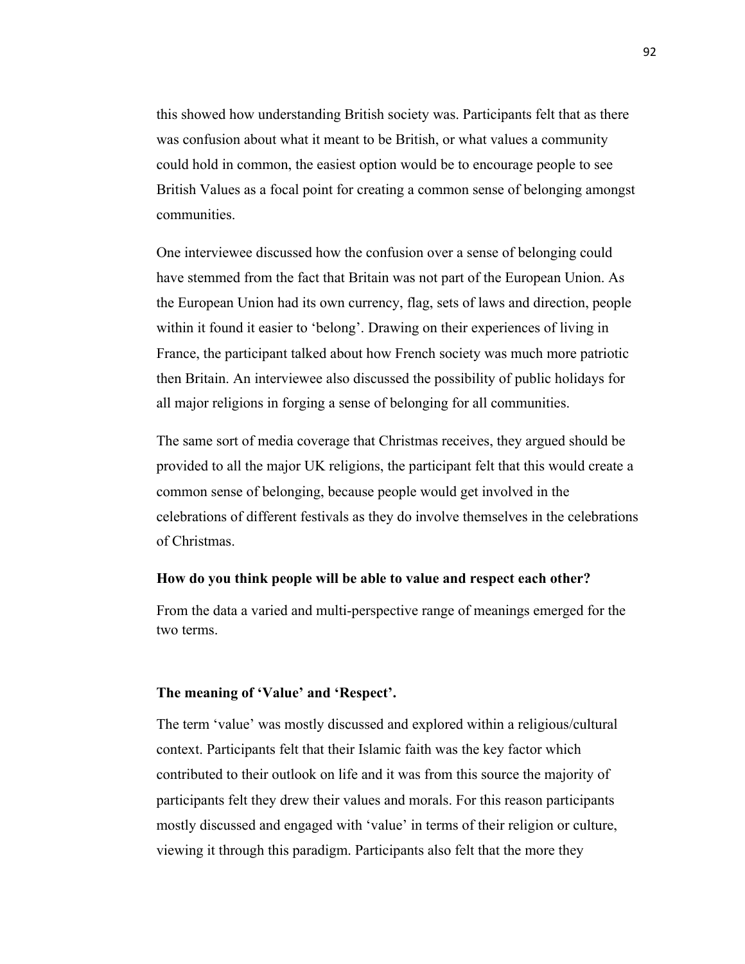this showed how understanding British society was. Participants felt that as there was confusion about what it meant to be British, or what values a community could hold in common, the easiest option would be to encourage people to see British Values as a focal point for creating a common sense of belonging amongst communities.

One interviewee discussed how the confusion over a sense of belonging could have stemmed from the fact that Britain was not part of the European Union. As the European Union had its own currency, flag, sets of laws and direction, people within it found it easier to 'belong'. Drawing on their experiences of living in France, the participant talked about how French society was much more patriotic then Britain. An interviewee also discussed the possibility of public holidays for all major religions in forging a sense of belonging for all communities.

The same sort of media coverage that Christmas receives, they argued should be provided to all the major UK religions, the participant felt that this would create a common sense of belonging, because people would get involved in the celebrations of different festivals as they do involve themselves in the celebrations of Christmas.

#### **How do you think people will be able to value and respect each other?**

From the data a varied and multi-perspective range of meanings emerged for the two terms.

#### **The meaning of 'Value' and 'Respect'.**

The term 'value' was mostly discussed and explored within a religious/cultural context. Participants felt that their Islamic faith was the key factor which contributed to their outlook on life and it was from this source the majority of participants felt they drew their values and morals. For this reason participants mostly discussed and engaged with 'value' in terms of their religion or culture, viewing it through this paradigm. Participants also felt that the more they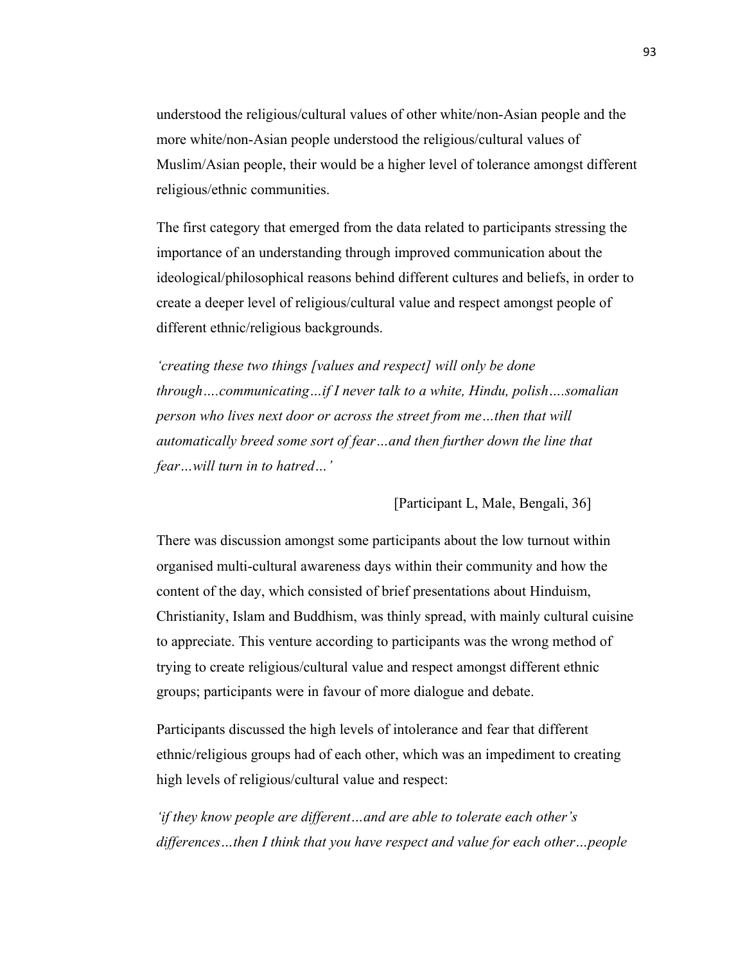understood the religious/cultural values of other white/non-Asian people and the more white/non-Asian people understood the religious/cultural values of Muslim/Asian people, their would be a higher level of tolerance amongst different religious/ethnic communities.

The first category that emerged from the data related to participants stressing the importance of an understanding through improved communication about the ideological/philosophical reasons behind different cultures and beliefs, in order to create a deeper level of religious/cultural value and respect amongst people of different ethnic/religious backgrounds.

*'creating these two things [values and respect] will only be done through….communicating…if I never talk to a white, Hindu, polish….somalian person who lives next door or across the street from me…then that will automatically breed some sort of fear…and then further down the line that fear…will turn in to hatred…'*

[Participant L, Male, Bengali, 36]

There was discussion amongst some participants about the low turnout within organised multi-cultural awareness days within their community and how the content of the day, which consisted of brief presentations about Hinduism, Christianity, Islam and Buddhism, was thinly spread, with mainly cultural cuisine to appreciate. This venture according to participants was the wrong method of trying to create religious/cultural value and respect amongst different ethnic groups; participants were in favour of more dialogue and debate.

Participants discussed the high levels of intolerance and fear that different ethnic/religious groups had of each other, which was an impediment to creating high levels of religious/cultural value and respect:

*'if they know people are different…and are able to tolerate each other's differences…then I think that you have respect and value for each other…people*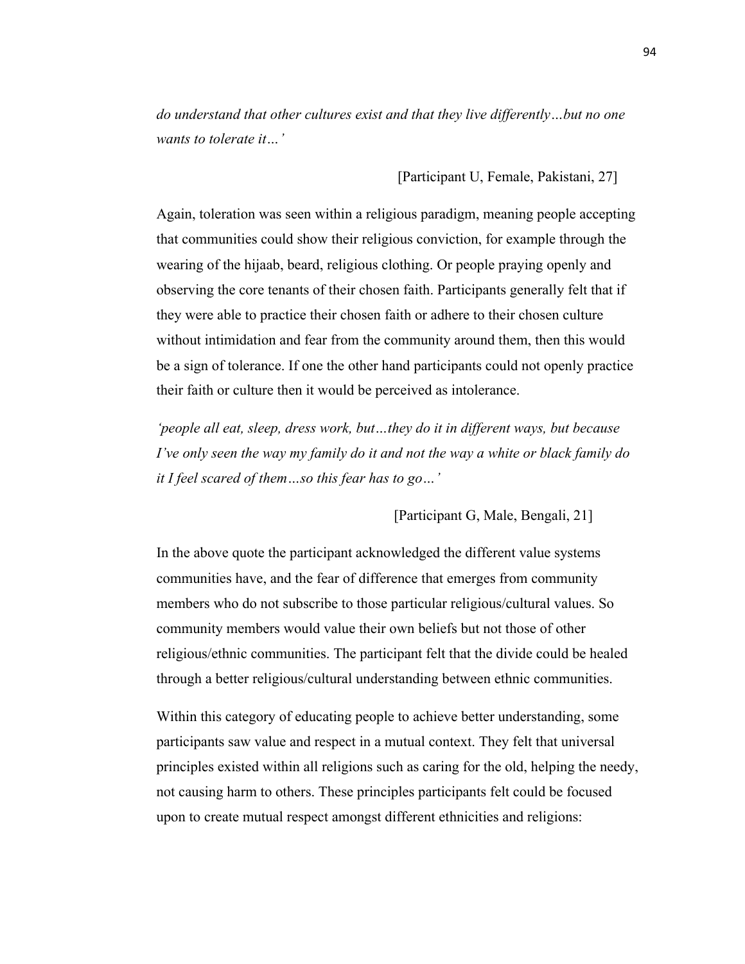*do understand that other cultures exist and that they live differently…but no one wants to tolerate it…'*

[Participant U, Female, Pakistani, 27]

Again, toleration was seen within a religious paradigm, meaning people accepting that communities could show their religious conviction, for example through the wearing of the hijaab, beard, religious clothing. Or people praying openly and observing the core tenants of their chosen faith. Participants generally felt that if they were able to practice their chosen faith or adhere to their chosen culture without intimidation and fear from the community around them, then this would be a sign of tolerance. If one the other hand participants could not openly practice their faith or culture then it would be perceived as intolerance.

*'people all eat, sleep, dress work, but…they do it in different ways, but because I've only seen the way my family do it and not the way a white or black family do it I feel scared of them…so this fear has to go…'*

[Participant G, Male, Bengali, 21]

In the above quote the participant acknowledged the different value systems communities have, and the fear of difference that emerges from community members who do not subscribe to those particular religious/cultural values. So community members would value their own beliefs but not those of other religious/ethnic communities. The participant felt that the divide could be healed through a better religious/cultural understanding between ethnic communities.

Within this category of educating people to achieve better understanding, some participants saw value and respect in a mutual context. They felt that universal principles existed within all religions such as caring for the old, helping the needy, not causing harm to others. These principles participants felt could be focused upon to create mutual respect amongst different ethnicities and religions: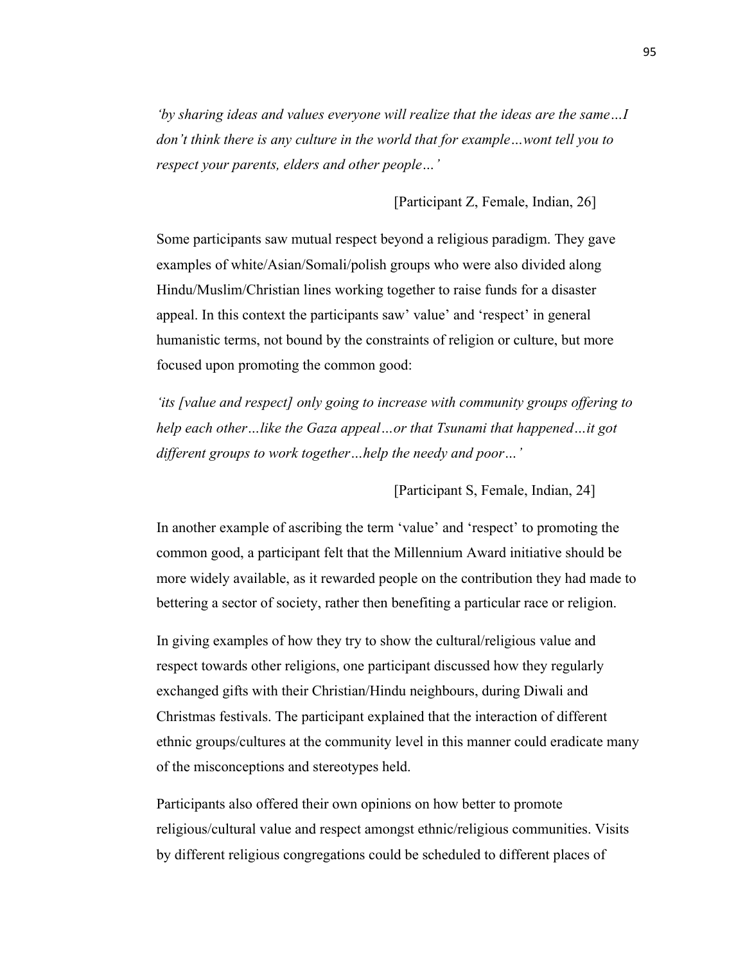*'by sharing ideas and values everyone will realize that the ideas are the same…I don't think there is any culture in the world that for example…wont tell you to respect your parents, elders and other people…'*

[Participant Z, Female, Indian, 26]

Some participants saw mutual respect beyond a religious paradigm. They gave examples of white/Asian/Somali/polish groups who were also divided along Hindu/Muslim/Christian lines working together to raise funds for a disaster appeal. In this context the participants saw' value' and 'respect' in general humanistic terms, not bound by the constraints of religion or culture, but more focused upon promoting the common good:

*'its [value and respect] only going to increase with community groups offering to help each other…like the Gaza appeal…or that Tsunami that happened…it got different groups to work together…help the needy and poor…'*

[Participant S, Female, Indian, 24]

In another example of ascribing the term 'value' and 'respect' to promoting the common good, a participant felt that the Millennium Award initiative should be more widely available, as it rewarded people on the contribution they had made to bettering a sector of society, rather then benefiting a particular race or religion.

In giving examples of how they try to show the cultural/religious value and respect towards other religions, one participant discussed how they regularly exchanged gifts with their Christian/Hindu neighbours, during Diwali and Christmas festivals. The participant explained that the interaction of different ethnic groups/cultures at the community level in this manner could eradicate many of the misconceptions and stereotypes held.

Participants also offered their own opinions on how better to promote religious/cultural value and respect amongst ethnic/religious communities. Visits by different religious congregations could be scheduled to different places of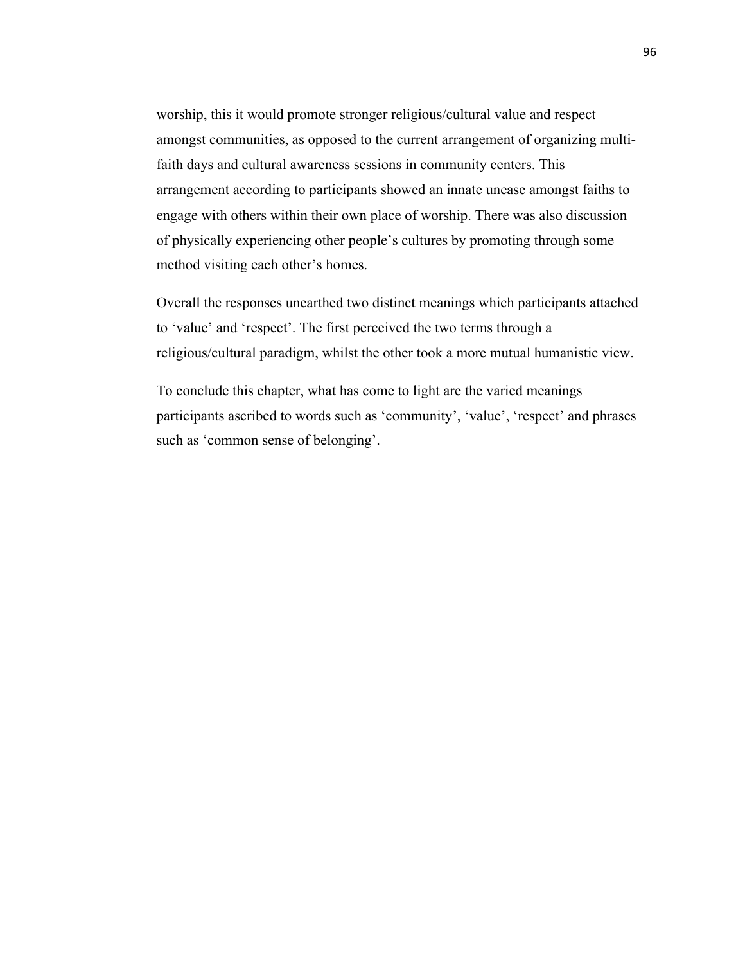worship, this it would promote stronger religious/cultural value and respect amongst communities, as opposed to the current arrangement of organizing multifaith days and cultural awareness sessions in community centers. This arrangement according to participants showed an innate unease amongst faiths to engage with others within their own place of worship. There was also discussion of physically experiencing other people's cultures by promoting through some method visiting each other's homes.

Overall the responses unearthed two distinct meanings which participants attached to 'value' and 'respect'. The first perceived the two terms through a religious/cultural paradigm, whilst the other took a more mutual humanistic view.

To conclude this chapter, what has come to light are the varied meanings participants ascribed to words such as 'community', 'value', 'respect' and phrases such as 'common sense of belonging'.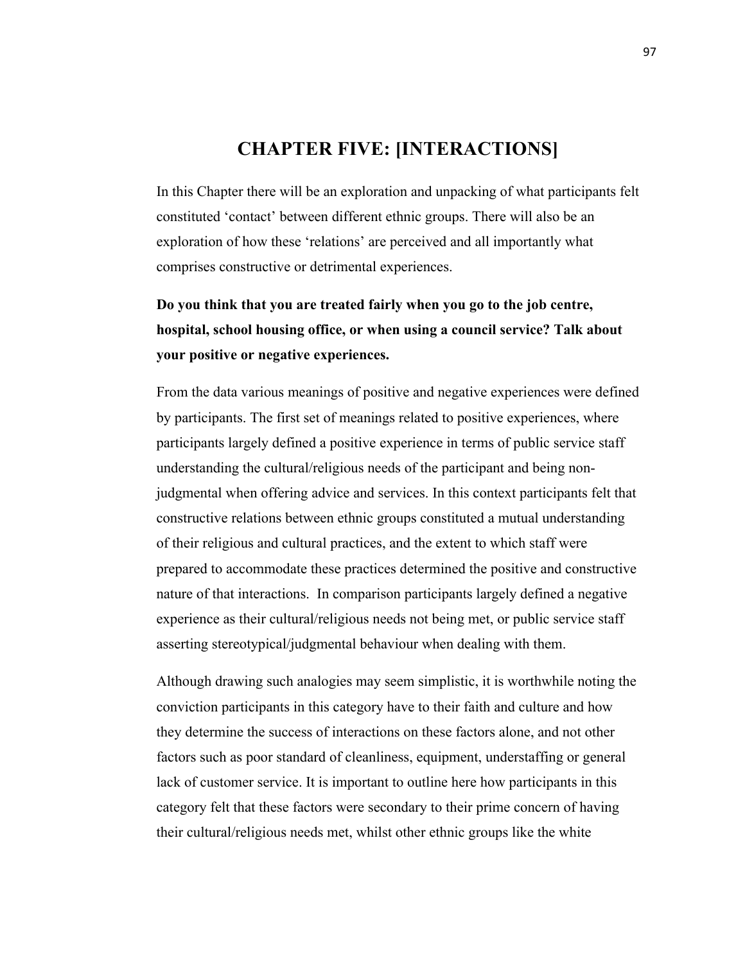# **CHAPTER FIVE: [INTERACTIONS]**

In this Chapter there will be an exploration and unpacking of what participants felt constituted 'contact' between different ethnic groups. There will also be an exploration of how these 'relations' are perceived and all importantly what comprises constructive or detrimental experiences.

# **Do you think that you are treated fairly when you go to the job centre, hospital, school housing office, or when using a council service? Talk about your positive or negative experiences.**

From the data various meanings of positive and negative experiences were defined by participants. The first set of meanings related to positive experiences, where participants largely defined a positive experience in terms of public service staff understanding the cultural/religious needs of the participant and being nonjudgmental when offering advice and services. In this context participants felt that constructive relations between ethnic groups constituted a mutual understanding of their religious and cultural practices, and the extent to which staff were prepared to accommodate these practices determined the positive and constructive nature of that interactions. In comparison participants largely defined a negative experience as their cultural/religious needs not being met, or public service staff asserting stereotypical/judgmental behaviour when dealing with them.

Although drawing such analogies may seem simplistic, it is worthwhile noting the conviction participants in this category have to their faith and culture and how they determine the success of interactions on these factors alone, and not other factors such as poor standard of cleanliness, equipment, understaffing or general lack of customer service. It is important to outline here how participants in this category felt that these factors were secondary to their prime concern of having their cultural/religious needs met, whilst other ethnic groups like the white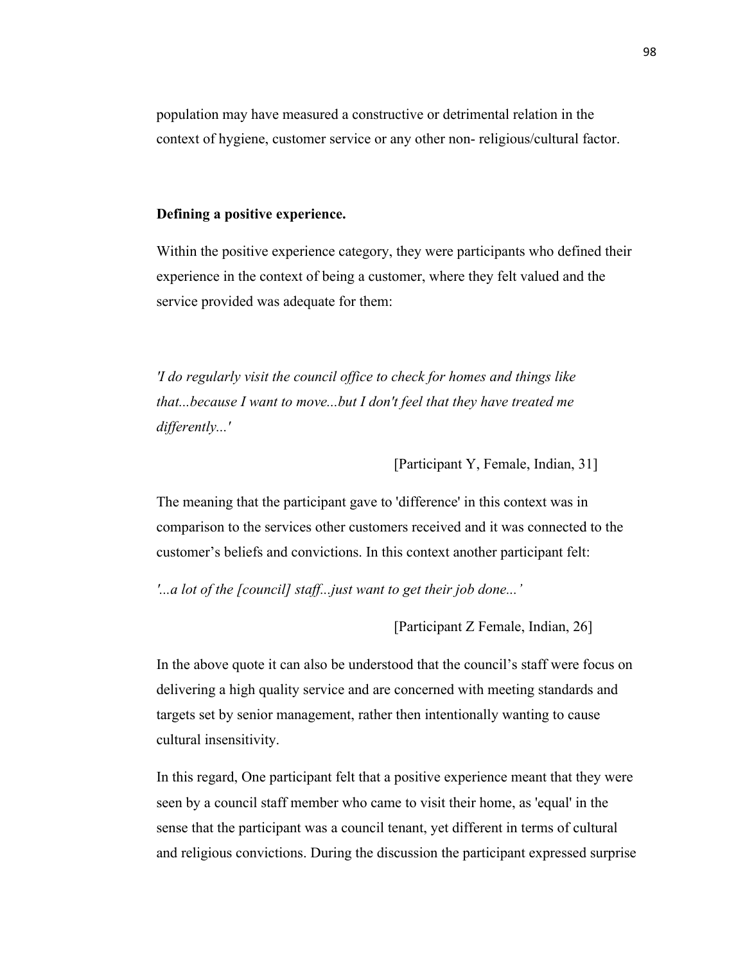population may have measured a constructive or detrimental relation in the context of hygiene, customer service or any other non- religious/cultural factor.

# **Defining a positive experience.**

Within the positive experience category, they were participants who defined their experience in the context of being a customer, where they felt valued and the service provided was adequate for them:

*'I do regularly visit the council office to check for homes and things like that...because I want to move...but I don't feel that they have treated me differently...'*

[Participant Y, Female, Indian, 31]

The meaning that the participant gave to 'difference' in this context was in comparison to the services other customers received and it was connected to the customer's beliefs and convictions. In this context another participant felt:

*'...a lot of the [council] staff...just want to get their job done...'*

[Participant Z Female, Indian, 26]

In the above quote it can also be understood that the council's staff were focus on delivering a high quality service and are concerned with meeting standards and targets set by senior management, rather then intentionally wanting to cause cultural insensitivity.

In this regard, One participant felt that a positive experience meant that they were seen by a council staff member who came to visit their home, as 'equal' in the sense that the participant was a council tenant, yet different in terms of cultural and religious convictions. During the discussion the participant expressed surprise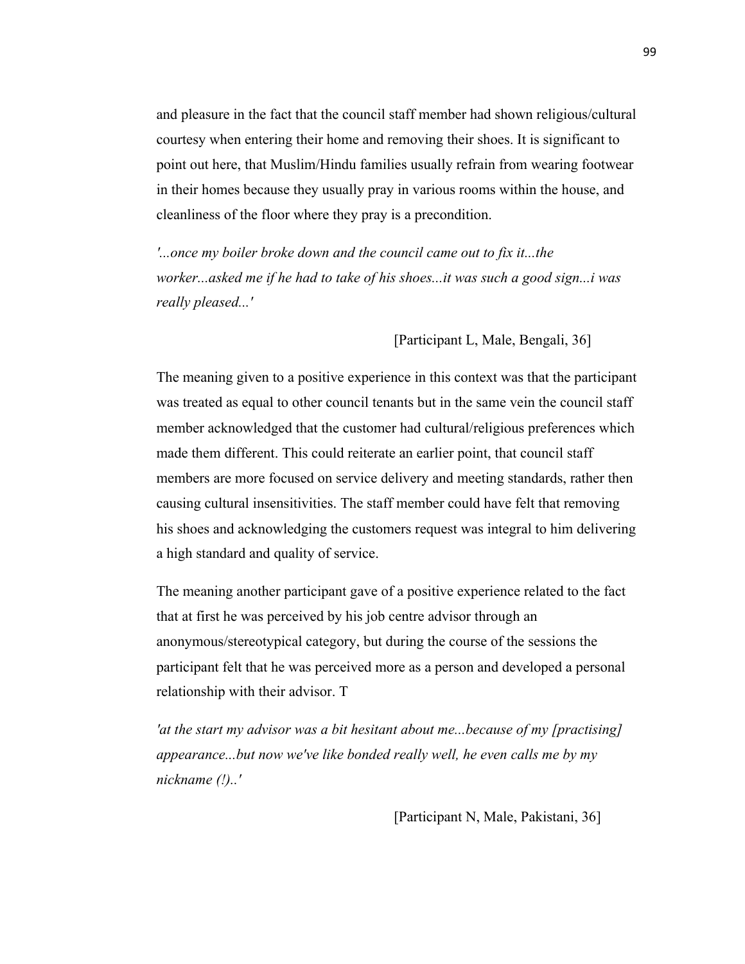and pleasure in the fact that the council staff member had shown religious/cultural courtesy when entering their home and removing their shoes. It is significant to point out here, that Muslim/Hindu families usually refrain from wearing footwear in their homes because they usually pray in various rooms within the house, and cleanliness of the floor where they pray is a precondition.

*'...once my boiler broke down and the council came out to fix it...the worker...asked me if he had to take of his shoes...it was such a good sign...i was really pleased...'*

[Participant L, Male, Bengali, 36]

The meaning given to a positive experience in this context was that the participant was treated as equal to other council tenants but in the same vein the council staff member acknowledged that the customer had cultural/religious preferences which made them different. This could reiterate an earlier point, that council staff members are more focused on service delivery and meeting standards, rather then causing cultural insensitivities. The staff member could have felt that removing his shoes and acknowledging the customers request was integral to him delivering a high standard and quality of service.

The meaning another participant gave of a positive experience related to the fact that at first he was perceived by his job centre advisor through an anonymous/stereotypical category, but during the course of the sessions the participant felt that he was perceived more as a person and developed a personal relationship with their advisor. T

*'at the start my advisor was a bit hesitant about me...because of my [practising] appearance...but now we've like bonded really well, he even calls me by my nickname (!)..'*

[Participant N, Male, Pakistani, 36]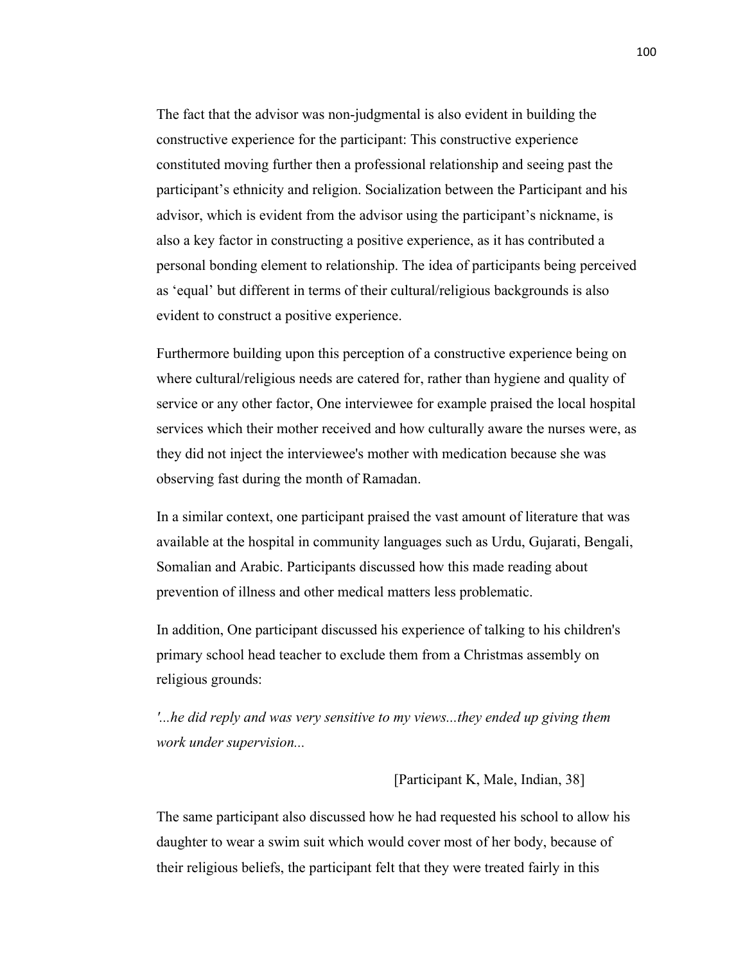The fact that the advisor was non-judgmental is also evident in building the constructive experience for the participant: This constructive experience constituted moving further then a professional relationship and seeing past the participant's ethnicity and religion. Socialization between the Participant and his advisor, which is evident from the advisor using the participant's nickname, is also a key factor in constructing a positive experience, as it has contributed a personal bonding element to relationship. The idea of participants being perceived as 'equal' but different in terms of their cultural/religious backgrounds is also evident to construct a positive experience.

Furthermore building upon this perception of a constructive experience being on where cultural/religious needs are catered for, rather than hygiene and quality of service or any other factor, One interviewee for example praised the local hospital services which their mother received and how culturally aware the nurses were, as they did not inject the interviewee's mother with medication because she was observing fast during the month of Ramadan.

In a similar context, one participant praised the vast amount of literature that was available at the hospital in community languages such as Urdu, Gujarati, Bengali, Somalian and Arabic. Participants discussed how this made reading about prevention of illness and other medical matters less problematic.

In addition, One participant discussed his experience of talking to his children's primary school head teacher to exclude them from a Christmas assembly on religious grounds:

*'...he did reply and was very sensitive to my views...they ended up giving them work under supervision...*

# [Participant K, Male, Indian, 38]

The same participant also discussed how he had requested his school to allow his daughter to wear a swim suit which would cover most of her body, because of their religious beliefs, the participant felt that they were treated fairly in this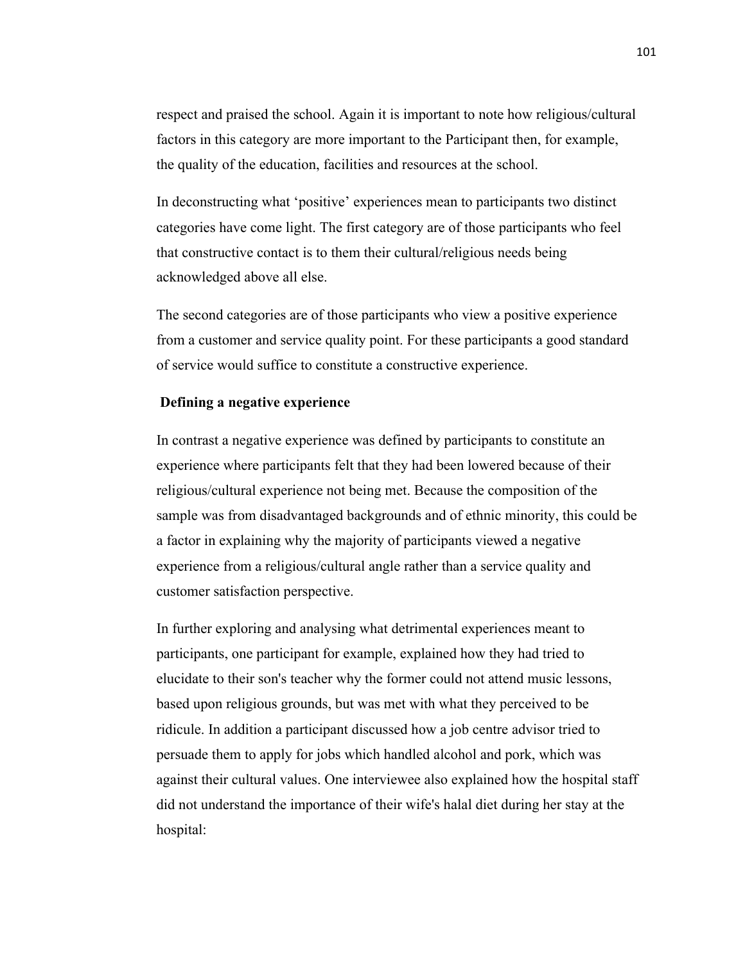respect and praised the school. Again it is important to note how religious/cultural factors in this category are more important to the Participant then, for example, the quality of the education, facilities and resources at the school.

In deconstructing what 'positive' experiences mean to participants two distinct categories have come light. The first category are of those participants who feel that constructive contact is to them their cultural/religious needs being acknowledged above all else.

The second categories are of those participants who view a positive experience from a customer and service quality point. For these participants a good standard of service would suffice to constitute a constructive experience.

# **Defining a negative experience**

In contrast a negative experience was defined by participants to constitute an experience where participants felt that they had been lowered because of their religious/cultural experience not being met. Because the composition of the sample was from disadvantaged backgrounds and of ethnic minority, this could be a factor in explaining why the majority of participants viewed a negative experience from a religious/cultural angle rather than a service quality and customer satisfaction perspective.

In further exploring and analysing what detrimental experiences meant to participants, one participant for example, explained how they had tried to elucidate to their son's teacher why the former could not attend music lessons, based upon religious grounds, but was met with what they perceived to be ridicule. In addition a participant discussed how a job centre advisor tried to persuade them to apply for jobs which handled alcohol and pork, which was against their cultural values. One interviewee also explained how the hospital staff did not understand the importance of their wife's halal diet during her stay at the hospital: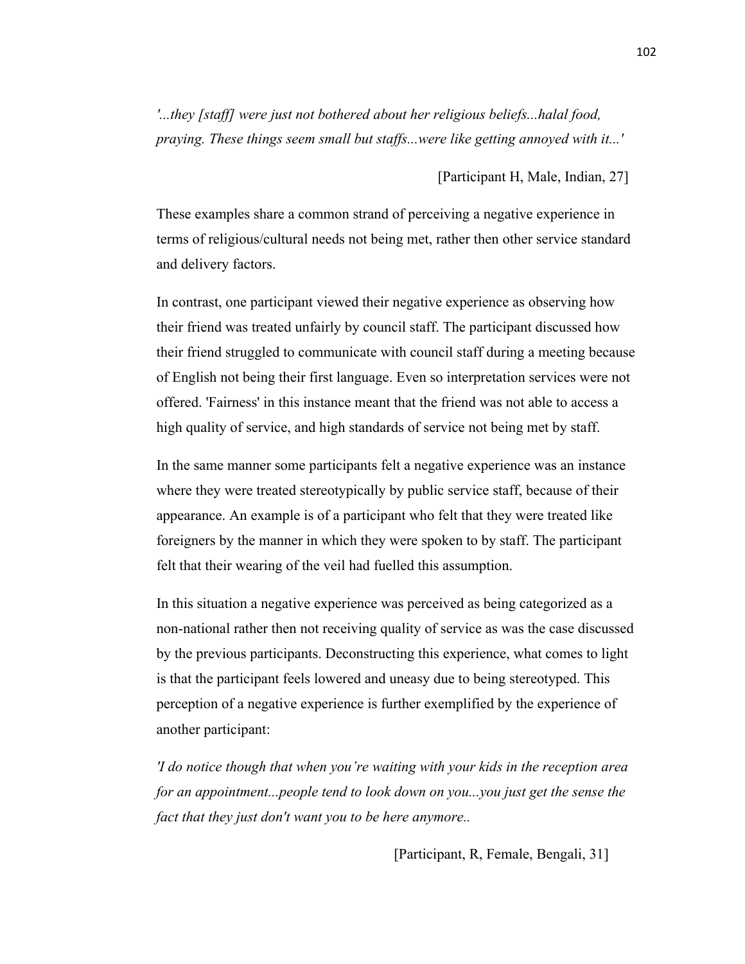*'...they [staff] were just not bothered about her religious beliefs...halal food, praying. These things seem small but staffs...were like getting annoyed with it...'*

#### [Participant H, Male, Indian, 27]

These examples share a common strand of perceiving a negative experience in terms of religious/cultural needs not being met, rather then other service standard and delivery factors.

In contrast, one participant viewed their negative experience as observing how their friend was treated unfairly by council staff. The participant discussed how their friend struggled to communicate with council staff during a meeting because of English not being their first language. Even so interpretation services were not offered. 'Fairness' in this instance meant that the friend was not able to access a high quality of service, and high standards of service not being met by staff.

In the same manner some participants felt a negative experience was an instance where they were treated stereotypically by public service staff, because of their appearance. An example is of a participant who felt that they were treated like foreigners by the manner in which they were spoken to by staff. The participant felt that their wearing of the veil had fuelled this assumption.

In this situation a negative experience was perceived as being categorized as a non-national rather then not receiving quality of service as was the case discussed by the previous participants. Deconstructing this experience, what comes to light is that the participant feels lowered and uneasy due to being stereotyped. This perception of a negative experience is further exemplified by the experience of another participant:

*'I do notice though that when you're waiting with your kids in the reception area for an appointment...people tend to look down on you...you just get the sense the fact that they just don't want you to be here anymore..*

[Participant, R, Female, Bengali, 31]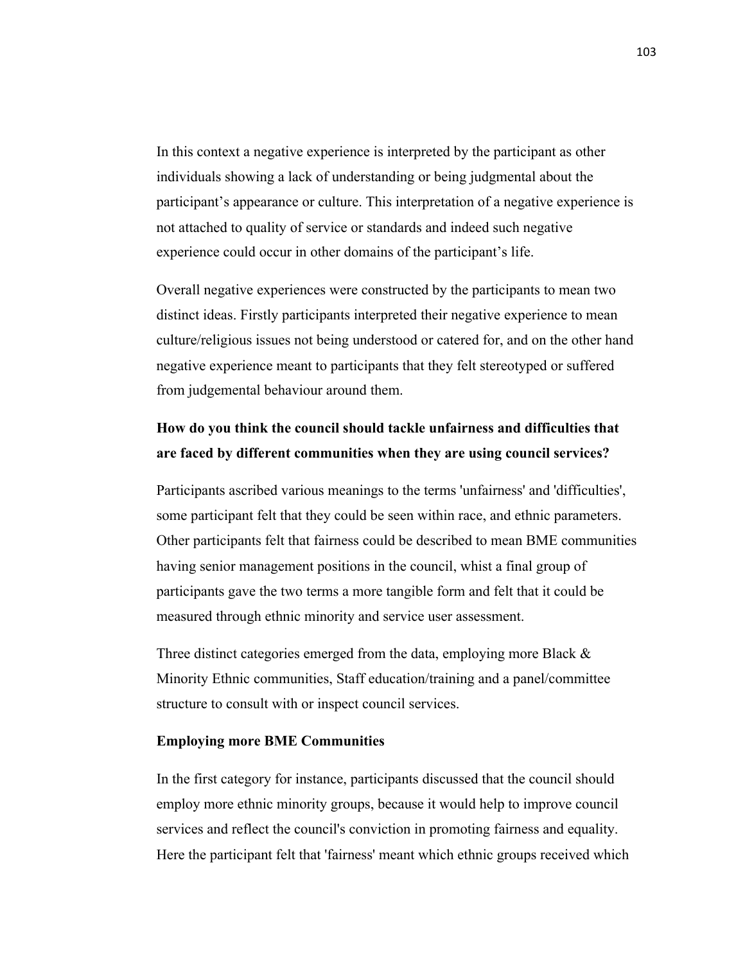In this context a negative experience is interpreted by the participant as other individuals showing a lack of understanding or being judgmental about the participant's appearance or culture. This interpretation of a negative experience is not attached to quality of service or standards and indeed such negative experience could occur in other domains of the participant's life.

Overall negative experiences were constructed by the participants to mean two distinct ideas. Firstly participants interpreted their negative experience to mean culture/religious issues not being understood or catered for, and on the other hand negative experience meant to participants that they felt stereotyped or suffered from judgemental behaviour around them.

# **How do you think the council should tackle unfairness and difficulties that are faced by different communities when they are using council services?**

Participants ascribed various meanings to the terms 'unfairness' and 'difficulties', some participant felt that they could be seen within race, and ethnic parameters. Other participants felt that fairness could be described to mean BME communities having senior management positions in the council, whist a final group of participants gave the two terms a more tangible form and felt that it could be measured through ethnic minority and service user assessment.

Three distinct categories emerged from the data, employing more Black  $\&$ Minority Ethnic communities, Staff education/training and a panel/committee structure to consult with or inspect council services.

#### **Employing more BME Communities**

In the first category for instance, participants discussed that the council should employ more ethnic minority groups, because it would help to improve council services and reflect the council's conviction in promoting fairness and equality. Here the participant felt that 'fairness' meant which ethnic groups received which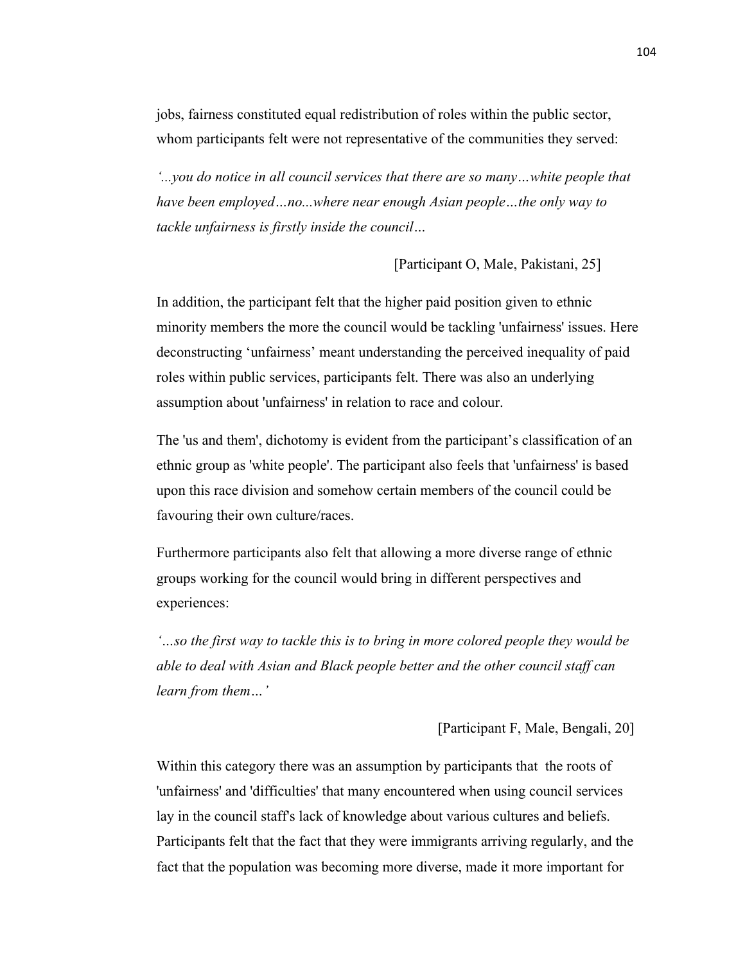jobs, fairness constituted equal redistribution of roles within the public sector, whom participants felt were not representative of the communities they served:

*'...you do notice in all council services that there are so many…white people that have been employed…no...where near enough Asian people…the only way to tackle unfairness is firstly inside the council…*

[Participant O, Male, Pakistani, 25]

In addition, the participant felt that the higher paid position given to ethnic minority members the more the council would be tackling 'unfairness' issues. Here deconstructing 'unfairness' meant understanding the perceived inequality of paid roles within public services, participants felt. There was also an underlying assumption about 'unfairness' in relation to race and colour.

The 'us and them', dichotomy is evident from the participant's classification of an ethnic group as 'white people'. The participant also feels that 'unfairness' is based upon this race division and somehow certain members of the council could be favouring their own culture/races.

Furthermore participants also felt that allowing a more diverse range of ethnic groups working for the council would bring in different perspectives and experiences:

*'…so the first way to tackle this is to bring in more colored people they would be able to deal with Asian and Black people better and the other council staff can learn from them…'*

[Participant F, Male, Bengali, 20]

Within this category there was an assumption by participants that the roots of 'unfairness' and 'difficulties' that many encountered when using council services lay in the council staff's lack of knowledge about various cultures and beliefs. Participants felt that the fact that they were immigrants arriving regularly, and the fact that the population was becoming more diverse, made it more important for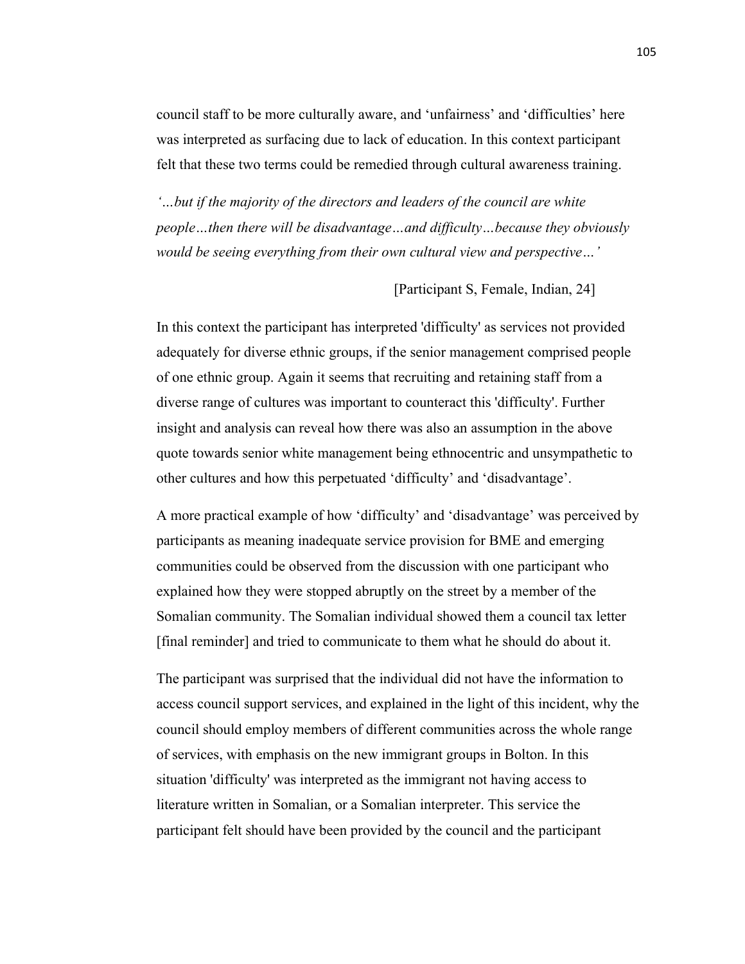council staff to be more culturally aware, and 'unfairness' and 'difficulties' here was interpreted as surfacing due to lack of education. In this context participant felt that these two terms could be remedied through cultural awareness training.

*'…but if the majority of the directors and leaders of the council are white people…then there will be disadvantage…and difficulty…because they obviously would be seeing everything from their own cultural view and perspective…'*

[Participant S, Female, Indian, 24]

In this context the participant has interpreted 'difficulty' as services not provided adequately for diverse ethnic groups, if the senior management comprised people of one ethnic group. Again it seems that recruiting and retaining staff from a diverse range of cultures was important to counteract this 'difficulty'. Further insight and analysis can reveal how there was also an assumption in the above quote towards senior white management being ethnocentric and unsympathetic to other cultures and how this perpetuated 'difficulty' and 'disadvantage'.

A more practical example of how 'difficulty' and 'disadvantage' was perceived by participants as meaning inadequate service provision for BME and emerging communities could be observed from the discussion with one participant who explained how they were stopped abruptly on the street by a member of the Somalian community. The Somalian individual showed them a council tax letter [final reminder] and tried to communicate to them what he should do about it.

The participant was surprised that the individual did not have the information to access council support services, and explained in the light of this incident, why the council should employ members of different communities across the whole range of services, with emphasis on the new immigrant groups in Bolton. In this situation 'difficulty' was interpreted as the immigrant not having access to literature written in Somalian, or a Somalian interpreter. This service the participant felt should have been provided by the council and the participant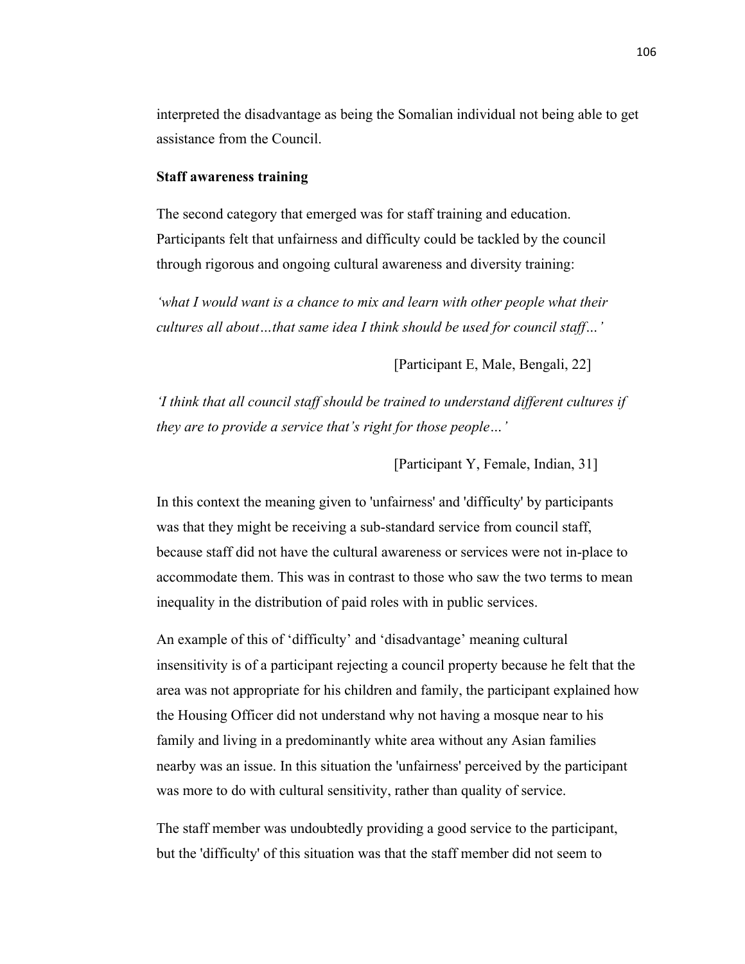interpreted the disadvantage as being the Somalian individual not being able to get assistance from the Council.

#### **Staff awareness training**

The second category that emerged was for staff training and education. Participants felt that unfairness and difficulty could be tackled by the council through rigorous and ongoing cultural awareness and diversity training:

*'what I would want is a chance to mix and learn with other people what their cultures all about…that same idea I think should be used for council staff…'*

[Participant E, Male, Bengali, 22]

*'I think that all council staff should be trained to understand different cultures if they are to provide a service that's right for those people…'*

[Participant Y, Female, Indian, 31]

In this context the meaning given to 'unfairness' and 'difficulty' by participants was that they might be receiving a sub-standard service from council staff, because staff did not have the cultural awareness or services were not in-place to accommodate them. This was in contrast to those who saw the two terms to mean inequality in the distribution of paid roles with in public services.

An example of this of 'difficulty' and 'disadvantage' meaning cultural insensitivity is of a participant rejecting a council property because he felt that the area was not appropriate for his children and family, the participant explained how the Housing Officer did not understand why not having a mosque near to his family and living in a predominantly white area without any Asian families nearby was an issue. In this situation the 'unfairness' perceived by the participant was more to do with cultural sensitivity, rather than quality of service.

The staff member was undoubtedly providing a good service to the participant, but the 'difficulty' of this situation was that the staff member did not seem to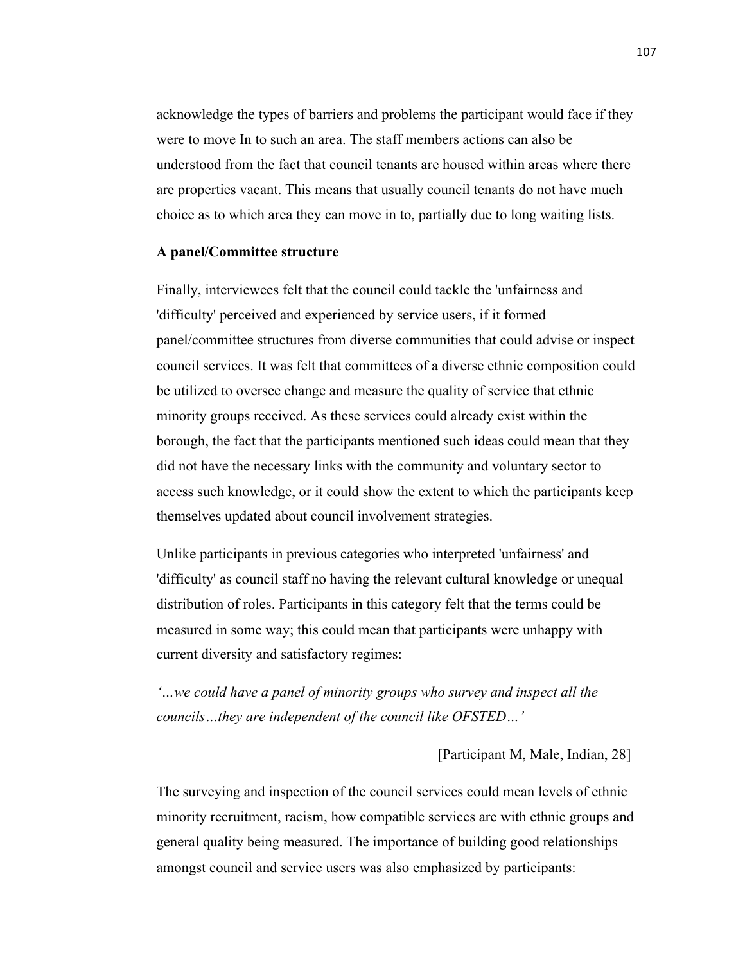acknowledge the types of barriers and problems the participant would face if they were to move In to such an area. The staff members actions can also be understood from the fact that council tenants are housed within areas where there are properties vacant. This means that usually council tenants do not have much choice as to which area they can move in to, partially due to long waiting lists.

#### **A panel/Committee structure**

Finally, interviewees felt that the council could tackle the 'unfairness and 'difficulty' perceived and experienced by service users, if it formed panel/committee structures from diverse communities that could advise or inspect council services. It was felt that committees of a diverse ethnic composition could be utilized to oversee change and measure the quality of service that ethnic minority groups received. As these services could already exist within the borough, the fact that the participants mentioned such ideas could mean that they did not have the necessary links with the community and voluntary sector to access such knowledge, or it could show the extent to which the participants keep themselves updated about council involvement strategies.

Unlike participants in previous categories who interpreted 'unfairness' and 'difficulty' as council staff no having the relevant cultural knowledge or unequal distribution of roles. Participants in this category felt that the terms could be measured in some way; this could mean that participants were unhappy with current diversity and satisfactory regimes:

*'…we could have a panel of minority groups who survey and inspect all the councils…they are independent of the council like OFSTED…'*

[Participant M, Male, Indian, 28]

The surveying and inspection of the council services could mean levels of ethnic minority recruitment, racism, how compatible services are with ethnic groups and general quality being measured. The importance of building good relationships amongst council and service users was also emphasized by participants: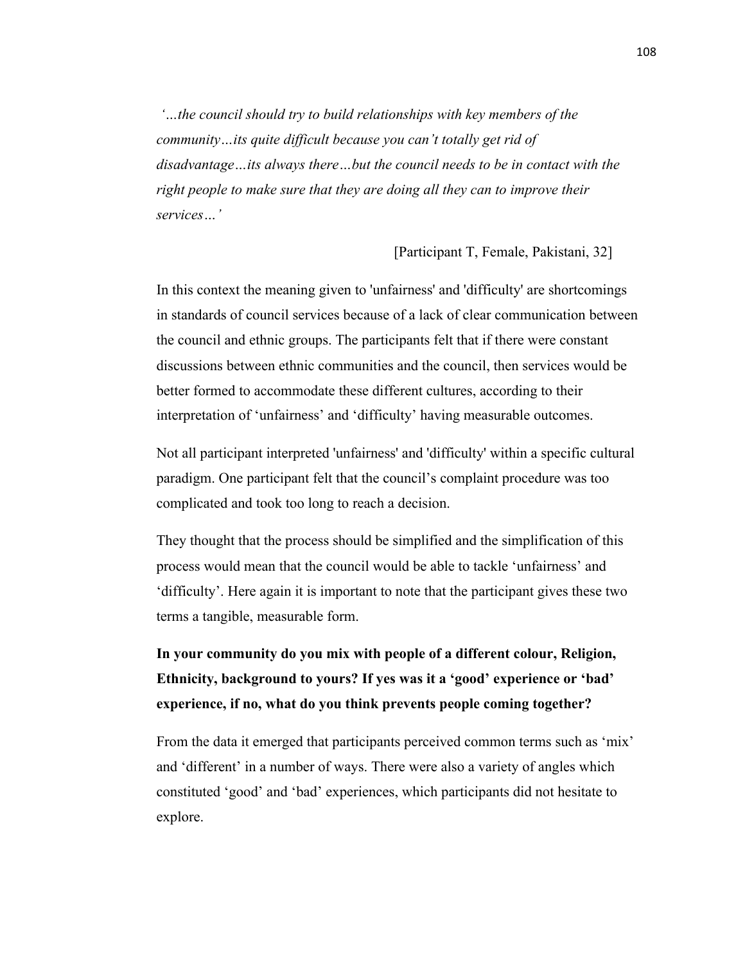*'…the council should try to build relationships with key members of the community…its quite difficult because you can't totally get rid of disadvantage…its always there…but the council needs to be in contact with the right people to make sure that they are doing all they can to improve their services…'*

[Participant T, Female, Pakistani, 32]

In this context the meaning given to 'unfairness' and 'difficulty' are shortcomings in standards of council services because of a lack of clear communication between the council and ethnic groups. The participants felt that if there were constant discussions between ethnic communities and the council, then services would be better formed to accommodate these different cultures, according to their interpretation of 'unfairness' and 'difficulty' having measurable outcomes.

Not all participant interpreted 'unfairness' and 'difficulty' within a specific cultural paradigm. One participant felt that the council's complaint procedure was too complicated and took too long to reach a decision.

They thought that the process should be simplified and the simplification of this process would mean that the council would be able to tackle 'unfairness' and 'difficulty'. Here again it is important to note that the participant gives these two terms a tangible, measurable form.

**In your community do you mix with people of a different colour, Religion, Ethnicity, background to yours? If yes was it a 'good' experience or 'bad' experience, if no, what do you think prevents people coming together?**

From the data it emerged that participants perceived common terms such as 'mix' and 'different' in a number of ways. There were also a variety of angles which constituted 'good' and 'bad' experiences, which participants did not hesitate to explore.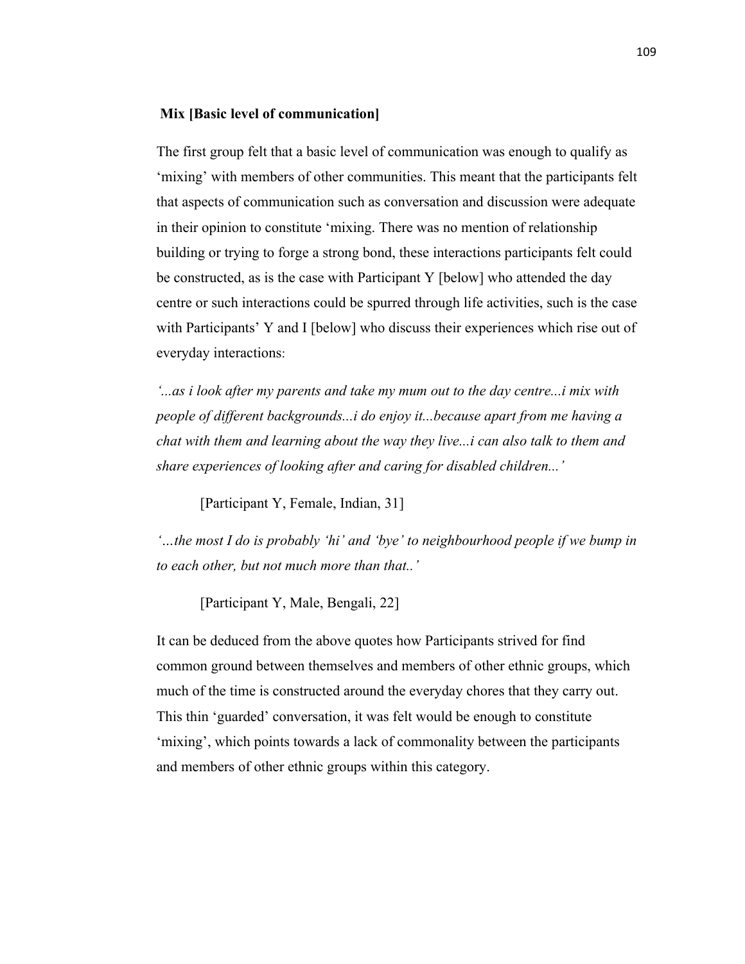## **Mix [Basic level of communication]**

The first group felt that a basic level of communication was enough to qualify as 'mixing' with members of other communities. This meant that the participants felt that aspects of communication such as conversation and discussion were adequate in their opinion to constitute 'mixing. There was no mention of relationship building or trying to forge a strong bond, these interactions participants felt could be constructed, as is the case with Participant Y [below] who attended the day centre or such interactions could be spurred through life activities, such is the case with Participants' Y and I [below] who discuss their experiences which rise out of everyday interactions:

*'...as i look after my parents and take my mum out to the day centre...i mix with people of different backgrounds...i do enjoy it...because apart from me having a chat with them and learning about the way they live...i can also talk to them and share experiences of looking after and caring for disabled children...'*

[Participant Y, Female, Indian, 31]

*'…the most I do is probably 'hi' and 'bye' to neighbourhood people if we bump in to each other, but not much more than that..'*

[Participant Y, Male, Bengali, 22]

It can be deduced from the above quotes how Participants strived for find common ground between themselves and members of other ethnic groups, which much of the time is constructed around the everyday chores that they carry out. This thin 'guarded' conversation, it was felt would be enough to constitute 'mixing', which points towards a lack of commonality between the participants and members of other ethnic groups within this category.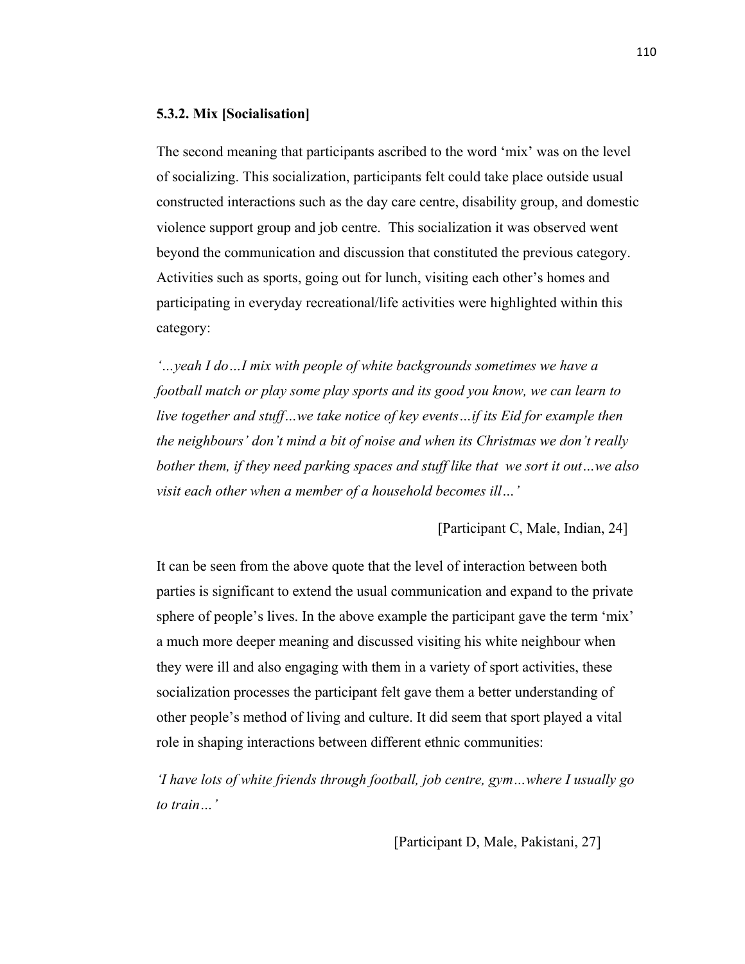## **5.3.2. Mix [Socialisation]**

The second meaning that participants ascribed to the word 'mix' was on the level of socializing. This socialization, participants felt could take place outside usual constructed interactions such as the day care centre, disability group, and domestic violence support group and job centre. This socialization it was observed went beyond the communication and discussion that constituted the previous category. Activities such as sports, going out for lunch, visiting each other's homes and participating in everyday recreational/life activities were highlighted within this category:

*'…yeah I do…I mix with people of white backgrounds sometimes we have a football match or play some play sports and its good you know, we can learn to live together and stuff…we take notice of key events…if its Eid for example then the neighbours' don't mind a bit of noise and when its Christmas we don't really bother them, if they need parking spaces and stuff like that we sort it out…we also visit each other when a member of a household becomes ill…'*

## [Participant C, Male, Indian, 24]

It can be seen from the above quote that the level of interaction between both parties is significant to extend the usual communication and expand to the private sphere of people's lives. In the above example the participant gave the term 'mix' a much more deeper meaning and discussed visiting his white neighbour when they were ill and also engaging with them in a variety of sport activities, these socialization processes the participant felt gave them a better understanding of other people's method of living and culture. It did seem that sport played a vital role in shaping interactions between different ethnic communities:

*'I have lots of white friends through football, job centre, gym…where I usually go to train…'*

[Participant D, Male, Pakistani, 27]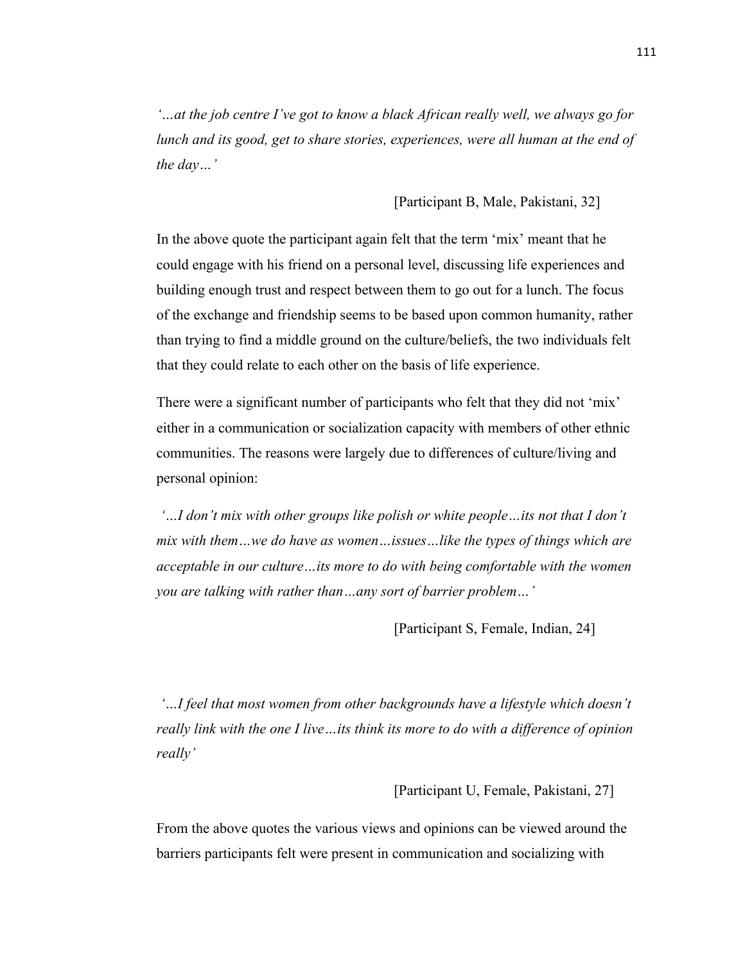*'…at the job centre I've got to know a black African really well, we always go for lunch and its good, get to share stories, experiences, were all human at the end of the day…'*

[Participant B, Male, Pakistani, 32]

In the above quote the participant again felt that the term 'mix' meant that he could engage with his friend on a personal level, discussing life experiences and building enough trust and respect between them to go out for a lunch. The focus of the exchange and friendship seems to be based upon common humanity, rather than trying to find a middle ground on the culture/beliefs, the two individuals felt that they could relate to each other on the basis of life experience.

There were a significant number of participants who felt that they did not 'mix' either in a communication or socialization capacity with members of other ethnic communities. The reasons were largely due to differences of culture/living and personal opinion:

*'…I don't mix with other groups like polish or white people…its not that I don't mix with them…we do have as women…issues…like the types of things which are acceptable in our culture…its more to do with being comfortable with the women you are talking with rather than…any sort of barrier problem…'*

[Participant S, Female, Indian, 24]

*'…I feel that most women from other backgrounds have a lifestyle which doesn't really link with the one I live…its think its more to do with a difference of opinion really'*

[Participant U, Female, Pakistani, 27]

From the above quotes the various views and opinions can be viewed around the barriers participants felt were present in communication and socializing with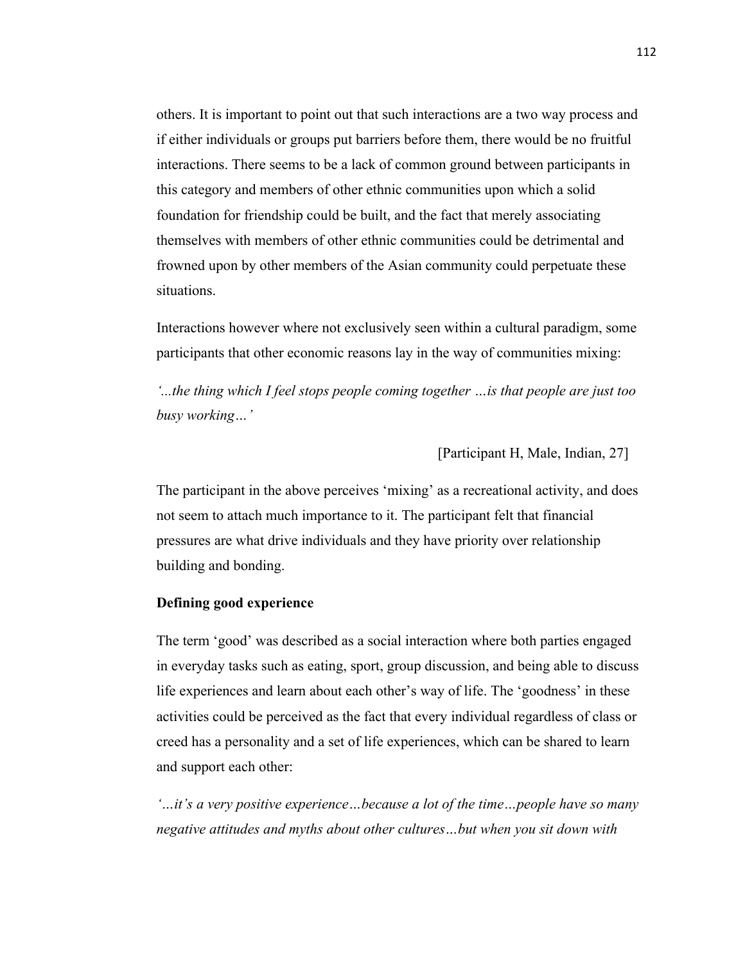others. It is important to point out that such interactions are a two way process and if either individuals or groups put barriers before them, there would be no fruitful interactions. There seems to be a lack of common ground between participants in this category and members of other ethnic communities upon which a solid foundation for friendship could be built, and the fact that merely associating themselves with members of other ethnic communities could be detrimental and frowned upon by other members of the Asian community could perpetuate these situations.

Interactions however where not exclusively seen within a cultural paradigm, some participants that other economic reasons lay in the way of communities mixing:

*'...the thing which I feel stops people coming together …is that people are just too busy working…'*

[Participant H, Male, Indian, 27]

The participant in the above perceives 'mixing' as a recreational activity, and does not seem to attach much importance to it. The participant felt that financial pressures are what drive individuals and they have priority over relationship building and bonding.

#### **Defining good experience**

The term 'good' was described as a social interaction where both parties engaged in everyday tasks such as eating, sport, group discussion, and being able to discuss life experiences and learn about each other's way of life. The 'goodness' in these activities could be perceived as the fact that every individual regardless of class or creed has a personality and a set of life experiences, which can be shared to learn and support each other:

*'…it's a very positive experience…because a lot of the time…people have so many negative attitudes and myths about other cultures…but when you sit down with*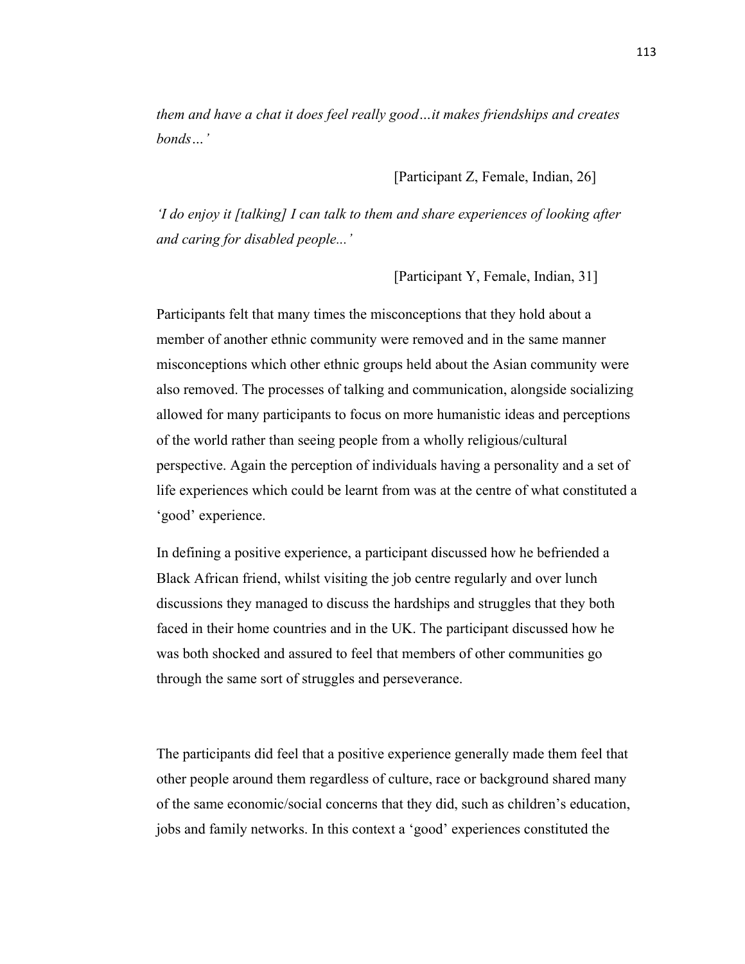*them and have a chat it does feel really good…it makes friendships and creates bonds…'*

[Participant Z, Female, Indian, 26]

*'I do enjoy it [talking] I can talk to them and share experiences of looking after and caring for disabled people...'*

[Participant Y, Female, Indian, 31]

Participants felt that many times the misconceptions that they hold about a member of another ethnic community were removed and in the same manner misconceptions which other ethnic groups held about the Asian community were also removed. The processes of talking and communication, alongside socializing allowed for many participants to focus on more humanistic ideas and perceptions of the world rather than seeing people from a wholly religious/cultural perspective. Again the perception of individuals having a personality and a set of life experiences which could be learnt from was at the centre of what constituted a 'good' experience.

In defining a positive experience, a participant discussed how he befriended a Black African friend, whilst visiting the job centre regularly and over lunch discussions they managed to discuss the hardships and struggles that they both faced in their home countries and in the UK. The participant discussed how he was both shocked and assured to feel that members of other communities go through the same sort of struggles and perseverance.

The participants did feel that a positive experience generally made them feel that other people around them regardless of culture, race or background shared many of the same economic/social concerns that they did, such as children's education, jobs and family networks. In this context a 'good' experiences constituted the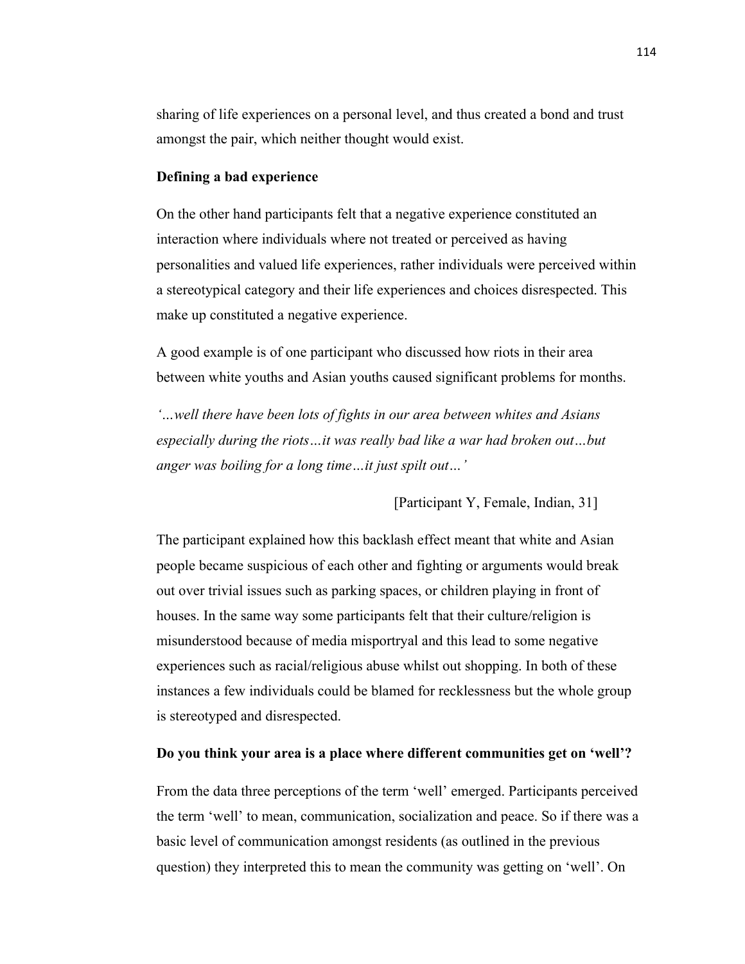sharing of life experiences on a personal level, and thus created a bond and trust amongst the pair, which neither thought would exist.

#### **Defining a bad experience**

On the other hand participants felt that a negative experience constituted an interaction where individuals where not treated or perceived as having personalities and valued life experiences, rather individuals were perceived within a stereotypical category and their life experiences and choices disrespected. This make up constituted a negative experience.

A good example is of one participant who discussed how riots in their area between white youths and Asian youths caused significant problems for months.

*'…well there have been lots of fights in our area between whites and Asians especially during the riots…it was really bad like a war had broken out…but anger was boiling for a long time…it just spilt out…'*

[Participant Y, Female, Indian, 31]

The participant explained how this backlash effect meant that white and Asian people became suspicious of each other and fighting or arguments would break out over trivial issues such as parking spaces, or children playing in front of houses. In the same way some participants felt that their culture/religion is misunderstood because of media misportryal and this lead to some negative experiences such as racial/religious abuse whilst out shopping. In both of these instances a few individuals could be blamed for recklessness but the whole group is stereotyped and disrespected.

#### **Do you think your area is a place where different communities get on 'well'?**

From the data three perceptions of the term 'well' emerged. Participants perceived the term 'well' to mean, communication, socialization and peace. So if there was a basic level of communication amongst residents (as outlined in the previous question) they interpreted this to mean the community was getting on 'well'. On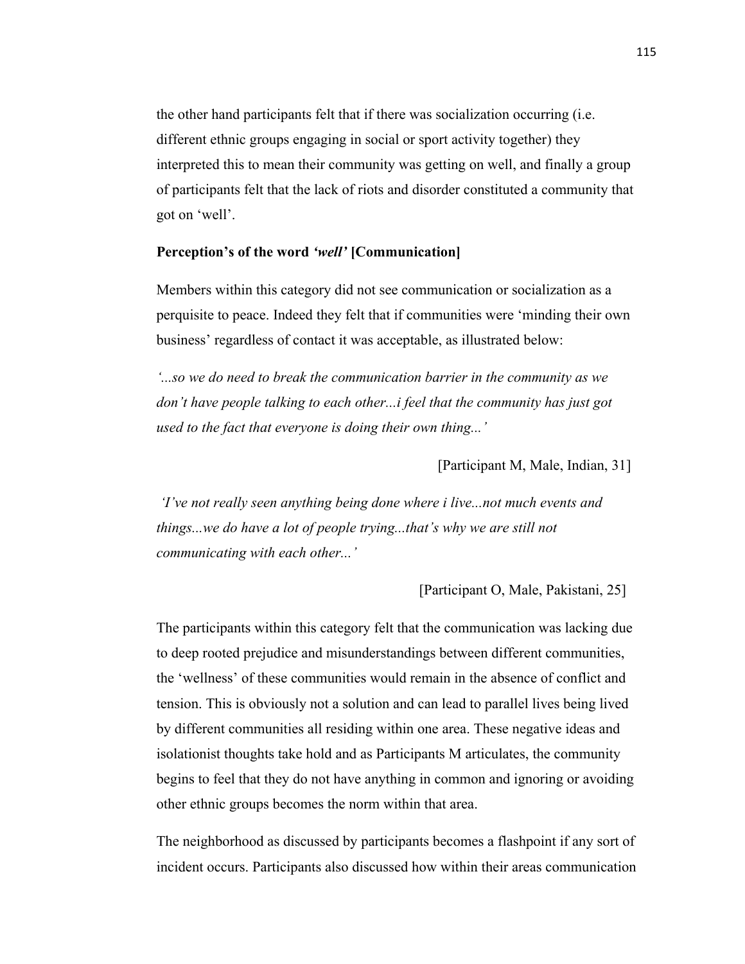the other hand participants felt that if there was socialization occurring (i.e. different ethnic groups engaging in social or sport activity together) they interpreted this to mean their community was getting on well, and finally a group of participants felt that the lack of riots and disorder constituted a community that got on 'well'.

## **Perception's of the word** *'well'* **[Communication]**

Members within this category did not see communication or socialization as a perquisite to peace. Indeed they felt that if communities were 'minding their own business' regardless of contact it was acceptable, as illustrated below:

*'...so we do need to break the communication barrier in the community as we don't have people talking to each other...i feel that the community has just got used to the fact that everyone is doing their own thing...'*

[Participant M, Male, Indian, 31]

*'I've not really seen anything being done where i live...not much events and things...we do have a lot of people trying...that's why we are still not communicating with each other...'*

[Participant O, Male, Pakistani, 25]

The participants within this category felt that the communication was lacking due to deep rooted prejudice and misunderstandings between different communities, the 'wellness' of these communities would remain in the absence of conflict and tension. This is obviously not a solution and can lead to parallel lives being lived by different communities all residing within one area. These negative ideas and isolationist thoughts take hold and as Participants M articulates, the community begins to feel that they do not have anything in common and ignoring or avoiding other ethnic groups becomes the norm within that area.

The neighborhood as discussed by participants becomes a flashpoint if any sort of incident occurs. Participants also discussed how within their areas communication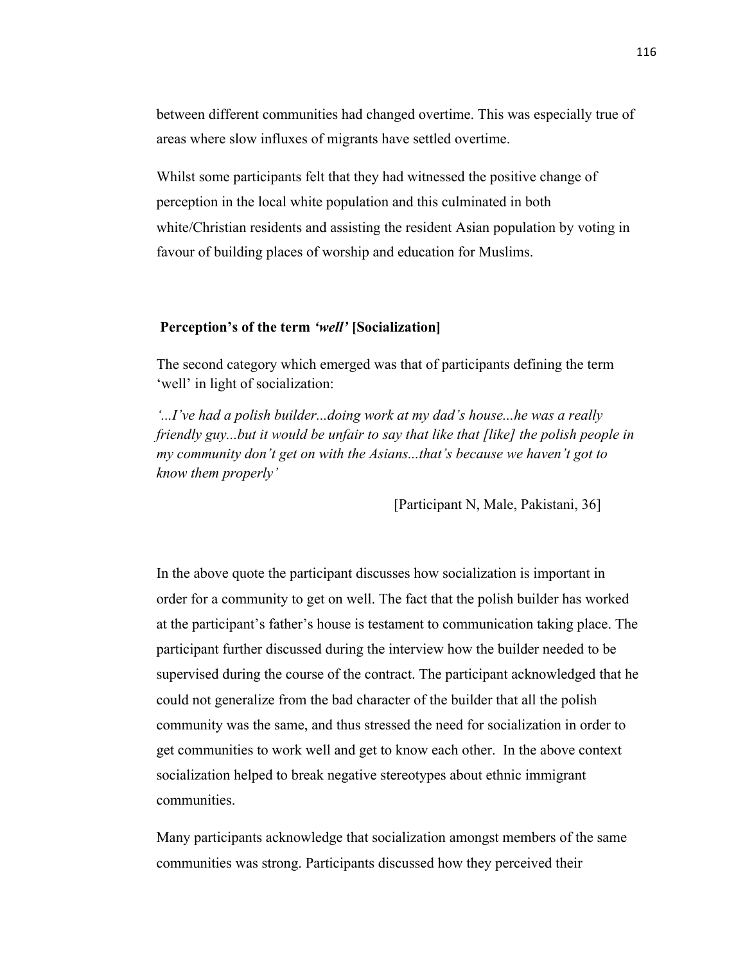between different communities had changed overtime. This was especially true of areas where slow influxes of migrants have settled overtime.

Whilst some participants felt that they had witnessed the positive change of perception in the local white population and this culminated in both white/Christian residents and assisting the resident Asian population by voting in favour of building places of worship and education for Muslims.

## **Perception's of the term** *'well'* **[Socialization]**

The second category which emerged was that of participants defining the term 'well' in light of socialization:

*'...I've had a polish builder...doing work at my dad's house...he was a really friendly guy...but it would be unfair to say that like that [like] the polish people in my community don't get on with the Asians...that's because we haven't got to know them properly'*

[Participant N, Male, Pakistani, 36]

In the above quote the participant discusses how socialization is important in order for a community to get on well. The fact that the polish builder has worked at the participant's father's house is testament to communication taking place. The participant further discussed during the interview how the builder needed to be supervised during the course of the contract. The participant acknowledged that he could not generalize from the bad character of the builder that all the polish community was the same, and thus stressed the need for socialization in order to get communities to work well and get to know each other. In the above context socialization helped to break negative stereotypes about ethnic immigrant communities.

Many participants acknowledge that socialization amongst members of the same communities was strong. Participants discussed how they perceived their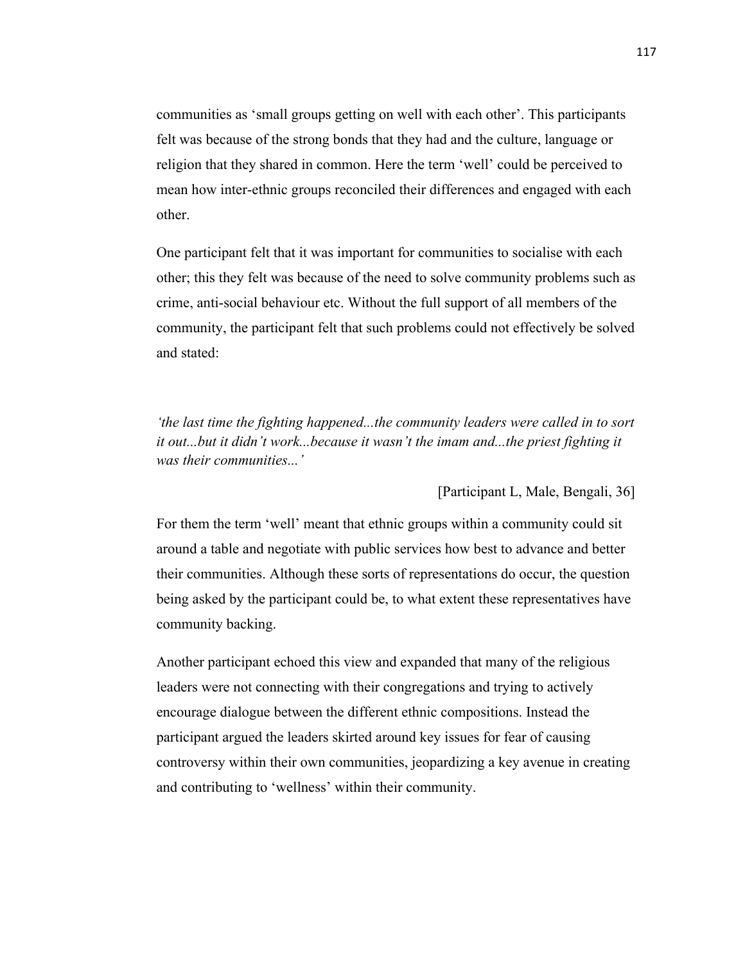communities as 'small groups getting on well with each other'. This participants felt was because of the strong bonds that they had and the culture, language or religion that they shared in common. Here the term 'well' could be perceived to mean how inter-ethnic groups reconciled their differences and engaged with each other.

One participant felt that it was important for communities to socialise with each other; this they felt was because of the need to solve community problems such as crime, anti-social behaviour etc. Without the full support of all members of the community, the participant felt that such problems could not effectively be solved and stated:

*'the last time the fighting happened...the community leaders were called in to sort*  it out...but it didn't work...because it wasn't the imam and...the priest fighting it *was their communities...'*

[Participant L, Male, Bengali, 36]

For them the term 'well' meant that ethnic groups within a community could sit around a table and negotiate with public services how best to advance and better their communities. Although these sorts of representations do occur, the question being asked by the participant could be, to what extent these representatives have community backing.

Another participant echoed this view and expanded that many of the religious leaders were not connecting with their congregations and trying to actively encourage dialogue between the different ethnic compositions. Instead the participant argued the leaders skirted around key issues for fear of causing controversy within their own communities, jeopardizing a key avenue in creating and contributing to 'wellness' within their community.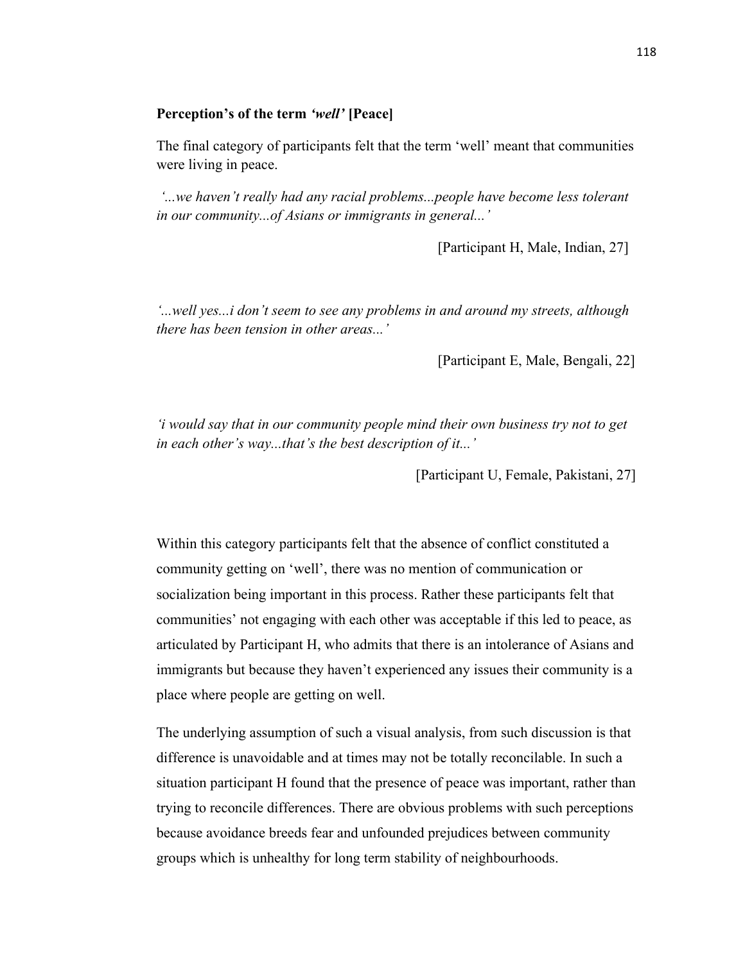# **Perception's of the term** *'well'* **[Peace]**

The final category of participants felt that the term 'well' meant that communities were living in peace.

*'...we haven't really had any racial problems...people have become less tolerant in our community...of Asians or immigrants in general...'*

[Participant H, Male, Indian, 27]

*'...well yes...i don't seem to see any problems in and around my streets, although there has been tension in other areas...'*

[Participant E, Male, Bengali, 22]

*'i would say that in our community people mind their own business try not to get in each other's way...that's the best description of it...'*

[Participant U, Female, Pakistani, 27]

Within this category participants felt that the absence of conflict constituted a community getting on 'well', there was no mention of communication or socialization being important in this process. Rather these participants felt that communities' not engaging with each other was acceptable if this led to peace, as articulated by Participant H, who admits that there is an intolerance of Asians and immigrants but because they haven't experienced any issues their community is a place where people are getting on well.

The underlying assumption of such a visual analysis, from such discussion is that difference is unavoidable and at times may not be totally reconcilable. In such a situation participant H found that the presence of peace was important, rather than trying to reconcile differences. There are obvious problems with such perceptions because avoidance breeds fear and unfounded prejudices between community groups which is unhealthy for long term stability of neighbourhoods.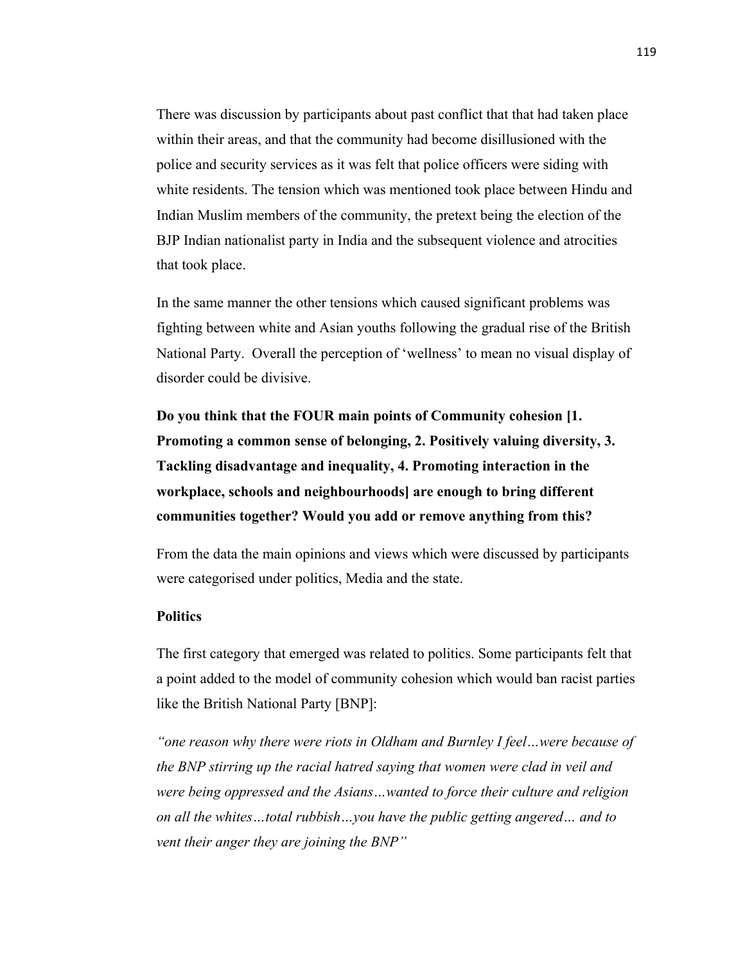There was discussion by participants about past conflict that that had taken place within their areas, and that the community had become disillusioned with the police and security services as it was felt that police officers were siding with white residents. The tension which was mentioned took place between Hindu and Indian Muslim members of the community, the pretext being the election of the BJP Indian nationalist party in India and the subsequent violence and atrocities that took place.

In the same manner the other tensions which caused significant problems was fighting between white and Asian youths following the gradual rise of the British National Party. Overall the perception of 'wellness' to mean no visual display of disorder could be divisive.

**Do you think that the FOUR main points of Community cohesion [1. Promoting a common sense of belonging, 2. Positively valuing diversity, 3. Tackling disadvantage and inequality, 4. Promoting interaction in the workplace, schools and neighbourhoods] are enough to bring different communities together? Would you add or remove anything from this?**

From the data the main opinions and views which were discussed by participants were categorised under politics, Media and the state.

## **Politics**

The first category that emerged was related to politics. Some participants felt that a point added to the model of community cohesion which would ban racist parties like the British National Party [BNP]:

*"one reason why there were riots in Oldham and Burnley I feel…were because of the BNP stirring up the racial hatred saying that women were clad in veil and were being oppressed and the Asians…wanted to force their culture and religion on all the whites…total rubbish…you have the public getting angered… and to vent their anger they are joining the BNP"*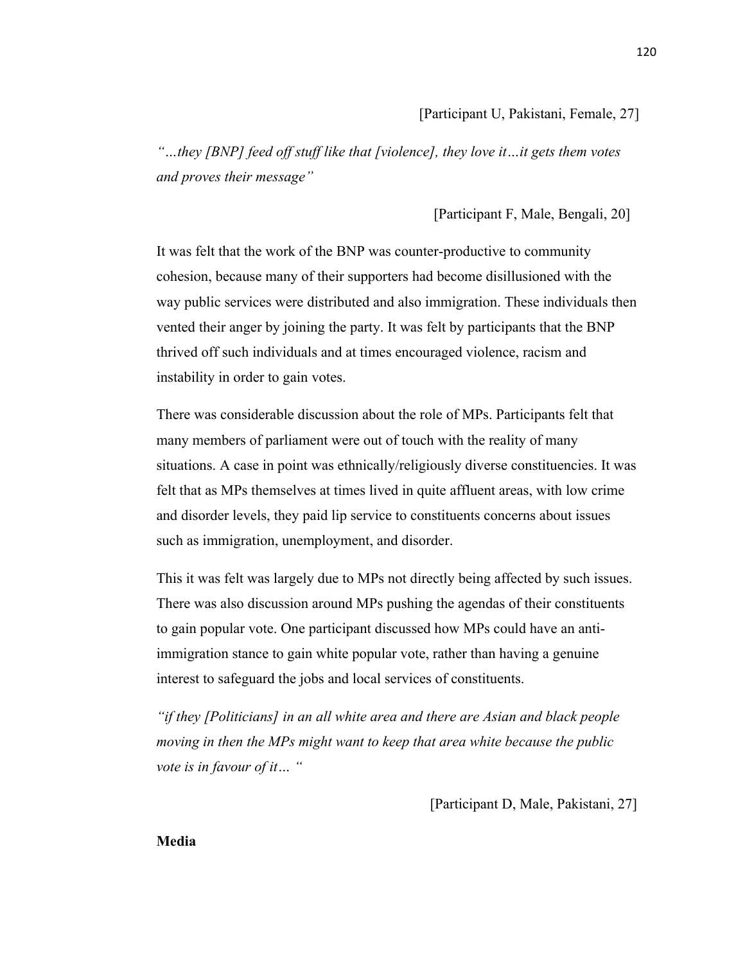*"…they [BNP] feed off stuff like that [violence], they love it…it gets them votes and proves their message"*

# [Participant F, Male, Bengali, 20]

It was felt that the work of the BNP was counter-productive to community cohesion, because many of their supporters had become disillusioned with the way public services were distributed and also immigration. These individuals then vented their anger by joining the party. It was felt by participants that the BNP thrived off such individuals and at times encouraged violence, racism and instability in order to gain votes.

There was considerable discussion about the role of MPs. Participants felt that many members of parliament were out of touch with the reality of many situations. A case in point was ethnically/religiously diverse constituencies. It was felt that as MPs themselves at times lived in quite affluent areas, with low crime and disorder levels, they paid lip service to constituents concerns about issues such as immigration, unemployment, and disorder.

This it was felt was largely due to MPs not directly being affected by such issues. There was also discussion around MPs pushing the agendas of their constituents to gain popular vote. One participant discussed how MPs could have an antiimmigration stance to gain white popular vote, rather than having a genuine interest to safeguard the jobs and local services of constituents.

*"if they [Politicians] in an all white area and there are Asian and black people moving in then the MPs might want to keep that area white because the public vote is in favour of it… "*

[Participant D, Male, Pakistani, 27]

**Media**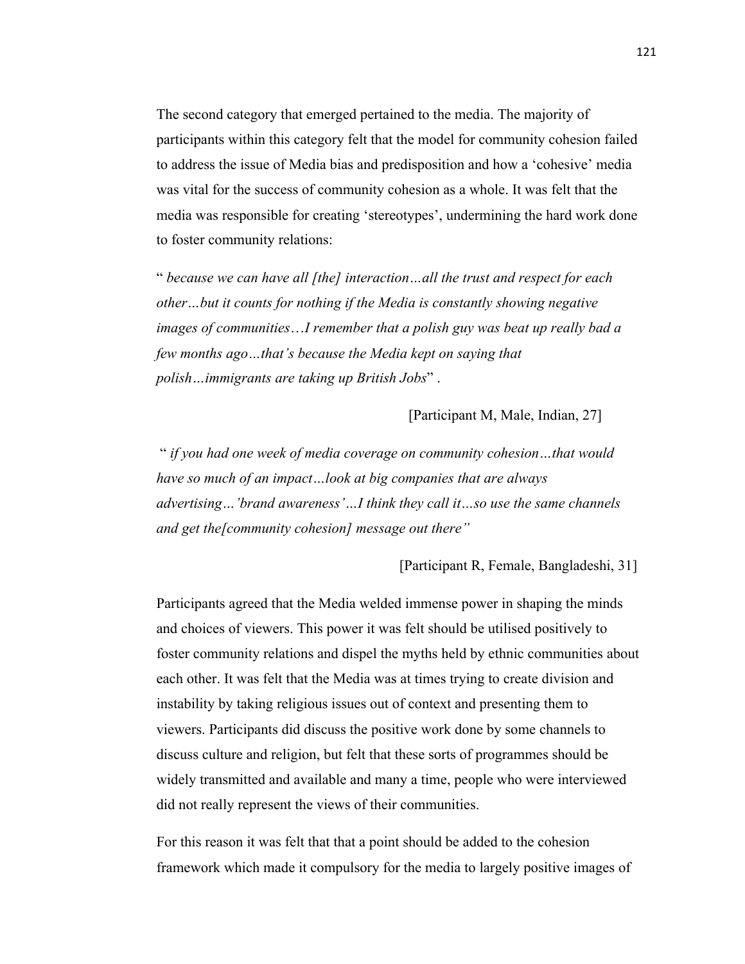The second category that emerged pertained to the media. The majority of participants within this category felt that the model for community cohesion failed to address the issue of Media bias and predisposition and how a 'cohesive' media was vital for the success of community cohesion as a whole. It was felt that the media was responsible for creating 'stereotypes', undermining the hard work done to foster community relations:

" *because we can have all [the] interaction…all the trust and respect for each other…but it counts for nothing if the Media is constantly showing negative images of communities*…*I remember that a polish guy was beat up really bad a few months ago…that's because the Media kept on saying that polish…immigrants are taking up British Jobs*" .

[Participant M, Male, Indian, 27]

" *if you had one week of media coverage on community cohesion…that would have so much of an impact…look at big companies that are always advertising…'brand awareness'…I think they call it…so use the same channels and get the[community cohesion] message out there"*

[Participant R, Female, Bangladeshi, 31]

Participants agreed that the Media welded immense power in shaping the minds and choices of viewers. This power it was felt should be utilised positively to foster community relations and dispel the myths held by ethnic communities about each other. It was felt that the Media was at times trying to create division and instability by taking religious issues out of context and presenting them to viewers. Participants did discuss the positive work done by some channels to discuss culture and religion, but felt that these sorts of programmes should be widely transmitted and available and many a time, people who were interviewed did not really represent the views of their communities.

For this reason it was felt that that a point should be added to the cohesion framework which made it compulsory for the media to largely positive images of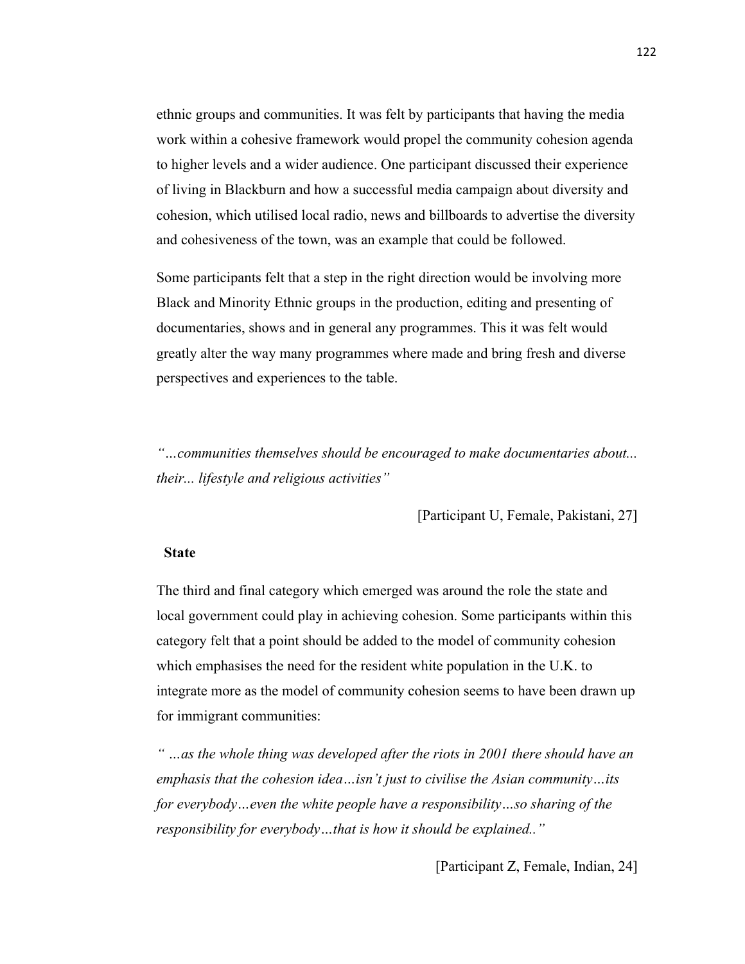ethnic groups and communities. It was felt by participants that having the media work within a cohesive framework would propel the community cohesion agenda to higher levels and a wider audience. One participant discussed their experience of living in Blackburn and how a successful media campaign about diversity and cohesion, which utilised local radio, news and billboards to advertise the diversity and cohesiveness of the town, was an example that could be followed.

Some participants felt that a step in the right direction would be involving more Black and Minority Ethnic groups in the production, editing and presenting of documentaries, shows and in general any programmes. This it was felt would greatly alter the way many programmes where made and bring fresh and diverse perspectives and experiences to the table.

*"…communities themselves should be encouraged to make documentaries about... their... lifestyle and religious activities"*

[Participant U, Female, Pakistani, 27]

#### **State**

The third and final category which emerged was around the role the state and local government could play in achieving cohesion. Some participants within this category felt that a point should be added to the model of community cohesion which emphasises the need for the resident white population in the U.K. to integrate more as the model of community cohesion seems to have been drawn up for immigrant communities:

*" …as the whole thing was developed after the riots in 2001 there should have an emphasis that the cohesion idea…isn't just to civilise the Asian community…its for everybody…even the white people have a responsibility…so sharing of the responsibility for everybody…that is how it should be explained.."*

[Participant Z, Female, Indian, 24]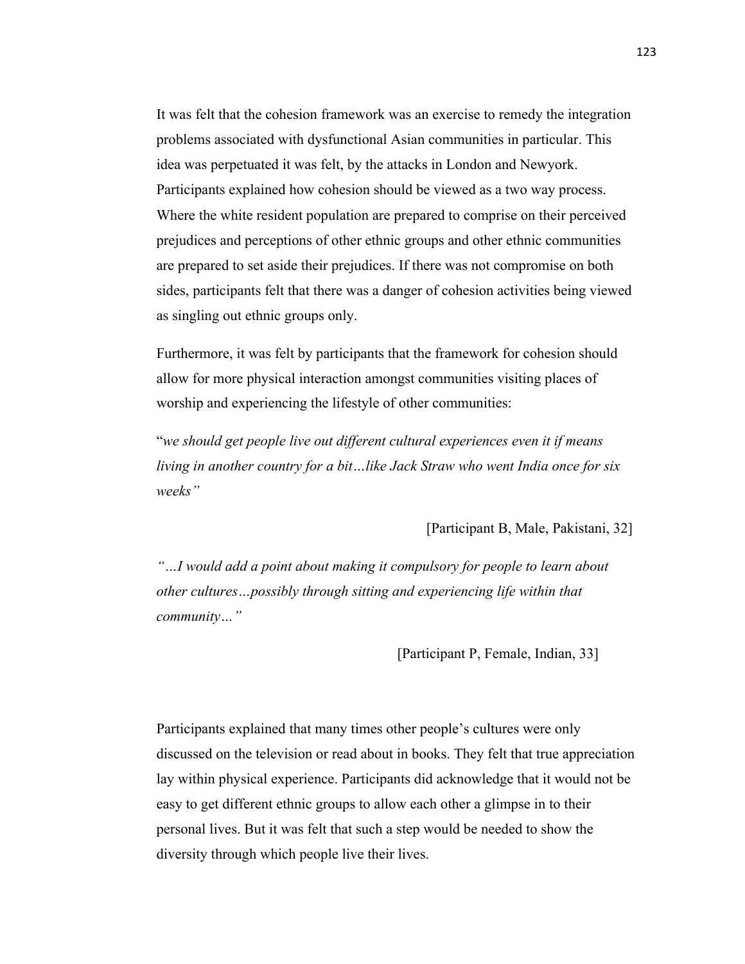It was felt that the cohesion framework was an exercise to remedy the integration problems associated with dysfunctional Asian communities in particular. This idea was perpetuated it was felt, by the attacks in London and Newyork. Participants explained how cohesion should be viewed as a two way process. Where the white resident population are prepared to comprise on their perceived prejudices and perceptions of other ethnic groups and other ethnic communities are prepared to set aside their prejudices. If there was not compromise on both sides, participants felt that there was a danger of cohesion activities being viewed as singling out ethnic groups only.

Furthermore, it was felt by participants that the framework for cohesion should allow for more physical interaction amongst communities visiting places of worship and experiencing the lifestyle of other communities:

"*we should get people live out different cultural experiences even it if means living in another country for a bit…like Jack Straw who went India once for six weeks"*

[Participant B, Male, Pakistani, 32]

*"…I would add a point about making it compulsory for people to learn about other cultures…possibly through sitting and experiencing life within that community…"*

[Participant P, Female, Indian, 33]

Participants explained that many times other people's cultures were only discussed on the television or read about in books. They felt that true appreciation lay within physical experience. Participants did acknowledge that it would not be easy to get different ethnic groups to allow each other a glimpse in to their personal lives. But it was felt that such a step would be needed to show the diversity through which people live their lives.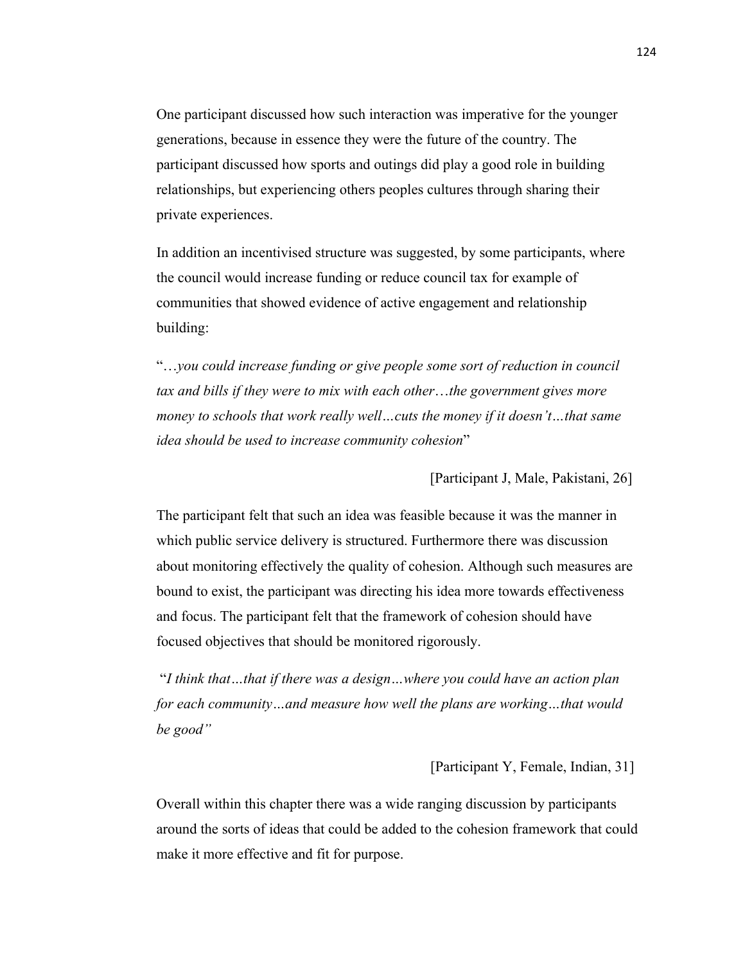One participant discussed how such interaction was imperative for the younger generations, because in essence they were the future of the country. The participant discussed how sports and outings did play a good role in building relationships, but experiencing others peoples cultures through sharing their private experiences.

In addition an incentivised structure was suggested, by some participants, where the council would increase funding or reduce council tax for example of communities that showed evidence of active engagement and relationship building:

"…*you could increase funding or give people some sort of reduction in council tax and bills if they were to mix with each other*…*the government gives more money to schools that work really well…cuts the money if it doesn't…that same idea should be used to increase community cohesion*"

[Participant J, Male, Pakistani, 26]

The participant felt that such an idea was feasible because it was the manner in which public service delivery is structured. Furthermore there was discussion about monitoring effectively the quality of cohesion. Although such measures are bound to exist, the participant was directing his idea more towards effectiveness and focus. The participant felt that the framework of cohesion should have focused objectives that should be monitored rigorously.

"*I think that…that if there was a design…where you could have an action plan for each community…and measure how well the plans are working…that would be good"*

[Participant Y, Female, Indian, 31]

Overall within this chapter there was a wide ranging discussion by participants around the sorts of ideas that could be added to the cohesion framework that could make it more effective and fit for purpose.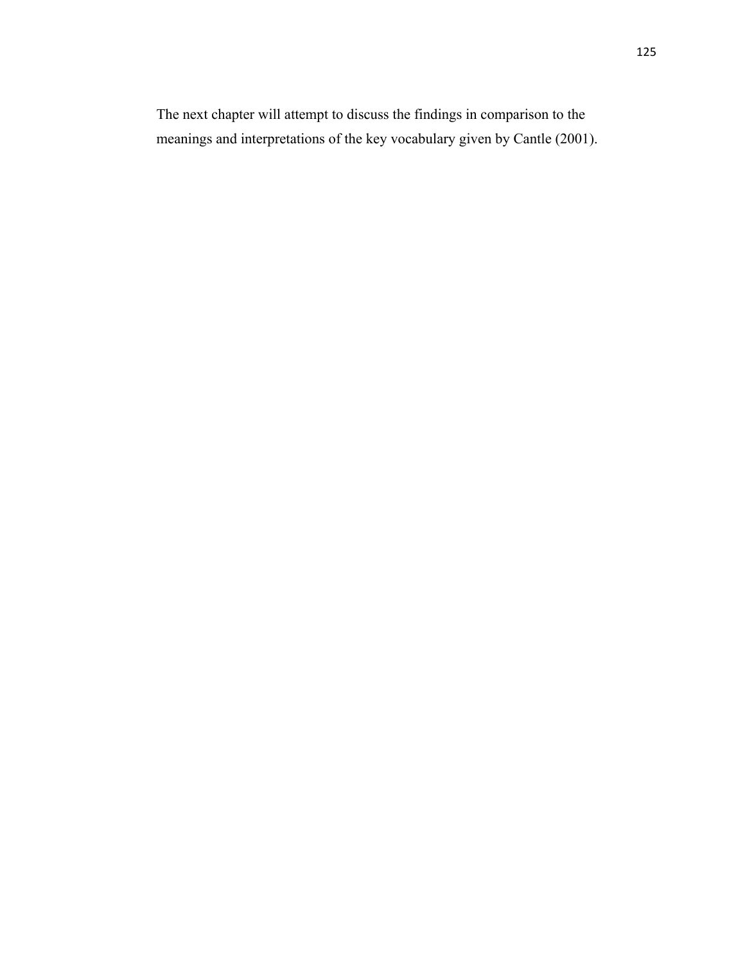The next chapter will attempt to discuss the findings in comparison to the meanings and interpretations of the key vocabulary given by Cantle (2001).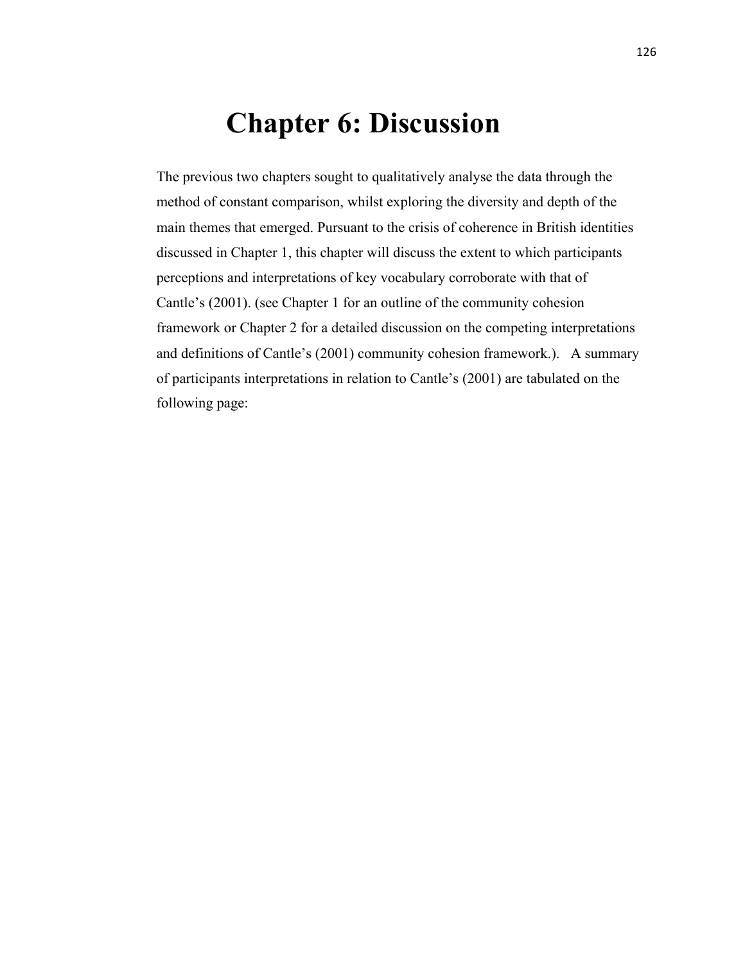# **Chapter 6: Discussion**

The previous two chapters sought to qualitatively analyse the data through the method of constant comparison, whilst exploring the diversity and depth of the main themes that emerged. Pursuant to the crisis of coherence in British identities discussed in Chapter 1, this chapter will discuss the extent to which participants perceptions and interpretations of key vocabulary corroborate with that of Cantle's (2001). (see Chapter 1 for an outline of the community cohesion framework or Chapter 2 for a detailed discussion on the competing interpretations and definitions of Cantle's (2001) community cohesion framework.). A summary of participants interpretations in relation to Cantle's (2001) are tabulated on the following page: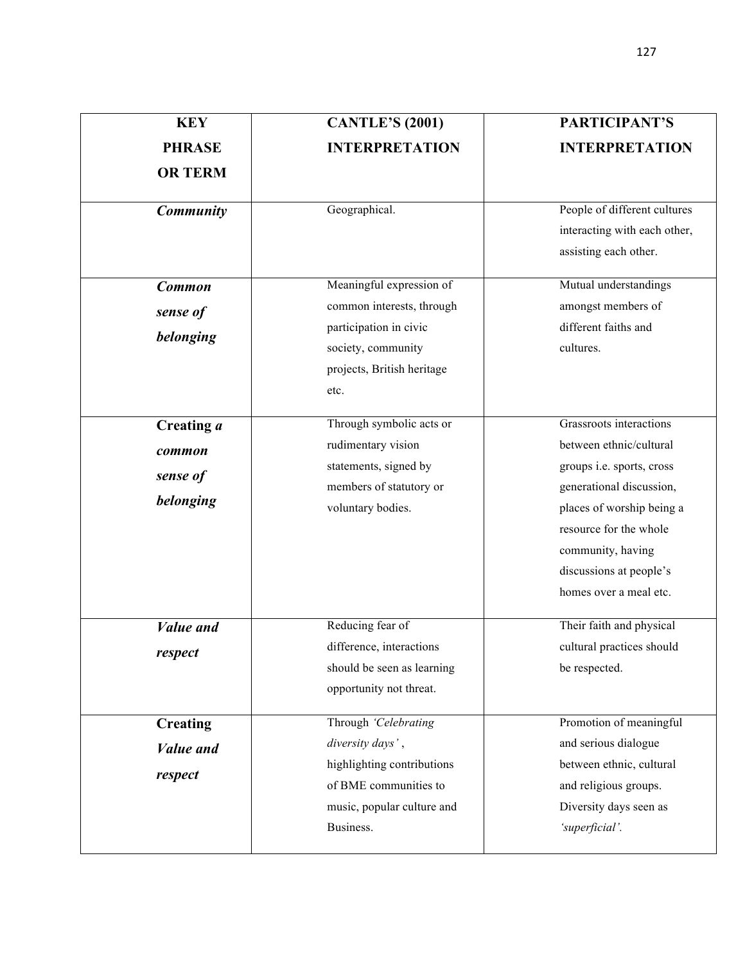| <b>KEY</b>                                     | <b>CANTLE'S (2001)</b>                                                                                                                      | PARTICIPANT'S                                                                                                                                                                                                                                |
|------------------------------------------------|---------------------------------------------------------------------------------------------------------------------------------------------|----------------------------------------------------------------------------------------------------------------------------------------------------------------------------------------------------------------------------------------------|
| <b>PHRASE</b>                                  | <b>INTERPRETATION</b>                                                                                                                       | <b>INTERPRETATION</b>                                                                                                                                                                                                                        |
| <b>OR TERM</b>                                 |                                                                                                                                             |                                                                                                                                                                                                                                              |
| <b>Community</b>                               | Geographical.                                                                                                                               | People of different cultures<br>interacting with each other,<br>assisting each other.                                                                                                                                                        |
| <b>Common</b><br>sense of<br>belonging         | Meaningful expression of<br>common interests, through<br>participation in civic<br>society, community<br>projects, British heritage<br>etc. | Mutual understandings<br>amongst members of<br>different faiths and<br>cultures.                                                                                                                                                             |
| Creating a<br>common<br>sense of<br>belonging  | Through symbolic acts or<br>rudimentary vision<br>statements, signed by<br>members of statutory or<br>voluntary bodies.                     | Grassroots interactions<br>between ethnic/cultural<br>groups i.e. sports, cross<br>generational discussion,<br>places of worship being a<br>resource for the whole<br>community, having<br>discussions at people's<br>homes over a meal etc. |
| <b>Value</b> and<br>respect                    | Reducing fear of<br>difference, interactions<br>should be seen as learning<br>opportunity not threat.                                       | Their faith and physical<br>cultural practices should<br>be respected.                                                                                                                                                                       |
| <b>Creating</b><br><b>Value</b> and<br>respect | Through 'Celebrating<br>diversity days',<br>highlighting contributions<br>of BME communities to<br>music, popular culture and<br>Business.  | Promotion of meaningful<br>and serious dialogue<br>between ethnic, cultural<br>and religious groups.<br>Diversity days seen as<br>'superficial'.                                                                                             |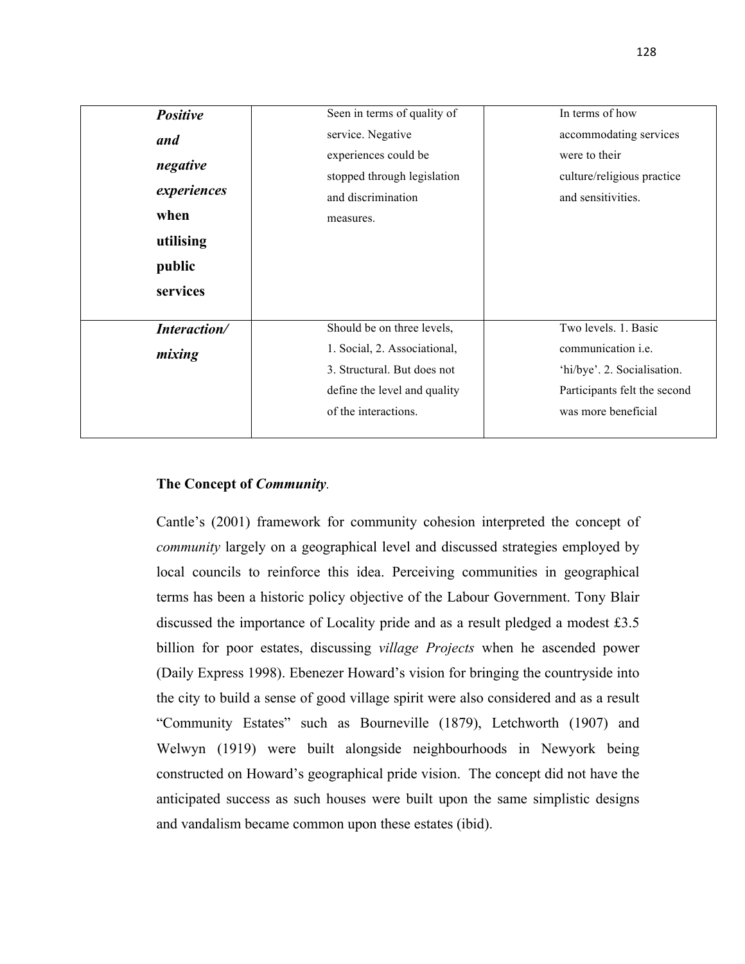| <b>Positive</b> | Seen in terms of quality of  | In terms of how              |
|-----------------|------------------------------|------------------------------|
| and             | service. Negative            | accommodating services       |
|                 | experiences could be         | were to their                |
| negative        | stopped through legislation  | culture/religious practice   |
| experiences     | and discrimination           | and sensitivities.           |
| when            | measures.                    |                              |
| utilising       |                              |                              |
| public          |                              |                              |
| services        |                              |                              |
|                 |                              | Two levels. 1. Basic         |
| Interaction/    | Should be on three levels,   |                              |
| mixing          | 1. Social, 2. Associational, | communication <i>i.e.</i>    |
|                 | 3. Structural. But does not  | 'hi/bye'. 2. Socialisation.  |
|                 | define the level and quality | Participants felt the second |
|                 | of the interactions.         | was more beneficial          |
|                 |                              |                              |

# **The Concept of** *Community.*

Cantle's (2001) framework for community cohesion interpreted the concept of *community* largely on a geographical level and discussed strategies employed by local councils to reinforce this idea. Perceiving communities in geographical terms has been a historic policy objective of the Labour Government. Tony Blair discussed the importance of Locality pride and as a result pledged a modest £3.5 billion for poor estates, discussing *village Projects* when he ascended power (Daily Express 1998). Ebenezer Howard's vision for bringing the countryside into the city to build a sense of good village spirit were also considered and as a result "Community Estates" such as Bourneville (1879), Letchworth (1907) and Welwyn (1919) were built alongside neighbourhoods in Newyork being constructed on Howard's geographical pride vision. The concept did not have the anticipated success as such houses were built upon the same simplistic designs and vandalism became common upon these estates (ibid).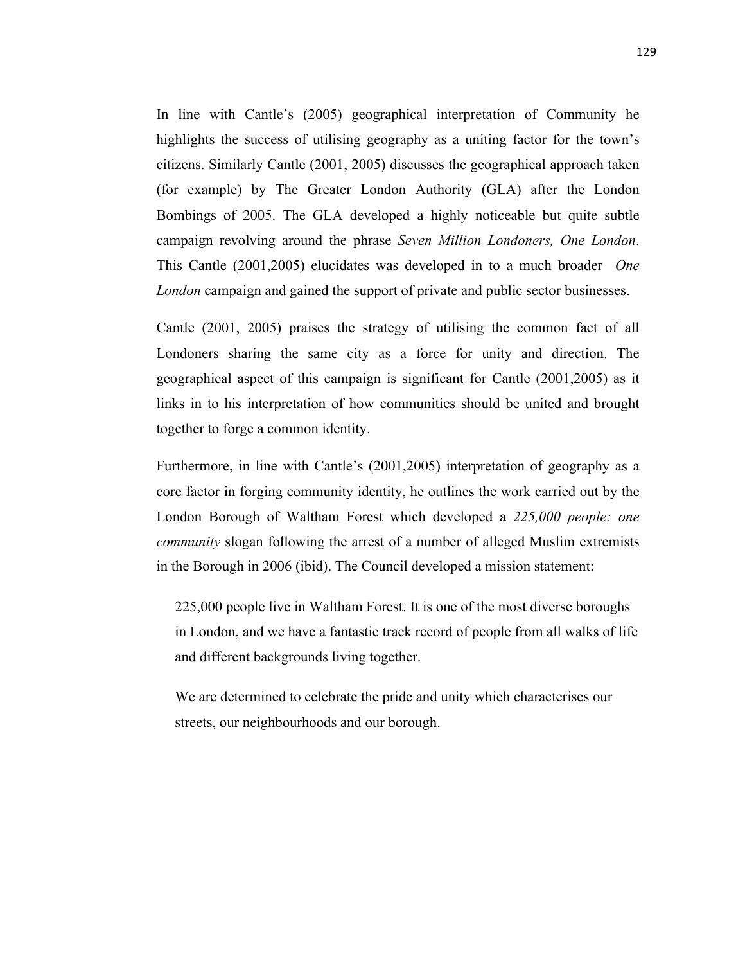In line with Cantle's (2005) geographical interpretation of Community he highlights the success of utilising geography as a uniting factor for the town's citizens. Similarly Cantle (2001, 2005) discusses the geographical approach taken (for example) by The Greater London Authority (GLA) after the London Bombings of 2005. The GLA developed a highly noticeable but quite subtle campaign revolving around the phrase *Seven Million Londoners, One London*. This Cantle (2001,2005) elucidates was developed in to a much broader *One London* campaign and gained the support of private and public sector businesses.

Cantle (2001, 2005) praises the strategy of utilising the common fact of all Londoners sharing the same city as a force for unity and direction. The geographical aspect of this campaign is significant for Cantle (2001,2005) as it links in to his interpretation of how communities should be united and brought together to forge a common identity.

Furthermore, in line with Cantle's (2001,2005) interpretation of geography as a core factor in forging community identity, he outlines the work carried out by the London Borough of Waltham Forest which developed a *225,000 people: one community* slogan following the arrest of a number of alleged Muslim extremists in the Borough in 2006 (ibid). The Council developed a mission statement:

225,000 people live in Waltham Forest. It is one of the most diverse boroughs in London, and we have a fantastic track record of people from all walks of life and different backgrounds living together.

We are determined to celebrate the pride and unity which characterises our streets, our neighbourhoods and our borough.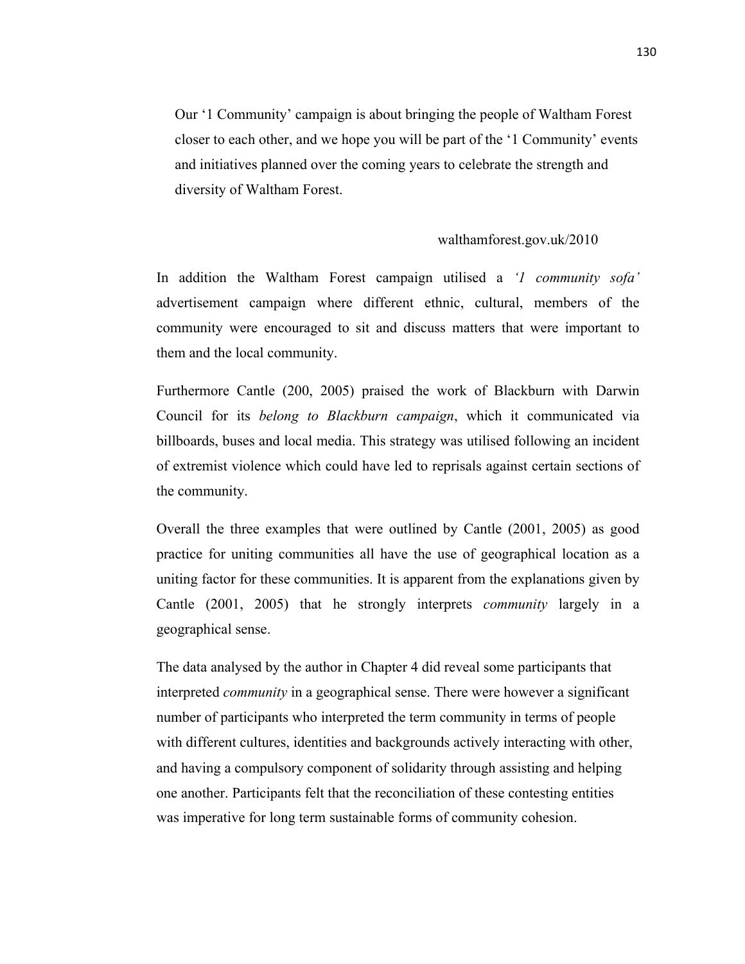Our '1 Community' campaign is about bringing the people of Waltham Forest closer to each other, and we hope you will be part of the '1 Community' events and initiatives planned over the coming years to celebrate the strength and diversity of Waltham Forest.

#### walthamforest.gov.uk/2010

In addition the Waltham Forest campaign utilised a *'1 community sofa'* advertisement campaign where different ethnic, cultural, members of the community were encouraged to sit and discuss matters that were important to them and the local community.

Furthermore Cantle (200, 2005) praised the work of Blackburn with Darwin Council for its *belong to Blackburn campaign*, which it communicated via billboards, buses and local media. This strategy was utilised following an incident of extremist violence which could have led to reprisals against certain sections of the community.

Overall the three examples that were outlined by Cantle (2001, 2005) as good practice for uniting communities all have the use of geographical location as a uniting factor for these communities. It is apparent from the explanations given by Cantle (2001, 2005) that he strongly interprets *community* largely in a geographical sense.

The data analysed by the author in Chapter 4 did reveal some participants that interpreted *community* in a geographical sense. There were however a significant number of participants who interpreted the term community in terms of people with different cultures, identities and backgrounds actively interacting with other, and having a compulsory component of solidarity through assisting and helping one another. Participants felt that the reconciliation of these contesting entities was imperative for long term sustainable forms of community cohesion.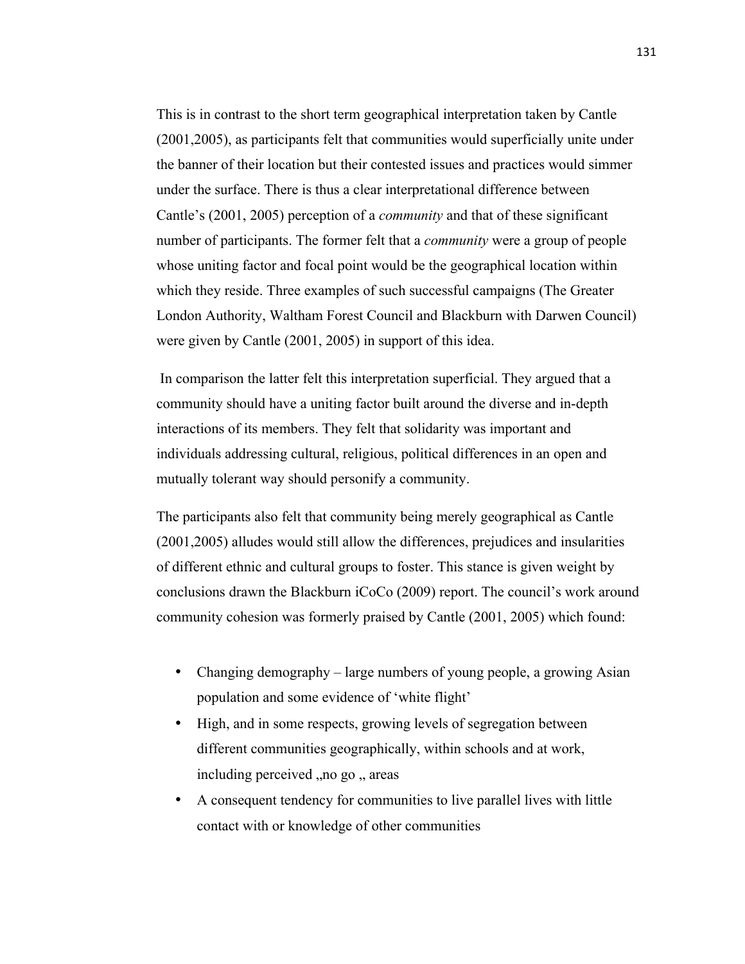This is in contrast to the short term geographical interpretation taken by Cantle (2001,2005), as participants felt that communities would superficially unite under the banner of their location but their contested issues and practices would simmer under the surface. There is thus a clear interpretational difference between Cantle's (2001, 2005) perception of a *community* and that of these significant number of participants. The former felt that a *community* were a group of people whose uniting factor and focal point would be the geographical location within which they reside. Three examples of such successful campaigns (The Greater London Authority, Waltham Forest Council and Blackburn with Darwen Council) were given by Cantle (2001, 2005) in support of this idea.

In comparison the latter felt this interpretation superficial. They argued that a community should have a uniting factor built around the diverse and in-depth interactions of its members. They felt that solidarity was important and individuals addressing cultural, religious, political differences in an open and mutually tolerant way should personify a community.

The participants also felt that community being merely geographical as Cantle (2001,2005) alludes would still allow the differences, prejudices and insularities of different ethnic and cultural groups to foster. This stance is given weight by conclusions drawn the Blackburn iCoCo (2009) report. The council's work around community cohesion was formerly praised by Cantle (2001, 2005) which found:

- Changing demography large numbers of young people, a growing Asian population and some evidence of 'white flight'
- High, and in some respects, growing levels of segregation between different communities geographically, within schools and at work, including perceived , no go , areas
- A consequent tendency for communities to live parallel lives with little contact with or knowledge of other communities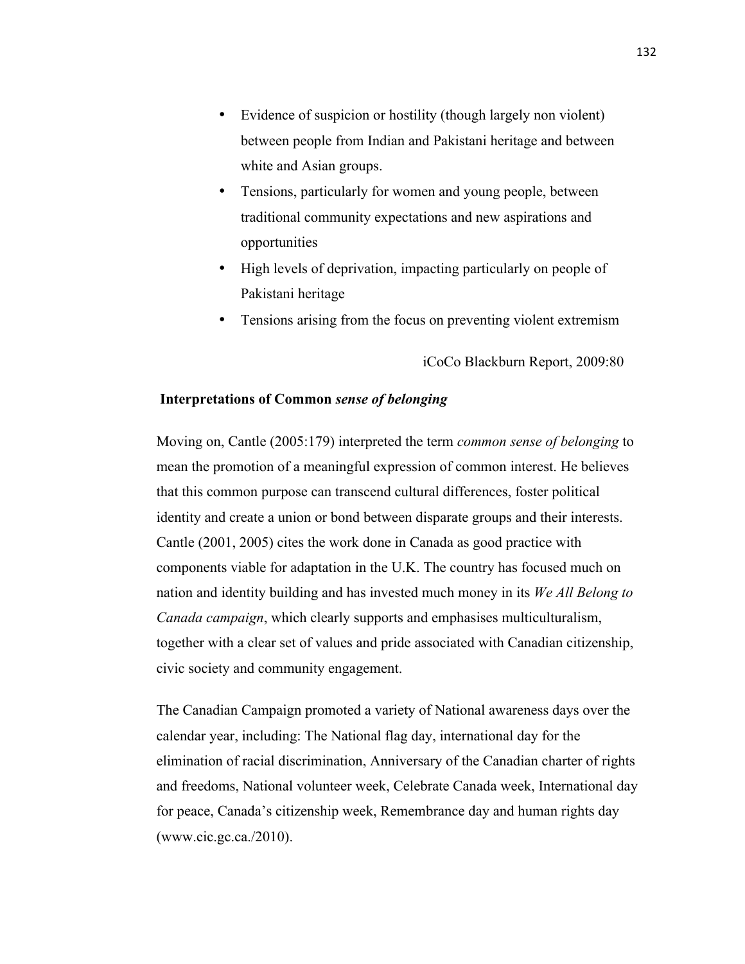- Evidence of suspicion or hostility (though largely non violent) between people from Indian and Pakistani heritage and between white and Asian groups.
- Tensions, particularly for women and young people, between traditional community expectations and new aspirations and opportunities
- High levels of deprivation, impacting particularly on people of Pakistani heritage
- Tensions arising from the focus on preventing violent extremism

iCoCo Blackburn Report, 2009:80

## **Interpretations of Common** *sense of belonging*

Moving on, Cantle (2005:179) interpreted the term *common sense of belonging* to mean the promotion of a meaningful expression of common interest. He believes that this common purpose can transcend cultural differences, foster political identity and create a union or bond between disparate groups and their interests. Cantle (2001, 2005) cites the work done in Canada as good practice with components viable for adaptation in the U.K. The country has focused much on nation and identity building and has invested much money in its *We All Belong to Canada campaign*, which clearly supports and emphasises multiculturalism, together with a clear set of values and pride associated with Canadian citizenship, civic society and community engagement.

The Canadian Campaign promoted a variety of National awareness days over the calendar year, including: The National flag day, international day for the elimination of racial discrimination, Anniversary of the Canadian charter of rights and freedoms, National volunteer week, Celebrate Canada week, International day for peace, Canada's citizenship week, Remembrance day and human rights day (www.cic.gc.ca./2010).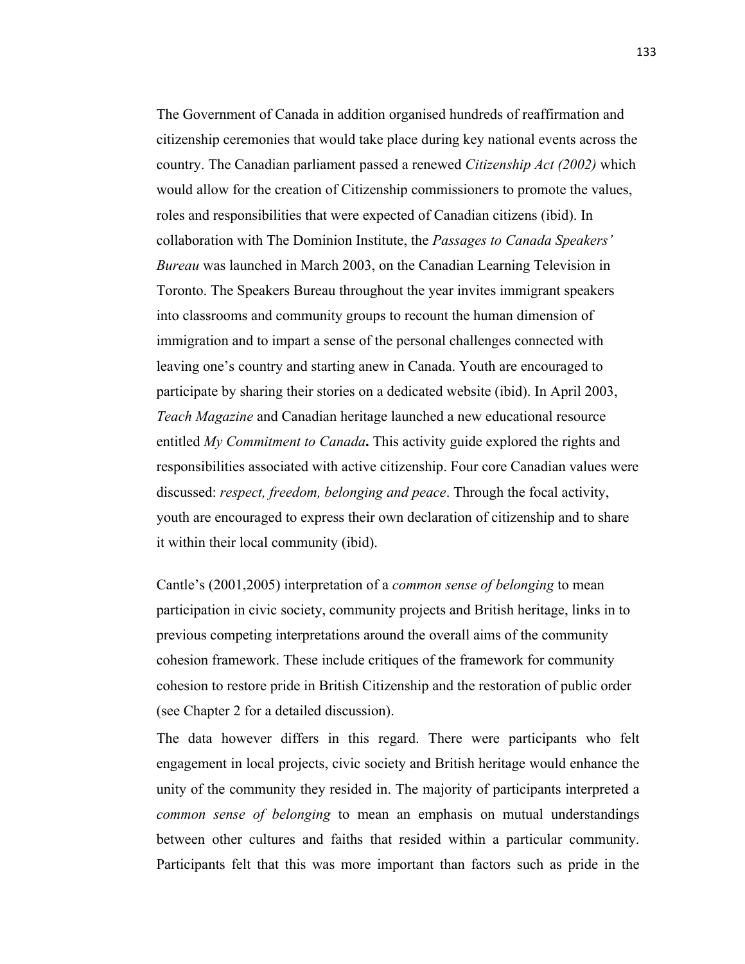The Government of Canada in addition organised hundreds of reaffirmation and citizenship ceremonies that would take place during key national events across the country. The Canadian parliament passed a renewed *Citizenship Act (2002)* which would allow for the creation of Citizenship commissioners to promote the values, roles and responsibilities that were expected of Canadian citizens (ibid). In collaboration with The Dominion Institute, the *Passages to Canada Speakers' Bureau* was launched in March 2003, on the Canadian Learning Television in Toronto. The Speakers Bureau throughout the year invites immigrant speakers into classrooms and community groups to recount the human dimension of immigration and to impart a sense of the personal challenges connected with leaving one's country and starting anew in Canada. Youth are encouraged to participate by sharing their stories on a dedicated website (ibid). In April 2003, *Teach Magazine* and Canadian heritage launched a new educational resource entitled *My Commitment to Canada***.** This activity guide explored the rights and responsibilities associated with active citizenship. Four core Canadian values were discussed: *respect, freedom, belonging and peace*. Through the focal activity, youth are encouraged to express their own declaration of citizenship and to share it within their local community (ibid).

Cantle's (2001,2005) interpretation of a *common sense of belonging* to mean participation in civic society, community projects and British heritage, links in to previous competing interpretations around the overall aims of the community cohesion framework. These include critiques of the framework for community cohesion to restore pride in British Citizenship and the restoration of public order (see Chapter 2 for a detailed discussion).

The data however differs in this regard. There were participants who felt engagement in local projects, civic society and British heritage would enhance the unity of the community they resided in. The majority of participants interpreted a *common sense of belonging* to mean an emphasis on mutual understandings between other cultures and faiths that resided within a particular community. Participants felt that this was more important than factors such as pride in the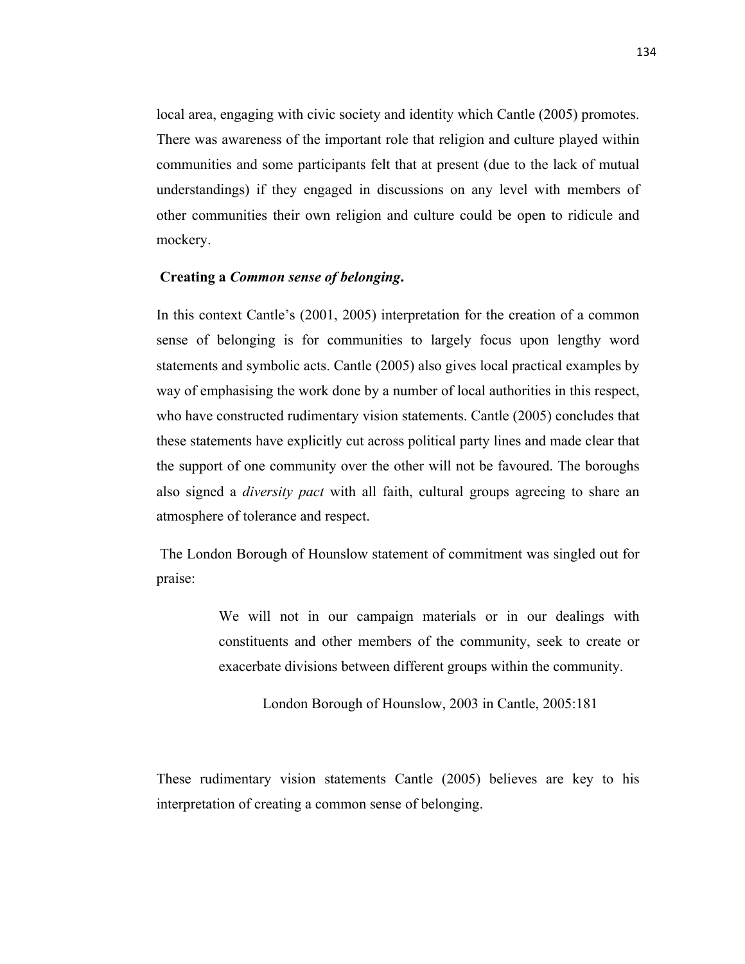local area, engaging with civic society and identity which Cantle (2005) promotes. There was awareness of the important role that religion and culture played within communities and some participants felt that at present (due to the lack of mutual understandings) if they engaged in discussions on any level with members of other communities their own religion and culture could be open to ridicule and mockery.

# **Creating a** *Common sense of belonging***.**

In this context Cantle's (2001, 2005) interpretation for the creation of a common sense of belonging is for communities to largely focus upon lengthy word statements and symbolic acts. Cantle (2005) also gives local practical examples by way of emphasising the work done by a number of local authorities in this respect, who have constructed rudimentary vision statements. Cantle (2005) concludes that these statements have explicitly cut across political party lines and made clear that the support of one community over the other will not be favoured. The boroughs also signed a *diversity pact* with all faith, cultural groups agreeing to share an atmosphere of tolerance and respect.

The London Borough of Hounslow statement of commitment was singled out for praise:

> We will not in our campaign materials or in our dealings with constituents and other members of the community, seek to create or exacerbate divisions between different groups within the community.

> > London Borough of Hounslow, 2003 in Cantle, 2005:181

These rudimentary vision statements Cantle (2005) believes are key to his interpretation of creating a common sense of belonging.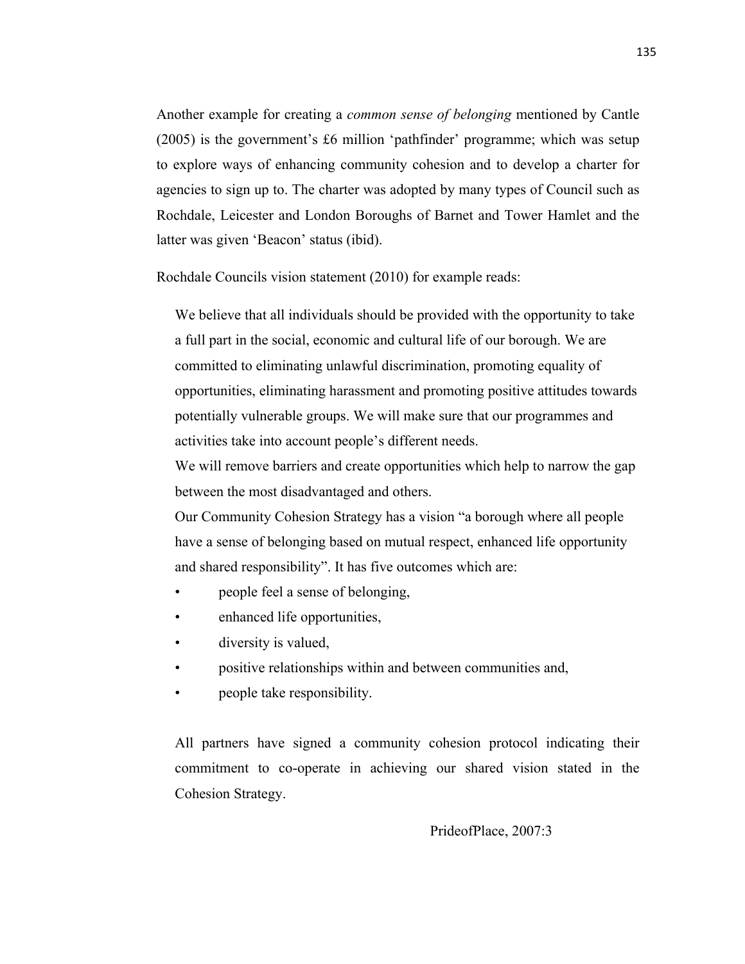Another example for creating a *common sense of belonging* mentioned by Cantle (2005) is the government's £6 million 'pathfinder' programme; which was setup to explore ways of enhancing community cohesion and to develop a charter for agencies to sign up to. The charter was adopted by many types of Council such as Rochdale, Leicester and London Boroughs of Barnet and Tower Hamlet and the latter was given 'Beacon' status (ibid).

Rochdale Councils vision statement (2010) for example reads:

We believe that all individuals should be provided with the opportunity to take a full part in the social, economic and cultural life of our borough. We are committed to eliminating unlawful discrimination, promoting equality of opportunities, eliminating harassment and promoting positive attitudes towards potentially vulnerable groups. We will make sure that our programmes and activities take into account people's different needs.

We will remove barriers and create opportunities which help to narrow the gap between the most disadvantaged and others.

Our Community Cohesion Strategy has a vision "a borough where all people have a sense of belonging based on mutual respect, enhanced life opportunity and shared responsibility". It has five outcomes which are:

- people feel a sense of belonging,
- enhanced life opportunities,
- diversity is valued,
- positive relationships within and between communities and,
- people take responsibility.

All partners have signed a community cohesion protocol indicating their commitment to co-operate in achieving our shared vision stated in the Cohesion Strategy.

PrideofPlace, 2007:3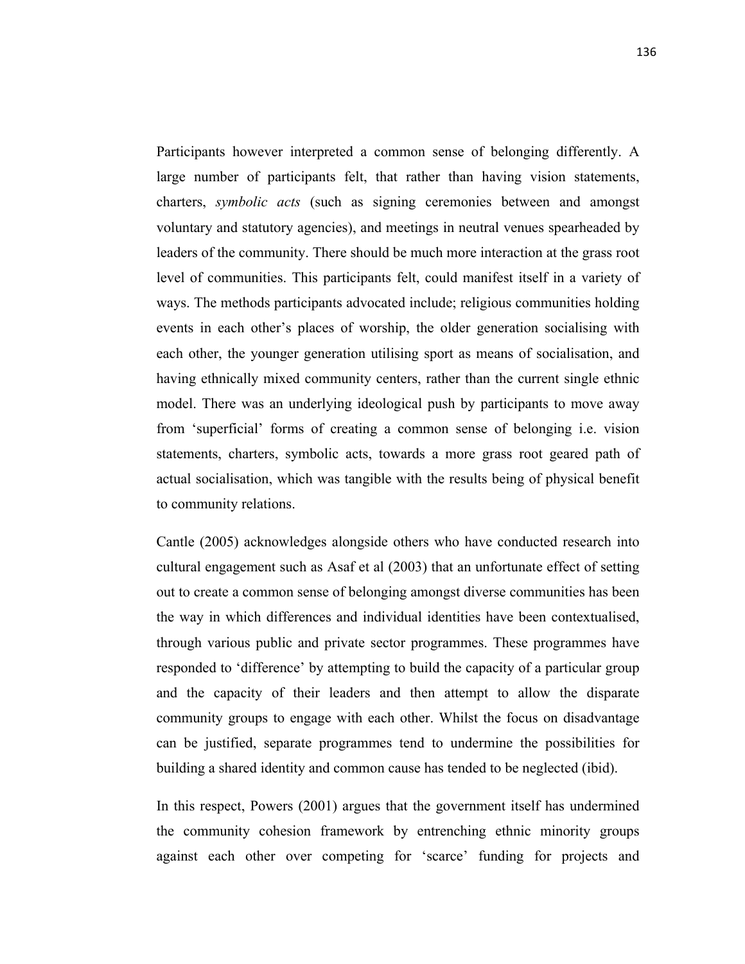Participants however interpreted a common sense of belonging differently. A large number of participants felt, that rather than having vision statements, charters, *symbolic acts* (such as signing ceremonies between and amongst voluntary and statutory agencies), and meetings in neutral venues spearheaded by leaders of the community. There should be much more interaction at the grass root level of communities. This participants felt, could manifest itself in a variety of ways. The methods participants advocated include; religious communities holding events in each other's places of worship, the older generation socialising with each other, the younger generation utilising sport as means of socialisation, and having ethnically mixed community centers, rather than the current single ethnic model. There was an underlying ideological push by participants to move away from 'superficial' forms of creating a common sense of belonging i.e. vision statements, charters, symbolic acts, towards a more grass root geared path of actual socialisation, which was tangible with the results being of physical benefit to community relations.

Cantle (2005) acknowledges alongside others who have conducted research into cultural engagement such as Asaf et al (2003) that an unfortunate effect of setting out to create a common sense of belonging amongst diverse communities has been the way in which differences and individual identities have been contextualised, through various public and private sector programmes. These programmes have responded to 'difference' by attempting to build the capacity of a particular group and the capacity of their leaders and then attempt to allow the disparate community groups to engage with each other. Whilst the focus on disadvantage can be justified, separate programmes tend to undermine the possibilities for building a shared identity and common cause has tended to be neglected (ibid).

In this respect, Powers (2001) argues that the government itself has undermined the community cohesion framework by entrenching ethnic minority groups against each other over competing for 'scarce' funding for projects and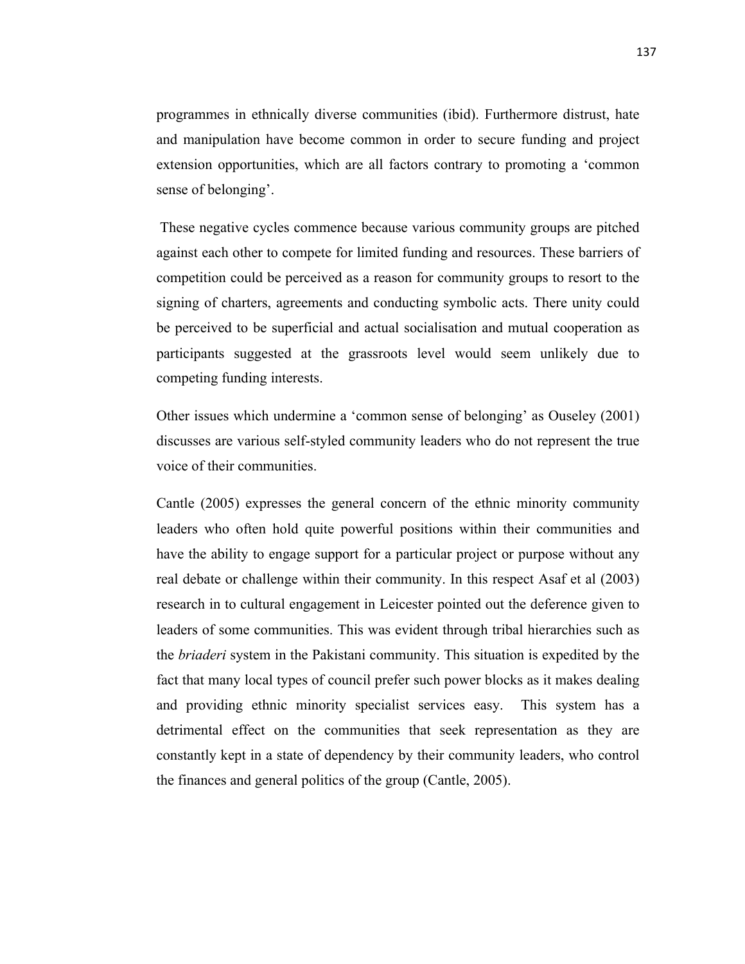programmes in ethnically diverse communities (ibid). Furthermore distrust, hate and manipulation have become common in order to secure funding and project extension opportunities, which are all factors contrary to promoting a 'common sense of belonging'.

These negative cycles commence because various community groups are pitched against each other to compete for limited funding and resources. These barriers of competition could be perceived as a reason for community groups to resort to the signing of charters, agreements and conducting symbolic acts. There unity could be perceived to be superficial and actual socialisation and mutual cooperation as participants suggested at the grassroots level would seem unlikely due to competing funding interests.

Other issues which undermine a 'common sense of belonging' as Ouseley (2001) discusses are various self-styled community leaders who do not represent the true voice of their communities.

Cantle (2005) expresses the general concern of the ethnic minority community leaders who often hold quite powerful positions within their communities and have the ability to engage support for a particular project or purpose without any real debate or challenge within their community. In this respect Asaf et al (2003) research in to cultural engagement in Leicester pointed out the deference given to leaders of some communities. This was evident through tribal hierarchies such as the *briaderi* system in the Pakistani community. This situation is expedited by the fact that many local types of council prefer such power blocks as it makes dealing and providing ethnic minority specialist services easy. This system has a detrimental effect on the communities that seek representation as they are constantly kept in a state of dependency by their community leaders, who control the finances and general politics of the group (Cantle, 2005).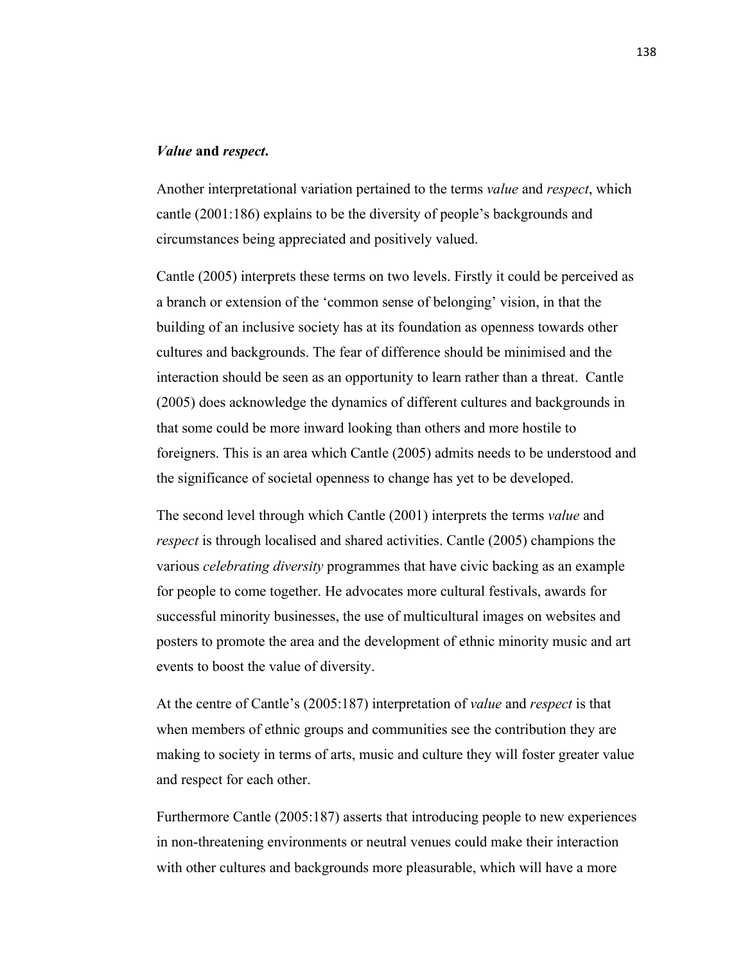#### *Value* **and** *respect***.**

Another interpretational variation pertained to the terms *value* and *respect*, which cantle (2001:186) explains to be the diversity of people's backgrounds and circumstances being appreciated and positively valued.

Cantle (2005) interprets these terms on two levels. Firstly it could be perceived as a branch or extension of the 'common sense of belonging' vision, in that the building of an inclusive society has at its foundation as openness towards other cultures and backgrounds. The fear of difference should be minimised and the interaction should be seen as an opportunity to learn rather than a threat. Cantle (2005) does acknowledge the dynamics of different cultures and backgrounds in that some could be more inward looking than others and more hostile to foreigners. This is an area which Cantle (2005) admits needs to be understood and the significance of societal openness to change has yet to be developed.

The second level through which Cantle (2001) interprets the terms *value* and *respect* is through localised and shared activities. Cantle (2005) champions the various *celebrating diversity* programmes that have civic backing as an example for people to come together. He advocates more cultural festivals, awards for successful minority businesses, the use of multicultural images on websites and posters to promote the area and the development of ethnic minority music and art events to boost the value of diversity.

At the centre of Cantle's (2005:187) interpretation of *value* and *respect* is that when members of ethnic groups and communities see the contribution they are making to society in terms of arts, music and culture they will foster greater value and respect for each other.

Furthermore Cantle (2005:187) asserts that introducing people to new experiences in non-threatening environments or neutral venues could make their interaction with other cultures and backgrounds more pleasurable, which will have a more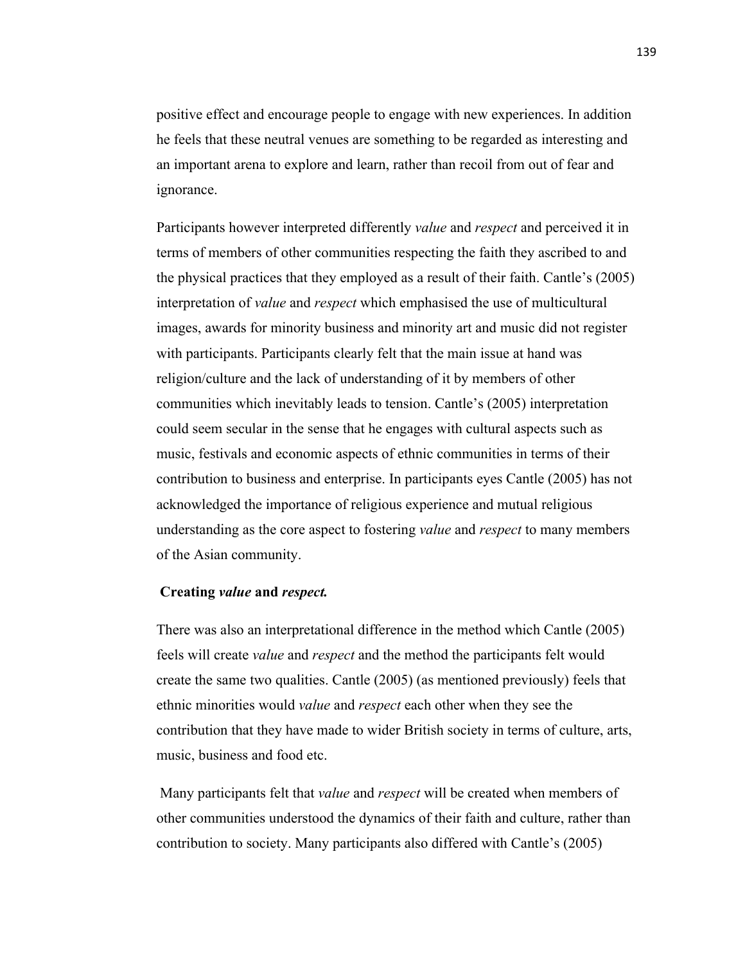positive effect and encourage people to engage with new experiences. In addition he feels that these neutral venues are something to be regarded as interesting and an important arena to explore and learn, rather than recoil from out of fear and ignorance.

Participants however interpreted differently *value* and *respect* and perceived it in terms of members of other communities respecting the faith they ascribed to and the physical practices that they employed as a result of their faith. Cantle's (2005) interpretation of *value* and *respect* which emphasised the use of multicultural images, awards for minority business and minority art and music did not register with participants. Participants clearly felt that the main issue at hand was religion/culture and the lack of understanding of it by members of other communities which inevitably leads to tension. Cantle's (2005) interpretation could seem secular in the sense that he engages with cultural aspects such as music, festivals and economic aspects of ethnic communities in terms of their contribution to business and enterprise. In participants eyes Cantle (2005) has not acknowledged the importance of religious experience and mutual religious understanding as the core aspect to fostering *value* and *respect* to many members of the Asian community.

#### **Creating** *value* **and** *respect.*

There was also an interpretational difference in the method which Cantle (2005) feels will create *value* and *respect* and the method the participants felt would create the same two qualities. Cantle (2005) (as mentioned previously) feels that ethnic minorities would *value* and *respect* each other when they see the contribution that they have made to wider British society in terms of culture, arts, music, business and food etc.

Many participants felt that *value* and *respect* will be created when members of other communities understood the dynamics of their faith and culture, rather than contribution to society. Many participants also differed with Cantle's (2005)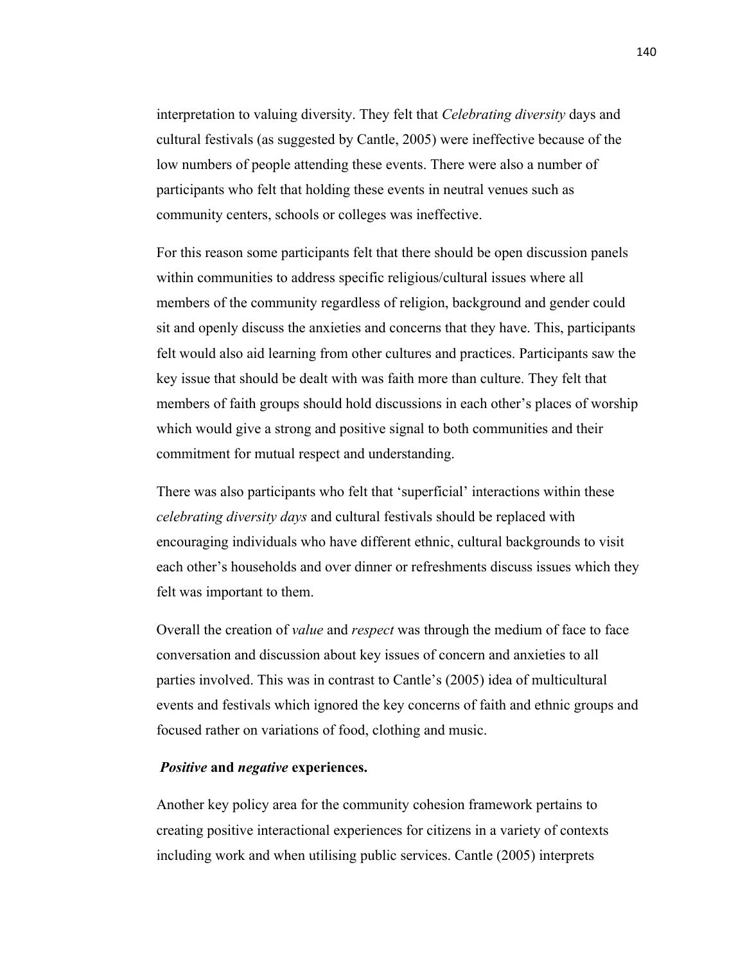interpretation to valuing diversity. They felt that *Celebrating diversity* days and cultural festivals (as suggested by Cantle, 2005) were ineffective because of the low numbers of people attending these events. There were also a number of participants who felt that holding these events in neutral venues such as community centers, schools or colleges was ineffective.

For this reason some participants felt that there should be open discussion panels within communities to address specific religious/cultural issues where all members of the community regardless of religion, background and gender could sit and openly discuss the anxieties and concerns that they have. This, participants felt would also aid learning from other cultures and practices. Participants saw the key issue that should be dealt with was faith more than culture. They felt that members of faith groups should hold discussions in each other's places of worship which would give a strong and positive signal to both communities and their commitment for mutual respect and understanding.

There was also participants who felt that 'superficial' interactions within these *celebrating diversity days* and cultural festivals should be replaced with encouraging individuals who have different ethnic, cultural backgrounds to visit each other's households and over dinner or refreshments discuss issues which they felt was important to them.

Overall the creation of *value* and *respect* was through the medium of face to face conversation and discussion about key issues of concern and anxieties to all parties involved. This was in contrast to Cantle's (2005) idea of multicultural events and festivals which ignored the key concerns of faith and ethnic groups and focused rather on variations of food, clothing and music.

#### *Positive* **and** *negative* **experiences.**

Another key policy area for the community cohesion framework pertains to creating positive interactional experiences for citizens in a variety of contexts including work and when utilising public services. Cantle (2005) interprets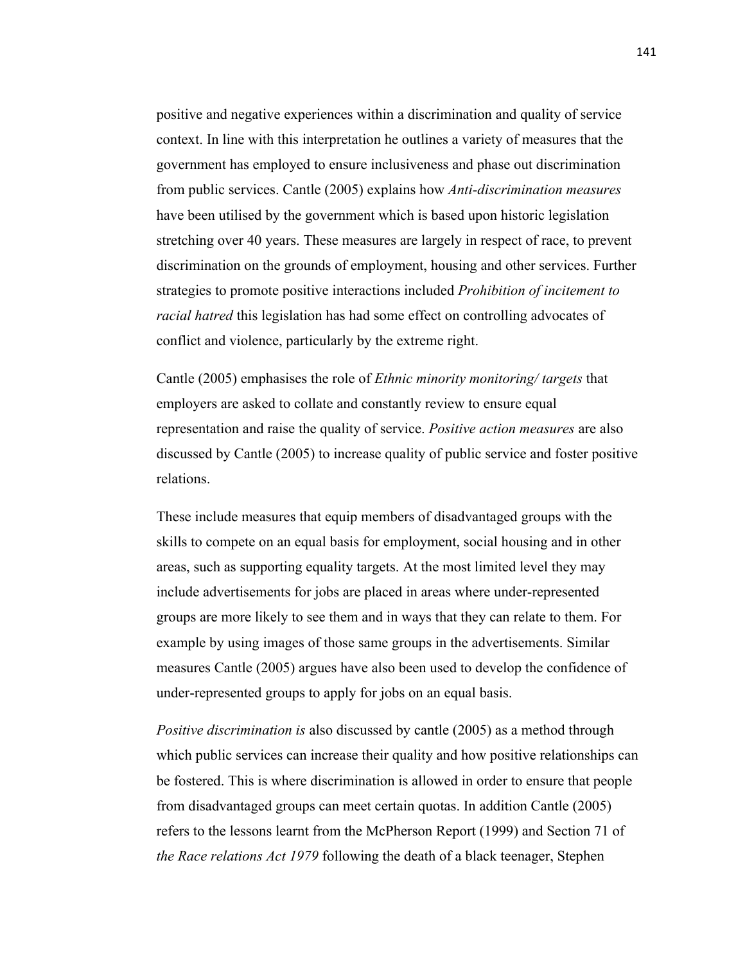positive and negative experiences within a discrimination and quality of service context. In line with this interpretation he outlines a variety of measures that the government has employed to ensure inclusiveness and phase out discrimination from public services. Cantle (2005) explains how *Anti-discrimination measures*  have been utilised by the government which is based upon historic legislation stretching over 40 years. These measures are largely in respect of race, to prevent discrimination on the grounds of employment, housing and other services. Further strategies to promote positive interactions included *Prohibition of incitement to racial hatred* this legislation has had some effect on controlling advocates of conflict and violence, particularly by the extreme right.

Cantle (2005) emphasises the role of *Ethnic minority monitoring/ targets* that employers are asked to collate and constantly review to ensure equal representation and raise the quality of service. *Positive action measures* are also discussed by Cantle (2005) to increase quality of public service and foster positive relations.

These include measures that equip members of disadvantaged groups with the skills to compete on an equal basis for employment, social housing and in other areas, such as supporting equality targets. At the most limited level they may include advertisements for jobs are placed in areas where under-represented groups are more likely to see them and in ways that they can relate to them. For example by using images of those same groups in the advertisements. Similar measures Cantle (2005) argues have also been used to develop the confidence of under-represented groups to apply for jobs on an equal basis.

*Positive discrimination is* also discussed by cantle (2005) as a method through which public services can increase their quality and how positive relationships can be fostered. This is where discrimination is allowed in order to ensure that people from disadvantaged groups can meet certain quotas. In addition Cantle (2005) refers to the lessons learnt from the McPherson Report (1999) and Section 71 of *the Race relations Act 1979* following the death of a black teenager, Stephen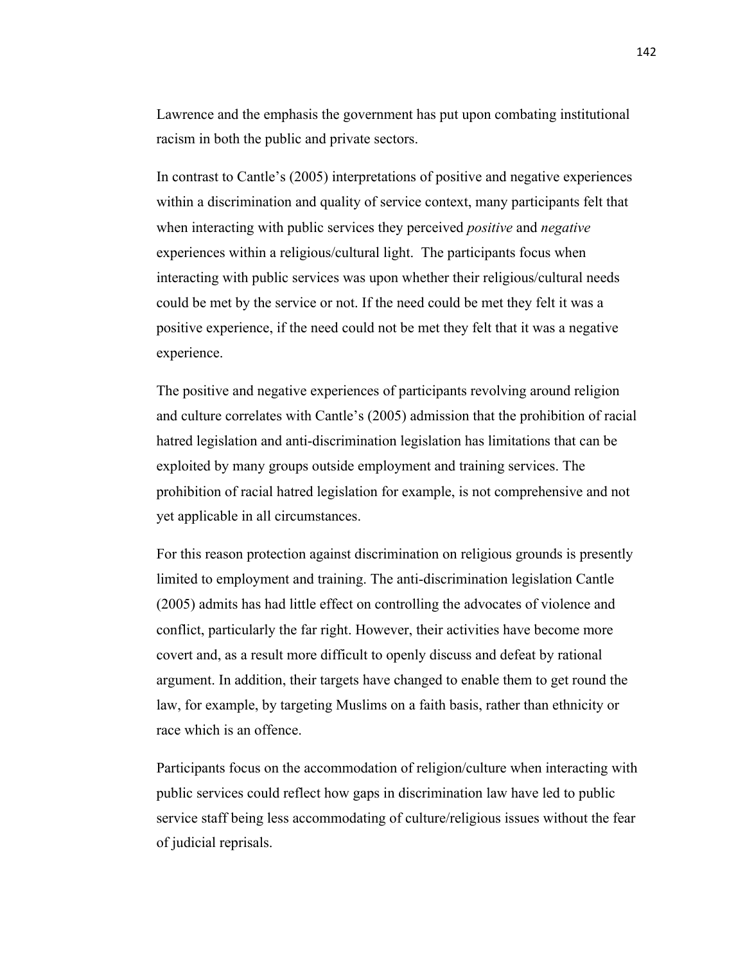Lawrence and the emphasis the government has put upon combating institutional racism in both the public and private sectors.

In contrast to Cantle's (2005) interpretations of positive and negative experiences within a discrimination and quality of service context, many participants felt that when interacting with public services they perceived *positive* and *negative* experiences within a religious/cultural light. The participants focus when interacting with public services was upon whether their religious/cultural needs could be met by the service or not. If the need could be met they felt it was a positive experience, if the need could not be met they felt that it was a negative experience.

The positive and negative experiences of participants revolving around religion and culture correlates with Cantle's (2005) admission that the prohibition of racial hatred legislation and anti-discrimination legislation has limitations that can be exploited by many groups outside employment and training services. The prohibition of racial hatred legislation for example, is not comprehensive and not yet applicable in all circumstances.

For this reason protection against discrimination on religious grounds is presently limited to employment and training. The anti-discrimination legislation Cantle (2005) admits has had little effect on controlling the advocates of violence and conflict, particularly the far right. However, their activities have become more covert and, as a result more difficult to openly discuss and defeat by rational argument. In addition, their targets have changed to enable them to get round the law, for example, by targeting Muslims on a faith basis, rather than ethnicity or race which is an offence.

Participants focus on the accommodation of religion/culture when interacting with public services could reflect how gaps in discrimination law have led to public service staff being less accommodating of culture/religious issues without the fear of judicial reprisals.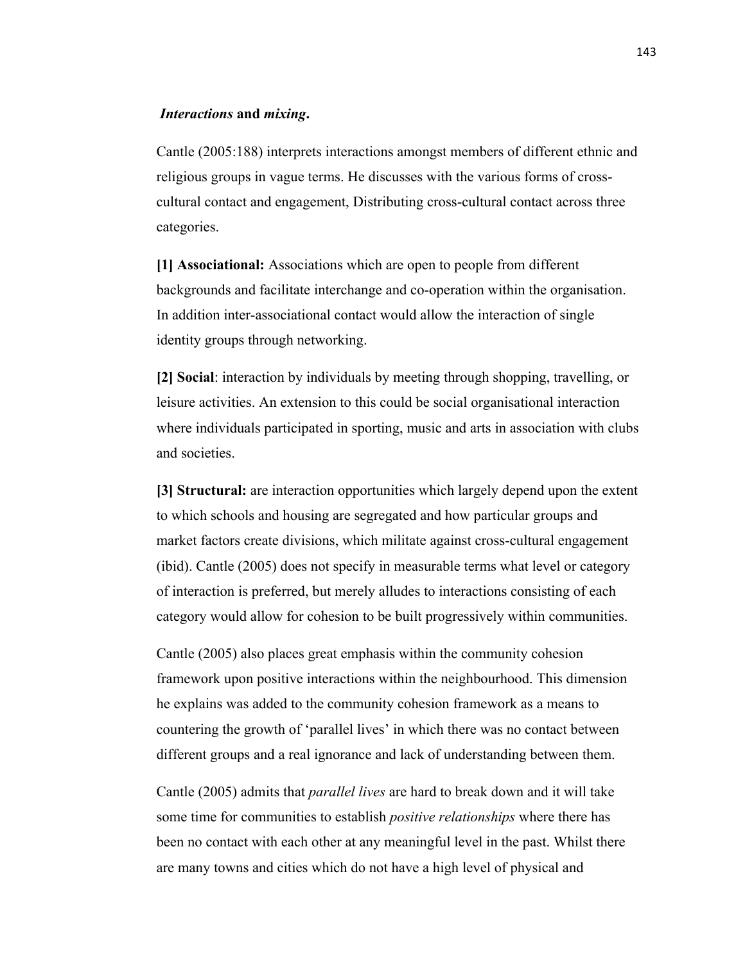#### *Interactions* **and** *mixing***.**

Cantle (2005:188) interprets interactions amongst members of different ethnic and religious groups in vague terms. He discusses with the various forms of crosscultural contact and engagement, Distributing cross-cultural contact across three categories.

**[1] Associational:** Associations which are open to people from different backgrounds and facilitate interchange and co-operation within the organisation. In addition inter-associational contact would allow the interaction of single identity groups through networking.

**[2] Social**: interaction by individuals by meeting through shopping, travelling, or leisure activities. An extension to this could be social organisational interaction where individuals participated in sporting, music and arts in association with clubs and societies.

**[3] Structural:** are interaction opportunities which largely depend upon the extent to which schools and housing are segregated and how particular groups and market factors create divisions, which militate against cross-cultural engagement (ibid). Cantle (2005) does not specify in measurable terms what level or category of interaction is preferred, but merely alludes to interactions consisting of each category would allow for cohesion to be built progressively within communities.

Cantle (2005) also places great emphasis within the community cohesion framework upon positive interactions within the neighbourhood. This dimension he explains was added to the community cohesion framework as a means to countering the growth of 'parallel lives' in which there was no contact between different groups and a real ignorance and lack of understanding between them.

Cantle (2005) admits that *parallel lives* are hard to break down and it will take some time for communities to establish *positive relationships* where there has been no contact with each other at any meaningful level in the past. Whilst there are many towns and cities which do not have a high level of physical and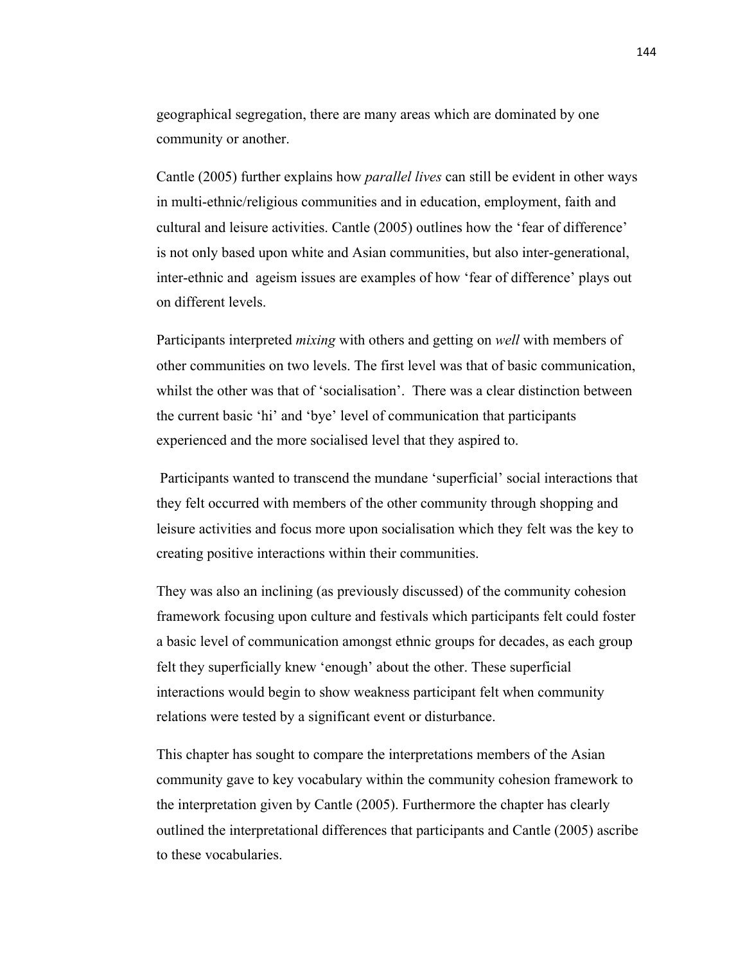geographical segregation, there are many areas which are dominated by one community or another.

Cantle (2005) further explains how *parallel lives* can still be evident in other ways in multi-ethnic/religious communities and in education, employment, faith and cultural and leisure activities. Cantle (2005) outlines how the 'fear of difference' is not only based upon white and Asian communities, but also inter-generational, inter-ethnic and ageism issues are examples of how 'fear of difference' plays out on different levels.

Participants interpreted *mixing* with others and getting on *well* with members of other communities on two levels. The first level was that of basic communication, whilst the other was that of 'socialisation'. There was a clear distinction between the current basic 'hi' and 'bye' level of communication that participants experienced and the more socialised level that they aspired to.

Participants wanted to transcend the mundane 'superficial' social interactions that they felt occurred with members of the other community through shopping and leisure activities and focus more upon socialisation which they felt was the key to creating positive interactions within their communities.

They was also an inclining (as previously discussed) of the community cohesion framework focusing upon culture and festivals which participants felt could foster a basic level of communication amongst ethnic groups for decades, as each group felt they superficially knew 'enough' about the other. These superficial interactions would begin to show weakness participant felt when community relations were tested by a significant event or disturbance.

This chapter has sought to compare the interpretations members of the Asian community gave to key vocabulary within the community cohesion framework to the interpretation given by Cantle (2005). Furthermore the chapter has clearly outlined the interpretational differences that participants and Cantle (2005) ascribe to these vocabularies.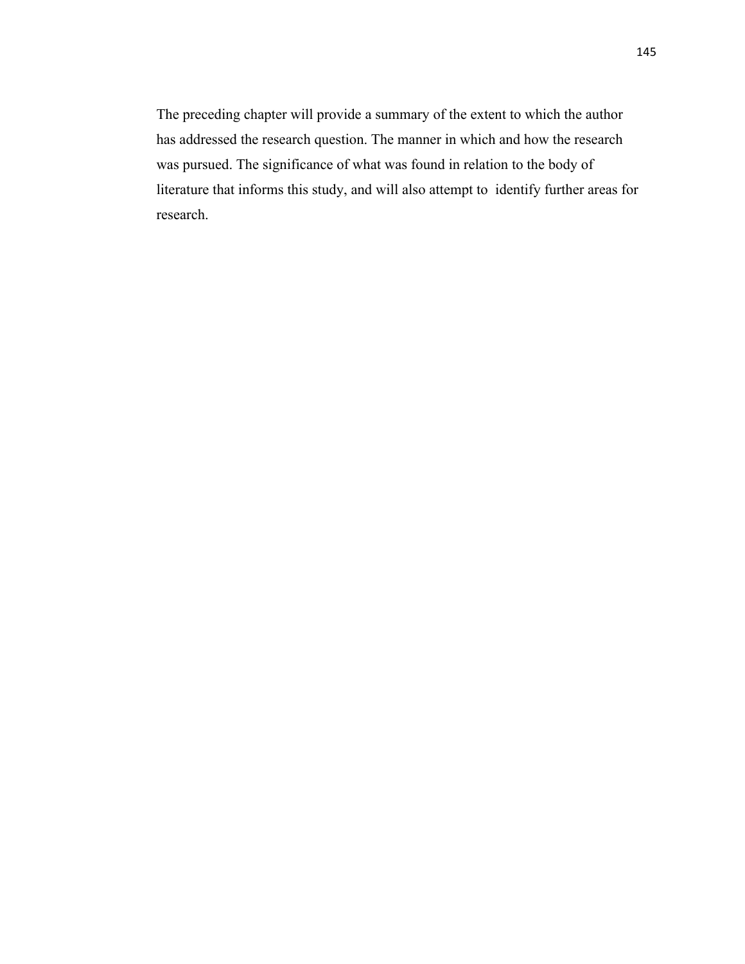The preceding chapter will provide a summary of the extent to which the author has addressed the research question. The manner in which and how the research was pursued. The significance of what was found in relation to the body of literature that informs this study, and will also attempt to identify further areas for research.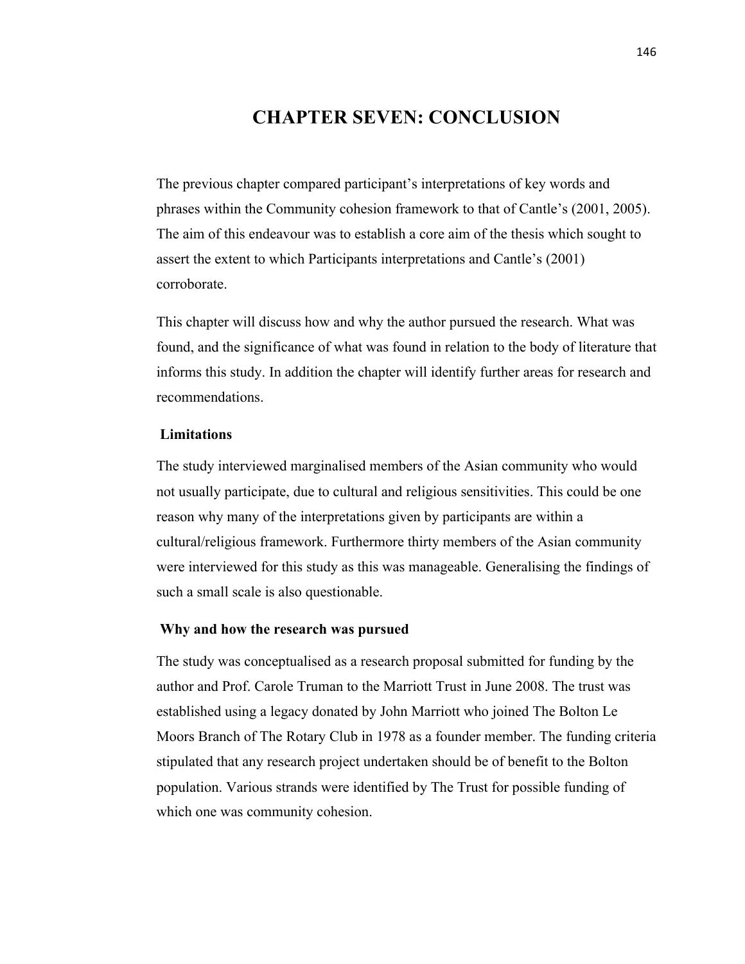## **CHAPTER SEVEN: CONCLUSION**

The previous chapter compared participant's interpretations of key words and phrases within the Community cohesion framework to that of Cantle's (2001, 2005). The aim of this endeavour was to establish a core aim of the thesis which sought to assert the extent to which Participants interpretations and Cantle's (2001) corroborate.

This chapter will discuss how and why the author pursued the research. What was found, and the significance of what was found in relation to the body of literature that informs this study. In addition the chapter will identify further areas for research and recommendations.

#### **Limitations**

The study interviewed marginalised members of the Asian community who would not usually participate, due to cultural and religious sensitivities. This could be one reason why many of the interpretations given by participants are within a cultural/religious framework. Furthermore thirty members of the Asian community were interviewed for this study as this was manageable. Generalising the findings of such a small scale is also questionable.

#### **Why and how the research was pursued**

The study was conceptualised as a research proposal submitted for funding by the author and Prof. Carole Truman to the Marriott Trust in June 2008. The trust was established using a legacy donated by John Marriott who joined The Bolton Le Moors Branch of The Rotary Club in 1978 as a founder member. The funding criteria stipulated that any research project undertaken should be of benefit to the Bolton population. Various strands were identified by The Trust for possible funding of which one was community cohesion.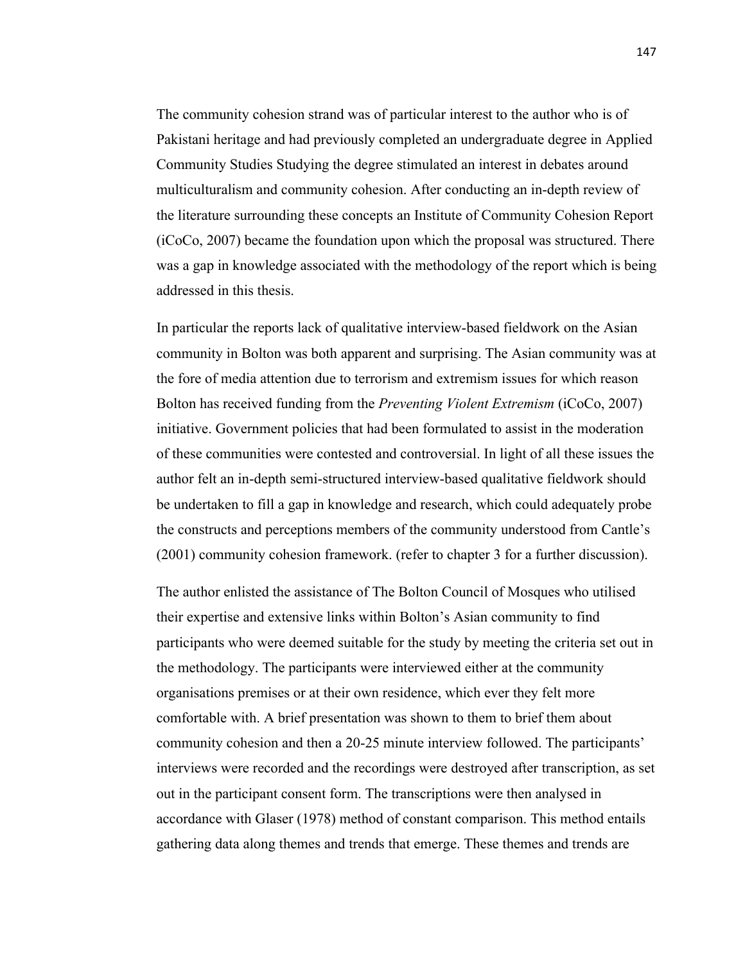The community cohesion strand was of particular interest to the author who is of Pakistani heritage and had previously completed an undergraduate degree in Applied Community Studies Studying the degree stimulated an interest in debates around multiculturalism and community cohesion. After conducting an in-depth review of the literature surrounding these concepts an Institute of Community Cohesion Report (iCoCo, 2007) became the foundation upon which the proposal was structured. There was a gap in knowledge associated with the methodology of the report which is being addressed in this thesis.

In particular the reports lack of qualitative interview-based fieldwork on the Asian community in Bolton was both apparent and surprising. The Asian community was at the fore of media attention due to terrorism and extremism issues for which reason Bolton has received funding from the *Preventing Violent Extremism* (iCoCo, 2007) initiative. Government policies that had been formulated to assist in the moderation of these communities were contested and controversial. In light of all these issues the author felt an in-depth semi-structured interview-based qualitative fieldwork should be undertaken to fill a gap in knowledge and research, which could adequately probe the constructs and perceptions members of the community understood from Cantle's (2001) community cohesion framework. (refer to chapter 3 for a further discussion).

The author enlisted the assistance of The Bolton Council of Mosques who utilised their expertise and extensive links within Bolton's Asian community to find participants who were deemed suitable for the study by meeting the criteria set out in the methodology. The participants were interviewed either at the community organisations premises or at their own residence, which ever they felt more comfortable with. A brief presentation was shown to them to brief them about community cohesion and then a 20-25 minute interview followed. The participants' interviews were recorded and the recordings were destroyed after transcription, as set out in the participant consent form. The transcriptions were then analysed in accordance with Glaser (1978) method of constant comparison. This method entails gathering data along themes and trends that emerge. These themes and trends are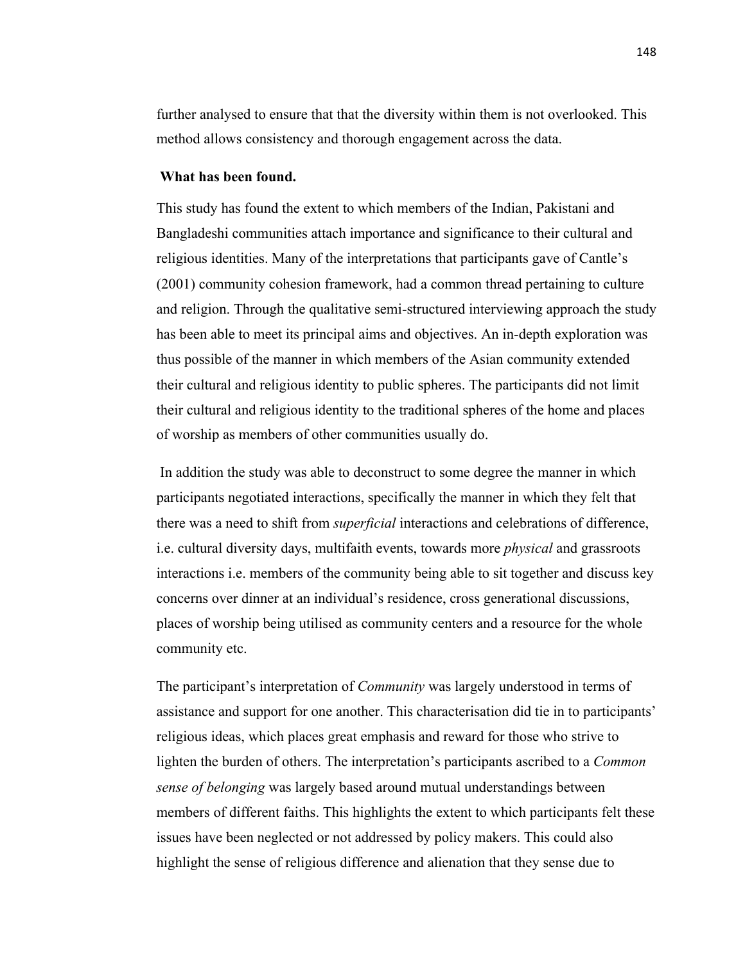further analysed to ensure that that the diversity within them is not overlooked. This method allows consistency and thorough engagement across the data.

#### **What has been found.**

This study has found the extent to which members of the Indian, Pakistani and Bangladeshi communities attach importance and significance to their cultural and religious identities. Many of the interpretations that participants gave of Cantle's (2001) community cohesion framework, had a common thread pertaining to culture and religion. Through the qualitative semi-structured interviewing approach the study has been able to meet its principal aims and objectives. An in-depth exploration was thus possible of the manner in which members of the Asian community extended their cultural and religious identity to public spheres. The participants did not limit their cultural and religious identity to the traditional spheres of the home and places of worship as members of other communities usually do.

In addition the study was able to deconstruct to some degree the manner in which participants negotiated interactions, specifically the manner in which they felt that there was a need to shift from *superficial* interactions and celebrations of difference, i.e. cultural diversity days, multifaith events, towards more *physical* and grassroots interactions i.e. members of the community being able to sit together and discuss key concerns over dinner at an individual's residence, cross generational discussions, places of worship being utilised as community centers and a resource for the whole community etc.

The participant's interpretation of *Community* was largely understood in terms of assistance and support for one another. This characterisation did tie in to participants' religious ideas, which places great emphasis and reward for those who strive to lighten the burden of others. The interpretation's participants ascribed to a *Common sense of belonging* was largely based around mutual understandings between members of different faiths. This highlights the extent to which participants felt these issues have been neglected or not addressed by policy makers. This could also highlight the sense of religious difference and alienation that they sense due to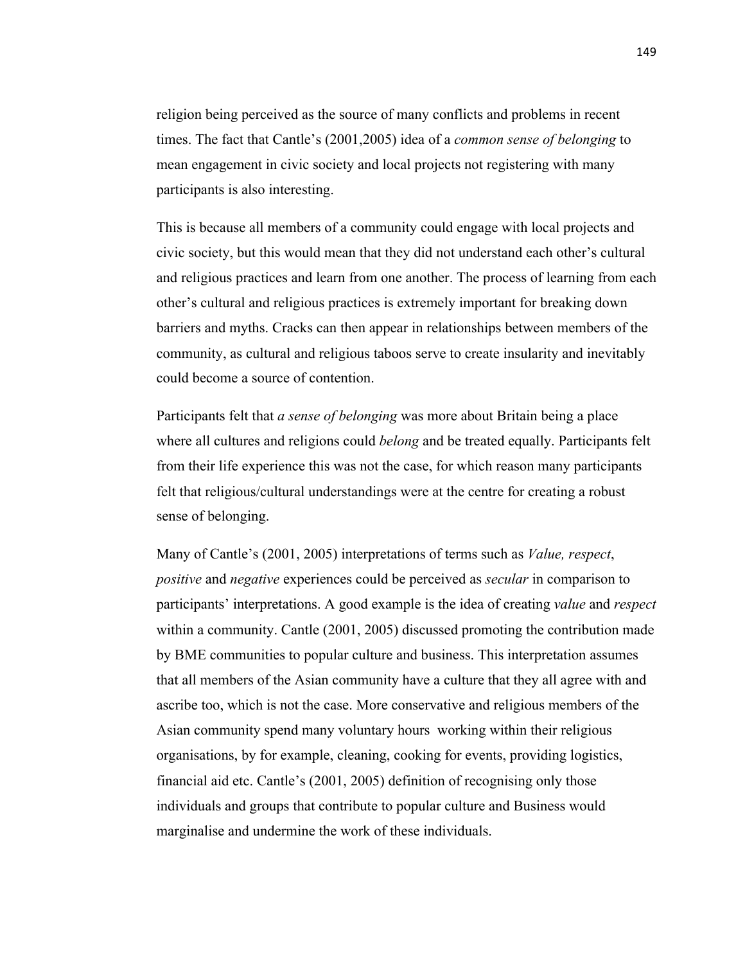religion being perceived as the source of many conflicts and problems in recent times. The fact that Cantle's (2001,2005) idea of a *common sense of belonging* to mean engagement in civic society and local projects not registering with many participants is also interesting.

This is because all members of a community could engage with local projects and civic society, but this would mean that they did not understand each other's cultural and religious practices and learn from one another. The process of learning from each other's cultural and religious practices is extremely important for breaking down barriers and myths. Cracks can then appear in relationships between members of the community, as cultural and religious taboos serve to create insularity and inevitably could become a source of contention.

Participants felt that *a sense of belonging* was more about Britain being a place where all cultures and religions could *belong* and be treated equally. Participants felt from their life experience this was not the case, for which reason many participants felt that religious/cultural understandings were at the centre for creating a robust sense of belonging.

Many of Cantle's (2001, 2005) interpretations of terms such as *Value, respect*, *positive* and *negative* experiences could be perceived as *secular* in comparison to participants' interpretations. A good example is the idea of creating *value* and *respect* within a community. Cantle (2001, 2005) discussed promoting the contribution made by BME communities to popular culture and business. This interpretation assumes that all members of the Asian community have a culture that they all agree with and ascribe too, which is not the case. More conservative and religious members of the Asian community spend many voluntary hours working within their religious organisations, by for example, cleaning, cooking for events, providing logistics, financial aid etc. Cantle's (2001, 2005) definition of recognising only those individuals and groups that contribute to popular culture and Business would marginalise and undermine the work of these individuals.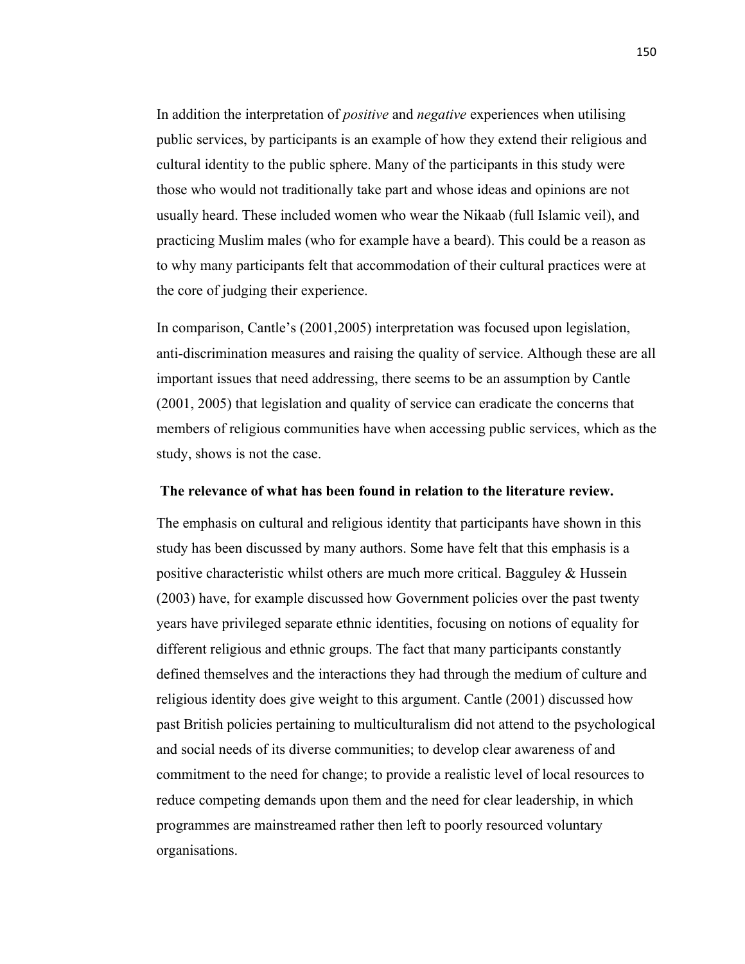In addition the interpretation of *positive* and *negative* experiences when utilising public services, by participants is an example of how they extend their religious and cultural identity to the public sphere. Many of the participants in this study were those who would not traditionally take part and whose ideas and opinions are not usually heard. These included women who wear the Nikaab (full Islamic veil), and practicing Muslim males (who for example have a beard). This could be a reason as to why many participants felt that accommodation of their cultural practices were at the core of judging their experience.

In comparison, Cantle's (2001,2005) interpretation was focused upon legislation, anti-discrimination measures and raising the quality of service. Although these are all important issues that need addressing, there seems to be an assumption by Cantle (2001, 2005) that legislation and quality of service can eradicate the concerns that members of religious communities have when accessing public services, which as the study, shows is not the case.

#### **The relevance of what has been found in relation to the literature review.**

The emphasis on cultural and religious identity that participants have shown in this study has been discussed by many authors. Some have felt that this emphasis is a positive characteristic whilst others are much more critical. Bagguley & Hussein (2003) have, for example discussed how Government policies over the past twenty years have privileged separate ethnic identities, focusing on notions of equality for different religious and ethnic groups. The fact that many participants constantly defined themselves and the interactions they had through the medium of culture and religious identity does give weight to this argument. Cantle (2001) discussed how past British policies pertaining to multiculturalism did not attend to the psychological and social needs of its diverse communities; to develop clear awareness of and commitment to the need for change; to provide a realistic level of local resources to reduce competing demands upon them and the need for clear leadership, in which programmes are mainstreamed rather then left to poorly resourced voluntary organisations.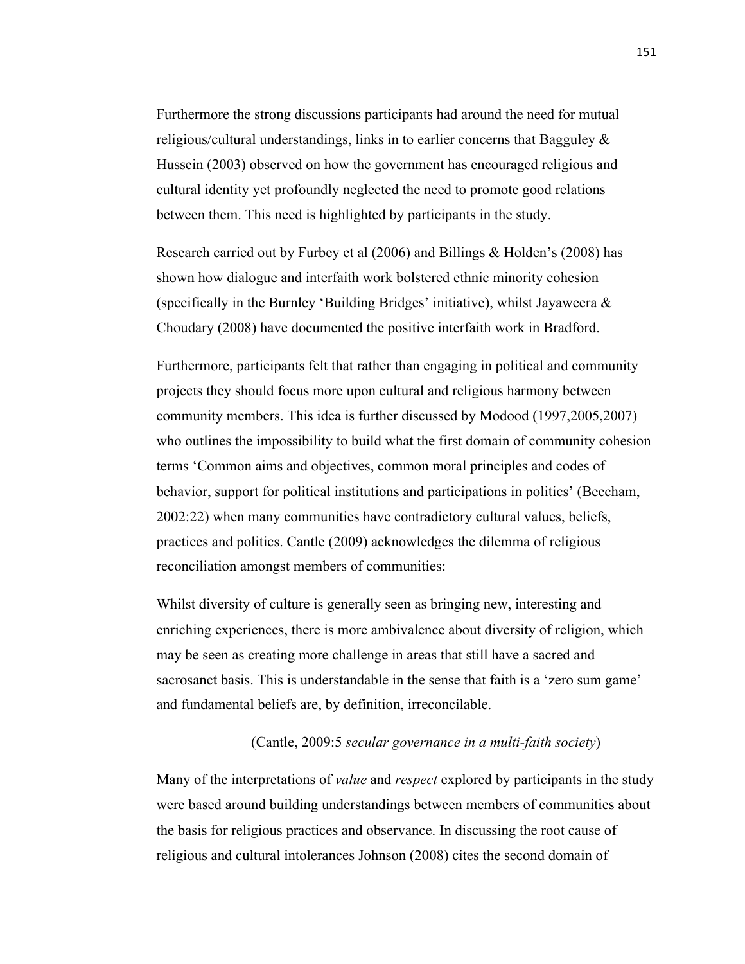Furthermore the strong discussions participants had around the need for mutual religious/cultural understandings, links in to earlier concerns that Bagguley & Hussein (2003) observed on how the government has encouraged religious and cultural identity yet profoundly neglected the need to promote good relations between them. This need is highlighted by participants in the study.

Research carried out by Furbey et al (2006) and Billings & Holden's (2008) has shown how dialogue and interfaith work bolstered ethnic minority cohesion (specifically in the Burnley 'Building Bridges' initiative), whilst Jayaweera  $\&$ Choudary (2008) have documented the positive interfaith work in Bradford.

Furthermore, participants felt that rather than engaging in political and community projects they should focus more upon cultural and religious harmony between community members. This idea is further discussed by Modood (1997,2005,2007) who outlines the impossibility to build what the first domain of community cohesion terms 'Common aims and objectives, common moral principles and codes of behavior, support for political institutions and participations in politics' (Beecham, 2002:22) when many communities have contradictory cultural values, beliefs, practices and politics. Cantle (2009) acknowledges the dilemma of religious reconciliation amongst members of communities:

Whilst diversity of culture is generally seen as bringing new, interesting and enriching experiences, there is more ambivalence about diversity of religion, which may be seen as creating more challenge in areas that still have a sacred and sacrosanct basis. This is understandable in the sense that faith is a 'zero sum game' and fundamental beliefs are, by definition, irreconcilable.

### (Cantle, 2009:5 *secular governance in a multi-faith society*)

Many of the interpretations of *value* and *respect* explored by participants in the study were based around building understandings between members of communities about the basis for religious practices and observance. In discussing the root cause of religious and cultural intolerances Johnson (2008) cites the second domain of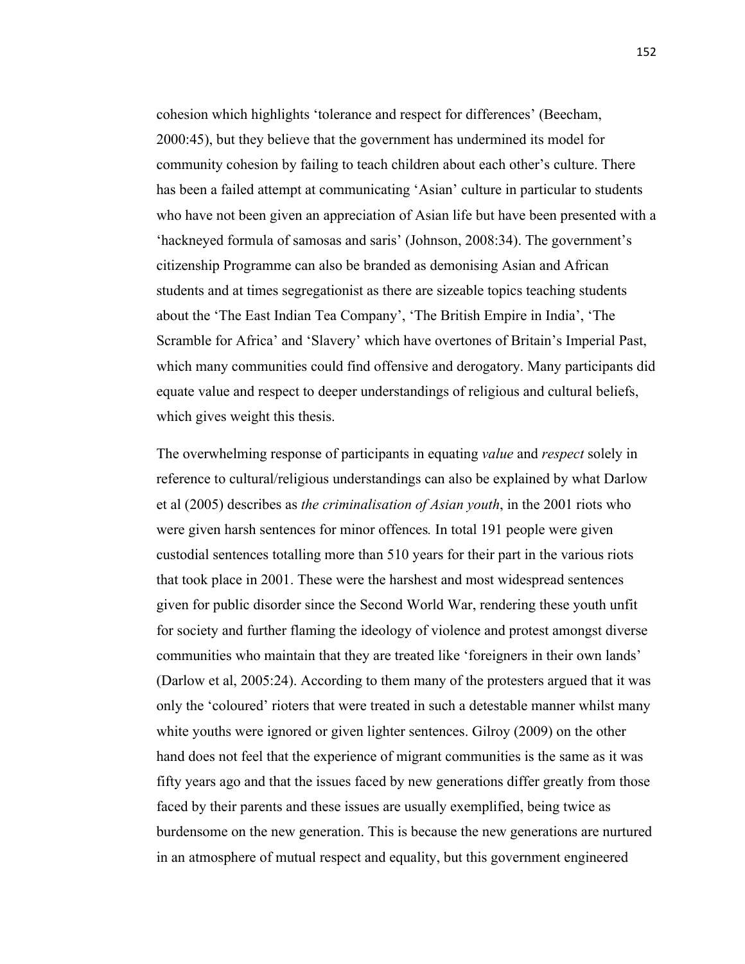cohesion which highlights 'tolerance and respect for differences' (Beecham, 2000:45), but they believe that the government has undermined its model for community cohesion by failing to teach children about each other's culture. There has been a failed attempt at communicating 'Asian' culture in particular to students who have not been given an appreciation of Asian life but have been presented with a 'hackneyed formula of samosas and saris' (Johnson, 2008:34). The government's citizenship Programme can also be branded as demonising Asian and African students and at times segregationist as there are sizeable topics teaching students about the 'The East Indian Tea Company', 'The British Empire in India', 'The Scramble for Africa' and 'Slavery' which have overtones of Britain's Imperial Past, which many communities could find offensive and derogatory. Many participants did equate value and respect to deeper understandings of religious and cultural beliefs, which gives weight this thesis.

The overwhelming response of participants in equating *value* and *respect* solely in reference to cultural/religious understandings can also be explained by what Darlow et al (2005) describes as *the criminalisation of Asian youth*, in the 2001 riots who were given harsh sentences for minor offences*.* In total 191 people were given custodial sentences totalling more than 510 years for their part in the various riots that took place in 2001. These were the harshest and most widespread sentences given for public disorder since the Second World War, rendering these youth unfit for society and further flaming the ideology of violence and protest amongst diverse communities who maintain that they are treated like 'foreigners in their own lands' (Darlow et al, 2005:24). According to them many of the protesters argued that it was only the 'coloured' rioters that were treated in such a detestable manner whilst many white youths were ignored or given lighter sentences. Gilroy (2009) on the other hand does not feel that the experience of migrant communities is the same as it was fifty years ago and that the issues faced by new generations differ greatly from those faced by their parents and these issues are usually exemplified, being twice as burdensome on the new generation. This is because the new generations are nurtured in an atmosphere of mutual respect and equality, but this government engineered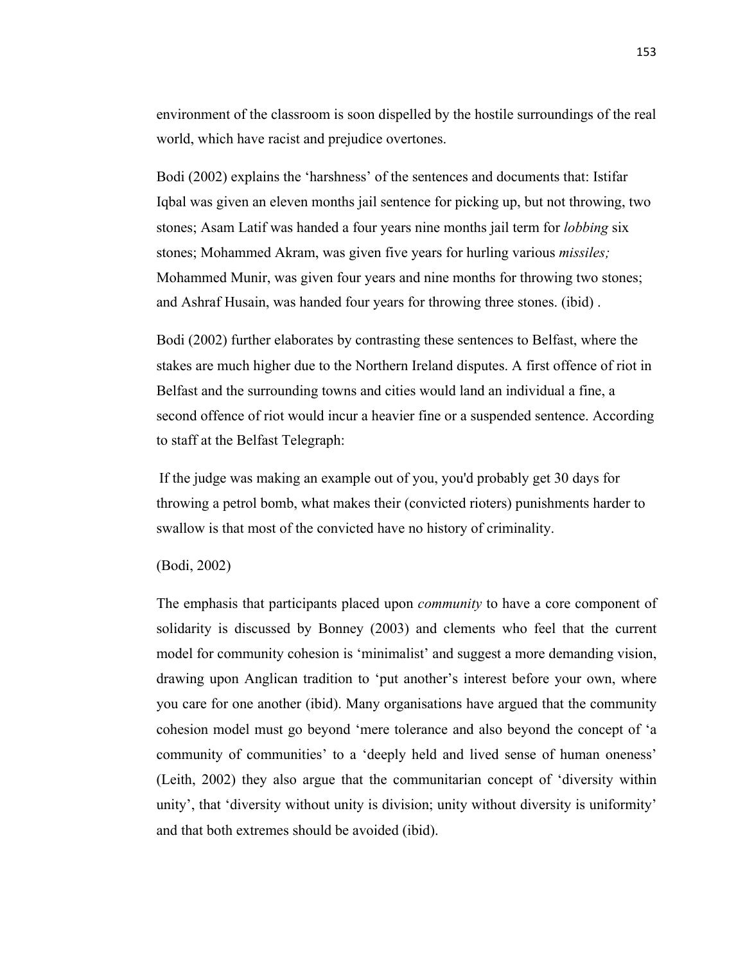environment of the classroom is soon dispelled by the hostile surroundings of the real world, which have racist and prejudice overtones.

Bodi (2002) explains the 'harshness' of the sentences and documents that: Istifar Iqbal was given an eleven months jail sentence for picking up, but not throwing, two stones; Asam Latif was handed a four years nine months jail term for *lobbing* six stones; Mohammed Akram, was given five years for hurling various *missiles;* Mohammed Munir, was given four years and nine months for throwing two stones; and Ashraf Husain, was handed four years for throwing three stones. (ibid) .

Bodi (2002) further elaborates by contrasting these sentences to Belfast, where the stakes are much higher due to the Northern Ireland disputes. A first offence of riot in Belfast and the surrounding towns and cities would land an individual a fine, a second offence of riot would incur a heavier fine or a suspended sentence. According to staff at the Belfast Telegraph:

If the judge was making an example out of you, you'd probably get 30 days for throwing a petrol bomb, what makes their (convicted rioters) punishments harder to swallow is that most of the convicted have no history of criminality.

(Bodi, 2002)

The emphasis that participants placed upon *community* to have a core component of solidarity is discussed by Bonney (2003) and clements who feel that the current model for community cohesion is 'minimalist' and suggest a more demanding vision, drawing upon Anglican tradition to 'put another's interest before your own, where you care for one another (ibid). Many organisations have argued that the community cohesion model must go beyond 'mere tolerance and also beyond the concept of 'a community of communities' to a 'deeply held and lived sense of human oneness' (Leith, 2002) they also argue that the communitarian concept of 'diversity within unity', that 'diversity without unity is division; unity without diversity is uniformity' and that both extremes should be avoided (ibid).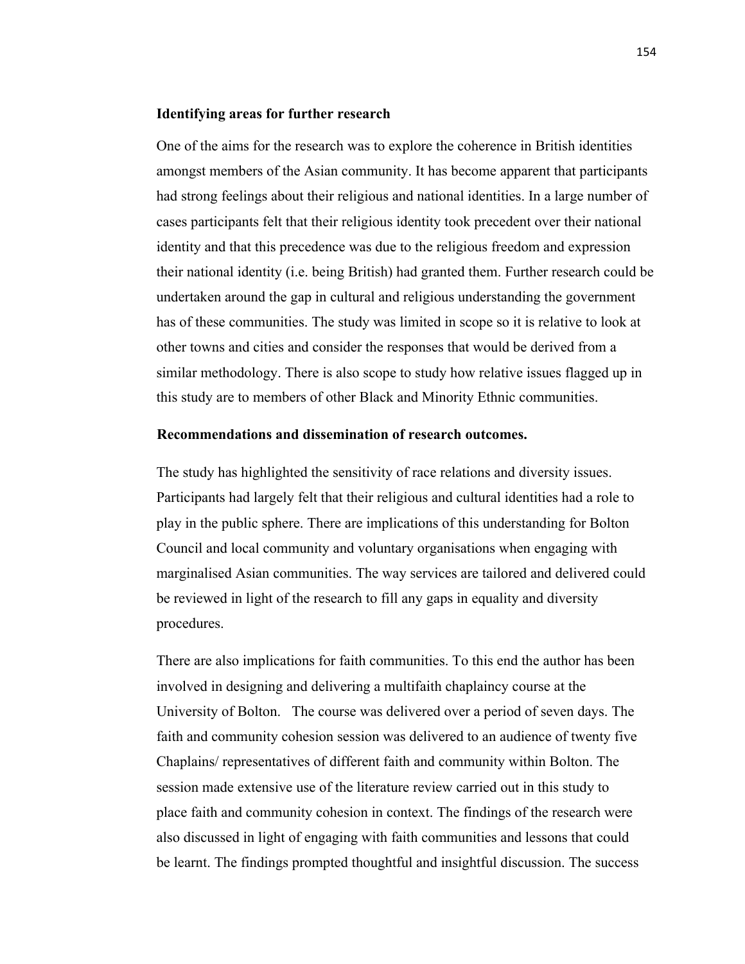#### **Identifying areas for further research**

One of the aims for the research was to explore the coherence in British identities amongst members of the Asian community. It has become apparent that participants had strong feelings about their religious and national identities. In a large number of cases participants felt that their religious identity took precedent over their national identity and that this precedence was due to the religious freedom and expression their national identity (i.e. being British) had granted them. Further research could be undertaken around the gap in cultural and religious understanding the government has of these communities. The study was limited in scope so it is relative to look at other towns and cities and consider the responses that would be derived from a similar methodology. There is also scope to study how relative issues flagged up in this study are to members of other Black and Minority Ethnic communities.

### **Recommendations and dissemination of research outcomes.**

The study has highlighted the sensitivity of race relations and diversity issues. Participants had largely felt that their religious and cultural identities had a role to play in the public sphere. There are implications of this understanding for Bolton Council and local community and voluntary organisations when engaging with marginalised Asian communities. The way services are tailored and delivered could be reviewed in light of the research to fill any gaps in equality and diversity procedures.

There are also implications for faith communities. To this end the author has been involved in designing and delivering a multifaith chaplaincy course at the University of Bolton. The course was delivered over a period of seven days. The faith and community cohesion session was delivered to an audience of twenty five Chaplains/ representatives of different faith and community within Bolton. The session made extensive use of the literature review carried out in this study to place faith and community cohesion in context. The findings of the research were also discussed in light of engaging with faith communities and lessons that could be learnt. The findings prompted thoughtful and insightful discussion. The success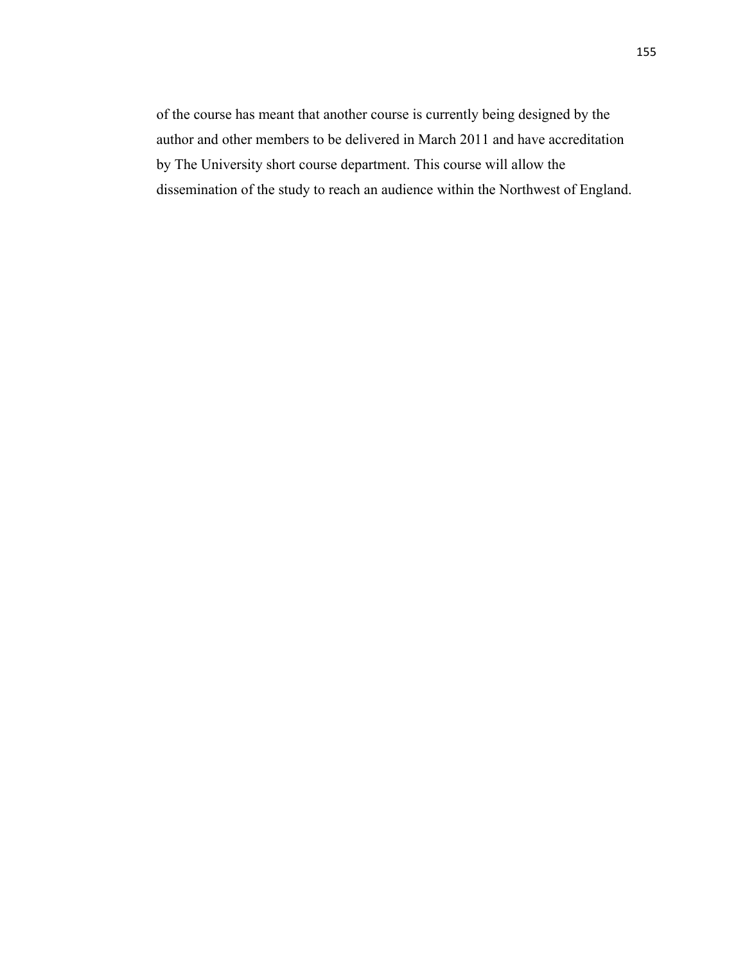of the course has meant that another course is currently being designed by the author and other members to be delivered in March 2011 and have accreditation by The University short course department. This course will allow the dissemination of the study to reach an audience within the Northwest of England.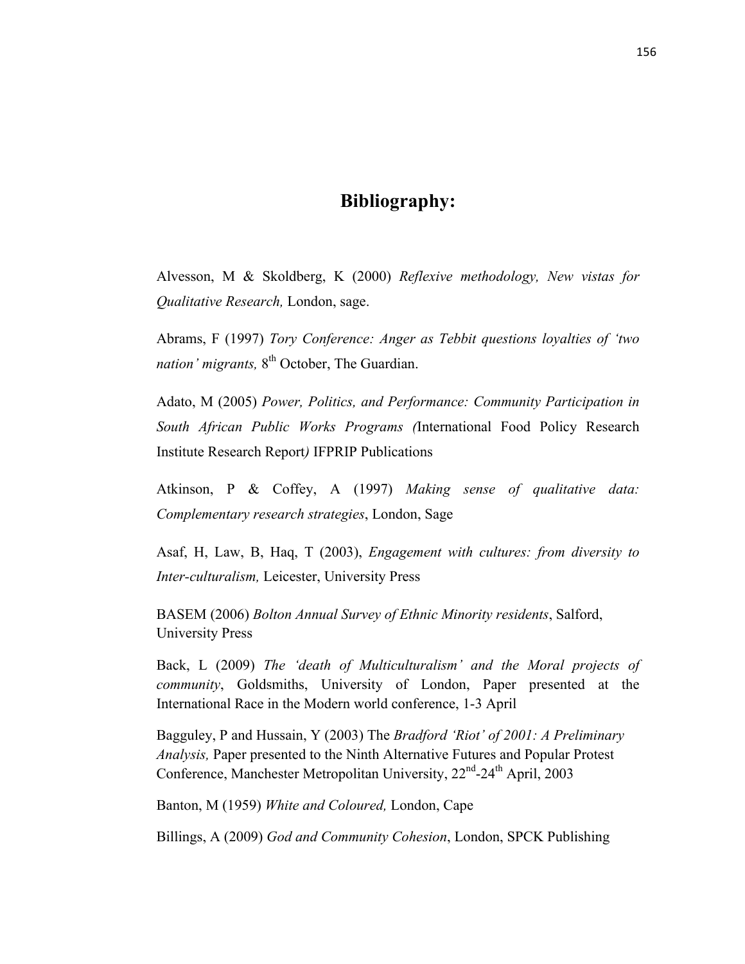# **Bibliography:**

Alvesson, M & Skoldberg, K (2000) *Reflexive methodology, New vistas for Qualitative Research,* London, sage.

Abrams, F (1997) *Tory Conference: Anger as Tebbit questions loyalties of 'two nation' migrants*, 8<sup>th</sup> October, The Guardian.

Adato, M (2005) *Power, Politics, and Performance: Community Participation in South African Public Works Programs (*International Food Policy Research Institute Research Report*)* IFPRIP Publications

Atkinson, P & Coffey, A (1997) *Making sense of qualitative data: Complementary research strategies*, London, Sage

Asaf, H, Law, B, Haq, T (2003), *Engagement with cultures: from diversity to Inter-culturalism,* Leicester, University Press

BASEM (2006) *Bolton Annual Survey of Ethnic Minority residents*, Salford, University Press

Back, L (2009) *The 'death of Multiculturalism' and the Moral projects of community*, Goldsmiths, University of London, Paper presented at the International Race in the Modern world conference, 1-3 April

Bagguley, P and Hussain, Y (2003) The *Bradford 'Riot' of 2001: A Preliminary Analysis,* Paper presented to the Ninth Alternative Futures and Popular Protest Conference, Manchester Metropolitan University, 22<sup>nd</sup>-24<sup>th</sup> April, 2003

Banton, M (1959) *White and Coloured,* London, Cape

Billings, A (2009) *God and Community Cohesion*, London, SPCK Publishing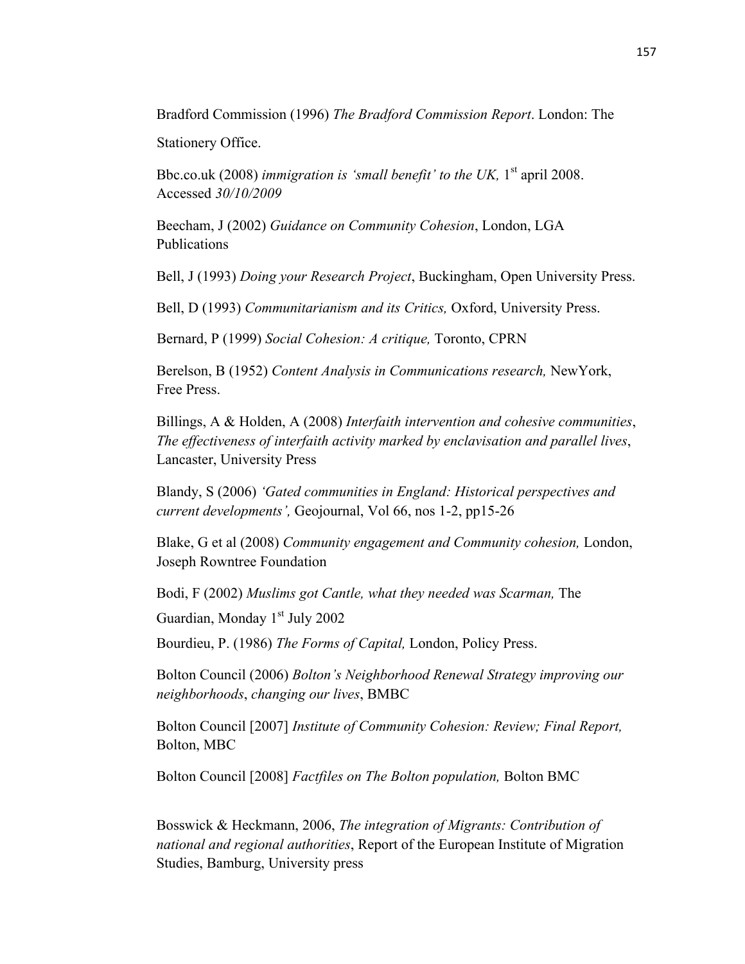Bradford Commission (1996) *The Bradford Commission Report*. London: The

Stationery Office.

Bbc.co.uk (2008) *immigration is 'small benefit' to the UK*, 1<sup>st</sup> april 2008. Accessed *30/10/2009*

Beecham, J (2002) *Guidance on Community Cohesion*, London, LGA Publications

Bell, J (1993) *Doing your Research Project*, Buckingham, Open University Press.

Bell, D (1993) *Communitarianism and its Critics,* Oxford, University Press.

Bernard, P (1999) *Social Cohesion: A critique,* Toronto, CPRN

Berelson, B (1952) *Content Analysis in Communications research,* NewYork, Free Press.

Billings, A & Holden, A (2008) *Interfaith intervention and cohesive communities*, *The effectiveness of interfaith activity marked by enclavisation and parallel lives*, Lancaster, University Press

Blandy, S (2006) *'Gated communities in England: Historical perspectives and current developments',* Geojournal, Vol 66, nos 1-2, pp15-26

Blake, G et al (2008) *Community engagement and Community cohesion,* London, Joseph Rowntree Foundation

Bodi, F (2002) *Muslims got Cantle, what they needed was Scarman,* The

Guardian, Monday 1<sup>st</sup> July 2002

Bourdieu, P. (1986) *The Forms of Capital,* London, Policy Press.

Bolton Council (2006) *Bolton's Neighborhood Renewal Strategy improving our neighborhoods*, *changing our lives*, BMBC

Bolton Council [2007] *Institute of Community Cohesion: Review; Final Report,*  Bolton, MBC

Bolton Council [2008] *Factfiles on The Bolton population,* Bolton BMC

Bosswick & Heckmann, 2006, *The integration of Migrants: Contribution of national and regional authorities*, Report of the European Institute of Migration Studies, Bamburg, University press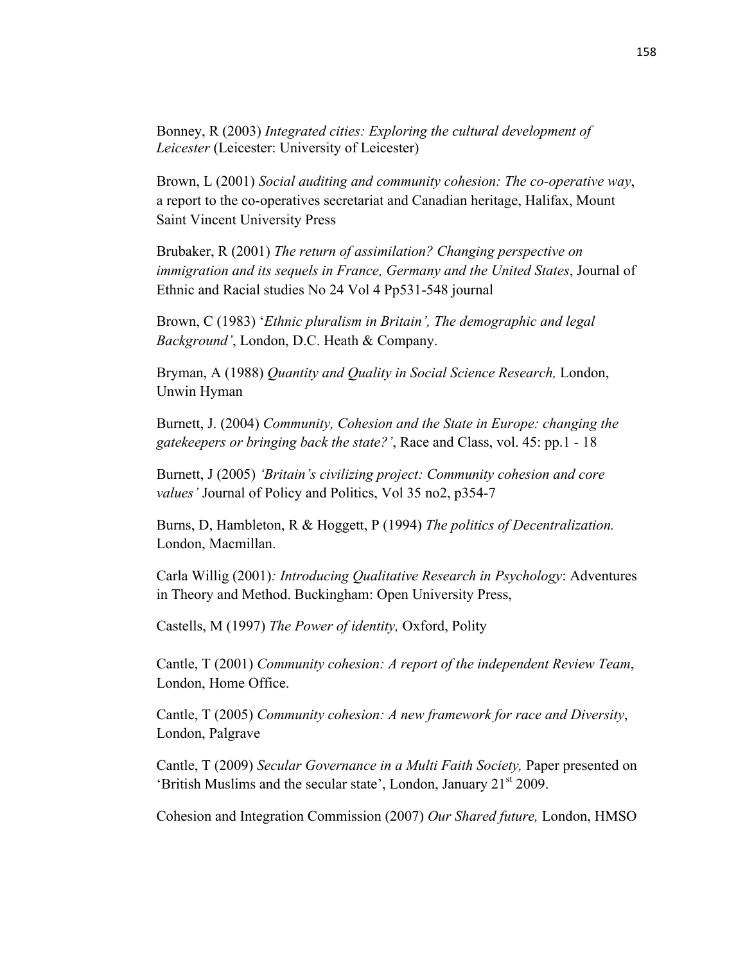Bonney, R (2003) *Integrated cities: Exploring the cultural development of Leicester* (Leicester: University of Leicester)

Brown, L (2001) *Social auditing and community cohesion: The co-operative way*, a report to the co-operatives secretariat and Canadian heritage, Halifax, Mount Saint Vincent University Press

Brubaker, R (2001) *The return of assimilation? Changing perspective on immigration and its sequels in France, Germany and the United States*, Journal of Ethnic and Racial studies No 24 Vol 4 Pp531-548 journal

Brown, C (1983) '*Ethnic pluralism in Britain', The demographic and legal Background'*, London, D.C. Heath & Company.

Bryman, A (1988) *Quantity and Quality in Social Science Research,* London, Unwin Hyman

Burnett, J. (2004) *Community, Cohesion and the State in Europe: changing the gatekeepers or bringing back the state?'*, Race and Class, vol. 45: pp.1 - 18

Burnett, J (2005) *'Britain's civilizing project: Community cohesion and core values'* Journal of Policy and Politics, Vol 35 no2, p354-7

Burns, D, Hambleton, R & Hoggett, P (1994) *The politics of Decentralization.*  London, Macmillan.

Carla Willig (2001)*: Introducing Qualitative Research in Psychology*: Adventures in Theory and Method. Buckingham: Open University Press,

Castells, M (1997) *The Power of identity,* Oxford, Polity

Cantle, T (2001) *Community cohesion: A report of the independent Review Team*, London, Home Office.

Cantle, T (2005) *Community cohesion: A new framework for race and Diversity*, London, Palgrave

Cantle, T (2009) *Secular Governance in a Multi Faith Society,* Paper presented on 'British Muslims and the secular state', London, January 21<sup>st</sup> 2009.

Cohesion and Integration Commission (2007) *Our Shared future,* London, HMSO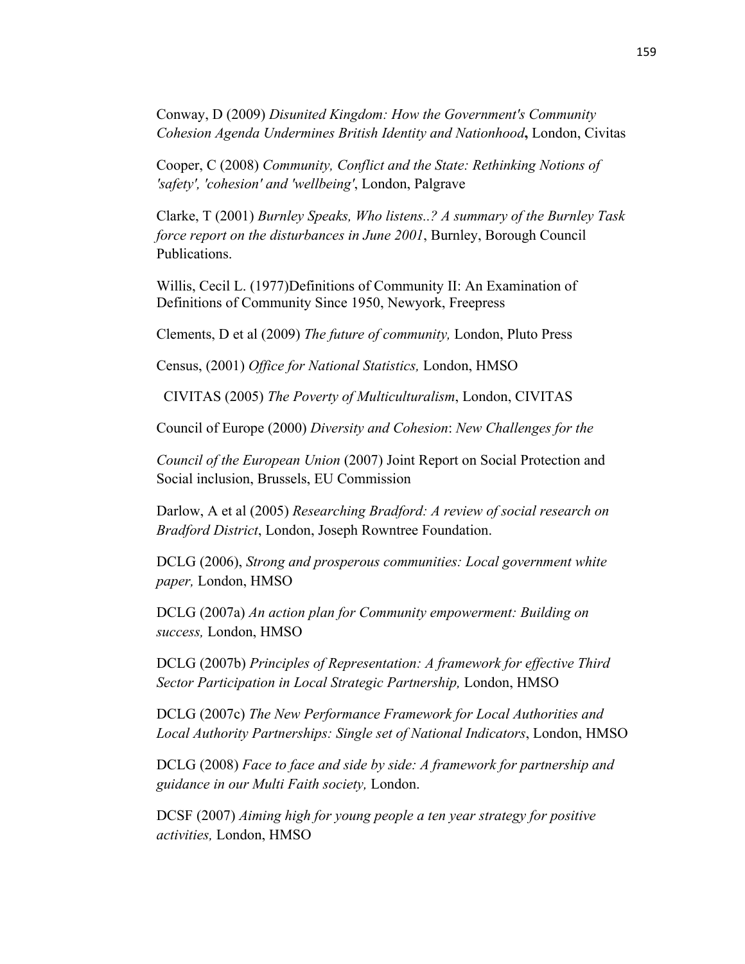Conway, D (2009) *Disunited Kingdom: How the Government's Community Cohesion Agenda Undermines British Identity and Nationhood***,** London, Civitas

Cooper, C (2008) *Community, Conflict and the State: Rethinking Notions of 'safety', 'cohesion' and 'wellbeing'*, London, Palgrave

Clarke, T (2001) *Burnley Speaks, Who listens..? A summary of the Burnley Task force report on the disturbances in June 2001*, Burnley, Borough Council Publications.

Willis, Cecil L. (1977)Definitions of Community II: An Examination of Definitions of Community Since 1950, Newyork, Freepress

Clements, D et al (2009) *The future of community,* London, Pluto Press

Census, (2001) *Office for National Statistics,* London, HMSO

CIVITAS (2005) *The Poverty of Multiculturalism*, London, CIVITAS

Council of Europe (2000) *Diversity and Cohesion*: *New Challenges for the*

*Council of the European Union* (2007) Joint Report on Social Protection and Social inclusion, Brussels, EU Commission

Darlow, A et al (2005) *Researching Bradford: A review of social research on Bradford District*, London, Joseph Rowntree Foundation.

DCLG (2006), *Strong and prosperous communities: Local government white paper,* London, HMSO

DCLG (2007a) *An action plan for Community empowerment: Building on success,* London, HMSO

DCLG (2007b) *Principles of Representation: A framework for effective Third Sector Participation in Local Strategic Partnership,* London, HMSO

DCLG (2007c) *The New Performance Framework for Local Authorities and Local Authority Partnerships: Single set of National Indicators*, London, HMSO

DCLG (2008) *Face to face and side by side: A framework for partnership and guidance in our Multi Faith society,* London.

DCSF (2007) *Aiming high for young people a ten year strategy for positive activities,* London, HMSO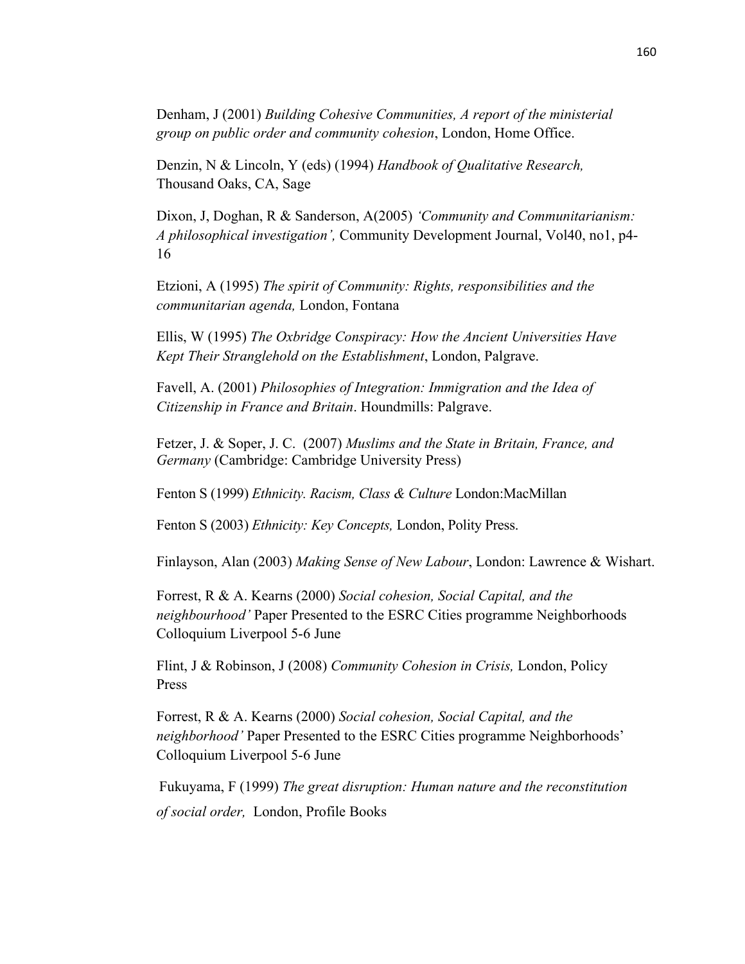Denham, J (2001) *Building Cohesive Communities, A report of the ministerial group on public order and community cohesion*, London, Home Office.

Denzin, N & Lincoln, Y (eds) (1994) *Handbook of Qualitative Research,*  Thousand Oaks, CA, Sage

Dixon, J, Doghan, R & Sanderson, A(2005) *'Community and Communitarianism: A philosophical investigation',* Community Development Journal, Vol40, no1, p4- 16

Etzioni, A (1995) *The spirit of Community: Rights, responsibilities and the communitarian agenda,* London, Fontana

Ellis, W (1995) *The Oxbridge Conspiracy: How the Ancient Universities Have Kept Their Stranglehold on the Establishment*, London, Palgrave.

Favell, A. (2001) *Philosophies of Integration: Immigration and the Idea of Citizenship in France and Britain*. Houndmills: Palgrave.

Fetzer, J. & Soper, J. C. (2007) *Muslims and the State in Britain, France, and Germany* (Cambridge: Cambridge University Press)

Fenton S (1999) *Ethnicity. Racism, Class & Culture* London:MacMillan

Fenton S (2003) *Ethnicity: Key Concepts,* London, Polity Press.

Finlayson, Alan (2003) *Making Sense of New Labour*, London: Lawrence & Wishart.

Forrest, R & A. Kearns (2000) *Social cohesion, Social Capital, and the neighbourhood'* Paper Presented to the ESRC Cities programme Neighborhoods Colloquium Liverpool 5-6 June

Flint, J & Robinson, J (2008) *Community Cohesion in Crisis,* London, Policy Press

Forrest, R & A. Kearns (2000) *Social cohesion, Social Capital, and the neighborhood'* Paper Presented to the ESRC Cities programme Neighborhoods' Colloquium Liverpool 5-6 June

Fukuyama, F (1999) *The great disruption: Human nature and the reconstitution of social order,* London, Profile Books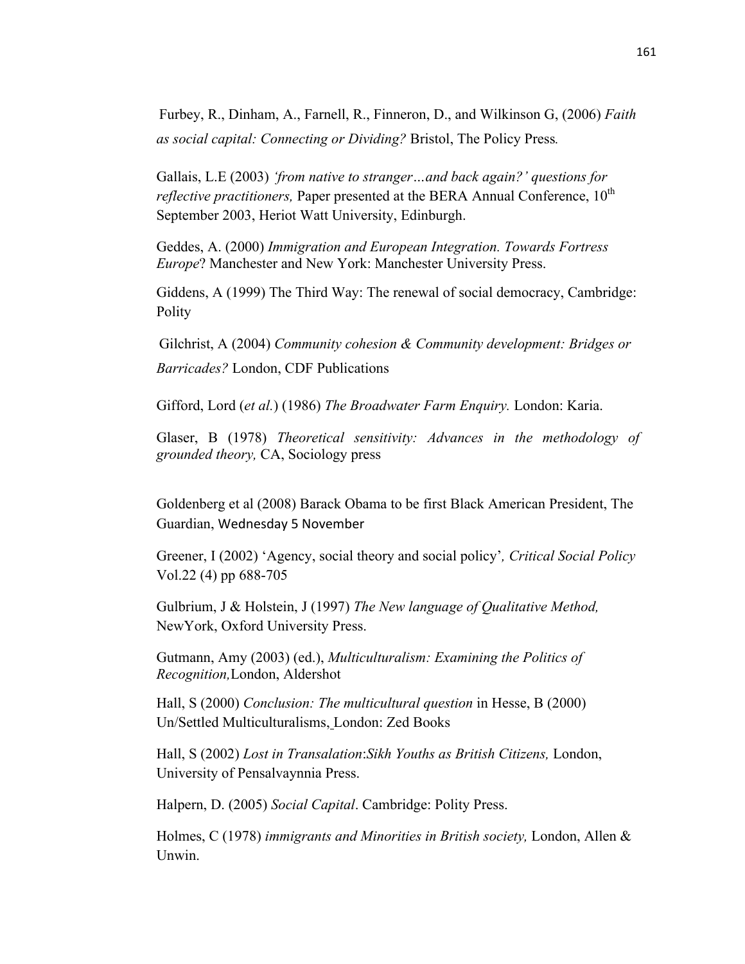Furbey, R., Dinham, A., Farnell, R., Finneron, D., and Wilkinson G, (2006) *Faith as social capital: Connecting or Dividing?* Bristol, The Policy Press*.*

Gallais, L.E (2003) *'from native to stranger…and back again?' questions for reflective practitioners, Paper presented at the BERA Annual Conference, 10<sup>th</sup>* September 2003, Heriot Watt University, Edinburgh.

Geddes, A. (2000) *Immigration and European Integration. Towards Fortress Europe*? Manchester and New York: Manchester University Press.

Giddens, A (1999) The Third Way: The renewal of social democracy, Cambridge: Polity

Gilchrist, A (2004) *Community cohesion & Community development: Bridges or Barricades?* London, CDF Publications

Gifford, Lord (*et al.*) (1986) *The Broadwater Farm Enquiry.* London: Karia.

Glaser, B (1978) *Theoretical sensitivity: Advances in the methodology of grounded theory,* CA, Sociology press

Goldenberg et al (2008) Barack Obama to be first Black American President, The Guardian, Wednesday 5 November

Greener, I (2002) 'Agency, social theory and social policy'*, Critical Social Policy* Vol.22 (4) pp 688-705

Gulbrium, J & Holstein, J (1997) *The New language of Qualitative Method,*  NewYork, Oxford University Press.

Gutmann, Amy (2003) (ed.), *Multiculturalism: Examining the Politics of Recognition,*London, Aldershot

Hall, S (2000) *Conclusion: The multicultural question* in Hesse, B (2000) Un/Settled Multiculturalisms, London: Zed Books

Hall, S (2002) *Lost in Transalation*:*Sikh Youths as British Citizens,* London, University of Pensalvaynnia Press.

Halpern, D. (2005) *Social Capital*. Cambridge: Polity Press.

Holmes, C (1978) *immigrants and Minorities in British society,* London, Allen & **Unwin**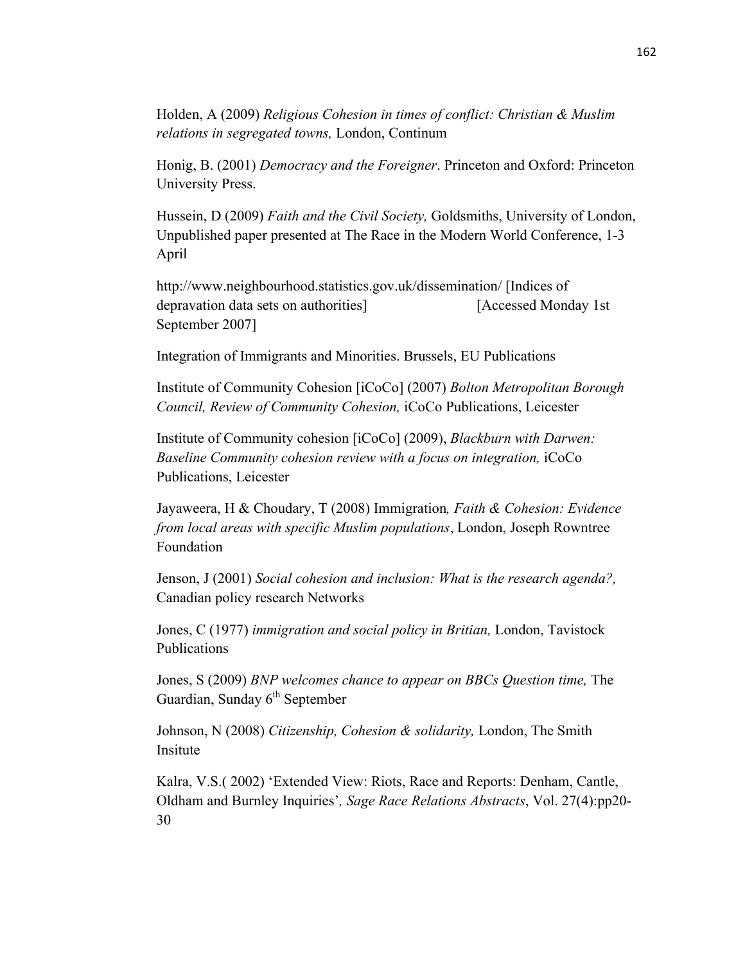Holden, A (2009) *Religious Cohesion in times of conflict: Christian & Muslim relations in segregated towns,* London, Continum

Honig, B. (2001) *Democracy and the Foreigner*. Princeton and Oxford: Princeton University Press.

Hussein, D (2009) *Faith and the Civil Society,* Goldsmiths, University of London, Unpublished paper presented at The Race in the Modern World Conference, 1-3 April

http://www.neighbourhood.statistics.gov.uk/dissemination/ [Indices of depravation data sets on authorities] [Accessed Monday 1st September 2007]

Integration of Immigrants and Minorities. Brussels, EU Publications

Institute of Community Cohesion [iCoCo] (2007) *Bolton Metropolitan Borough Council, Review of Community Cohesion,* iCoCo Publications, Leicester

Institute of Community cohesion [iCoCo] (2009), *Blackburn with Darwen: Baseline Community cohesion review with a focus on integration,* iCoCo Publications, Leicester

Jayaweera, H & Choudary, T (2008) Immigration*, Faith & Cohesion: Evidence from local areas with specific Muslim populations*, London, Joseph Rowntree Foundation

Jenson, J (2001) *Social cohesion and inclusion: What is the research agenda?,* Canadian policy research Networks

Jones, C (1977) *immigration and social policy in Britian,* London, Tavistock Publications

Jones, S (2009) *BNP welcomes chance to appear on BBCs Question time,* The Guardian, Sunday  $6<sup>th</sup>$  September

Johnson, N (2008) *Citizenship, Cohesion & solidarity,* London, The Smith Insitute

Kalra, V.S.( 2002) 'Extended View: Riots, Race and Reports: Denham, Cantle, Oldham and Burnley Inquiries'*, Sage Race Relations Abstracts*, Vol. 27(4):pp20- 30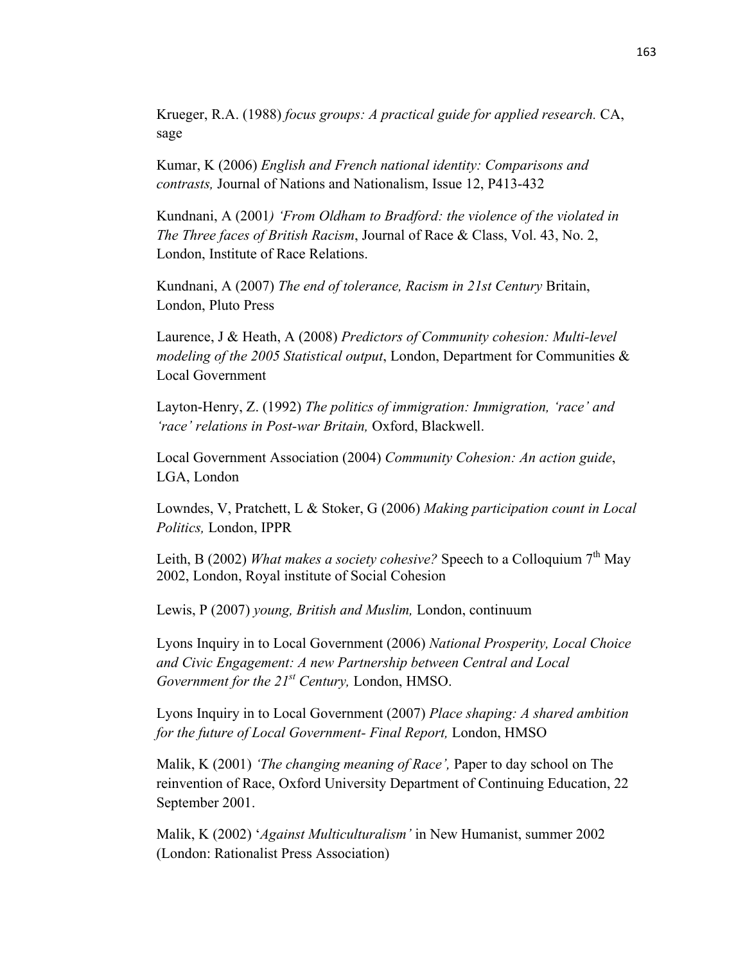Krueger, R.A. (1988) *focus groups: A practical guide for applied research.* CA, sage

Kumar, K (2006) *English and French national identity: Comparisons and contrasts,* Journal of Nations and Nationalism, Issue 12, P413-432

Kundnani, A (2001*) 'From Oldham to Bradford: the violence of the violated in The Three faces of British Racism*, Journal of Race & Class, Vol. 43, No. 2, London, Institute of Race Relations.

Kundnani, A (2007) *The end of tolerance, Racism in 21st Century* Britain, London, Pluto Press

Laurence, J & Heath, A (2008) *Predictors of Community cohesion: Multi-level modeling of the 2005 Statistical output*, London, Department for Communities & Local Government

Layton-Henry, Z. (1992) *The politics of immigration: Immigration, 'race' and 'race' relations in Post-war Britain,* Oxford, Blackwell.

Local Government Association (2004) *Community Cohesion: An action guide*, LGA, London

Lowndes, V, Pratchett, L & Stoker, G (2006) *Making participation count in Local Politics,* London, IPPR

Leith, B (2002) *What makes a society cohesive?* Speech to a Colloquium 7<sup>th</sup> Mav 2002, London, Royal institute of Social Cohesion

Lewis, P (2007) *young, British and Muslim,* London, continuum

Lyons Inquiry in to Local Government (2006) *National Prosperity, Local Choice and Civic Engagement: A new Partnership between Central and Local Government for the 21st Century,* London, HMSO.

Lyons Inquiry in to Local Government (2007) *Place shaping: A shared ambition for the future of Local Government- Final Report,* London, HMSO

Malik, K (2001) *'The changing meaning of Race',* Paper to day school on The reinvention of Race, Oxford University Department of Continuing Education, 22 September 2001.

Malik, K (2002) '*Against Multiculturalism'* in New Humanist, summer 2002 (London: Rationalist Press Association)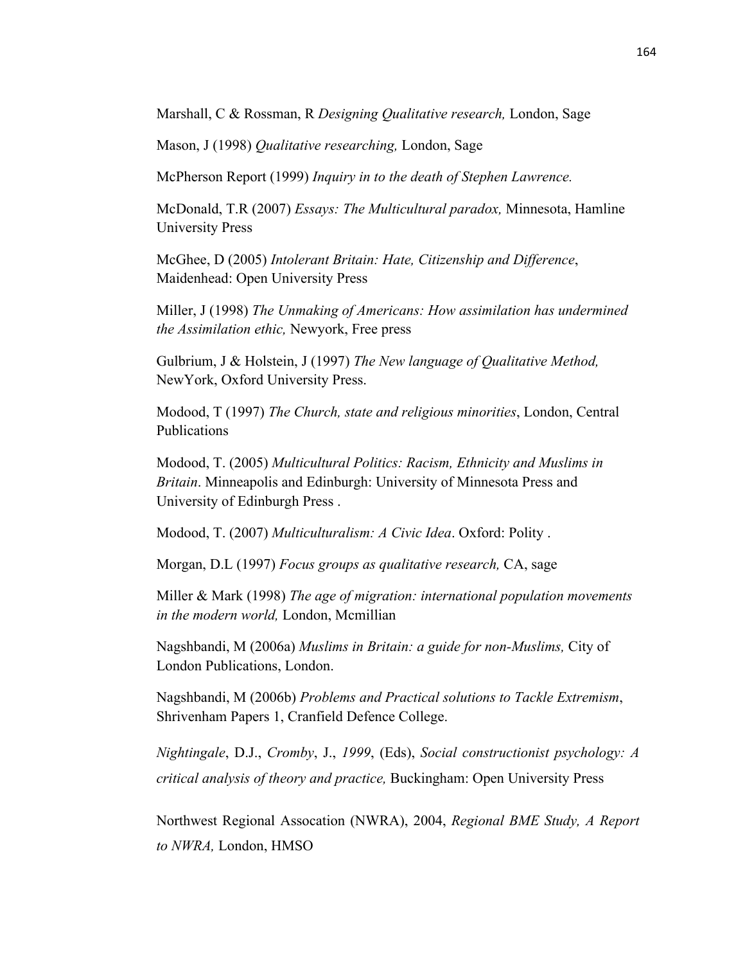Marshall, C & Rossman, R *Designing Qualitative research,* London, Sage

Mason, J (1998) *Qualitative researching,* London, Sage

McPherson Report (1999) *Inquiry in to the death of Stephen Lawrence.* 

McDonald, T.R (2007) *Essays: The Multicultural paradox,* Minnesota, Hamline University Press

McGhee, D (2005) *Intolerant Britain: Hate, Citizenship and Difference*, Maidenhead: Open University Press

Miller, J (1998) *The Unmaking of Americans: How assimilation has undermined the Assimilation ethic,* Newyork, Free press

Gulbrium, J & Holstein, J (1997) *The New language of Qualitative Method,*  NewYork, Oxford University Press.

Modood, T (1997) *The Church, state and religious minorities*, London, Central Publications

Modood, T. (2005) *Multicultural Politics: Racism, Ethnicity and Muslims in Britain*. Minneapolis and Edinburgh: University of Minnesota Press and University of Edinburgh Press .

Modood, T. (2007) *Multiculturalism: A Civic Idea*. Oxford: Polity .

Morgan, D.L (1997) *Focus groups as qualitative research,* CA, sage

Miller & Mark (1998) *The age of migration: international population movements in the modern world,* London, Mcmillian

Nagshbandi, M (2006a) *Muslims in Britain: a guide for non-Muslims,* City of London Publications, London.

Nagshbandi, M (2006b) *Problems and Practical solutions to Tackle Extremism*, Shrivenham Papers 1, Cranfield Defence College.

*Nightingale*, D.J., *Cromby*, J., *1999*, (Eds), *Social constructionist psychology: A critical analysis of theory and practice,* Buckingham: Open University Press

Northwest Regional Assocation (NWRA), 2004, *Regional BME Study, A Report to NWRA,* London, HMSO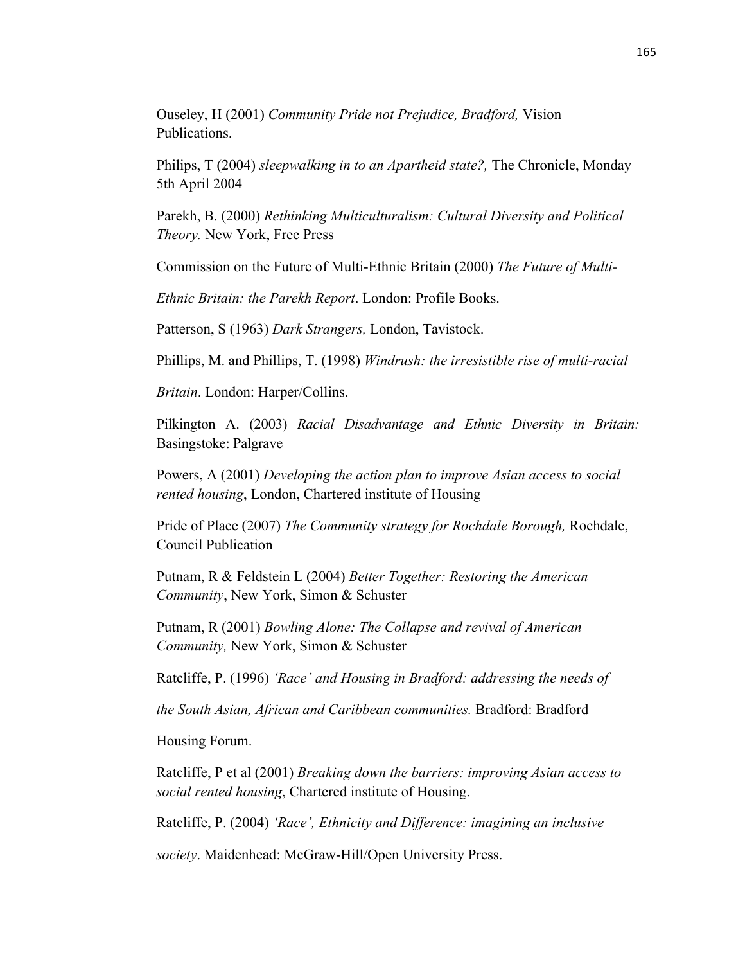Ouseley, H (2001) *Community Pride not Prejudice, Bradford,* Vision Publications.

Philips, T (2004) *sleepwalking in to an Apartheid state?,* The Chronicle, Monday 5th April 2004

Parekh, B. (2000) *Rethinking Multiculturalism: Cultural Diversity and Political Theory.* New York, Free Press

Commission on the Future of Multi-Ethnic Britain (2000) *The Future of Multi-*

*Ethnic Britain: the Parekh Report*. London: Profile Books.

Patterson, S (1963) *Dark Strangers,* London, Tavistock.

Phillips, M. and Phillips, T. (1998) *Windrush: the irresistible rise of multi-racial*

*Britain*. London: Harper/Collins.

Pilkington A. (2003) *Racial Disadvantage and Ethnic Diversity in Britain:* Basingstoke: Palgrave

Powers, A (2001) *Developing the action plan to improve Asian access to social rented housing*, London, Chartered institute of Housing

Pride of Place (2007) *The Community strategy for Rochdale Borough,* Rochdale, Council Publication

Putnam, R & Feldstein L (2004) *Better Together: Restoring the American Community*, New York, Simon & Schuster

Putnam, R (2001) *Bowling Alone: The Collapse and revival of American Community,* New York, Simon & Schuster

Ratcliffe, P. (1996) *'Race' and Housing in Bradford: addressing the needs of*

*the South Asian, African and Caribbean communities.* Bradford: Bradford

Housing Forum.

Ratcliffe, P et al (2001) *Breaking down the barriers: improving Asian access to social rented housing*, Chartered institute of Housing.

Ratcliffe, P. (2004) *'Race', Ethnicity and Difference: imagining an inclusive*

*society*. Maidenhead: McGraw-Hill/Open University Press.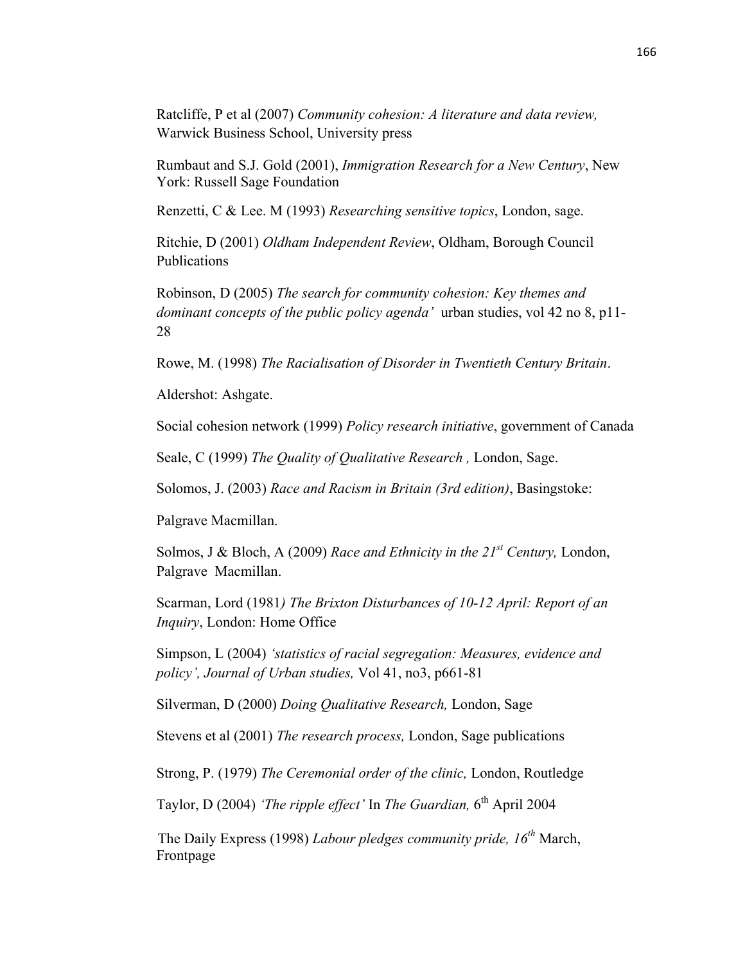Ratcliffe, P et al (2007) *Community cohesion: A literature and data review,*  Warwick Business School, University press

Rumbaut and S.J. Gold (2001), *Immigration Research for a New Century*, New York: Russell Sage Foundation

Renzetti, C & Lee. M (1993) *Researching sensitive topics*, London, sage.

Ritchie, D (2001) *Oldham Independent Review*, Oldham, Borough Council Publications

Robinson, D (2005) *The search for community cohesion: Key themes and dominant concepts of the public policy agenda'* urban studies, vol 42 no 8, p11- 28

Rowe, M. (1998) *The Racialisation of Disorder in Twentieth Century Britain*.

Aldershot: Ashgate.

Social cohesion network (1999) *Policy research initiative*, government of Canada

Seale, C (1999) *The Quality of Qualitative Research ,* London, Sage.

Solomos, J. (2003) *Race and Racism in Britain (3rd edition)*, Basingstoke:

Palgrave Macmillan.

Solmos, J & Bloch, A (2009) *Race and Ethnicity in the 21st Century,* London, Palgrave Macmillan.

Scarman, Lord (1981*) The Brixton Disturbances of 10-12 April: Report of an Inquiry*, London: Home Office

Simpson, L (2004) *'statistics of racial segregation: Measures, evidence and policy', Journal of Urban studies,* Vol 41, no3, p661-81

Silverman, D (2000) *Doing Qualitative Research,* London, Sage

Stevens et al (2001) *The research process,* London, Sage publications

Strong, P. (1979) *The Ceremonial order of the clinic,* London, Routledge

Taylor, D (2004) *'The ripple effect'* In *The Guardian*, 6<sup>th</sup> April 2004

The Daily Express (1998) *Labour pledges community pride, 16th* March, Frontpage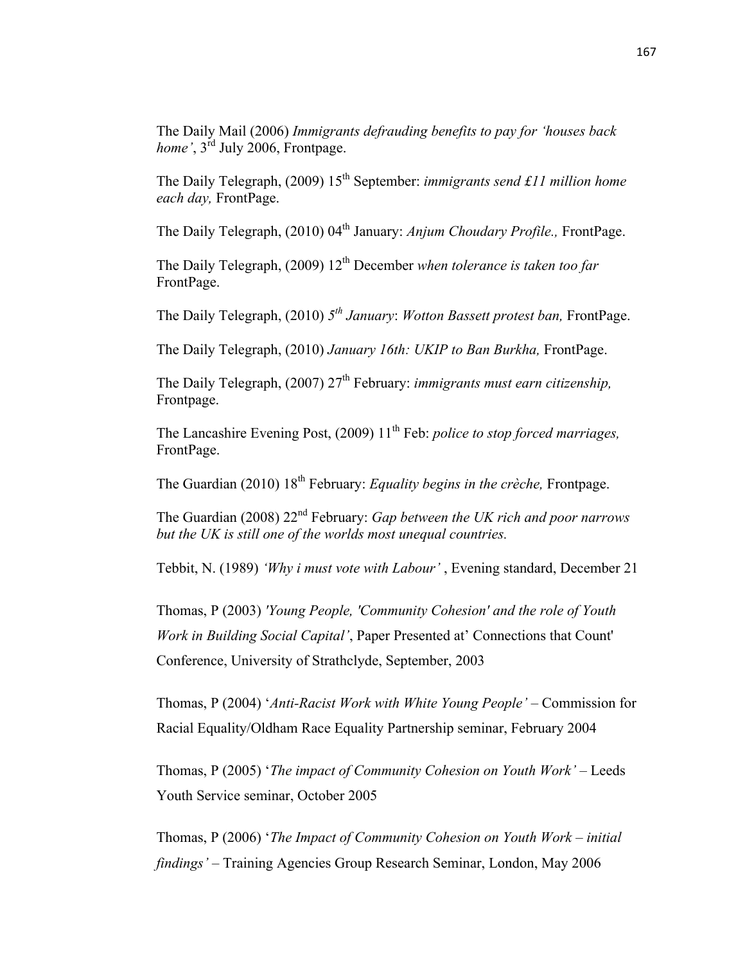The Daily Mail (2006) *Immigrants defrauding benefits to pay for 'houses back home'*, 3<sup>rd</sup> July 2006, Frontpage.

The Daily Telegraph, (2009) 15<sup>th</sup> September: *immigrants send £11 million home each day,* FrontPage.

The Daily Telegraph, (2010) 04<sup>th</sup> January: *Anjum Choudary Profile.*, FrontPage.

The Daily Telegraph, (2009) 12<sup>th</sup> December *when tolerance is taken too far* FrontPage.

The Daily Telegraph, (2010) *5th January*: *Wotton Bassett protest ban,* FrontPage.

The Daily Telegraph, (2010) *January 16th: UKIP to Ban Burkha,* FrontPage.

The Daily Telegraph, (2007) 27<sup>th</sup> February: *immigrants must earn citizenship*, Frontpage.

The Lancashire Evening Post, (2009) 11<sup>th</sup> Feb: *police to stop forced marriages*, FrontPage.

The Guardian (2010) 18<sup>th</sup> February: *Equality begins in the crèche*, Frontpage.

The Guardian (2008) 22nd February: *Gap between the UK rich and poor narrows but the UK is still one of the worlds most unequal countries.*

Tebbit, N. (1989) *'Why i must vote with Labour'* , Evening standard, December 21

Thomas, P (2003) *'Young People, 'Community Cohesion' and the role of Youth Work in Building Social Capital'*, Paper Presented at' Connections that Count' Conference, University of Strathclyde, September, 2003

Thomas, P (2004) '*Anti-Racist Work with White Young People'* – Commission for Racial Equality/Oldham Race Equality Partnership seminar, February 2004

Thomas, P (2005) '*The impact of Community Cohesion on Youth Work'* – Leeds Youth Service seminar, October 2005

Thomas, P (2006) '*The Impact of Community Cohesion on Youth Work – initial findings'* – Training Agencies Group Research Seminar, London, May 2006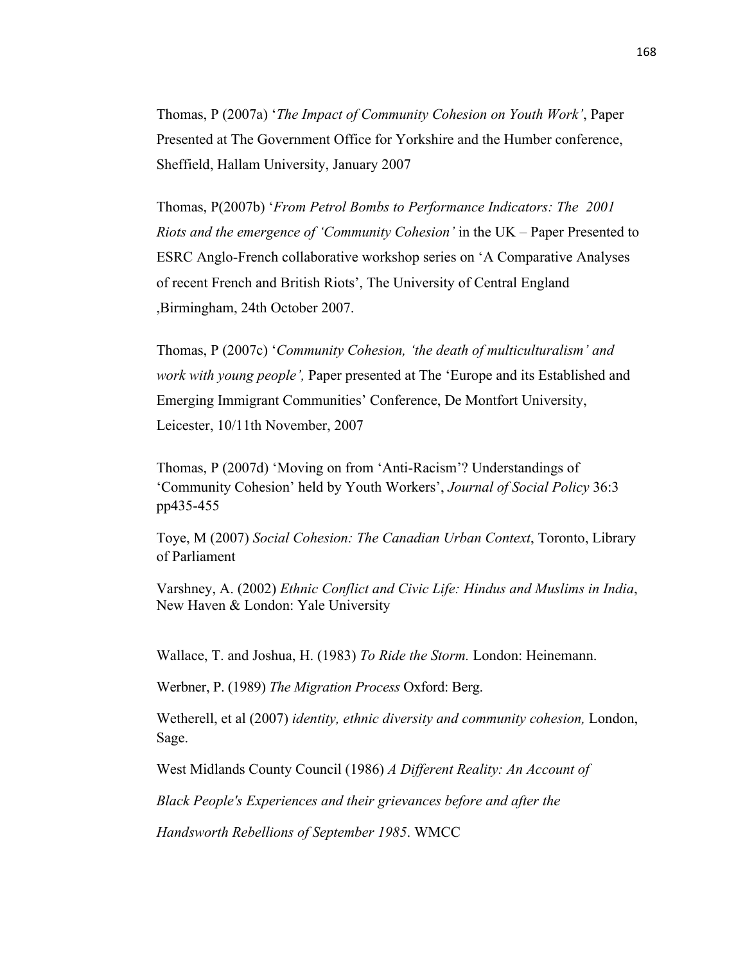Thomas, P (2007a) '*The Impact of Community Cohesion on Youth Work'*, Paper Presented at The Government Office for Yorkshire and the Humber conference, Sheffield, Hallam University, January 2007

Thomas, P(2007b) '*From Petrol Bombs to Performance Indicators: The 2001 Riots and the emergence of 'Community Cohesion'* in the UK – Paper Presented to ESRC Anglo-French collaborative workshop series on 'A Comparative Analyses of recent French and British Riots', The University of Central England ,Birmingham, 24th October 2007.

Thomas, P (2007c) '*Community Cohesion, 'the death of multiculturalism' and work with young people',* Paper presented at The 'Europe and its Established and Emerging Immigrant Communities' Conference, De Montfort University, Leicester, 10/11th November, 2007

Thomas, P (2007d) 'Moving on from 'Anti-Racism'? Understandings of 'Community Cohesion' held by Youth Workers', *Journal of Social Policy* 36:3 pp435-455

Toye, M (2007) *Social Cohesion: The Canadian Urban Context*, Toronto, Library of Parliament

Varshney, A. (2002) *Ethnic Conflict and Civic Life: Hindus and Muslims in India*, New Haven & London: Yale University

Wallace, T. and Joshua, H. (1983) *To Ride the Storm.* London: Heinemann.

Werbner, P. (1989) *The Migration Process* Oxford: Berg.

Wetherell, et al (2007) *identity, ethnic diversity and community cohesion,* London, Sage.

West Midlands County Council (1986) *A Different Reality: An Account of*

*Black People's Experiences and their grievances before and after the*

*Handsworth Rebellions of September 1985*. WMCC